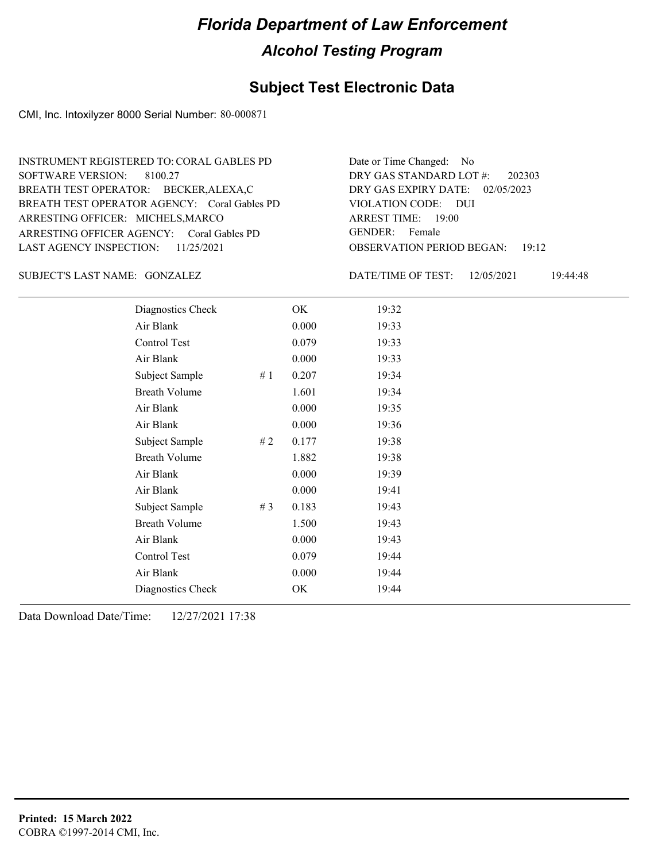#### **Subject Test Electronic Data**

CMI, Inc. Intoxilyzer 8000 Serial Number: 80-000871

ARRESTING OFFICER AGENCY: GENDER: Coral Gables PD BREATH TEST OPERATOR AGENCY: Coral Gables PD VIOLATION CODE: SOFTWARE VERSION: ARRESTING OFFICER: MICHELS, MARCO BREATH TEST OPERATOR: BECKER,ALEXA,C LAST AGENCY INSPECTION: 11/25/2021 8100.27 INSTRUMENT REGISTERED TO: CORAL GABLES PD

OBSERVATION PERIOD BEGAN: 19:12 VIOLATION CODE: DUI ARREST TIME: 19:00 DRY GAS EXPIRY DATE: 02/05/2023 202303 DRY GAS STANDARD LOT #: Date or Time Changed: No GENDER: Female

GONZALEZ SUBJECT'S LAST NAME: DATE/TIME OF TEST:

DATE/TIME OF TEST: 12/05/2021 19:44:48

| Diagnostics Check    |        | OK    | 19:32 |
|----------------------|--------|-------|-------|
| Air Blank            |        | 0.000 | 19:33 |
| Control Test         |        | 0.079 | 19:33 |
| Air Blank            |        | 0.000 | 19:33 |
| Subject Sample       | #1     | 0.207 | 19:34 |
| <b>Breath Volume</b> |        | 1.601 | 19:34 |
| Air Blank            |        | 0.000 | 19:35 |
| Air Blank            |        | 0.000 | 19:36 |
| Subject Sample       | $\#$ 2 | 0.177 | 19:38 |
| <b>Breath Volume</b> |        | 1.882 | 19:38 |
| Air Blank            |        | 0.000 | 19:39 |
| Air Blank            |        | 0.000 | 19:41 |
| Subject Sample       | # $3$  | 0.183 | 19:43 |
| <b>Breath Volume</b> |        | 1.500 | 19:43 |
| Air Blank            |        | 0.000 | 19:43 |
| Control Test         |        | 0.079 | 19:44 |
| Air Blank            |        | 0.000 | 19:44 |
| Diagnostics Check    |        | OK    | 19:44 |
|                      |        |       |       |

Data Download Date/Time: 12/27/2021 17:38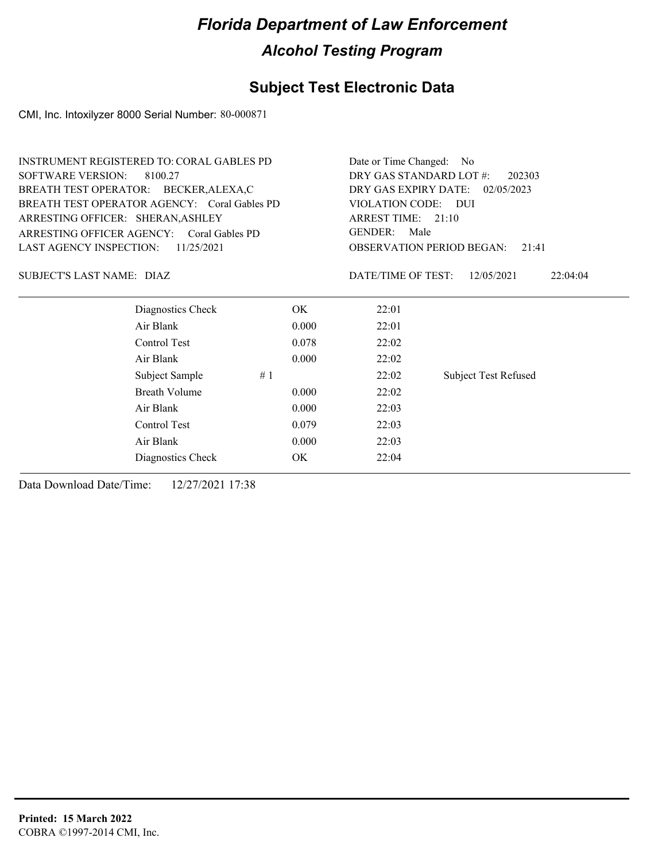### **Subject Test Electronic Data**

CMI, Inc. Intoxilyzer 8000 Serial Number: 80-000871

|                                   | <b>INSTRUMENT REGISTERED TO: CORAL GABLES PD</b> | Date or Time Changed: No           |                                           |                             |  |  |
|-----------------------------------|--------------------------------------------------|------------------------------------|-------------------------------------------|-----------------------------|--|--|
| <b>SOFTWARE VERSION:</b>          | 8100.27                                          | DRY GAS STANDARD LOT #:            | 202303                                    |                             |  |  |
|                                   | BREATH TEST OPERATOR: BECKER, ALEXA, C           | DRY GAS EXPIRY DATE:<br>02/05/2023 |                                           |                             |  |  |
|                                   | BREATH TEST OPERATOR AGENCY: Coral Gables PD     |                                    | VIOLATION CODE: DUI                       |                             |  |  |
| ARRESTING OFFICER: SHERAN, ASHLEY |                                                  |                                    | ARREST TIME: 21:10                        |                             |  |  |
|                                   | ARRESTING OFFICER AGENCY: Coral Gables PD        |                                    | <b>GENDER:</b><br>Male                    |                             |  |  |
| <b>LAST AGENCY INSPECTION:</b>    | 11/25/2021                                       |                                    | <b>OBSERVATION PERIOD BEGAN:</b><br>21:41 |                             |  |  |
| SUBJECT'S LAST NAME: DIAZ         |                                                  |                                    | DATE/TIME OF TEST:                        | 12/05/2021<br>22:04:04      |  |  |
|                                   | Diagnostics Check                                | OK                                 | 22:01                                     |                             |  |  |
|                                   | Air Blank                                        | 0.000                              | 22:01                                     |                             |  |  |
|                                   | Control Test                                     | 0.078                              | 22:02                                     |                             |  |  |
|                                   | Air Blank                                        | 0.000                              | 22:02                                     |                             |  |  |
|                                   | Subject Sample                                   | #1                                 | 22:02                                     | <b>Subject Test Refused</b> |  |  |
|                                   | <b>Breath Volume</b>                             | 0.000                              | 22:02                                     |                             |  |  |
|                                   | Air Blank                                        | 0.000                              | 22:03                                     |                             |  |  |
|                                   | Control Test                                     | 0.079                              | 22:03                                     |                             |  |  |
|                                   | Air Blank                                        | 0.000                              | 22:03                                     |                             |  |  |
|                                   | Diagnostics Check                                | OK                                 | 22:04                                     |                             |  |  |

Data Download Date/Time: 12/27/2021 17:38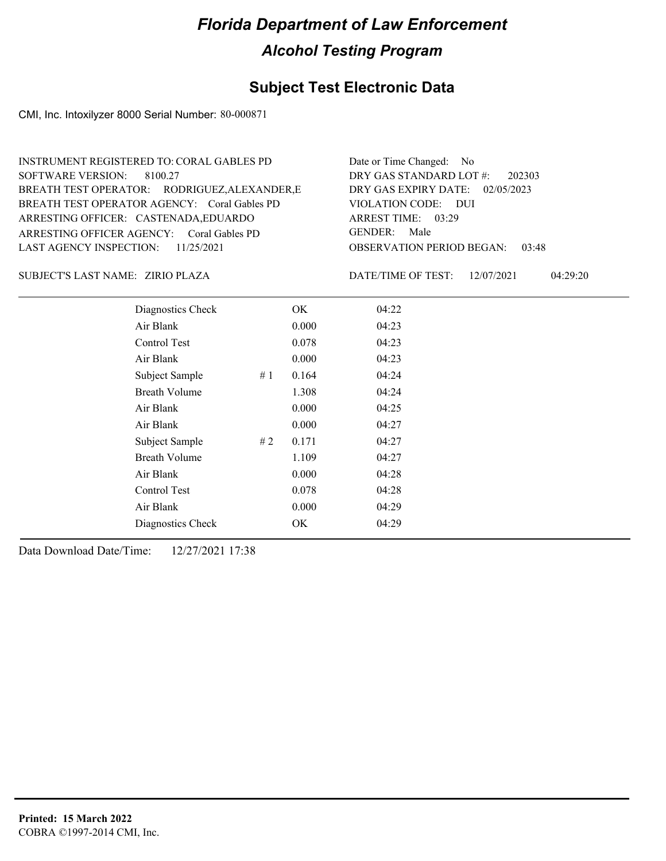#### **Subject Test Electronic Data**

CMI, Inc. Intoxilyzer 8000 Serial Number: 80-000871

OBSERVATION PERIOD BEGAN: 03:48 ARRESTING OFFICER AGENCY: GENDER: Coral Gables PD BREATH TEST OPERATOR AGENCY: Coral Gables PD VIOLATION CODE: SOFTWARE VERSION: VIOLATION CODE: DUI 03:29 ARREST TIME: ARRESTING OFFICER: CASTENADA,EDUARDO DRY GAS EXPIRY DATE: 02/05/2023 202303 BREATH TEST OPERATOR: RODRIGUEZ,ALEXANDER,E LAST AGENCY INSPECTION: 11/25/2021 8100.27 INSTRUMENT REGISTERED TO: CORAL GABLES PD DRY GAS STANDARD LOT #: Date or Time Changed: No GENDER: Male

ZIRIO PLAZA SUBJECT'S LAST NAME: DATE/TIME OF TEST:

DATE/TIME OF TEST: 12/07/2021 04:29:20

| Diagnostics Check    |    | OK    | 04:22 |
|----------------------|----|-------|-------|
| Air Blank            |    | 0.000 | 04:23 |
| Control Test         |    | 0.078 | 04:23 |
| Air Blank            |    | 0.000 | 04:23 |
| Subject Sample       | #1 | 0.164 | 04:24 |
| <b>Breath Volume</b> |    | 1.308 | 04:24 |
| Air Blank            |    | 0.000 | 04:25 |
| Air Blank            |    | 0.000 | 04:27 |
| Subject Sample       | #2 | 0.171 | 04:27 |
| <b>Breath Volume</b> |    | 1.109 | 04:27 |
| Air Blank            |    | 0.000 | 04:28 |
| Control Test         |    | 0.078 | 04:28 |
| Air Blank            |    | 0.000 | 04:29 |
| Diagnostics Check    |    | OK    | 04:29 |
|                      |    |       |       |

Data Download Date/Time: 12/27/2021 17:38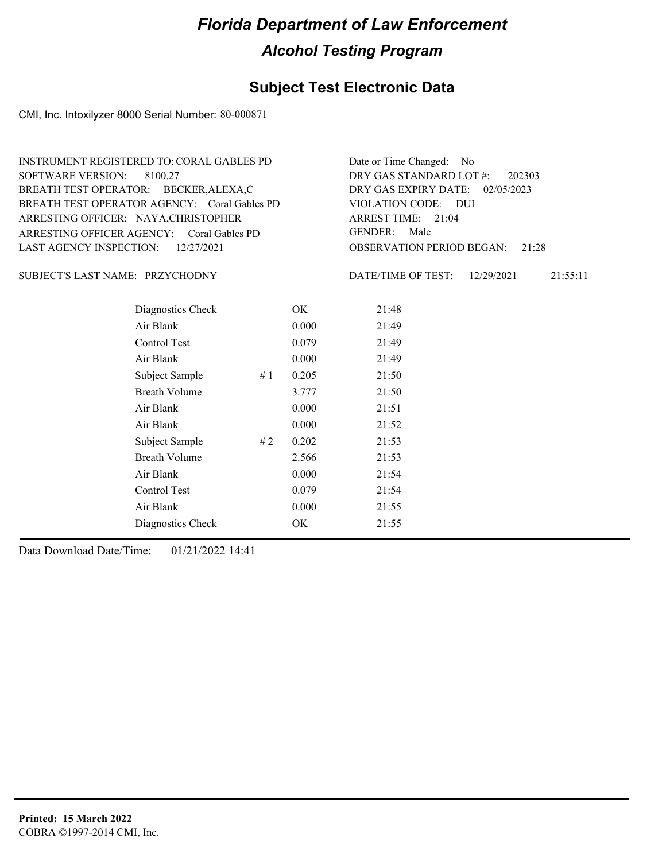#### **Subject Test Electronic Data**

CMI, Inc. Intoxilyzer 8000 Serial Number: 80-000871

ARRESTING OFFICER AGENCY: GENDER: Coral Gables PD BREATH TEST OPERATOR AGENCY: Coral Gables PD VIOLATION CODE: SOFTWARE VERSION: 8100.27 ARRESTING OFFICER: NAYA,CHRISTOPHER BREATH TEST OPERATOR: BECKER,ALEXA,C LAST AGENCY INSPECTION: 12/27/2021 INSTRUMENT REGISTERED TO: CORAL GABLES PD

OBSERVATION PERIOD BEGAN: 21:28 VIOLATION CODE: DUI 21:04 ARREST TIME: DRY GAS EXPIRY DATE: 02/05/2023 202303 DRY GAS STANDARD LOT #: Date or Time Changed: No GENDER: Male

PRZYCHODNY SUBJECT'S LAST NAME: DATE/TIME OF TEST:

DATE/TIME OF TEST: 12/29/2021 21:55:11

| Diagnostics Check    |    | OK    | 21:48 |
|----------------------|----|-------|-------|
| Air Blank            |    | 0.000 | 21:49 |
| Control Test         |    | 0.079 | 21:49 |
| Air Blank            |    | 0.000 | 21:49 |
| Subject Sample       | #1 | 0.205 | 21:50 |
| <b>Breath Volume</b> |    | 3.777 | 21:50 |
| Air Blank            |    | 0.000 | 21:51 |
| Air Blank            |    | 0.000 | 21:52 |
| Subject Sample       | #2 | 0.202 | 21:53 |
| <b>Breath Volume</b> |    | 2.566 | 21:53 |
| Air Blank            |    | 0.000 | 21:54 |
| Control Test         |    | 0.079 | 21:54 |
| Air Blank            |    | 0.000 | 21:55 |
| Diagnostics Check    |    | OK    | 21:55 |
|                      |    |       |       |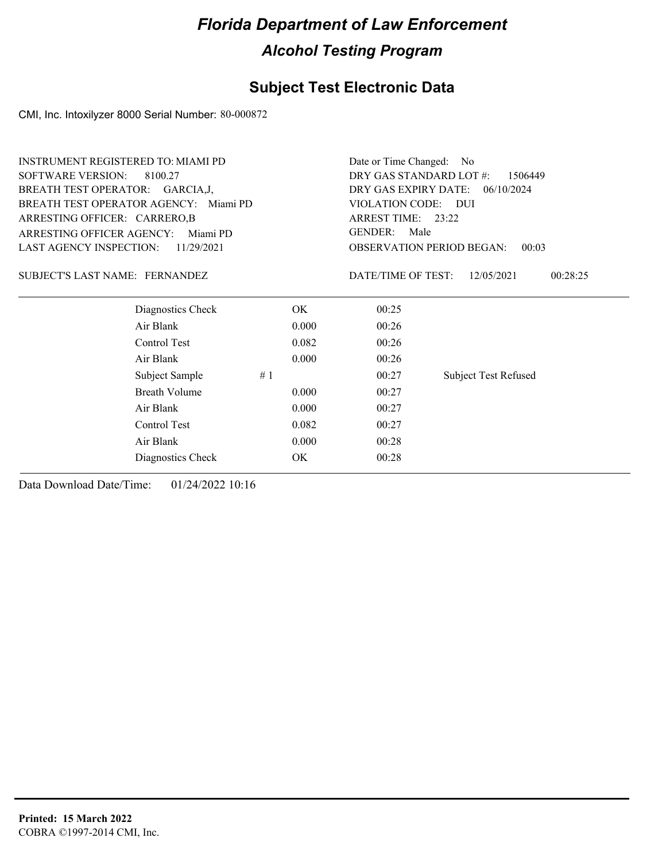### **Subject Test Electronic Data**

CMI, Inc. Intoxilyzer 8000 Serial Number: 80-000872

| <b>INSTRUMENT REGISTERED TO: MIAMI PD</b> |                                       |       | Date or Time Changed:<br>- No                             |                             |  |  |
|-------------------------------------------|---------------------------------------|-------|-----------------------------------------------------------|-----------------------------|--|--|
| <b>SOFTWARE VERSION:</b>                  | 8100.27                               |       | DRY GAS STANDARD LOT #:<br>1506449                        |                             |  |  |
| BREATH TEST OPERATOR: GARCIA, J,          |                                       |       | DRY GAS EXPIRY DATE:<br>06/10/2024<br>VIOLATION CODE: DUI |                             |  |  |
|                                           | BREATH TEST OPERATOR AGENCY: Miami PD |       |                                                           |                             |  |  |
| ARRESTING OFFICER: CARRERO,B              |                                       |       | ARREST TIME: 23:22                                        |                             |  |  |
| <b>ARRESTING OFFICER AGENCY:</b>          | Miami PD                              |       | <b>GENDER:</b><br>Male                                    |                             |  |  |
| <b>LAST AGENCY INSPECTION:</b>            | 11/29/2021                            |       | <b>OBSERVATION PERIOD BEGAN:</b>                          | 00:03                       |  |  |
| SUBJECT'S LAST NAME: FERNANDEZ            |                                       |       | DATE/TIME OF TEST:                                        | 00:28:25<br>12/05/2021      |  |  |
|                                           | Diagnostics Check                     | OK.   | 00:25                                                     |                             |  |  |
|                                           | Air Blank                             | 0.000 | 00:26                                                     |                             |  |  |
|                                           | Control Test                          | 0.082 | 00:26                                                     |                             |  |  |
|                                           | Air Blank                             | 0.000 | 00:26                                                     |                             |  |  |
|                                           | Subject Sample<br>#1                  |       | 00:27                                                     | <b>Subject Test Refused</b> |  |  |
|                                           | Breath Volume                         | 0.000 | 00:27                                                     |                             |  |  |
|                                           | Air Blank                             | 0.000 | 00:27                                                     |                             |  |  |
|                                           | Control Test                          | 0.082 | 00:27                                                     |                             |  |  |
|                                           | Air Blank                             | 0.000 | 00:28                                                     |                             |  |  |
|                                           | Diagnostics Check                     | OK    | 00:28                                                     |                             |  |  |
|                                           |                                       |       |                                                           |                             |  |  |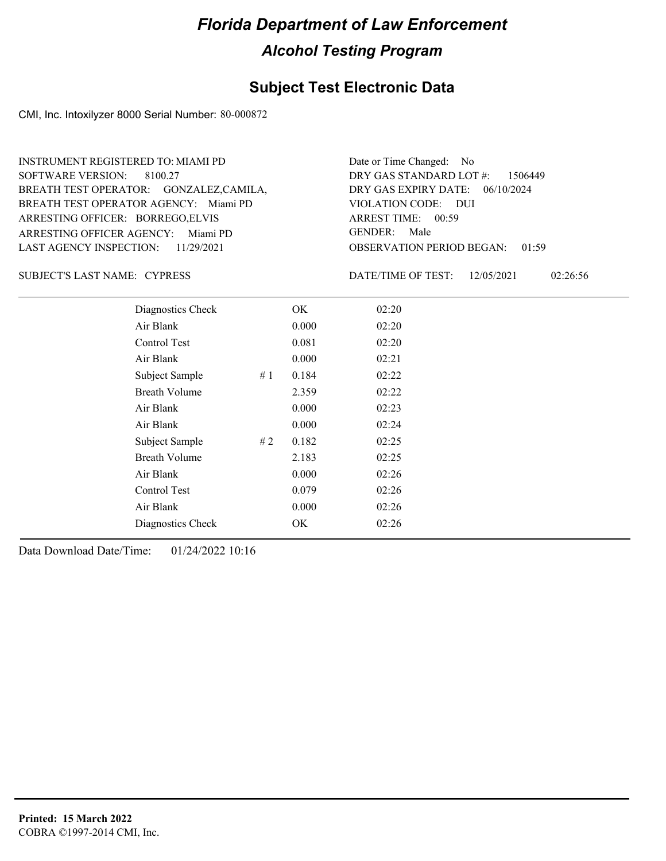#### **Subject Test Electronic Data**

CMI, Inc. Intoxilyzer 8000 Serial Number: 80-000872

ARRESTING OFFICER AGENCY: Miami PD GENDER: BREATH TEST OPERATOR AGENCY: Miami PD VIOLATION CODE: SOFTWARE VERSION: 8100.27 ARRESTING OFFICER: BORREGO, ELVIS BREATH TEST OPERATOR: GONZALEZ,CAMILA, LAST AGENCY INSPECTION: 11/29/2021 INSTRUMENT REGISTERED TO: MIAMI PD

OBSERVATION PERIOD BEGAN: 01:59 VIOLATION CODE: DUI ARREST TIME: 00:59 DRY GAS EXPIRY DATE: 06/10/2024 DRY GAS STANDARD LOT #: 1506449 Date or Time Changed: No GENDER: Male

SUBJECT'S LAST NAME: CYPRESS DATE/TIME OF TEST:

DATE/TIME OF TEST: 12/05/2021 02:26:56

| Diagnostics Check    |    | OK    | 02:20 |
|----------------------|----|-------|-------|
| Air Blank            |    | 0.000 | 02:20 |
| Control Test         |    | 0.081 | 02:20 |
| Air Blank            |    | 0.000 | 02:21 |
| Subject Sample       | #1 | 0.184 | 02:22 |
| <b>Breath Volume</b> |    | 2.359 | 02:22 |
| Air Blank            |    | 0.000 | 02:23 |
| Air Blank            |    | 0.000 | 02:24 |
| Subject Sample       | #2 | 0.182 | 02:25 |
| <b>Breath Volume</b> |    | 2.183 | 02:25 |
| Air Blank            |    | 0.000 | 02:26 |
| Control Test         |    | 0.079 | 02:26 |
| Air Blank            |    | 0.000 | 02:26 |
| Diagnostics Check    |    | OK    | 02:26 |
|                      |    |       |       |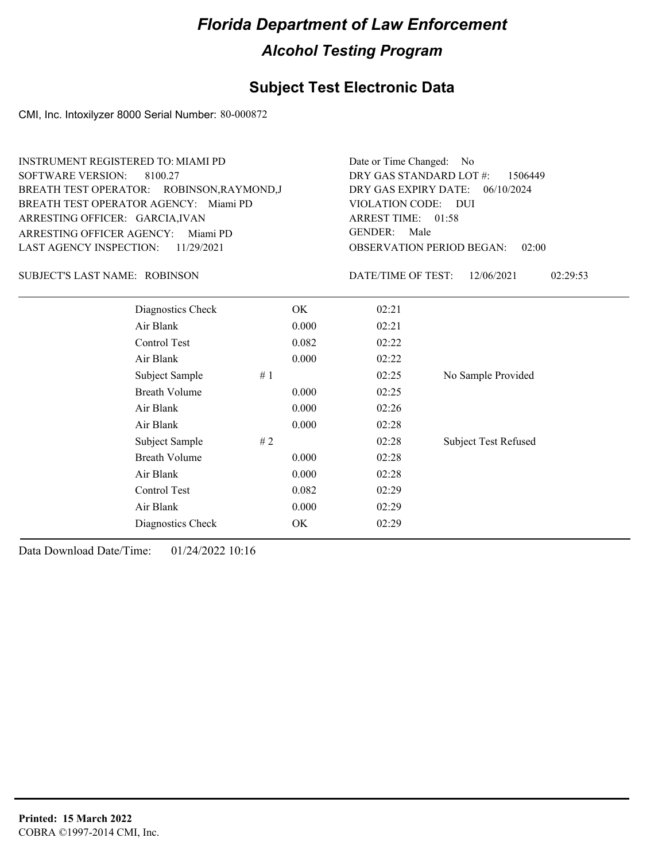### **Subject Test Electronic Data**

CMI, Inc. Intoxilyzer 8000 Serial Number: 80-000872

| <b>INSTRUMENT REGISTERED TO: MIAMI PD</b><br><b>SOFTWARE VERSION:</b><br>8100.27<br>BREATH TEST OPERATOR: ROBINSON, RAYMOND, J<br>BREATH TEST OPERATOR AGENCY: Miami PD<br>ARRESTING OFFICER: GARCIA, IVAN<br>ARRESTING OFFICER AGENCY:<br>Miami PD<br><b>LAST AGENCY INSPECTION:</b><br>11/29/2021 |       |                                                                                                                                                                                                                                                                                                                    |  |  |
|-----------------------------------------------------------------------------------------------------------------------------------------------------------------------------------------------------------------------------------------------------------------------------------------------------|-------|--------------------------------------------------------------------------------------------------------------------------------------------------------------------------------------------------------------------------------------------------------------------------------------------------------------------|--|--|
|                                                                                                                                                                                                                                                                                                     |       | 12/06/2021<br>02:29:53                                                                                                                                                                                                                                                                                             |  |  |
|                                                                                                                                                                                                                                                                                                     | 02:21 |                                                                                                                                                                                                                                                                                                                    |  |  |
|                                                                                                                                                                                                                                                                                                     | 02:21 |                                                                                                                                                                                                                                                                                                                    |  |  |
|                                                                                                                                                                                                                                                                                                     | 02:22 |                                                                                                                                                                                                                                                                                                                    |  |  |
|                                                                                                                                                                                                                                                                                                     | 02:22 |                                                                                                                                                                                                                                                                                                                    |  |  |
| #1                                                                                                                                                                                                                                                                                                  | 02:25 | No Sample Provided                                                                                                                                                                                                                                                                                                 |  |  |
|                                                                                                                                                                                                                                                                                                     | 02:25 |                                                                                                                                                                                                                                                                                                                    |  |  |
|                                                                                                                                                                                                                                                                                                     | 02:26 |                                                                                                                                                                                                                                                                                                                    |  |  |
|                                                                                                                                                                                                                                                                                                     | 02:28 |                                                                                                                                                                                                                                                                                                                    |  |  |
| #2                                                                                                                                                                                                                                                                                                  | 02:28 | <b>Subject Test Refused</b>                                                                                                                                                                                                                                                                                        |  |  |
|                                                                                                                                                                                                                                                                                                     | 02:28 |                                                                                                                                                                                                                                                                                                                    |  |  |
|                                                                                                                                                                                                                                                                                                     | 02:28 |                                                                                                                                                                                                                                                                                                                    |  |  |
|                                                                                                                                                                                                                                                                                                     | 02:29 |                                                                                                                                                                                                                                                                                                                    |  |  |
|                                                                                                                                                                                                                                                                                                     | 02:29 |                                                                                                                                                                                                                                                                                                                    |  |  |
|                                                                                                                                                                                                                                                                                                     | 02:29 |                                                                                                                                                                                                                                                                                                                    |  |  |
|                                                                                                                                                                                                                                                                                                     |       | Date or Time Changed: No<br>DRY GAS STANDARD LOT #:<br>DRY GAS EXPIRY DATE:<br>VIOLATION CODE: DUI<br>ARREST TIME: 01:58<br><b>GENDER:</b><br>Male<br><b>OBSERVATION PERIOD BEGAN:</b><br>DATE/TIME OF TEST:<br>OK<br>0.000<br>0.082<br>0.000<br>0.000<br>0.000<br>0.000<br>0.000<br>0.000<br>0.082<br>0.000<br>OK |  |  |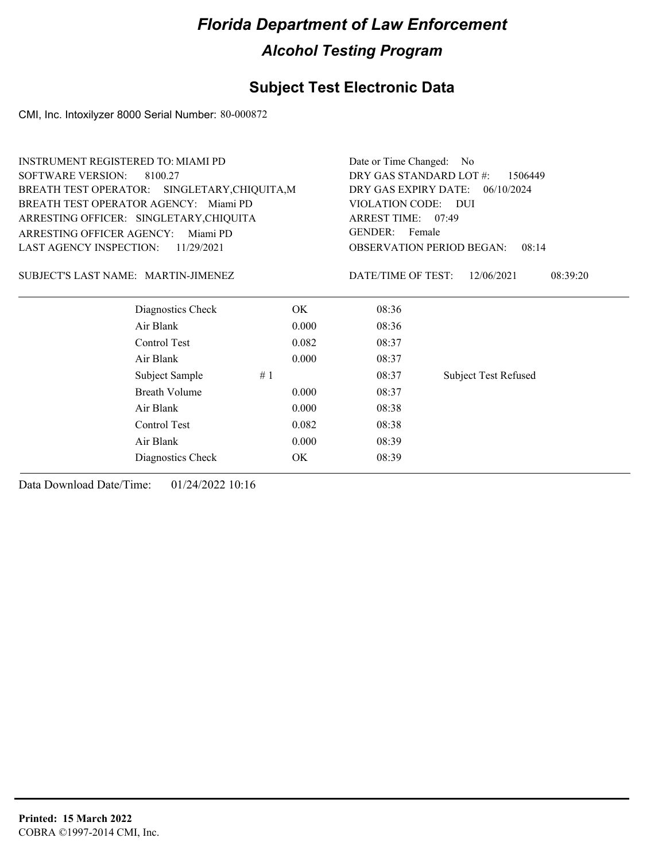### **Subject Test Electronic Data**

CMI, Inc. Intoxilyzer 8000 Serial Number: 80-000872

| <b>INSTRUMENT REGISTERED TO: MIAMI PD</b> |                                               | Date or Time Changed:<br>- No      |                          |                                           |
|-------------------------------------------|-----------------------------------------------|------------------------------------|--------------------------|-------------------------------------------|
| <b>SOFTWARE VERSION:</b>                  | 8100.27                                       | DRY GAS STANDARD LOT #:<br>1506449 |                          |                                           |
|                                           | BREATH TEST OPERATOR: SINGLETARY, CHIQUITA, M | DRY GAS EXPIRY DATE:<br>06/10/2024 |                          |                                           |
| BREATH TEST OPERATOR AGENCY: Miami PD     |                                               |                                    | VIOLATION CODE: DUI      |                                           |
| ARRESTING OFFICER: SINGLETARY, CHIQUITA   |                                               |                                    | ARREST TIME: 07:49       |                                           |
| <b>ARRESTING OFFICER AGENCY:</b>          | Miami PD                                      |                                    | <b>GENDER:</b><br>Female |                                           |
| <b>LAST AGENCY INSPECTION:</b>            | 11/29/2021                                    |                                    |                          | <b>OBSERVATION PERIOD BEGAN:</b><br>08:14 |
| SUBJECT'S LAST NAME: MARTIN-JIMENEZ       |                                               |                                    | DATE/TIME OF TEST:       | 12/06/2021<br>08:39:20                    |
|                                           | Diagnostics Check                             | OK.                                | 08:36                    |                                           |
|                                           | Air Blank                                     | 0.000                              | 08:36                    |                                           |
|                                           | Control Test                                  | 0.082                              | 08:37                    |                                           |
|                                           | Air Blank                                     | 0.000                              | 08:37                    |                                           |
|                                           | Subject Sample<br>#1                          |                                    | 08:37                    | <b>Subject Test Refused</b>               |
|                                           | <b>Breath Volume</b>                          | 0.000                              | 08:37                    |                                           |
|                                           | Air Blank                                     | 0.000                              | 08:38                    |                                           |
|                                           | Control Test                                  | 0.082                              | 08:38                    |                                           |
|                                           | Air Blank                                     | 0.000                              | 08:39                    |                                           |
|                                           | Diagnostics Check                             | OK                                 | 08:39                    |                                           |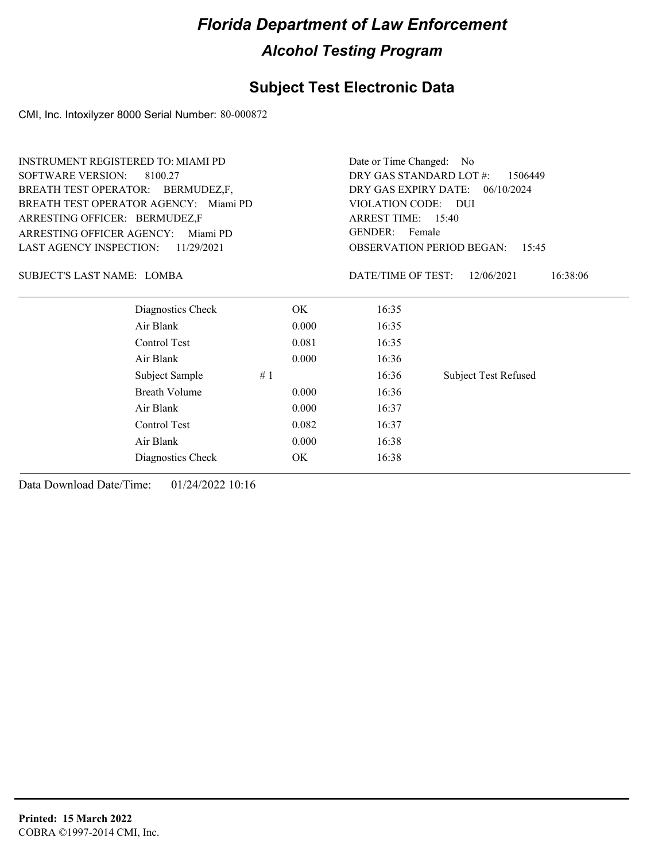### **Subject Test Electronic Data**

CMI, Inc. Intoxilyzer 8000 Serial Number: 80-000872

| <b>INSTRUMENT REGISTERED TO: MIAMI PD</b> |                                       |       | Date or Time Changed: No                                                 |                             |  |  |
|-------------------------------------------|---------------------------------------|-------|--------------------------------------------------------------------------|-----------------------------|--|--|
| <b>SOFTWARE VERSION:</b>                  | 8100.27                               |       | DRY GAS STANDARD LOT #:<br>1506449<br>DRY GAS EXPIRY DATE:<br>06/10/2024 |                             |  |  |
| BREATH TEST OPERATOR: BERMUDEZ,F,         |                                       |       |                                                                          |                             |  |  |
|                                           | BREATH TEST OPERATOR AGENCY: Miami PD |       | VIOLATION CODE: DUI                                                      |                             |  |  |
| ARRESTING OFFICER: BERMUDEZ,F             |                                       |       | ARREST TIME: 15:40                                                       |                             |  |  |
| <b>ARRESTING OFFICER AGENCY:</b>          | Miami PD                              |       | <b>GENDER:</b><br>Female                                                 |                             |  |  |
| <b>LAST AGENCY INSPECTION:</b>            | 11/29/2021                            |       | <b>OBSERVATION PERIOD BEGAN:</b><br>15:45                                |                             |  |  |
| SUBJECT'S LAST NAME: LOMBA                |                                       |       | DATE/TIME OF TEST:                                                       | 16:38:06<br>12/06/2021      |  |  |
|                                           | Diagnostics Check                     | OK.   | 16:35                                                                    |                             |  |  |
|                                           | Air Blank                             | 0.000 | 16:35                                                                    |                             |  |  |
|                                           | Control Test                          | 0.081 | 16:35                                                                    |                             |  |  |
|                                           | Air Blank                             | 0.000 | 16:36                                                                    |                             |  |  |
|                                           | Subject Sample<br>#1                  |       | 16:36                                                                    | <b>Subject Test Refused</b> |  |  |
|                                           | <b>Breath Volume</b>                  | 0.000 | 16:36                                                                    |                             |  |  |
|                                           | Air Blank                             | 0.000 | 16:37                                                                    |                             |  |  |
|                                           | Control Test                          | 0.082 | 16:37                                                                    |                             |  |  |
|                                           | Air Blank                             | 0.000 | 16:38                                                                    |                             |  |  |
|                                           | Diagnostics Check                     | OK    | 16:38                                                                    |                             |  |  |
|                                           |                                       |       |                                                                          |                             |  |  |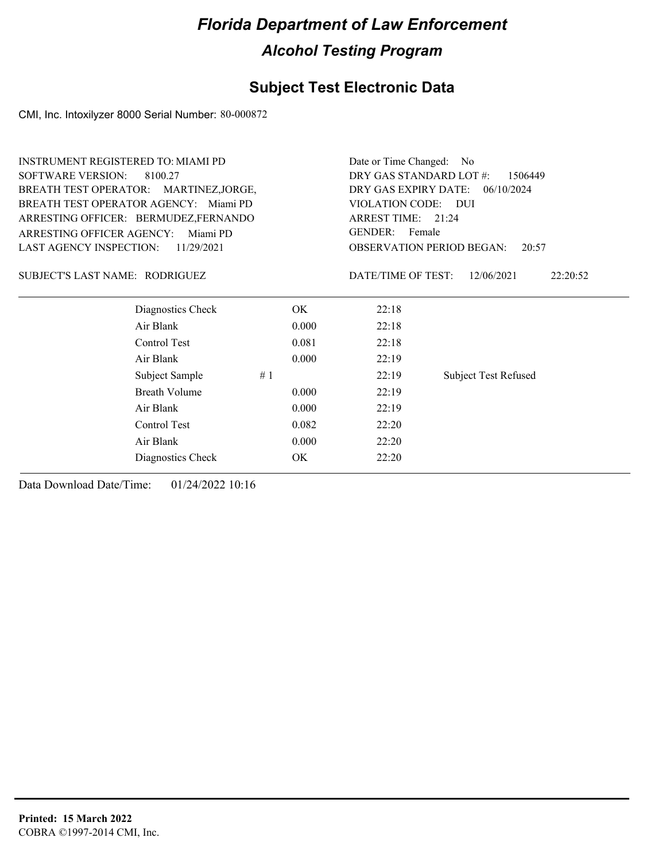### **Subject Test Electronic Data**

CMI, Inc. Intoxilyzer 8000 Serial Number: 80-000872

| <b>INSTRUMENT REGISTERED TO: MIAMI PD</b> |                                    | Date or Time Changed: No           |                             |  |
|-------------------------------------------|------------------------------------|------------------------------------|-----------------------------|--|
| <b>SOFTWARE VERSION:</b><br>8100.27       | DRY GAS STANDARD LOT #:<br>1506449 |                                    |                             |  |
| BREATH TEST OPERATOR: MARTINEZ, JORGE,    |                                    | DRY GAS EXPIRY DATE:<br>06/10/2024 |                             |  |
| BREATH TEST OPERATOR AGENCY: Miami PD     |                                    | VIOLATION CODE: DUI                |                             |  |
| ARRESTING OFFICER: BERMUDEZ, FERNANDO     |                                    | ARREST TIME: 21:24                 |                             |  |
| ARRESTING OFFICER AGENCY:<br>Miami PD     |                                    | <b>GENDER:</b><br>Female           |                             |  |
| LAST AGENCY INSPECTION:<br>11/29/2021     |                                    | <b>OBSERVATION PERIOD BEGAN:</b>   | 20:57                       |  |
| SUBJECT'S LAST NAME: RODRIGUEZ            |                                    | DATE/TIME OF TEST:                 | 12/06/2021<br>22:20:52      |  |
| Diagnostics Check                         | OK.                                | 22:18                              |                             |  |
| Air Blank                                 | 0.000                              | 22:18                              |                             |  |
| Control Test                              | 0.081                              | 22:18                              |                             |  |
| Air Blank                                 | 0.000                              | 22:19                              |                             |  |
| Subject Sample                            | #1                                 | 22:19                              | <b>Subject Test Refused</b> |  |
| <b>Breath Volume</b>                      | 0.000                              | 22:19                              |                             |  |
| Air Blank                                 | 0.000                              | 22:19                              |                             |  |
| Control Test                              | 0.082                              | 22:20                              |                             |  |
| Air Blank                                 | 0.000                              | 22:20                              |                             |  |
| Diagnostics Check                         | OK                                 | 22:20                              |                             |  |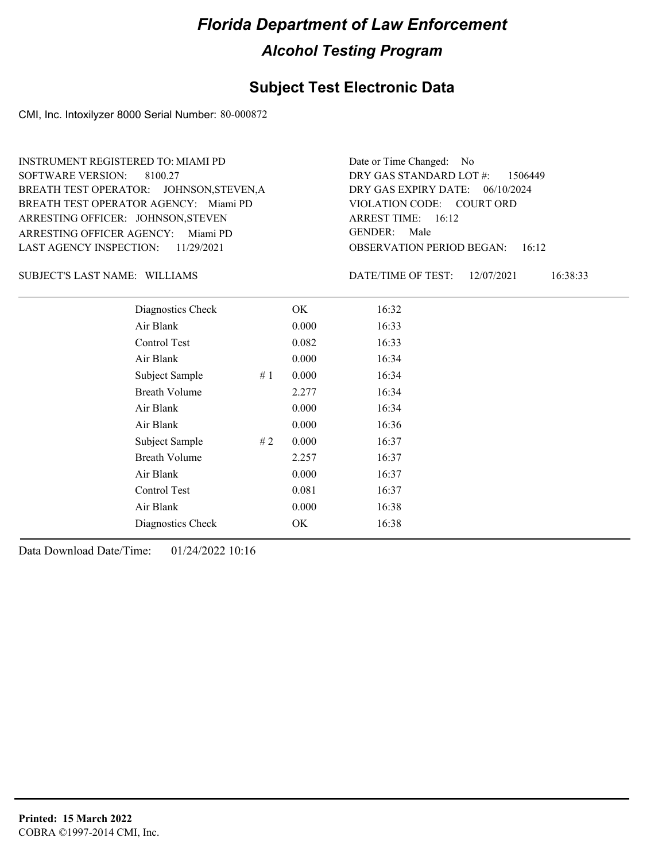#### **Subject Test Electronic Data**

CMI, Inc. Intoxilyzer 8000 Serial Number: 80-000872

ARRESTING OFFICER AGENCY: Miami PD GENDER: BREATH TEST OPERATOR AGENCY: Miami PD VIOLATION CODE: SOFTWARE VERSION: 8100.27 ARRESTING OFFICER: JOHNSON, STEVEN BREATH TEST OPERATOR: JOHNSON,STEVEN,A LAST AGENCY INSPECTION: 11/29/2021 INSTRUMENT REGISTERED TO: MIAMI PD

OBSERVATION PERIOD BEGAN: 16:12 VIOLATION CODE: COURT ORD ARREST TIME: 16:12 DRY GAS EXPIRY DATE: 06/10/2024 DRY GAS STANDARD LOT #: 1506449 Date or Time Changed: No GENDER: Male

SUBJECT'S LAST NAME: WILLIAMS DATE/TIME OF TEST:

DATE/TIME OF TEST: 12/07/2021 16:38:33

| Diagnostics Check    |    | OK    | 16:32 |
|----------------------|----|-------|-------|
| Air Blank            |    | 0.000 | 16:33 |
| Control Test         |    | 0.082 | 16:33 |
| Air Blank            |    | 0.000 | 16:34 |
| Subject Sample       | #1 | 0.000 | 16:34 |
| <b>Breath Volume</b> |    | 2.277 | 16:34 |
| Air Blank            |    | 0.000 | 16:34 |
| Air Blank            |    | 0.000 | 16:36 |
| Subject Sample       | #2 | 0.000 | 16:37 |
| <b>Breath Volume</b> |    | 2.257 | 16:37 |
| Air Blank            |    | 0.000 | 16:37 |
| Control Test         |    | 0.081 | 16:37 |
| Air Blank            |    | 0.000 | 16:38 |
| Diagnostics Check    |    | OK    | 16:38 |
|                      |    |       |       |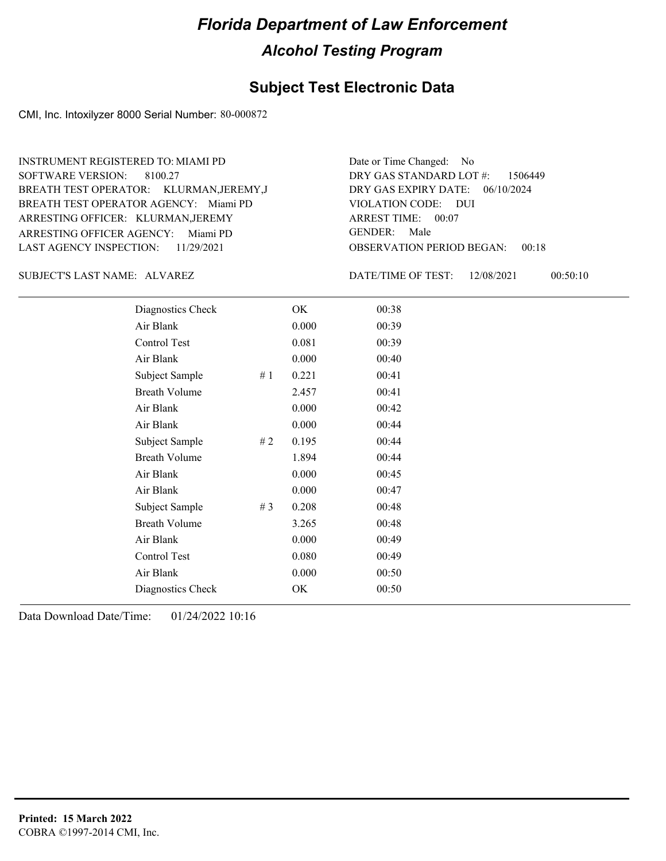#### **Subject Test Electronic Data**

CMI, Inc. Intoxilyzer 8000 Serial Number: 80-000872

ARRESTING OFFICER AGENCY: Miami PD GENDER: BREATH TEST OPERATOR AGENCY: Miami PD VIOLATION CODE: SOFTWARE VERSION: ARRESTING OFFICER: KLURMAN, JEREMY BREATH TEST OPERATOR: KLURMAN,JEREMY,J LAST AGENCY INSPECTION: 11/29/2021 8100.27 INSTRUMENT REGISTERED TO: MIAMI PD

OBSERVATION PERIOD BEGAN: 00:18 VIOLATION CODE: DUI ARREST TIME: 00:07 DRY GAS EXPIRY DATE: 06/10/2024 1506449 DRY GAS STANDARD LOT #: Date or Time Changed: No GENDER: Male

SUBJECT'S LAST NAME: ALVAREZ DATE/TIME OF TEST:

DATE/TIME OF TEST: 12/08/2021 00:50:10

| Diagnostics Check    |     | OK    | 00:38 |
|----------------------|-----|-------|-------|
| Air Blank            |     | 0.000 | 00:39 |
| Control Test         |     | 0.081 | 00:39 |
| Air Blank            |     | 0.000 | 00:40 |
| Subject Sample       | #1  | 0.221 | 00:41 |
| <b>Breath Volume</b> |     | 2.457 | 00:41 |
| Air Blank            |     | 0.000 | 00:42 |
| Air Blank            |     | 0.000 | 00:44 |
| Subject Sample       | # 2 | 0.195 | 00:44 |
| <b>Breath Volume</b> |     | 1.894 | 00:44 |
| Air Blank            |     | 0.000 | 00:45 |
| Air Blank            |     | 0.000 | 00:47 |
| Subject Sample       | #3  | 0.208 | 00:48 |
| <b>Breath Volume</b> |     | 3.265 | 00:48 |
| Air Blank            |     | 0.000 | 00:49 |
| Control Test         |     | 0.080 | 00:49 |
| Air Blank            |     | 0.000 | 00:50 |
| Diagnostics Check    |     | OK    | 00:50 |
|                      |     |       |       |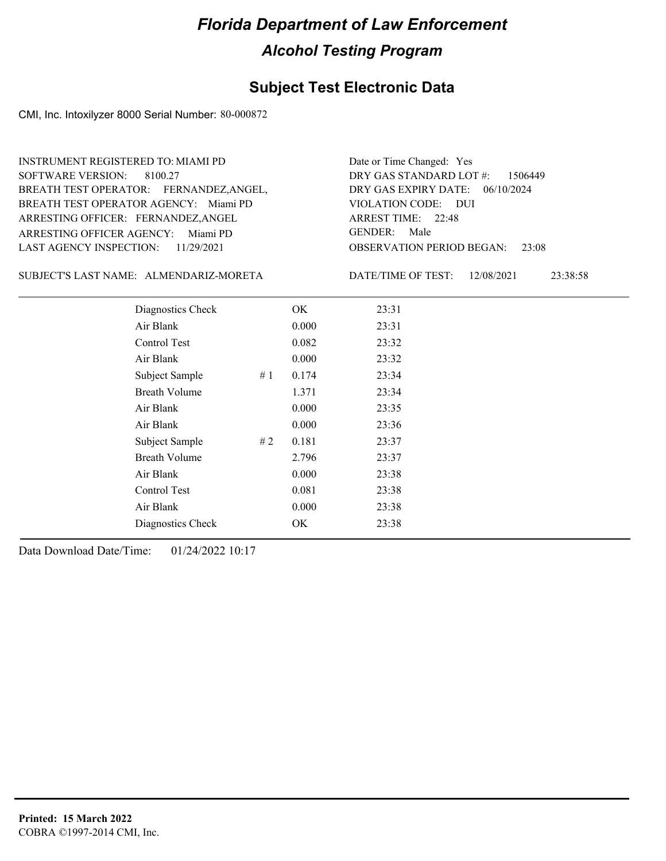#### **Subject Test Electronic Data**

CMI, Inc. Intoxilyzer 8000 Serial Number: 80-000872

ARRESTING OFFICER AGENCY: Miami PD GENDER: BREATH TEST OPERATOR AGENCY: Miami PD VIOLATION CODE: SOFTWARE VERSION: 8100.27 ARRESTING OFFICER: FERNANDEZ, ANGEL BREATH TEST OPERATOR: FERNANDEZ,ANGEL, LAST AGENCY INSPECTION: 11/29/2021 INSTRUMENT REGISTERED TO: MIAMI PD

OBSERVATION PERIOD BEGAN: 23:08 VIOLATION CODE: DUI 22:48 ARREST TIME: DRY GAS EXPIRY DATE: 06/10/2024 DRY GAS STANDARD LOT #: 1506449 Date or Time Changed: Yes GENDER: Male

SUBJECT'S LAST NAME: ALMENDARIZ-MORETA DATE/TIME OF TEST:

DATE/TIME OF TEST: 12/08/2021 23:38:58

| Diagnostics Check    | OK    | 23:31 |
|----------------------|-------|-------|
| Air Blank            | 0.000 | 23:31 |
| Control Test         | 0.082 | 23:32 |
| Air Blank            | 0.000 | 23:32 |
| Subject Sample<br>#1 | 0.174 | 23:34 |
| <b>Breath Volume</b> | 1.371 | 23:34 |
| Air Blank            | 0.000 | 23:35 |
| Air Blank            | 0.000 | 23:36 |
| Subject Sample<br>#2 | 0.181 | 23:37 |
| <b>Breath Volume</b> | 2.796 | 23:37 |
| Air Blank            | 0.000 | 23:38 |
| Control Test         | 0.081 | 23:38 |
| Air Blank            | 0.000 | 23:38 |
| Diagnostics Check    | OK    | 23:38 |
|                      |       |       |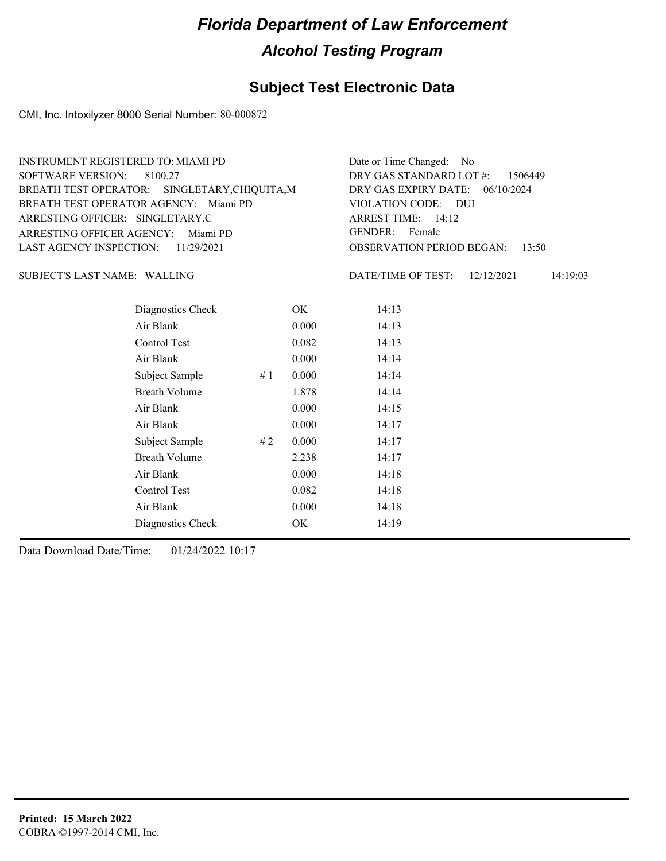### **Subject Test Electronic Data**

CMI, Inc. Intoxilyzer 8000 Serial Number: 80-000872

| <b>INSTRUMENT REGISTERED TO: MIAMI PD</b>     | Date or Time Changed: No               |
|-----------------------------------------------|----------------------------------------|
| SOFTWARE VERSION: 8100.27                     | DRY GAS STANDARD LOT $\#$ : 1506449    |
| BREATH TEST OPERATOR: SINGLETARY, CHIQUITA, M | DRY GAS EXPIRY DATE: 06/10/2024        |
| BREATH TEST OPERATOR AGENCY: Miami PD         | VIOLATION CODE: DUI                    |
| ARRESTING OFFICER: SINGLETARY,C               | ARREST TIME: 14:12                     |
| ARRESTING OFFICER AGENCY: Miami PD            | GENDER: Female                         |
| LAST AGENCY INSPECTION: $11/29/2021$          | <b>OBSERVATION PERIOD BEGAN: 13:50</b> |
|                                               |                                        |

WALLING SUBJECT'S LAST NAME: DATE/TIME OF TEST:

DATE/TIME OF TEST: 12/12/2021 14:19:03

| Diagnostics Check    |    | OK.   | 14:13 |  |
|----------------------|----|-------|-------|--|
| Air Blank            |    | 0.000 | 14:13 |  |
| Control Test         |    | 0.082 | 14:13 |  |
| Air Blank            |    | 0.000 | 14:14 |  |
| Subject Sample       | #1 | 0.000 | 14:14 |  |
| <b>Breath Volume</b> |    | 1.878 | 14:14 |  |
| Air Blank            |    | 0.000 | 14:15 |  |
| Air Blank            |    | 0.000 | 14:17 |  |
| Subject Sample       | #2 | 0.000 | 14:17 |  |
| <b>Breath Volume</b> |    | 2.238 | 14:17 |  |
| Air Blank            |    | 0.000 | 14:18 |  |
| Control Test         |    | 0.082 | 14:18 |  |
| Air Blank            |    | 0.000 | 14:18 |  |
| Diagnostics Check    |    | OK    | 14:19 |  |
|                      |    |       |       |  |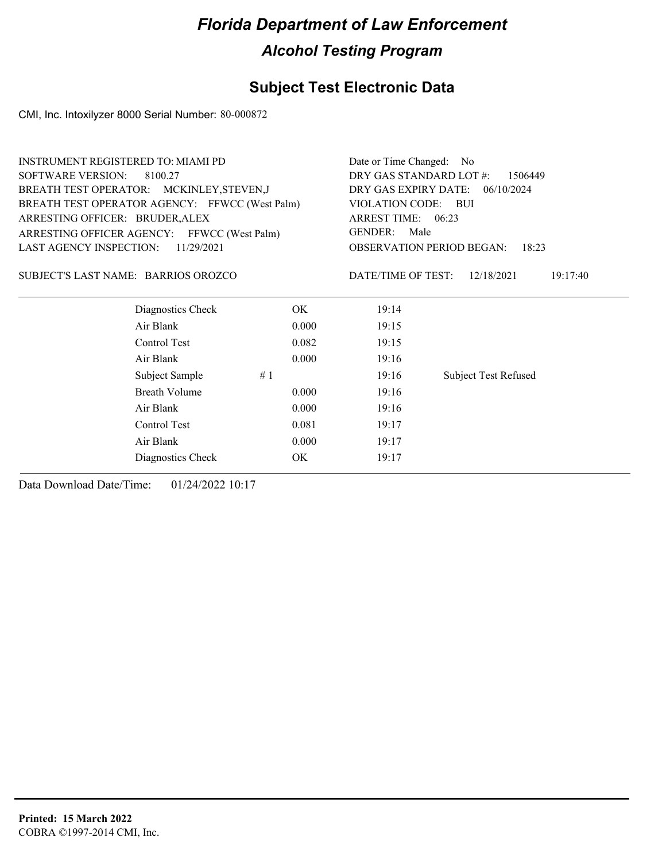### **Subject Test Electronic Data**

CMI, Inc. Intoxilyzer 8000 Serial Number: 80-000872

| <b>INSTRUMENT REGISTERED TO: MIAMI PD</b>      |       | Date or Time Changed: No |                                           |  |
|------------------------------------------------|-------|--------------------------|-------------------------------------------|--|
| <b>SOFTWARE VERSION:</b><br>8100.27            |       |                          |                                           |  |
| BREATH TEST OPERATOR: MCKINLEY, STEVEN, J      |       | DRY GAS EXPIRY DATE:     | 06/10/2024                                |  |
| BREATH TEST OPERATOR AGENCY: FFWCC (West Palm) |       | VIOLATION CODE: BUI      |                                           |  |
| ARRESTING OFFICER: BRUDER, ALEX                |       | ARREST TIME: 06:23       |                                           |  |
| ARRESTING OFFICER AGENCY: FFWCC (West Palm)    |       | <b>GENDER:</b><br>Male   |                                           |  |
| <b>LAST AGENCY INSPECTION:</b><br>11/29/2021   |       |                          | <b>OBSERVATION PERIOD BEGAN:</b><br>18:23 |  |
| SUBJECT'S LAST NAME: BARRIOS OROZCO            |       | DATE/TIME OF TEST:       | 12/18/2021<br>19:17:40                    |  |
| Diagnostics Check                              | OK.   | 19:14                    |                                           |  |
| Air Blank                                      | 0.000 | 19:15                    |                                           |  |
| Control Test                                   | 0.082 | 19:15                    |                                           |  |
| Air Blank                                      | 0.000 | 19:16                    |                                           |  |
| Subject Sample                                 | #1    | 19:16                    | <b>Subject Test Refused</b>               |  |
| <b>Breath Volume</b>                           | 0.000 | 19:16                    |                                           |  |
| Air Blank                                      | 0.000 | 19:16                    |                                           |  |
| Control Test                                   | 0.081 | 19:17                    |                                           |  |
| Air Blank                                      | 0.000 | 19:17                    |                                           |  |
| Diagnostics Check                              | OK.   | 19:17                    |                                           |  |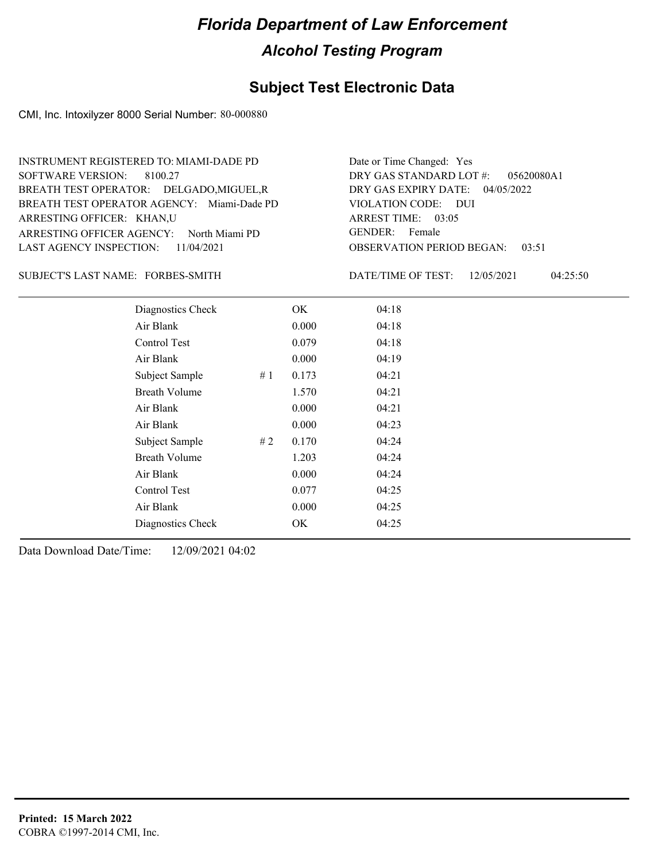### **Subject Test Electronic Data**

CMI, Inc. Intoxilyzer 8000 Serial Number: 80-000880

| INSTRUMENT REGISTERED TO: MIAMI-DADE PD    | Date or Time Changed: Yes              |
|--------------------------------------------|----------------------------------------|
| SOFTWARE VERSION: 8100.27                  | DRY GAS STANDARD LOT $\#$ : 05620080A1 |
| BREATH TEST OPERATOR: DELGADO, MIGUEL, R   | DRY GAS EXPIRY DATE: $04/05/2022$      |
| BREATH TEST OPERATOR AGENCY: Miami-Dade PD | VIOLATION CODE: DUI                    |
| ARRESTING OFFICER: KHAN,U                  | ARREST TIME: $03:05$                   |
| ARRESTING OFFICER AGENCY: North Miami PD   | GENDER: Female                         |
| LAST AGENCY INSPECTION: 11/04/2021         | <b>OBSERVATION PERIOD BEGAN: 03:51</b> |

#### SUBJECT'S LAST NAME: FORBES-SMITH DATE/TIME OF TEST:

DATE/TIME OF TEST: 12/05/2021 04:25:50

| Diagnostics Check    |       | OK    | 04:18 |
|----------------------|-------|-------|-------|
| Air Blank            |       | 0.000 | 04:18 |
| Control Test         |       | 0.079 | 04:18 |
| Air Blank            |       | 0.000 | 04:19 |
| Subject Sample       | #1    | 0.173 | 04:21 |
| <b>Breath Volume</b> |       | 1.570 | 04:21 |
| Air Blank            |       | 0.000 | 04:21 |
| Air Blank            |       | 0.000 | 04:23 |
| Subject Sample       | # $2$ | 0.170 | 04:24 |
| <b>Breath Volume</b> |       | 1.203 | 04:24 |
| Air Blank            |       | 0.000 | 04:24 |
| Control Test         |       | 0.077 | 04:25 |
| Air Blank            |       | 0.000 | 04:25 |
| Diagnostics Check    |       | OK    | 04:25 |
|                      |       |       |       |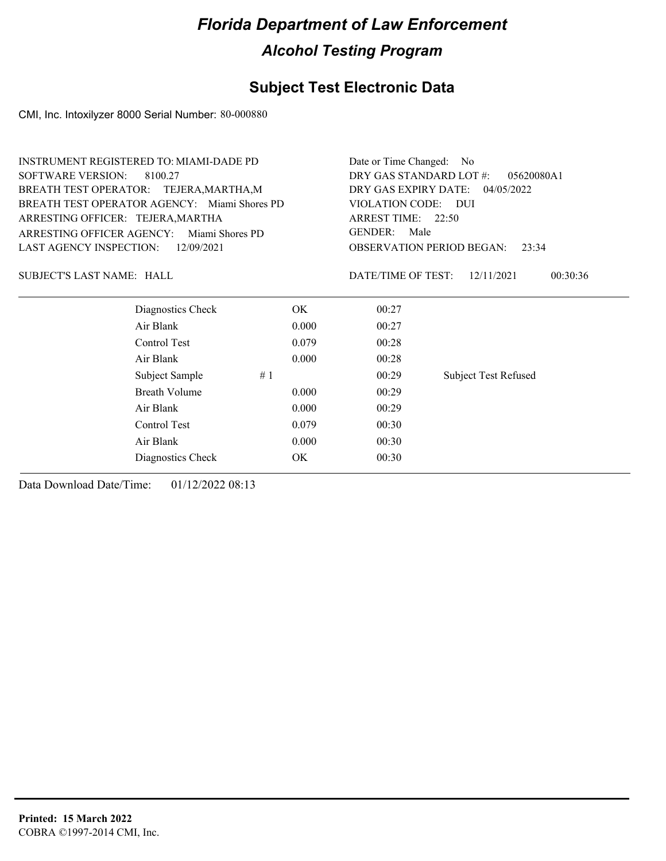### **Subject Test Electronic Data**

CMI, Inc. Intoxilyzer 8000 Serial Number: 80-000880

| <b>INSTRUMENT REGISTERED TO: MIAMI-DADE PD</b> |                                              |       | Date or Time Changed: No              |                             |  |
|------------------------------------------------|----------------------------------------------|-------|---------------------------------------|-----------------------------|--|
| <b>SOFTWARE VERSION:</b>                       | 8100.27                                      |       | DRY GAS STANDARD LOT #:<br>05620080A1 |                             |  |
| BREATH TEST OPERATOR: TEJERA, MARTHA, M        |                                              |       | DRY GAS EXPIRY DATE:<br>04/05/2022    |                             |  |
|                                                | BREATH TEST OPERATOR AGENCY: Miami Shores PD |       | VIOLATION CODE:                       | <b>DUI</b>                  |  |
| ARRESTING OFFICER: TEJERA, MARTHA              |                                              |       | ARREST TIME: 22:50                    |                             |  |
| ARRESTING OFFICER AGENCY:                      | Miami Shores PD                              |       | <b>GENDER:</b><br>Male                |                             |  |
| <b>LAST AGENCY INSPECTION:</b>                 | 12/09/2021                                   |       | <b>OBSERVATION PERIOD BEGAN:</b>      | 23:34                       |  |
| <b>SUBJECT'S LAST NAME: HALL</b>               |                                              |       | DATE/TIME OF TEST:                    | 00:30:36<br>12/11/2021      |  |
|                                                | Diagnostics Check                            | OK.   | 00:27                                 |                             |  |
|                                                | Air Blank                                    | 0.000 | 00:27                                 |                             |  |
|                                                | Control Test                                 | 0.079 | 00:28                                 |                             |  |
|                                                | Air Blank                                    | 0.000 | 00:28                                 |                             |  |
|                                                | Subject Sample<br>#1                         |       | 00:29                                 | <b>Subject Test Refused</b> |  |
|                                                | Breath Volume                                | 0.000 | 00:29                                 |                             |  |
|                                                | Air Blank                                    | 0.000 | 00:29                                 |                             |  |
|                                                | Control Test                                 | 0.079 | 00:30                                 |                             |  |
|                                                | Air Blank                                    | 0.000 | 00:30                                 |                             |  |
|                                                | Diagnostics Check                            | OK    | 00:30                                 |                             |  |
|                                                |                                              |       |                                       |                             |  |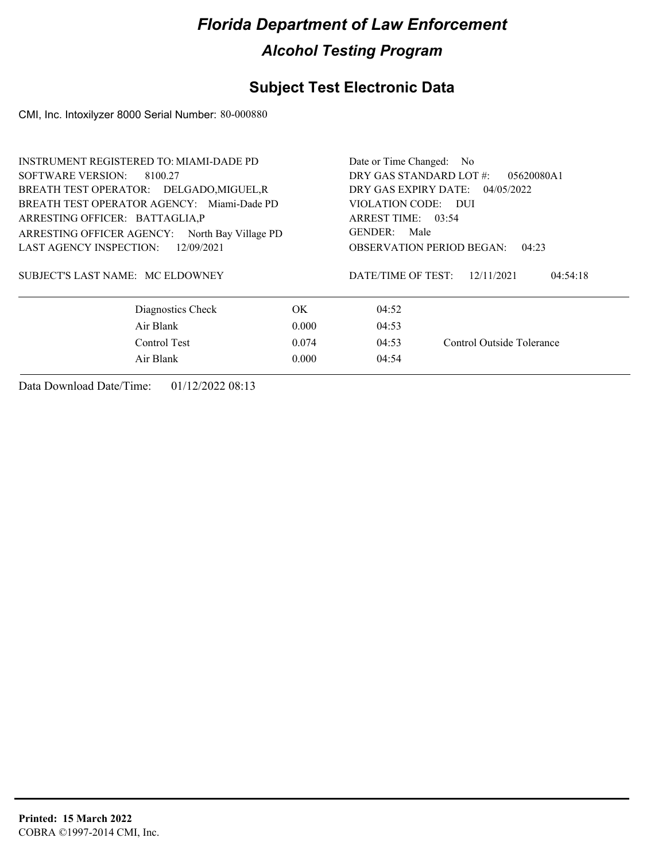### **Subject Test Electronic Data**

CMI, Inc. Intoxilyzer 8000 Serial Number: 80-000880

| <b>INSTRUMENT REGISTERED TO: MIAMI-DADE PD</b> | Date or Time Changed: No |                                           |                        |  |
|------------------------------------------------|--------------------------|-------------------------------------------|------------------------|--|
| SOFTWARE VERSION: 8100.27                      |                          | DRY GAS STANDARD LOT #:                   | 05620080A1             |  |
| BREATH TEST OPERATOR: DELGADO, MIGUEL, R       |                          | DRY GAS EXPIRY DATE:<br>04/05/2022        |                        |  |
| BREATH TEST OPERATOR AGENCY: Miami-Dade PD     |                          | VIOLATION CODE: DUI                       |                        |  |
| ARRESTING OFFICER: BATTAGLIA.P                 |                          | ARREST TIME: 03:54                        |                        |  |
| ARRESTING OFFICER AGENCY: North Bay Village PD |                          | GENDER:<br>Male                           |                        |  |
| <b>LAST AGENCY INSPECTION:</b><br>12/09/2021   |                          | <b>OBSERVATION PERIOD BEGAN:</b><br>04:23 |                        |  |
| SUBJECT'S LAST NAME: MC ELDOWNEY               |                          | DATE/TIME OF TEST:                        | 12/11/2021<br>04:54:18 |  |
| Diagnostics Check                              | OK.                      | 04:52                                     |                        |  |
| Air Blank<br>0.000                             | 04:53                    |                                           |                        |  |
| Control Test<br>0.074                          | 04:53                    | Control Outside Tolerance                 |                        |  |
| Air Blank<br>0.000                             | 04:54                    |                                           |                        |  |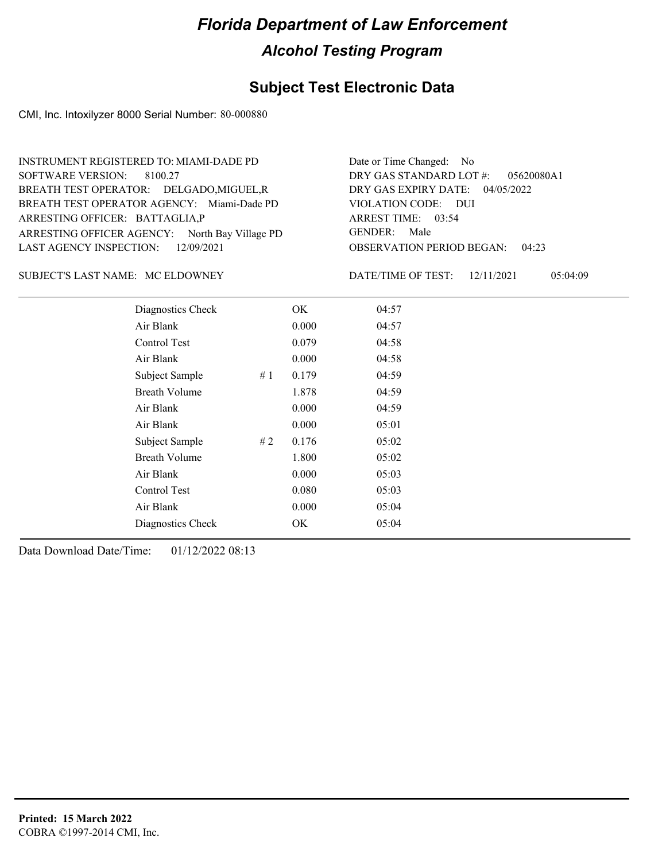#### **Subject Test Electronic Data**

CMI, Inc. Intoxilyzer 8000 Serial Number: 80-000880

OBSERVATION PERIOD BEGAN: 04:23 ARRESTING OFFICER AGENCY: North Bay Village PD GENDER: BREATH TEST OPERATOR AGENCY: Miami-Dade PD VIOLATION CODE: SOFTWARE VERSION: 8100.27 VIOLATION CODE: DUI ARREST TIME: 03:54 ARRESTING OFFICER: BATTAGLIA,P 04/05/2022 DRY GAS EXPIRY DATE: DRY GAS STANDARD LOT #: 05620080A1 BREATH TEST OPERATOR: DELGADO,MIGUEL,R LAST AGENCY INSPECTION: 12/09/2021 INSTRUMENT REGISTERED TO: MIAMI-DADE PD Date or Time Changed: No GENDER: Male

MC ELDOWNEY SUBJECT'S LAST NAME: DATE/TIME OF TEST:

| DATE/TIME OF TEST: | 12/11/2021 | 05:04:09 |
|--------------------|------------|----------|
|                    |            |          |

| Diagnostics Check    |    | OK    | 04:57 |
|----------------------|----|-------|-------|
| Air Blank            |    | 0.000 | 04:57 |
| Control Test         |    | 0.079 | 04:58 |
| Air Blank            |    | 0.000 | 04:58 |
| Subject Sample       | #1 | 0.179 | 04:59 |
| <b>Breath Volume</b> |    | 1.878 | 04:59 |
| Air Blank            |    | 0.000 | 04:59 |
| Air Blank            |    | 0.000 | 05:01 |
| Subject Sample       | #2 | 0.176 | 05:02 |
| <b>Breath Volume</b> |    | 1.800 | 05:02 |
| Air Blank            |    | 0.000 | 05:03 |
| Control Test         |    | 0.080 | 05:03 |
| Air Blank            |    | 0.000 | 05:04 |
| Diagnostics Check    |    | OK.   | 05:04 |
|                      |    |       |       |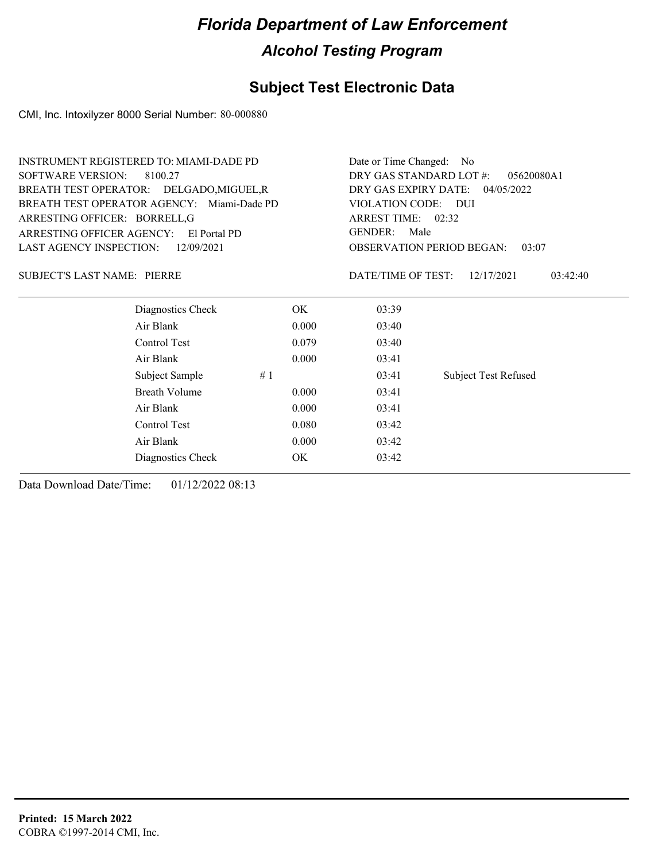### **Subject Test Electronic Data**

CMI, Inc. Intoxilyzer 8000 Serial Number: 80-000880

|                                    | <b>INSTRUMENT REGISTERED TO: MIAMI-DADE PD</b> |                                       | Date or Time Changed:<br>No.       |                                           |  |  |
|------------------------------------|------------------------------------------------|---------------------------------------|------------------------------------|-------------------------------------------|--|--|
| <b>SOFTWARE VERSION:</b>           | 8100.27                                        | DRY GAS STANDARD LOT #:<br>05620080A1 |                                    |                                           |  |  |
|                                    | BREATH TEST OPERATOR: DELGADO, MIGUEL, R       |                                       | DRY GAS EXPIRY DATE:<br>04/05/2022 |                                           |  |  |
|                                    | BREATH TEST OPERATOR AGENCY: Miami-Dade PD     |                                       | VIOLATION CODE: DUI                |                                           |  |  |
| ARRESTING OFFICER: BORRELL,G       |                                                |                                       | ARREST TIME: 02:32                 |                                           |  |  |
| ARRESTING OFFICER AGENCY:          | El Portal PD                                   |                                       | <b>GENDER:</b>                     | Male                                      |  |  |
| LAST AGENCY INSPECTION:            | 12/09/2021                                     |                                       |                                    | <b>OBSERVATION PERIOD BEGAN:</b><br>03:07 |  |  |
| <b>SUBJECT'S LAST NAME: PIERRE</b> |                                                |                                       | DATE/TIME OF TEST:                 | 12/17/2021<br>03:42:40                    |  |  |
|                                    | Diagnostics Check                              | OK.                                   | 03:39                              |                                           |  |  |
|                                    | Air Blank                                      | 0.000                                 | 03:40                              |                                           |  |  |
|                                    | Control Test                                   | 0.079                                 | 03:40                              |                                           |  |  |
|                                    | Air Blank                                      | 0.000                                 | 03:41                              |                                           |  |  |
|                                    | Subject Sample<br>#1                           |                                       | 03:41                              | <b>Subject Test Refused</b>               |  |  |
|                                    | <b>Breath Volume</b>                           | 0.000                                 | 03:41                              |                                           |  |  |
|                                    | Air Blank                                      | 0.000                                 | 03:41                              |                                           |  |  |
|                                    | Control Test                                   | 0.080                                 | 03:42                              |                                           |  |  |
|                                    | Air Blank                                      | 0.000                                 | 03:42                              |                                           |  |  |
|                                    | Diagnostics Check                              | OK                                    | 03:42                              |                                           |  |  |
|                                    |                                                |                                       |                                    |                                           |  |  |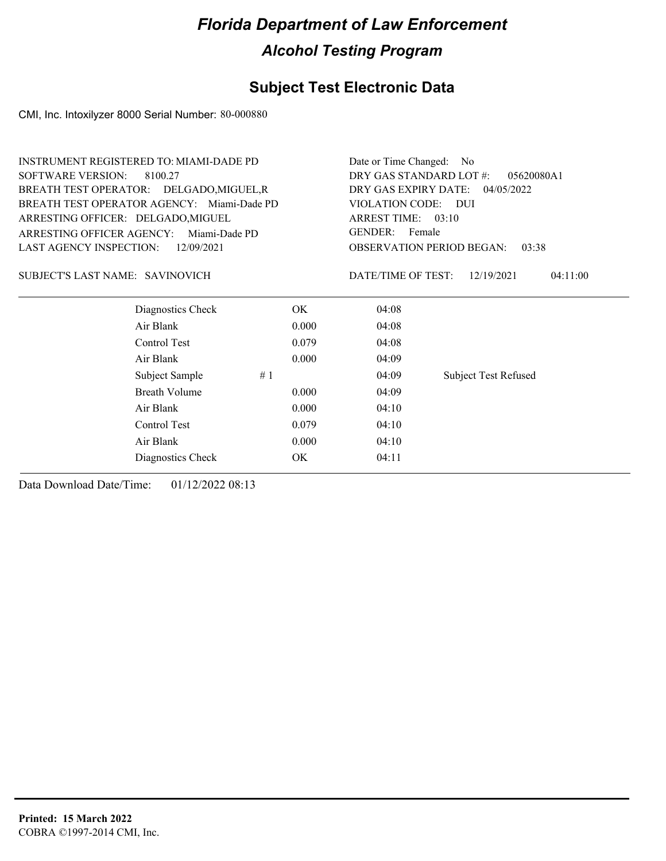### **Subject Test Electronic Data**

CMI, Inc. Intoxilyzer 8000 Serial Number: 80-000880

| <b>SOFTWARE VERSION:</b><br>DRY GAS STANDARD LOT #:<br>8100.27<br>05620080A1<br>DRY GAS EXPIRY DATE:<br>BREATH TEST OPERATOR: DELGADO, MIGUEL, R<br>04/05/2022<br>BREATH TEST OPERATOR AGENCY: Miami-Dade PD<br><b>VIOLATION CODE:</b><br>$\overline{D}$<br>ARREST TIME: 03:10<br>ARRESTING OFFICER: DELGADO, MIGUEL<br><b>GENDER:</b><br>Female<br>ARRESTING OFFICER AGENCY:<br>Miami-Dade PD<br><b>OBSERVATION PERIOD BEGAN:</b><br>12/09/2021<br>03:38<br>SUBJECT'S LAST NAME: SAVINOVICH<br>DATE/TIME OF TEST:<br>12/19/2021<br>04:11:00<br>Diagnostics Check<br>OK.<br>04:08<br>Air Blank<br>0.000<br>04:08<br>Control Test<br>0.079<br>04:08<br>Air Blank<br>0.000<br>04:09<br>Subject Sample<br>#1<br>04:09<br><b>Subject Test Refused</b><br><b>Breath Volume</b><br>04:09<br>0.000<br>Air Blank<br>0.000<br>04:10<br>Control Test<br>0.079<br>04:10<br>Air Blank<br>0.000<br>04:10<br><b>OK</b><br>04:11<br>Diagnostics Check | <b>INSTRUMENT REGISTERED TO: MIAMI-DADE PD</b> | Date or Time Changed:<br>N <sub>0</sub> |  |  |
|----------------------------------------------------------------------------------------------------------------------------------------------------------------------------------------------------------------------------------------------------------------------------------------------------------------------------------------------------------------------------------------------------------------------------------------------------------------------------------------------------------------------------------------------------------------------------------------------------------------------------------------------------------------------------------------------------------------------------------------------------------------------------------------------------------------------------------------------------------------------------------------------------------------------------------------|------------------------------------------------|-----------------------------------------|--|--|
|                                                                                                                                                                                                                                                                                                                                                                                                                                                                                                                                                                                                                                                                                                                                                                                                                                                                                                                                        |                                                |                                         |  |  |
|                                                                                                                                                                                                                                                                                                                                                                                                                                                                                                                                                                                                                                                                                                                                                                                                                                                                                                                                        |                                                |                                         |  |  |
|                                                                                                                                                                                                                                                                                                                                                                                                                                                                                                                                                                                                                                                                                                                                                                                                                                                                                                                                        |                                                |                                         |  |  |
|                                                                                                                                                                                                                                                                                                                                                                                                                                                                                                                                                                                                                                                                                                                                                                                                                                                                                                                                        |                                                |                                         |  |  |
|                                                                                                                                                                                                                                                                                                                                                                                                                                                                                                                                                                                                                                                                                                                                                                                                                                                                                                                                        |                                                |                                         |  |  |
|                                                                                                                                                                                                                                                                                                                                                                                                                                                                                                                                                                                                                                                                                                                                                                                                                                                                                                                                        | <b>LAST AGENCY INSPECTION:</b>                 |                                         |  |  |
|                                                                                                                                                                                                                                                                                                                                                                                                                                                                                                                                                                                                                                                                                                                                                                                                                                                                                                                                        |                                                |                                         |  |  |
|                                                                                                                                                                                                                                                                                                                                                                                                                                                                                                                                                                                                                                                                                                                                                                                                                                                                                                                                        |                                                |                                         |  |  |
|                                                                                                                                                                                                                                                                                                                                                                                                                                                                                                                                                                                                                                                                                                                                                                                                                                                                                                                                        |                                                |                                         |  |  |
|                                                                                                                                                                                                                                                                                                                                                                                                                                                                                                                                                                                                                                                                                                                                                                                                                                                                                                                                        |                                                |                                         |  |  |
|                                                                                                                                                                                                                                                                                                                                                                                                                                                                                                                                                                                                                                                                                                                                                                                                                                                                                                                                        |                                                |                                         |  |  |
|                                                                                                                                                                                                                                                                                                                                                                                                                                                                                                                                                                                                                                                                                                                                                                                                                                                                                                                                        |                                                |                                         |  |  |
|                                                                                                                                                                                                                                                                                                                                                                                                                                                                                                                                                                                                                                                                                                                                                                                                                                                                                                                                        |                                                |                                         |  |  |
|                                                                                                                                                                                                                                                                                                                                                                                                                                                                                                                                                                                                                                                                                                                                                                                                                                                                                                                                        |                                                |                                         |  |  |
|                                                                                                                                                                                                                                                                                                                                                                                                                                                                                                                                                                                                                                                                                                                                                                                                                                                                                                                                        |                                                |                                         |  |  |
|                                                                                                                                                                                                                                                                                                                                                                                                                                                                                                                                                                                                                                                                                                                                                                                                                                                                                                                                        |                                                |                                         |  |  |
|                                                                                                                                                                                                                                                                                                                                                                                                                                                                                                                                                                                                                                                                                                                                                                                                                                                                                                                                        |                                                |                                         |  |  |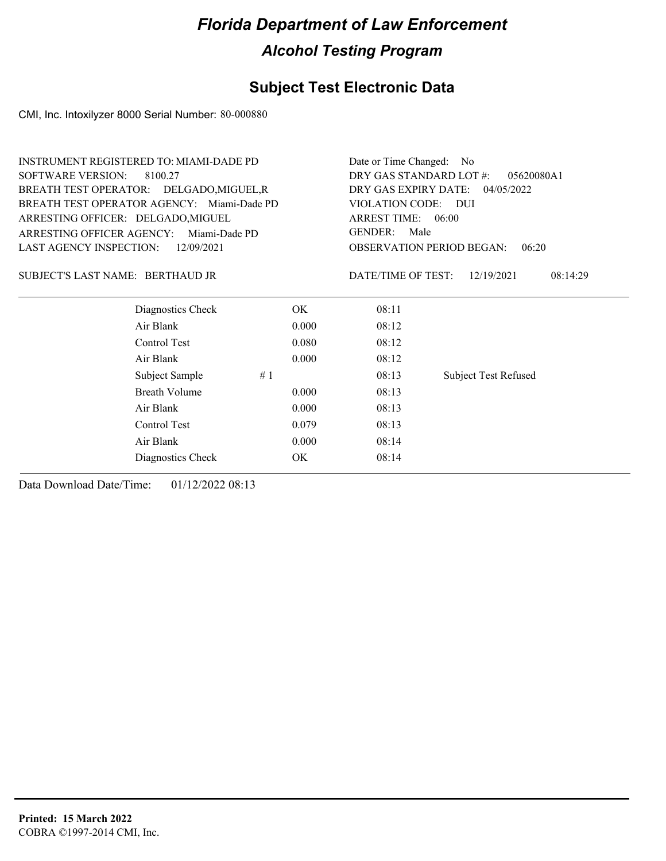### **Subject Test Electronic Data**

CMI, Inc. Intoxilyzer 8000 Serial Number: 80-000880

| <b>INSTRUMENT REGISTERED TO: MIAMI-DADE PD</b>    |       | Date or Time Changed: No                                  |                             |  |  |
|---------------------------------------------------|-------|-----------------------------------------------------------|-----------------------------|--|--|
| <b>SOFTWARE VERSION:</b><br>8100.27               |       | DRY GAS STANDARD LOT #:<br>05620080A1                     |                             |  |  |
| BREATH TEST OPERATOR: DELGADO, MIGUEL, R          |       | DRY GAS EXPIRY DATE:<br>04/05/2022<br>VIOLATION CODE: DUI |                             |  |  |
| BREATH TEST OPERATOR AGENCY: Miami-Dade PD        |       |                                                           |                             |  |  |
| ARRESTING OFFICER: DELGADO, MIGUEL                |       | ARREST TIME: 06:00                                        |                             |  |  |
| <b>ARRESTING OFFICER AGENCY:</b><br>Miami-Dade PD |       | <b>GENDER:</b><br>Male                                    |                             |  |  |
| LAST AGENCY INSPECTION:<br>12/09/2021             |       | <b>OBSERVATION PERIOD BEGAN:</b><br>06:20                 |                             |  |  |
| SUBJECT'S LAST NAME: BERTHAUD JR                  |       | DATE/TIME OF TEST:                                        | 12/19/2021<br>08:14:29      |  |  |
| Diagnostics Check                                 | OK.   | 08:11                                                     |                             |  |  |
| Air Blank                                         | 0.000 | 08:12                                                     |                             |  |  |
| Control Test                                      | 0.080 | 08:12                                                     |                             |  |  |
| Air Blank                                         | 0.000 | 08:12                                                     |                             |  |  |
| Subject Sample                                    | #1    | 08:13                                                     | <b>Subject Test Refused</b> |  |  |
| <b>Breath Volume</b>                              | 0.000 | 08:13                                                     |                             |  |  |
| Air Blank                                         | 0.000 | 08:13                                                     |                             |  |  |
| Control Test                                      | 0.079 | 08:13                                                     |                             |  |  |
| Air Blank                                         | 0.000 | 08:14                                                     |                             |  |  |
| Diagnostics Check                                 | OK    | 08:14                                                     |                             |  |  |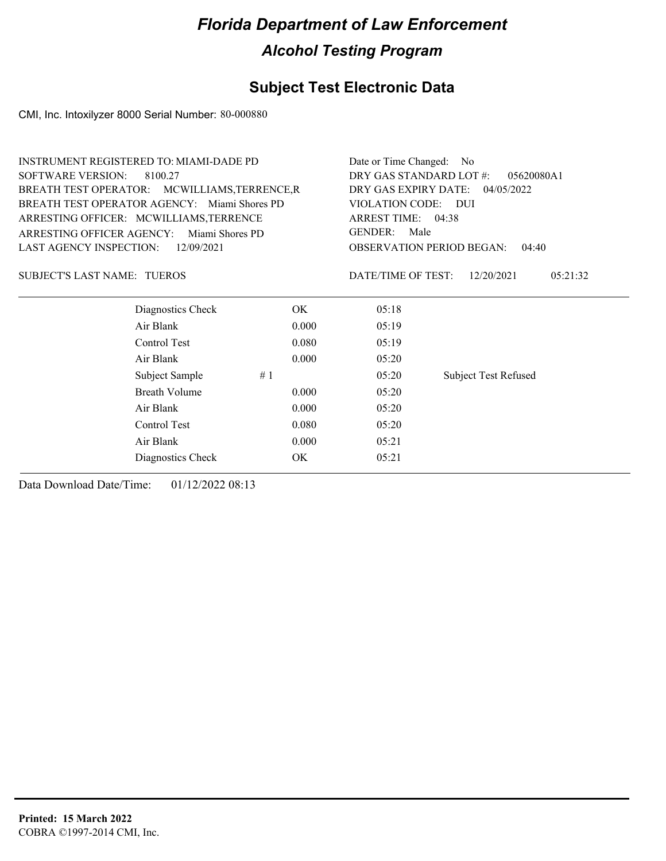### **Subject Test Electronic Data**

CMI, Inc. Intoxilyzer 8000 Serial Number: 80-000880

|                                               | <b>INSTRUMENT REGISTERED TO: MIAMI-DADE PD</b> |       |                                           | Date or Time Changed:<br>No |  |  |
|-----------------------------------------------|------------------------------------------------|-------|-------------------------------------------|-----------------------------|--|--|
| <b>SOFTWARE VERSION:</b><br>8100.27           |                                                |       | DRY GAS STANDARD LOT #:<br>05620080A1     |                             |  |  |
| BREATH TEST OPERATOR: MCWILLIAMS, TERRENCE, R |                                                |       | DRY GAS EXPIRY DATE:<br>04/05/2022        |                             |  |  |
|                                               | BREATH TEST OPERATOR AGENCY: Miami Shores PD   |       | VIOLATION CODE: DUI<br>ARREST TIME: 04:38 |                             |  |  |
|                                               | ARRESTING OFFICER: MCWILLIAMS, TERRENCE        |       |                                           |                             |  |  |
| ARRESTING OFFICER AGENCY:                     | Miami Shores PD                                |       | <b>GENDER:</b><br>Male                    |                             |  |  |
| LAST AGENCY INSPECTION:                       | 12/09/2021                                     |       | <b>OBSERVATION PERIOD BEGAN:</b><br>04:40 |                             |  |  |
| <b>SUBJECT'S LAST NAME: TUEROS</b>            |                                                |       | DATE/TIME OF TEST:                        | 12/20/2021<br>05:21:32      |  |  |
|                                               | Diagnostics Check                              | OK.   | 05:18                                     |                             |  |  |
|                                               | Air Blank                                      | 0.000 | 05:19                                     |                             |  |  |
|                                               | Control Test                                   | 0.080 | 05:19                                     |                             |  |  |
|                                               | Air Blank                                      | 0.000 | 05:20                                     |                             |  |  |
|                                               | Subject Sample                                 | #1    | 05:20                                     | <b>Subject Test Refused</b> |  |  |
|                                               | <b>Breath Volume</b>                           | 0.000 | 05:20                                     |                             |  |  |
|                                               | Air Blank                                      | 0.000 | 05:20                                     |                             |  |  |
|                                               | Control Test                                   | 0.080 | 05:20                                     |                             |  |  |
|                                               | Air Blank                                      | 0.000 | 05:21                                     |                             |  |  |
|                                               | Diagnostics Check                              | OK    | 05:21                                     |                             |  |  |
|                                               |                                                |       |                                           |                             |  |  |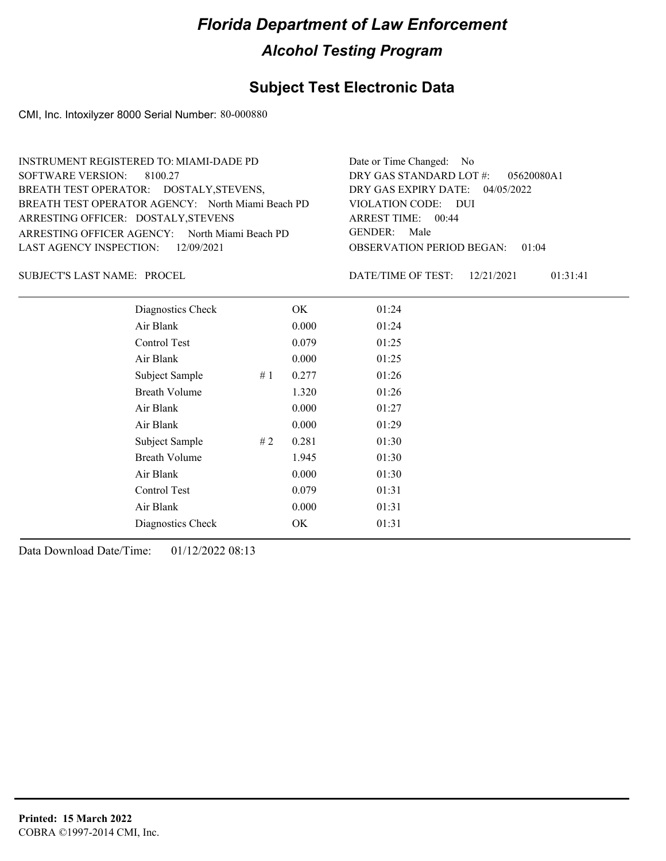### **Subject Test Electronic Data**

CMI, Inc. Intoxilyzer 8000 Serial Number: 80-000880

| INSTRUMENT REGISTERED TO: MIAMI-DADE PD           | Date or Time Changed: No               |
|---------------------------------------------------|----------------------------------------|
| SOFTWARE VERSION: 8100.27                         | DRY GAS STANDARD LOT $\#$ : 05620080A1 |
| BREATH TEST OPERATOR: DOSTALY, STEVENS,           | DRY GAS EXPIRY DATE: $04/05/2022$      |
| BREATH TEST OPERATOR AGENCY: North Miami Beach PD | VIOLATION CODE: DUI                    |
| ARRESTING OFFICER: DOSTALY, STEVENS               | ARREST TIME: $00:44$                   |
| ARRESTING OFFICER AGENCY: North Miami Beach PD    | GENDER: Male                           |
| LAST AGENCY INSPECTION: 12/09/2021                | <b>OBSERVATION PERIOD BEGAN: 01:04</b> |
|                                                   |                                        |

SUBJECT'S LAST NAME: PROCEL DATE/TIME OF TEST:

DATE/TIME OF TEST: 12/21/2021 01:31:41

| Diagnostics Check    |    | OK    | 01:24 |
|----------------------|----|-------|-------|
| Air Blank            |    | 0.000 | 01:24 |
| Control Test         |    | 0.079 | 01:25 |
| Air Blank            |    | 0.000 | 01:25 |
| Subject Sample       | #1 | 0.277 | 01:26 |
| <b>Breath Volume</b> |    | 1.320 | 01:26 |
| Air Blank            |    | 0.000 | 01:27 |
| Air Blank            |    | 0.000 | 01:29 |
| Subject Sample       | #2 | 0.281 | 01:30 |
| <b>Breath Volume</b> |    | 1.945 | 01:30 |
| Air Blank            |    | 0.000 | 01:30 |
| Control Test         |    | 0.079 | 01:31 |
| Air Blank            |    | 0.000 | 01:31 |
| Diagnostics Check    |    | OK    | 01:31 |
|                      |    |       |       |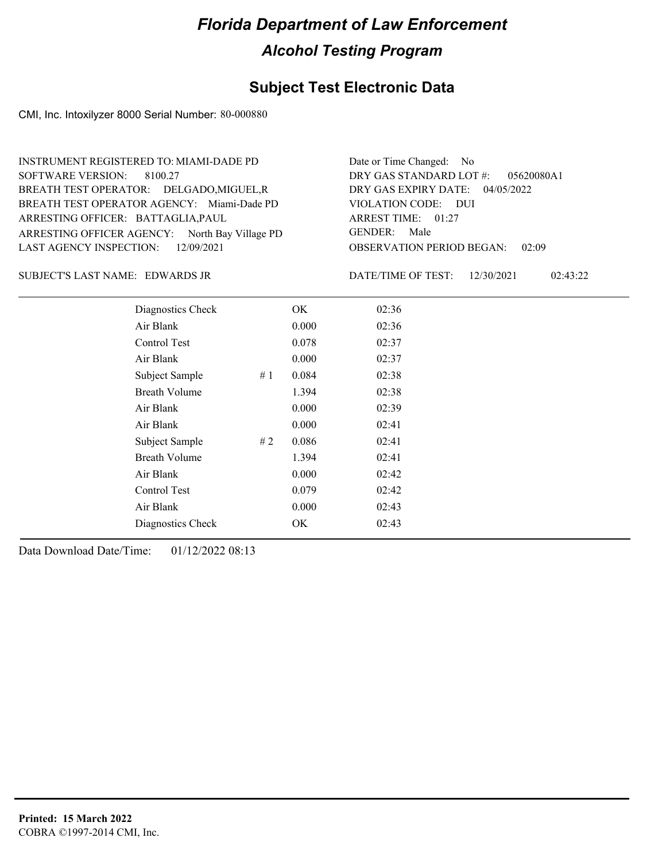#### **Subject Test Electronic Data**

CMI, Inc. Intoxilyzer 8000 Serial Number: 80-000880

ARRESTING OFFICER AGENCY: North Bay Village PD GENDER: BREATH TEST OPERATOR AGENCY: Miami-Dade PD VIOLATION CODE: SOFTWARE VERSION: ARRESTING OFFICER: BATTAGLIA, PAUL BREATH TEST OPERATOR: DELGADO,MIGUEL,R LAST AGENCY INSPECTION: 12/09/2021 8100.27 INSTRUMENT REGISTERED TO: MIAMI-DADE PD

OBSERVATION PERIOD BEGAN: 02:09 VIOLATION CODE: DUI ARREST TIME: 01:27 04/05/2022 DRY GAS EXPIRY DATE: 05620080A1 DRY GAS STANDARD LOT #: Date or Time Changed: No GENDER: Male

EDWARDS JR SUBJECT'S LAST NAME: DATE/TIME OF TEST:

DATE/TIME OF TEST: 12/30/2021 02:43:22

| Diagnostics Check    |    | OK    | 02:36 |
|----------------------|----|-------|-------|
| Air Blank            |    | 0.000 | 02:36 |
| Control Test         |    | 0.078 | 02:37 |
| Air Blank            |    | 0.000 | 02:37 |
| Subject Sample       | #1 | 0.084 | 02:38 |
| <b>Breath Volume</b> |    | 1.394 | 02:38 |
| Air Blank            |    | 0.000 | 02:39 |
| Air Blank            |    | 0.000 | 02:41 |
| Subject Sample       | #2 | 0.086 | 02:41 |
| <b>Breath Volume</b> |    | 1.394 | 02:41 |
| Air Blank            |    | 0.000 | 02:42 |
| Control Test         |    | 0.079 | 02:42 |
| Air Blank            |    | 0.000 | 02:43 |
| Diagnostics Check    |    | OK    | 02:43 |
|                      |    |       |       |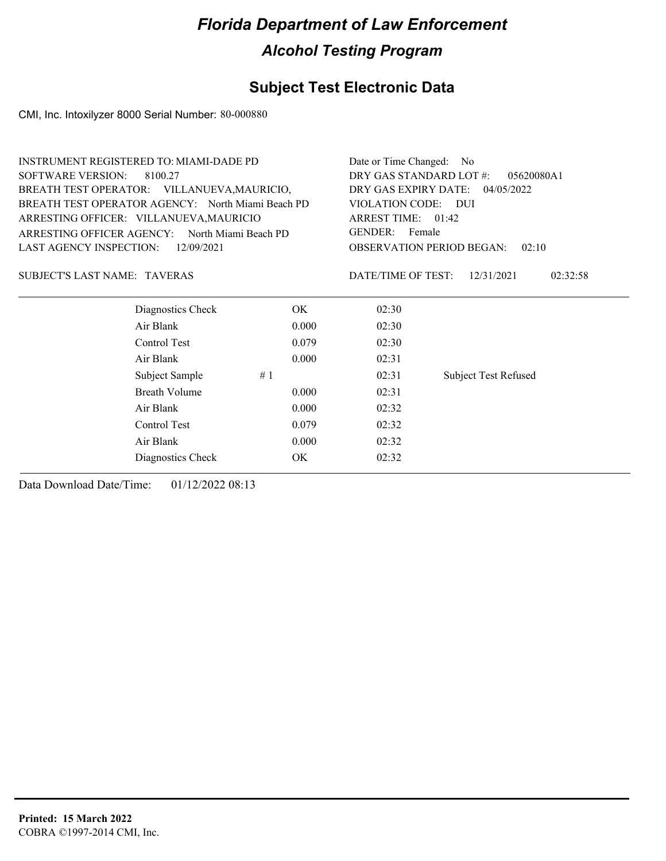### **Subject Test Electronic Data**

CMI, Inc. Intoxilyzer 8000 Serial Number: 80-000880

| <b>INSTRUMENT REGISTERED TO: MIAMI-DADE PD</b><br><b>SOFTWARE VERSION:</b><br>8100.27<br>BREATH TEST OPERATOR: VILLANUEVA, MAURICIO, |       | Date or Time Changed: No<br>DRY GAS STANDARD LOT #:                                                                | 05620080A1<br>DRY GAS EXPIRY DATE: 04/05/2022 |  |
|--------------------------------------------------------------------------------------------------------------------------------------|-------|--------------------------------------------------------------------------------------------------------------------|-----------------------------------------------|--|
| BREATH TEST OPERATOR AGENCY: North Miami Beach PD<br>ARRESTING OFFICER: VILLANUEVA, MAURICIO                                         |       | VIOLATION CODE: DUI<br>ARREST TIME: 01:42<br><b>GENDER:</b><br>Female<br><b>OBSERVATION PERIOD BEGAN:</b><br>02:10 |                                               |  |
| ARRESTING OFFICER AGENCY: North Miami Beach PD                                                                                       |       |                                                                                                                    |                                               |  |
| LAST AGENCY INSPECTION:<br>12/09/2021                                                                                                |       |                                                                                                                    |                                               |  |
| <b>SUBJECT'S LAST NAME: TAVERAS</b>                                                                                                  |       | DATE/TIME OF TEST:                                                                                                 | 12/31/2021<br>02:32:58                        |  |
| Diagnostics Check                                                                                                                    | OK.   | 02:30                                                                                                              |                                               |  |
| Air Blank                                                                                                                            | 0.000 | 02:30                                                                                                              |                                               |  |
| Control Test                                                                                                                         | 0.079 | 02:30                                                                                                              |                                               |  |
| Air Blank                                                                                                                            | 0.000 | 02:31                                                                                                              |                                               |  |
| Subject Sample                                                                                                                       | #1    | 02:31                                                                                                              | <b>Subject Test Refused</b>                   |  |
| Breath Volume                                                                                                                        | 0.000 | 02:31                                                                                                              |                                               |  |
| Air Blank                                                                                                                            | 0.000 | 02:32                                                                                                              |                                               |  |
| Control Test                                                                                                                         | 0.079 | 02:32                                                                                                              |                                               |  |
| Air Blank                                                                                                                            | 0.000 | 02:32                                                                                                              |                                               |  |
| Diagnostics Check                                                                                                                    | OK    | 02:32                                                                                                              |                                               |  |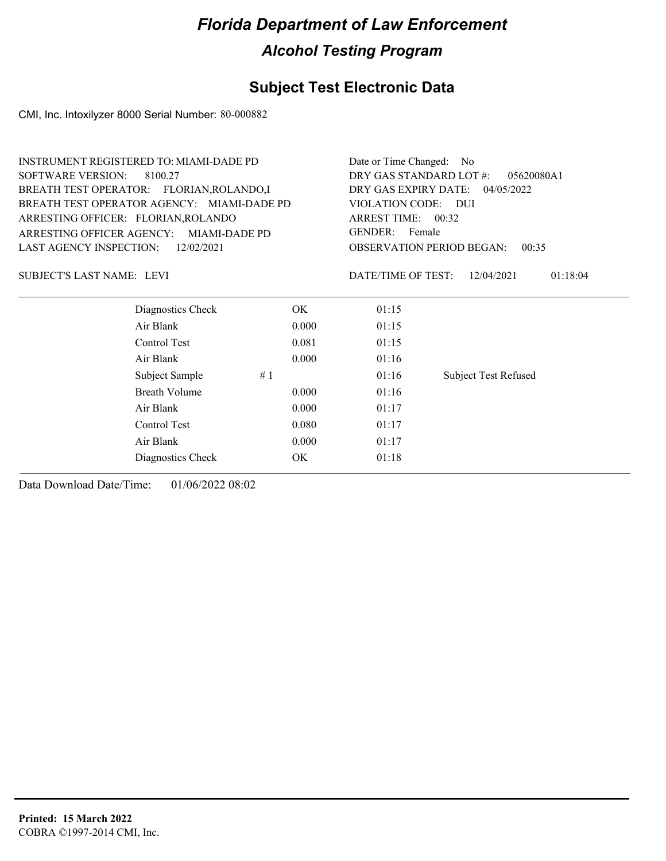### **Subject Test Electronic Data**

CMI, Inc. Intoxilyzer 8000 Serial Number: 80-000882

|                                                                                  | <b>INSTRUMENT REGISTERED TO: MIAMI-DADE PD</b> |       |                                           | Date or Time Changed:<br>No. |  |  |
|----------------------------------------------------------------------------------|------------------------------------------------|-------|-------------------------------------------|------------------------------|--|--|
| <b>SOFTWARE VERSION:</b><br>8100.27<br>BREATH TEST OPERATOR: FLORIAN, ROLANDO, I |                                                |       | DRY GAS STANDARD LOT #:                   | 05620080A1                   |  |  |
|                                                                                  |                                                |       | DRY GAS EXPIRY DATE:<br>04/05/2022        |                              |  |  |
|                                                                                  | BREATH TEST OPERATOR AGENCY: MIAMI-DADE PD     |       | VIOLATION CODE: DUI<br>ARREST TIME: 00:32 |                              |  |  |
| ARRESTING OFFICER: FLORIAN, ROLANDO                                              |                                                |       |                                           |                              |  |  |
| ARRESTING OFFICER AGENCY:                                                        | MIAMI-DADE PD                                  |       | <b>GENDER:</b><br>Female                  |                              |  |  |
| LAST AGENCY INSPECTION:                                                          | 12/02/2021                                     |       | <b>OBSERVATION PERIOD BEGAN:</b><br>00:35 |                              |  |  |
| <b>SUBJECT'S LAST NAME: LEVI</b>                                                 |                                                |       | DATE/TIME OF TEST:                        | 12/04/2021<br>01:18:04       |  |  |
|                                                                                  | Diagnostics Check                              | OK.   | 01:15                                     |                              |  |  |
|                                                                                  | Air Blank                                      | 0.000 | 01:15                                     |                              |  |  |
|                                                                                  | Control Test                                   | 0.081 | 01:15                                     |                              |  |  |
|                                                                                  | Air Blank                                      | 0.000 | 01:16                                     |                              |  |  |
|                                                                                  | Subject Sample                                 | #1    | 01:16                                     | <b>Subject Test Refused</b>  |  |  |
|                                                                                  | <b>Breath Volume</b>                           | 0.000 | 01:16                                     |                              |  |  |
|                                                                                  | Air Blank                                      | 0.000 | 01:17                                     |                              |  |  |
|                                                                                  | Control Test                                   | 0.080 | 01:17                                     |                              |  |  |
|                                                                                  | Air Blank                                      | 0.000 | 01:17                                     |                              |  |  |
|                                                                                  | Diagnostics Check                              | OK    | 01:18                                     |                              |  |  |
|                                                                                  |                                                |       |                                           |                              |  |  |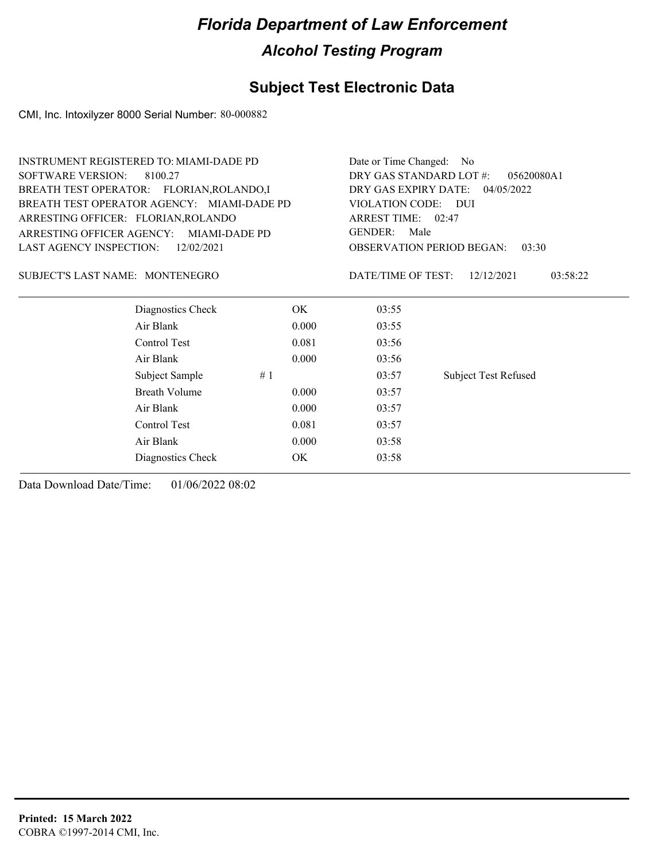### **Subject Test Electronic Data**

CMI, Inc. Intoxilyzer 8000 Serial Number: 80-000882

| <b>INSTRUMENT REGISTERED TO: MIAMI-DADE PD</b>    |       | Date or Time Changed:<br>No                               |                                           |  |
|---------------------------------------------------|-------|-----------------------------------------------------------|-------------------------------------------|--|
| <b>SOFTWARE VERSION:</b><br>8100.27               |       | DRY GAS STANDARD LOT #:<br>05620080A1                     |                                           |  |
| BREATH TEST OPERATOR: FLORIAN, ROLANDO, I         |       | DRY GAS EXPIRY DATE:<br>04/05/2022<br>VIOLATION CODE: DUI |                                           |  |
| BREATH TEST OPERATOR AGENCY: MIAMI-DADE PD        |       |                                                           |                                           |  |
| ARRESTING OFFICER: FLORIAN, ROLANDO               |       | ARREST TIME: 02:47                                        |                                           |  |
| ARRESTING OFFICER AGENCY:<br><b>MIAMI-DADE PD</b> |       | <b>GENDER:</b><br>Male                                    |                                           |  |
| <b>LAST AGENCY INSPECTION:</b><br>12/02/2021      |       |                                                           | <b>OBSERVATION PERIOD BEGAN:</b><br>03:30 |  |
| SUBJECT'S LAST NAME: MONTENEGRO                   |       | DATE/TIME OF TEST:                                        | 12/12/2021<br>03:58:22                    |  |
| Diagnostics Check                                 | OK    | 03:55                                                     |                                           |  |
| Air Blank                                         | 0.000 | 03:55                                                     |                                           |  |
| Control Test                                      | 0.081 | 03:56                                                     |                                           |  |
| Air Blank                                         | 0.000 | 03:56                                                     |                                           |  |
| Subject Sample                                    | #1    | 03:57                                                     | <b>Subject Test Refused</b>               |  |
| <b>Breath Volume</b>                              | 0.000 | 03:57                                                     |                                           |  |
| Air Blank                                         | 0.000 | 03:57                                                     |                                           |  |
| Control Test                                      | 0.081 | 03:57                                                     |                                           |  |
| Air Blank                                         | 0.000 | 03:58                                                     |                                           |  |
| Diagnostics Check                                 | OK    | 03:58                                                     |                                           |  |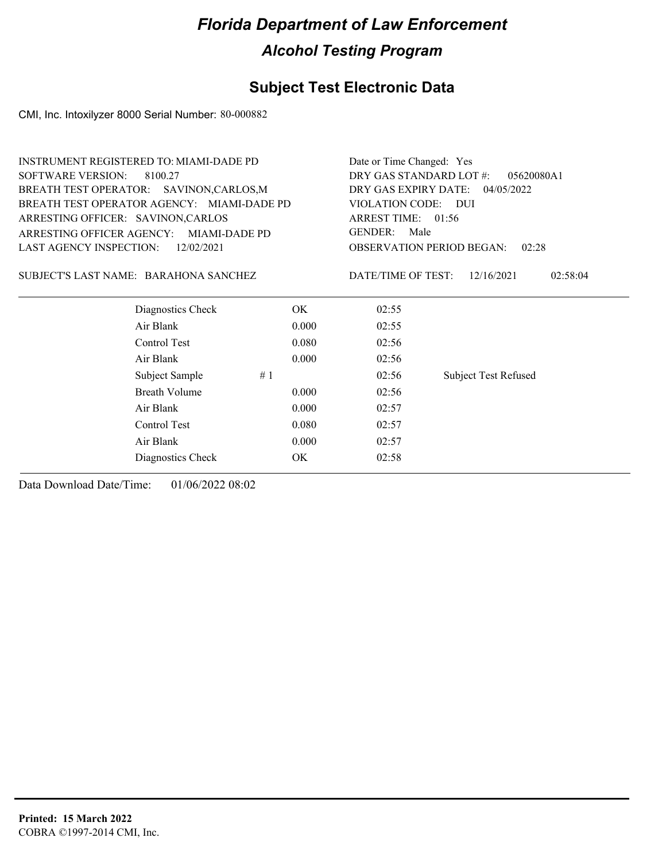### **Subject Test Electronic Data**

CMI, Inc. Intoxilyzer 8000 Serial Number: 80-000882

| <b>INSTRUMENT REGISTERED TO: MIAMI-DADE PD</b> |                   |       | Date or Time Changed: Yes                 |                             |          |
|------------------------------------------------|-------------------|-------|-------------------------------------------|-----------------------------|----------|
| <b>SOFTWARE VERSION:</b><br>8100.27            |                   |       | DRY GAS STANDARD LOT #:<br>05620080A1     |                             |          |
| BREATH TEST OPERATOR: SAVINON, CARLOS, M       |                   |       | DRY GAS EXPIRY DATE:<br>04/05/2022        |                             |          |
| BREATH TEST OPERATOR AGENCY: MIAMI-DADE PD     |                   |       | VIOLATION CODE: DUI                       |                             |          |
| ARRESTING OFFICER: SAVINON, CARLOS             |                   |       | ARREST TIME: 01:56                        |                             |          |
| ARRESTING OFFICER AGENCY: MIAMI-DADE PD        |                   |       | <b>GENDER:</b><br>Male                    |                             |          |
| LAST AGENCY INSPECTION:                        | 12/02/2021        |       | <b>OBSERVATION PERIOD BEGAN:</b><br>02:28 |                             |          |
| SUBJECT'S LAST NAME: BARAHONA SANCHEZ          |                   |       | DATE/TIME OF TEST:                        | 12/16/2021                  | 02:58:04 |
|                                                | Diagnostics Check | OK.   | 02:55                                     |                             |          |
| Air Blank                                      |                   | 0.000 | 02:55                                     |                             |          |
| Control Test                                   |                   | 0.080 | 02:56                                     |                             |          |
| Air Blank                                      |                   | 0.000 | 02:56                                     |                             |          |
| Subject Sample                                 | #1                |       | 02:56                                     | <b>Subject Test Refused</b> |          |
| Breath Volume                                  |                   | 0.000 | 02:56                                     |                             |          |
| Air Blank                                      |                   | 0.000 | 02:57                                     |                             |          |
| Control Test                                   |                   | 0.080 | 02:57                                     |                             |          |
| Air Blank                                      |                   | 0.000 | 02:57                                     |                             |          |
|                                                | Diagnostics Check | OK    | 02:58                                     |                             |          |
|                                                |                   |       |                                           |                             |          |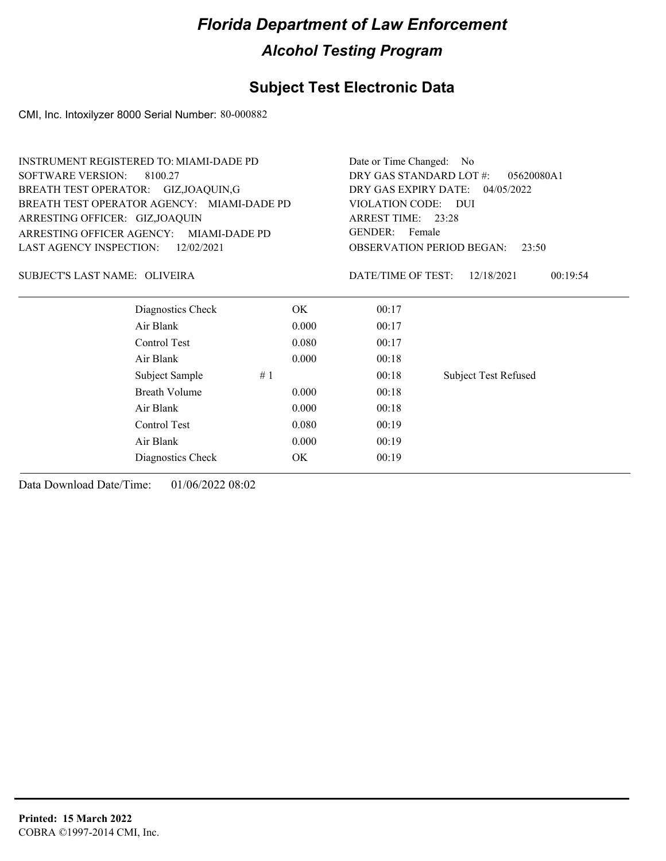### **Subject Test Electronic Data**

CMI, Inc. Intoxilyzer 8000 Serial Number: 80-000882

| INSTRUMENT REGISTERED TO: MIAMI-DADE PD    |                      | Date or Time Changed: No                  |                             |  |
|--------------------------------------------|----------------------|-------------------------------------------|-----------------------------|--|
| <b>SOFTWARE VERSION:</b><br>8100.27        |                      | DRY GAS STANDARD LOT #:                   | 05620080A1                  |  |
| BREATH TEST OPERATOR: GIZ, JOAQUIN, G      |                      | DRY GAS EXPIRY DATE:<br>04/05/2022        |                             |  |
| BREATH TEST OPERATOR AGENCY: MIAMI-DADE PD |                      | VIOLATION CODE: DUI                       |                             |  |
| ARRESTING OFFICER: GIZ, JOAQUIN            |                      | ARREST TIME: 23:28                        |                             |  |
| ARRESTING OFFICER AGENCY:                  | <b>MIAMI-DADE PD</b> | <b>GENDER:</b><br>Female                  |                             |  |
| LAST AGENCY INSPECTION:                    | 12/02/2021           | <b>OBSERVATION PERIOD BEGAN:</b><br>23:50 |                             |  |
| SUBJECT'S LAST NAME: OLIVEIRA              |                      | DATE/TIME OF TEST:                        | 12/18/2021<br>00:19:54      |  |
| Diagnostics Check                          | OK.                  | 00:17                                     |                             |  |
| Air Blank                                  | 0.000                | 00:17                                     |                             |  |
| Control Test                               | 0.080                | 00:17                                     |                             |  |
| Air Blank                                  | 0.000                | 00:18                                     |                             |  |
| Subject Sample                             | #1                   | 00:18                                     | <b>Subject Test Refused</b> |  |
| <b>Breath Volume</b>                       | 0.000                | 00:18                                     |                             |  |
| Air Blank                                  | 0.000                | 00:18                                     |                             |  |
| Control Test                               | 0.080                | 00:19                                     |                             |  |
| Air Blank                                  | 0.000                | 00:19                                     |                             |  |
| Diagnostics Check                          | OK                   | 00:19                                     |                             |  |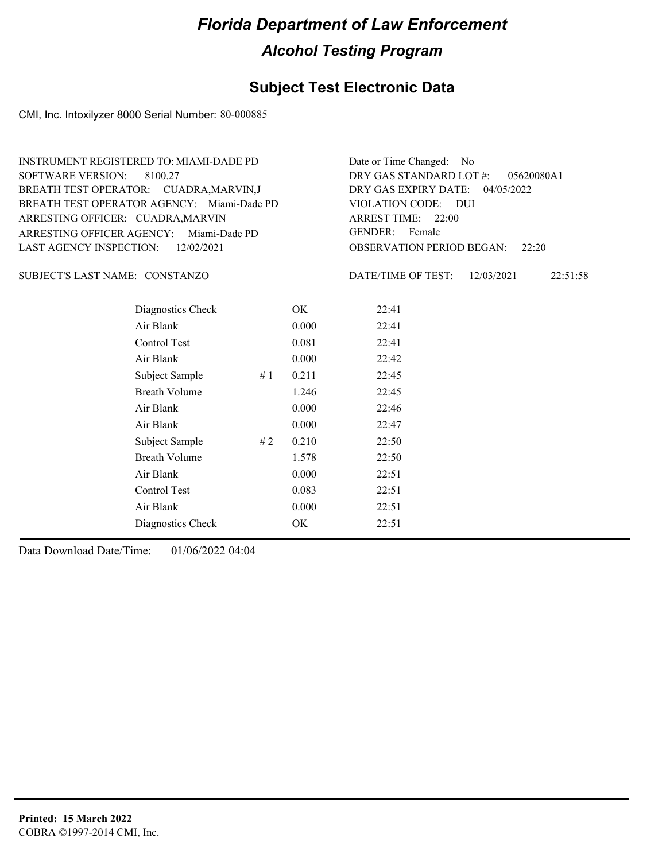#### **Subject Test Electronic Data**

CMI, Inc. Intoxilyzer 8000 Serial Number: 80-000885

ARRESTING OFFICER AGENCY: Miami-Dade PD GENDER: BREATH TEST OPERATOR AGENCY: Miami-Dade PD VIOLATION CODE: SOFTWARE VERSION: 8100.27 ARRESTING OFFICER: CUADRA, MARVIN BREATH TEST OPERATOR: CUADRA,MARVIN,J LAST AGENCY INSPECTION: 12/02/2021 INSTRUMENT REGISTERED TO: MIAMI-DADE PD

OBSERVATION PERIOD BEGAN: 22:20 VIOLATION CODE: DUI ARREST TIME: 22:00 04/05/2022 DRY GAS EXPIRY DATE: 05620080A1 DRY GAS STANDARD LOT #: Date or Time Changed: No GENDER: Female

#### CONSTANZO SUBJECT'S LAST NAME: DATE/TIME OF TEST:

DATE/TIME OF TEST: 12/03/2021 22:51:58

| Diagnostics Check    |    | OK    | 22:41 |
|----------------------|----|-------|-------|
| Air Blank            |    | 0.000 | 22:41 |
| Control Test         |    | 0.081 | 22:41 |
| Air Blank            |    | 0.000 | 22:42 |
| Subject Sample       | #1 | 0.211 | 22:45 |
| <b>Breath Volume</b> |    | 1.246 | 22:45 |
| Air Blank            |    | 0.000 | 22:46 |
| Air Blank            |    | 0.000 | 22:47 |
| Subject Sample       | #2 | 0.210 | 22:50 |
| <b>Breath Volume</b> |    | 1.578 | 22:50 |
| Air Blank            |    | 0.000 | 22:51 |
| Control Test         |    | 0.083 | 22:51 |
| Air Blank            |    | 0.000 | 22:51 |
| Diagnostics Check    |    | OK    | 22:51 |
|                      |    |       |       |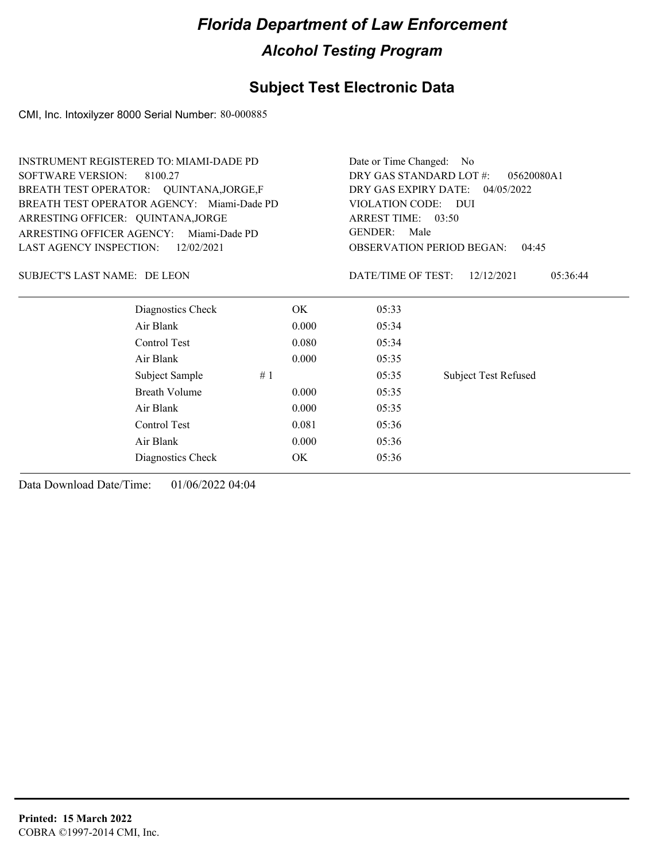### **Subject Test Electronic Data**

CMI, Inc. Intoxilyzer 8000 Serial Number: 80-000885

| <b>INSTRUMENT REGISTERED TO: MIAMI-DADE PD</b> | Date or Time Changed: No                  |                        |                             |  |
|------------------------------------------------|-------------------------------------------|------------------------|-----------------------------|--|
| <b>SOFTWARE VERSION:</b><br>8100.27            | DRY GAS STANDARD LOT #:                   | 05620080A1             |                             |  |
| BREATH TEST OPERATOR: QUINTANA, JORGE, F       | DRY GAS EXPIRY DATE:<br>04/05/2022        |                        |                             |  |
| BREATH TEST OPERATOR AGENCY: Miami-Dade PD     |                                           | VIOLATION CODE: DUI    |                             |  |
| ARRESTING OFFICER: QUINTANA, JORGE             |                                           | ARREST TIME: 03:50     |                             |  |
| ARRESTING OFFICER AGENCY:<br>Miami-Dade PD     |                                           | <b>GENDER:</b><br>Male |                             |  |
| <b>LAST AGENCY INSPECTION:</b><br>12/02/2021   | <b>OBSERVATION PERIOD BEGAN:</b><br>04:45 |                        |                             |  |
| SUBJECT'S LAST NAME: DE LEON                   |                                           | DATE/TIME OF TEST:     | 12/12/2021<br>05:36:44      |  |
| Diagnostics Check                              | OK.                                       | 05:33                  |                             |  |
| Air Blank                                      | 0.000                                     | 05:34                  |                             |  |
| Control Test                                   | 0.080                                     | 05:34                  |                             |  |
| Air Blank                                      | 0.000                                     | 05:35                  |                             |  |
| Subject Sample                                 | #1                                        | 05:35                  | <b>Subject Test Refused</b> |  |
| <b>Breath Volume</b>                           | 0.000                                     | 05:35                  |                             |  |
| Air Blank                                      | 0.000                                     | 05:35                  |                             |  |
| Control Test                                   | 0.081                                     | 05:36                  |                             |  |
| Air Blank                                      | 0.000                                     | 05:36                  |                             |  |
| Diagnostics Check                              | OK                                        | 05:36                  |                             |  |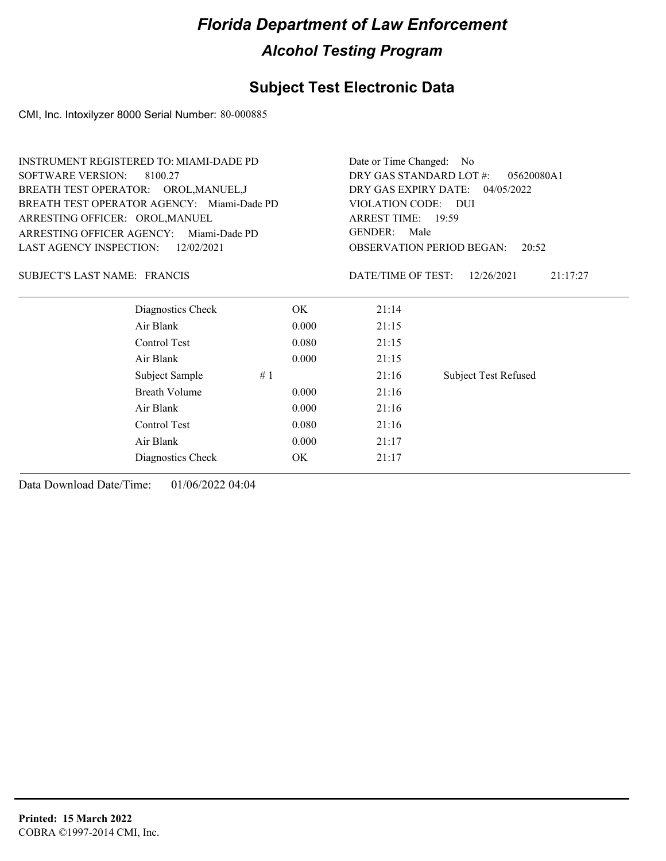### **Subject Test Electronic Data**

CMI, Inc. Intoxilyzer 8000 Serial Number: 80-000885

| <b>INSTRUMENT REGISTERED TO: MIAMI-DADE PD</b> | Date or Time Changed: No                                            |                             |  |  |
|------------------------------------------------|---------------------------------------------------------------------|-----------------------------|--|--|
|                                                | DRY GAS STANDARD LOT #:<br>05620080A1                               |                             |  |  |
| BREATH TEST OPERATOR: OROL, MANUEL, J          | DRY GAS EXPIRY DATE:<br>04/05/2022<br>VIOLATION CODE: DUI           |                             |  |  |
| BREATH TEST OPERATOR AGENCY: Miami-Dade PD     |                                                                     |                             |  |  |
|                                                | ARREST TIME: 19:59                                                  |                             |  |  |
| Miami-Dade PD                                  | <b>GENDER:</b><br>Male<br><b>OBSERVATION PERIOD BEGAN:</b><br>20:52 |                             |  |  |
|                                                |                                                                     |                             |  |  |
|                                                | DATE/TIME OF TEST:                                                  | 21:17:27<br>12/26/2021      |  |  |
| OK.                                            | 21:14                                                               |                             |  |  |
| 0.000                                          | 21:15                                                               |                             |  |  |
| 0.080                                          | 21:15                                                               |                             |  |  |
| 0.000                                          | 21:15                                                               |                             |  |  |
| #1                                             | 21:16                                                               | <b>Subject Test Refused</b> |  |  |
| 0.000                                          | 21:16                                                               |                             |  |  |
| 0.000                                          | 21:16                                                               |                             |  |  |
| 0.080                                          | 21:16                                                               |                             |  |  |
| 0.000                                          | 21:17                                                               |                             |  |  |
| OK                                             | 21:17                                                               |                             |  |  |
|                                                |                                                                     |                             |  |  |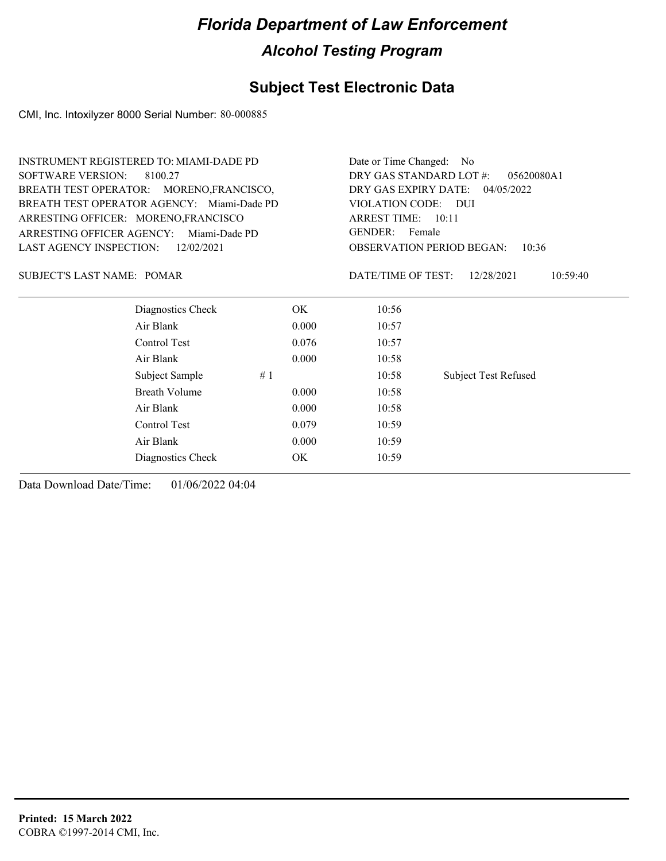### **Subject Test Electronic Data**

CMI, Inc. Intoxilyzer 8000 Serial Number: 80-000885

| Date or Time Changed:<br>- No                                         |  |  |                                              |
|-----------------------------------------------------------------------|--|--|----------------------------------------------|
| DRY GAS STANDARD LOT #:<br>05620080A1                                 |  |  |                                              |
| DRY GAS EXPIRY DATE:<br>04/05/2022                                    |  |  |                                              |
| VIOLATION CODE:<br>– DUI                                              |  |  |                                              |
| <b>ARREST TIME: 10:11</b>                                             |  |  |                                              |
| <b>GENDER:</b><br>Female<br><b>OBSERVATION PERIOD BEGAN:</b><br>10:36 |  |  |                                              |
|                                                                       |  |  | DATE/TIME OF TEST:<br>12/28/2021<br>10:59:40 |
| 10:56                                                                 |  |  |                                              |
| 0.000<br>10:57                                                        |  |  |                                              |
| 0.076<br>10:57                                                        |  |  |                                              |
| 0.000<br>10:58                                                        |  |  |                                              |
| <b>Subject Test Refused</b><br>10:58                                  |  |  |                                              |
| 0.000<br>10:58                                                        |  |  |                                              |
| 0.000<br>10:58                                                        |  |  |                                              |
| 0.079<br>10:59                                                        |  |  |                                              |
| 0.000<br>10:59                                                        |  |  |                                              |
| 10:59                                                                 |  |  |                                              |
|                                                                       |  |  |                                              |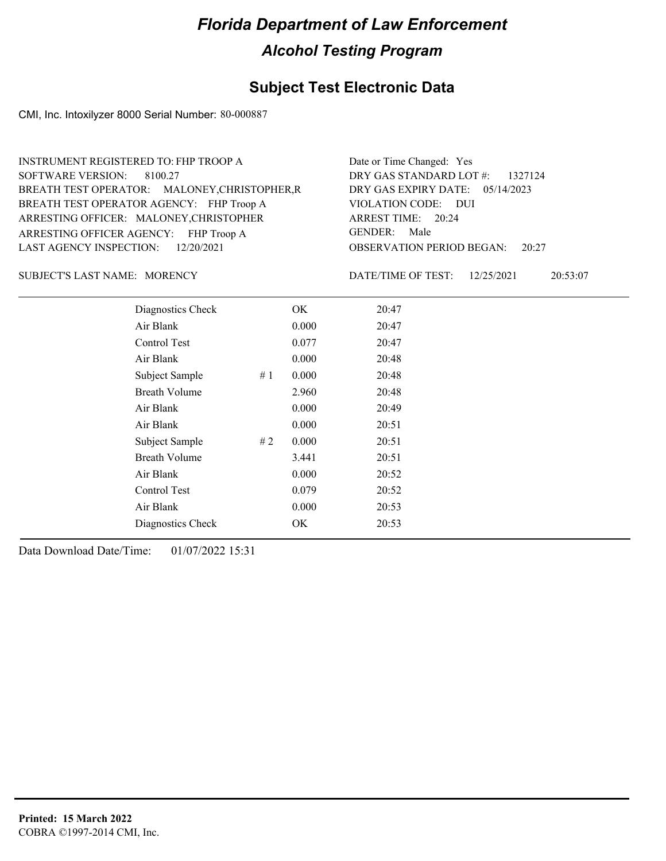### **Subject Test Electronic Data**

CMI, Inc. Intoxilyzer 8000 Serial Number: 80-000887

| INSTRUMENT REGISTERED TO: FHP TROOP A         | Date or Time Changed: Yes              |
|-----------------------------------------------|----------------------------------------|
| SOFTWARE VERSION: 8100.27                     | DRY GAS STANDARD LOT #: 1327124        |
| BREATH TEST OPERATOR: MALONEY, CHRISTOPHER, R | DRY GAS EXPIRY DATE: 05/14/2023        |
| BREATH TEST OPERATOR AGENCY: FHP Troop A      | VIOLATION CODE: DUI                    |
| ARRESTING OFFICER: MALONEY, CHRISTOPHER       | ARREST TIME: 20:24                     |
| ARRESTING OFFICER AGENCY: FHP Troop A         | GENDER: Male                           |
| LAST AGENCY INSPECTION: 12/20/2021            | <b>OBSERVATION PERIOD BEGAN: 20:27</b> |

SUBJECT'S LAST NAME: MORENCY DATE/TIME OF TEST:

DATE/TIME OF TEST: 12/25/2021 20:53:07

| Diagnostics Check    |    | OK    | 20:47 |
|----------------------|----|-------|-------|
| Air Blank            |    | 0.000 | 20:47 |
| Control Test         |    | 0.077 | 20:47 |
| Air Blank            |    | 0.000 | 20:48 |
| Subject Sample       | #1 | 0.000 | 20:48 |
| <b>Breath Volume</b> |    | 2.960 | 20:48 |
| Air Blank            |    | 0.000 | 20:49 |
| Air Blank            |    | 0.000 | 20:51 |
| Subject Sample       | #2 | 0.000 | 20:51 |
| <b>Breath Volume</b> |    | 3.441 | 20:51 |
| Air Blank            |    | 0.000 | 20:52 |
| Control Test         |    | 0.079 | 20:52 |
| Air Blank            |    | 0.000 | 20:53 |
| Diagnostics Check    |    | OK    | 20:53 |
|                      |    |       |       |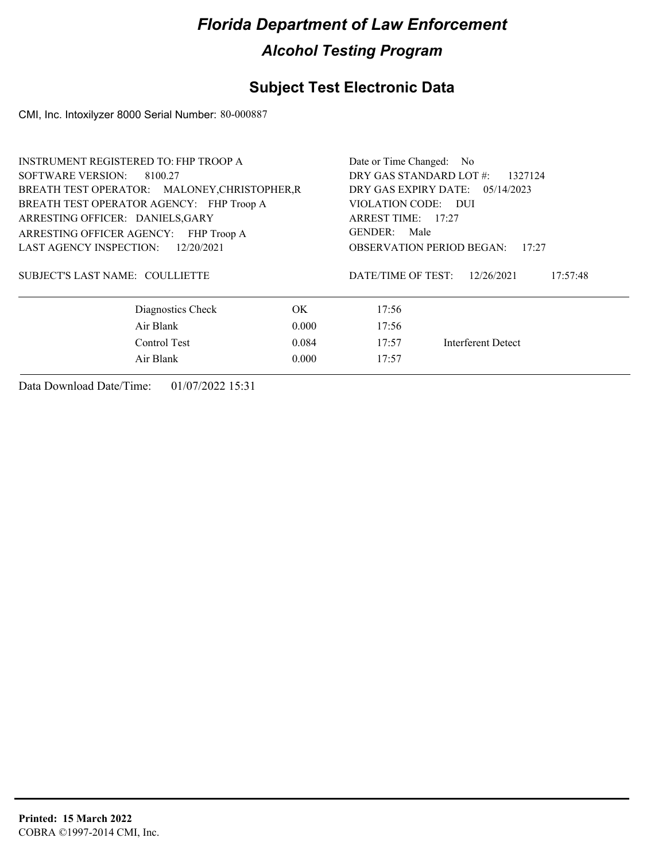### **Subject Test Electronic Data**

CMI, Inc. Intoxilyzer 8000 Serial Number: 80-000887

| <b>INSTRUMENT REGISTERED TO: FHP TROOP A</b>  | Date or Time Changed: No           |                                              |                    |  |
|-----------------------------------------------|------------------------------------|----------------------------------------------|--------------------|--|
| SOFTWARE VERSION:<br>8100.27                  | DRY GAS STANDARD LOT #:<br>1327124 |                                              |                    |  |
| BREATH TEST OPERATOR: MALONEY, CHRISTOPHER, R | DRY GAS EXPIRY DATE: $05/14/2023$  |                                              |                    |  |
| BREATH TEST OPERATOR AGENCY: FHP Troop A      | VIOLATION CODE: DUI                |                                              |                    |  |
| ARRESTING OFFICER: DANIELS, GARY              | ARREST TIME: 17:27                 |                                              |                    |  |
| ARRESTING OFFICER AGENCY: FHP Troop A         | GENDER: Male                       |                                              |                    |  |
| <b>LAST AGENCY INSPECTION:</b><br>12/20/2021  |                                    | <b>OBSERVATION PERIOD BEGAN:</b><br>17:27    |                    |  |
| SUBJECT'S LAST NAME: COULLIETTE               |                                    | DATE/TIME OF TEST:<br>12/26/2021<br>17:57:48 |                    |  |
| Diagnostics Check                             | OK.                                | 17:56                                        |                    |  |
| Air Blank                                     | 0.000                              | 17:56                                        |                    |  |
| Control Test                                  | 0.084                              | 17:57                                        | Interferent Detect |  |
| Air Blank                                     | 0.000                              | 17:57                                        |                    |  |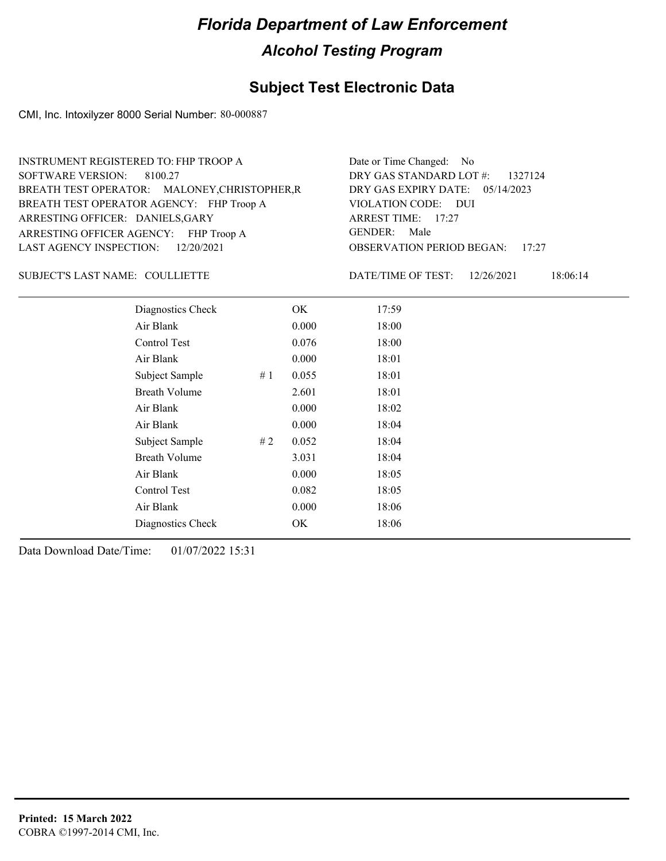### **Subject Test Electronic Data**

CMI, Inc. Intoxilyzer 8000 Serial Number: 80-000887

| INSTRUMENT REGISTERED TO: FHP TROOP A         | Date or Time Changed: No               |
|-----------------------------------------------|----------------------------------------|
| SOFTWARE VERSION: 8100.27                     | DRY GAS STANDARD LOT #: 1327124        |
| BREATH TEST OPERATOR: MALONEY, CHRISTOPHER, R | DRY GAS EXPIRY DATE: 05/14/2023        |
| BREATH TEST OPERATOR AGENCY: FHP Troop A      | VIOLATION CODE: DUI                    |
| ARRESTING OFFICER: DANIELS, GARY              | ARREST TIME: 17:27                     |
| ARRESTING OFFICER AGENCY: FHP Troop A         | GENDER: Male                           |
| LAST AGENCY INSPECTION: $12/20/2021$          | <b>OBSERVATION PERIOD BEGAN: 17:27</b> |

#### SUBJECT'S LAST NAME: COULLIETTE **Example 19 ON A DEPARTME OF TEST:**

DATE/TIME OF TEST: 12/26/2021 18:06:14

| Diagnostics Check    |    | OK    | 17:59 |
|----------------------|----|-------|-------|
| Air Blank            |    | 0.000 | 18:00 |
| Control Test         |    | 0.076 | 18:00 |
| Air Blank            |    | 0.000 | 18:01 |
| Subject Sample       | #1 | 0.055 | 18:01 |
| <b>Breath Volume</b> |    | 2.601 | 18:01 |
| Air Blank            |    | 0.000 | 18:02 |
| Air Blank            |    | 0.000 | 18:04 |
| Subject Sample       | #2 | 0.052 | 18:04 |
| <b>Breath Volume</b> |    | 3.031 | 18:04 |
| Air Blank            |    | 0.000 | 18:05 |
| Control Test         |    | 0.082 | 18:05 |
| Air Blank            |    | 0.000 | 18:06 |
| Diagnostics Check    |    | OK    | 18:06 |
|                      |    |       |       |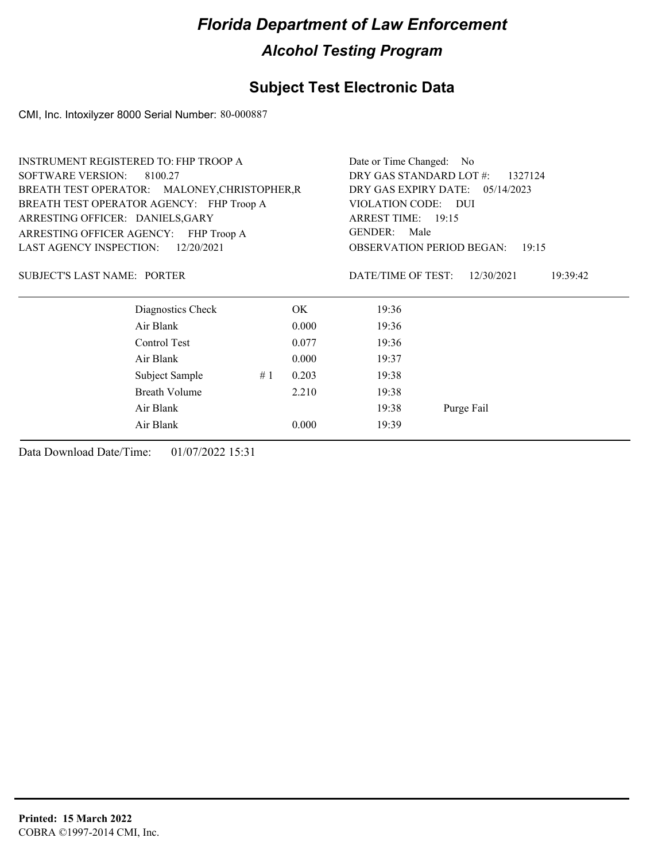### **Subject Test Electronic Data**

CMI, Inc. Intoxilyzer 8000 Serial Number: 80-000887

|                                     | <b>INSTRUMENT REGISTERED TO: FHP TROOP A</b>  |    |       | Date or Time Changed: No           |                        |  |
|-------------------------------------|-----------------------------------------------|----|-------|------------------------------------|------------------------|--|
| <b>SOFTWARE VERSION:</b><br>8100.27 |                                               |    |       | DRY GAS STANDARD LOT #:<br>1327124 |                        |  |
|                                     | BREATH TEST OPERATOR: MALONEY, CHRISTOPHER, R |    |       | DRY GAS EXPIRY DATE:               | 05/14/2023             |  |
|                                     | BREATH TEST OPERATOR AGENCY: FHP Troop A      |    |       | VIOLATION CODE: DUI                |                        |  |
| ARRESTING OFFICER: DANIELS, GARY    |                                               |    |       | ARREST TIME: 19:15                 |                        |  |
| ARRESTING OFFICER AGENCY:           | FHP Troop A                                   |    |       | <b>GENDER:</b><br>Male             |                        |  |
| <b>LAST AGENCY INSPECTION:</b>      | 12/20/2021                                    |    |       | <b>OBSERVATION PERIOD BEGAN:</b>   | 19:15                  |  |
| <b>SUBJECT'S LAST NAME: PORTER</b>  |                                               |    |       | DATE/TIME OF TEST:                 | 12/30/2021<br>19:39:42 |  |
|                                     | Diagnostics Check                             |    | OK.   | 19:36                              |                        |  |
|                                     | Air Blank                                     |    | 0.000 | 19:36                              |                        |  |
|                                     | Control Test                                  |    | 0.077 | 19:36                              |                        |  |
|                                     | Air Blank                                     |    | 0.000 | 19:37                              |                        |  |
|                                     | Subject Sample                                | #1 | 0.203 | 19:38                              |                        |  |
|                                     | <b>Breath Volume</b>                          |    | 2.210 | 19:38                              |                        |  |
|                                     | Air Blank                                     |    |       | 19:38                              | Purge Fail             |  |
|                                     | Air Blank                                     |    | 0.000 | 19:39                              |                        |  |
|                                     |                                               |    |       |                                    |                        |  |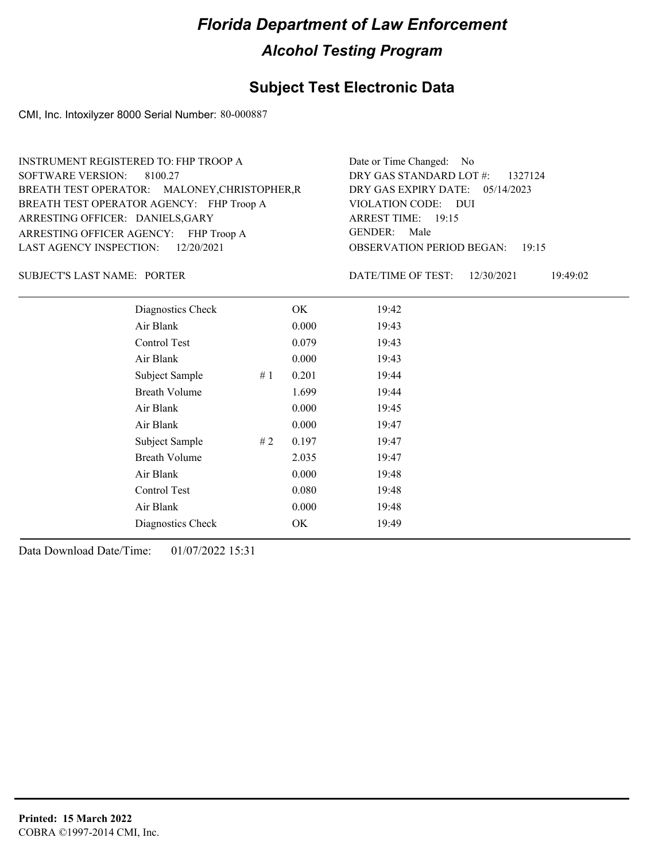### **Subject Test Electronic Data**

CMI, Inc. Intoxilyzer 8000 Serial Number: 80-000887

| INSTRUMENT REGISTERED TO: FHP TROOP A         | Date or Time Changed: No               |
|-----------------------------------------------|----------------------------------------|
| SOFTWARE VERSION: 8100.27                     | DRY GAS STANDARD LOT $\#$ : 1327124    |
| BREATH TEST OPERATOR: MALONEY, CHRISTOPHER, R | DRY GAS EXPIRY DATE: 05/14/2023        |
| BREATH TEST OPERATOR AGENCY: FHP Troop A      | VIOLATION CODE: DUI                    |
| ARRESTING OFFICER: DANIELS, GARY              | ARREST TIME: 19:15                     |
| ARRESTING OFFICER AGENCY: FHP Troop A         | GENDER: Male                           |
| LAST AGENCY INSPECTION: 12/20/2021            | <b>OBSERVATION PERIOD BEGAN: 19:15</b> |

SUBJECT'S LAST NAME: PORTER DATE/TIME OF TEST:

DATE/TIME OF TEST: 12/30/2021 19:49:02

| Diagnostics Check    |    | OK    | 19:42 |
|----------------------|----|-------|-------|
| Air Blank            |    | 0.000 | 19:43 |
| Control Test         |    | 0.079 | 19:43 |
| Air Blank            |    | 0.000 | 19:43 |
| Subject Sample       | #1 | 0.201 | 19:44 |
| <b>Breath Volume</b> |    | 1.699 | 19:44 |
| Air Blank            |    | 0.000 | 19:45 |
| Air Blank            |    | 0.000 | 19:47 |
| Subject Sample       | #2 | 0.197 | 19:47 |
| <b>Breath Volume</b> |    | 2.035 | 19:47 |
| Air Blank            |    | 0.000 | 19:48 |
| Control Test         |    | 0.080 | 19:48 |
| Air Blank            |    | 0.000 | 19:48 |
| Diagnostics Check    |    | OK    | 19:49 |
|                      |    |       |       |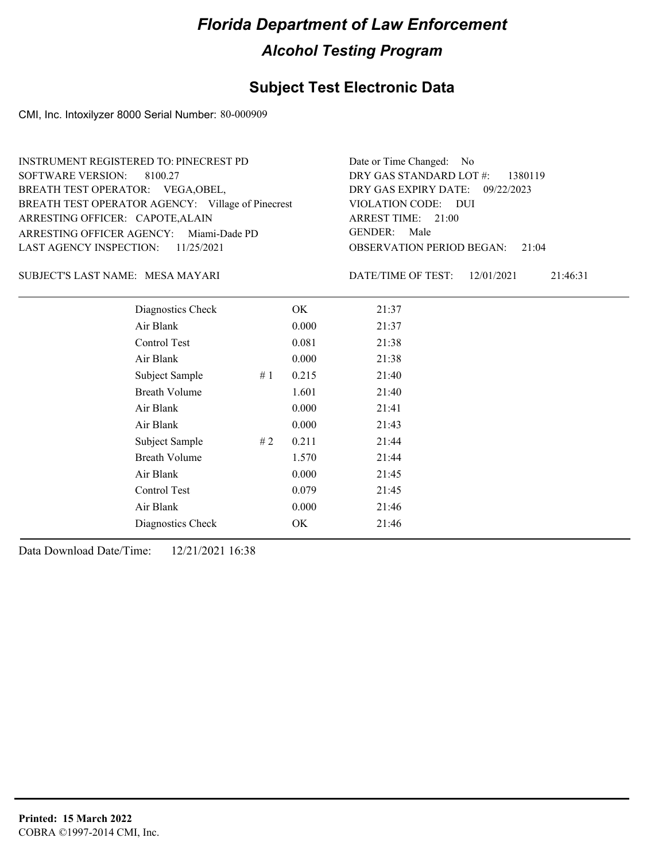### **Subject Test Electronic Data**

CMI, Inc. Intoxilyzer 8000 Serial Number: 80-000909

#### MESA MAYARI SUBJECT'S LAST NAME: DATE/TIME OF TEST:

DATE/TIME OF TEST: 12/01/2021 21:46:31

| Diagnostics Check    | OK    | 21:37 |
|----------------------|-------|-------|
| Air Blank            | 0.000 | 21:37 |
| Control Test         | 0.081 | 21:38 |
| Air Blank            | 0.000 | 21:38 |
| Subject Sample<br>#1 | 0.215 | 21:40 |
| <b>Breath Volume</b> | 1.601 | 21:40 |
| Air Blank            | 0.000 | 21:41 |
| Air Blank            | 0.000 | 21:43 |
| Subject Sample<br>#2 | 0.211 | 21:44 |
| <b>Breath Volume</b> | 1.570 | 21:44 |
| Air Blank            | 0.000 | 21:45 |
| Control Test         | 0.079 | 21:45 |
| Air Blank            | 0.000 | 21:46 |
| Diagnostics Check    | OK    | 21:46 |
|                      |       |       |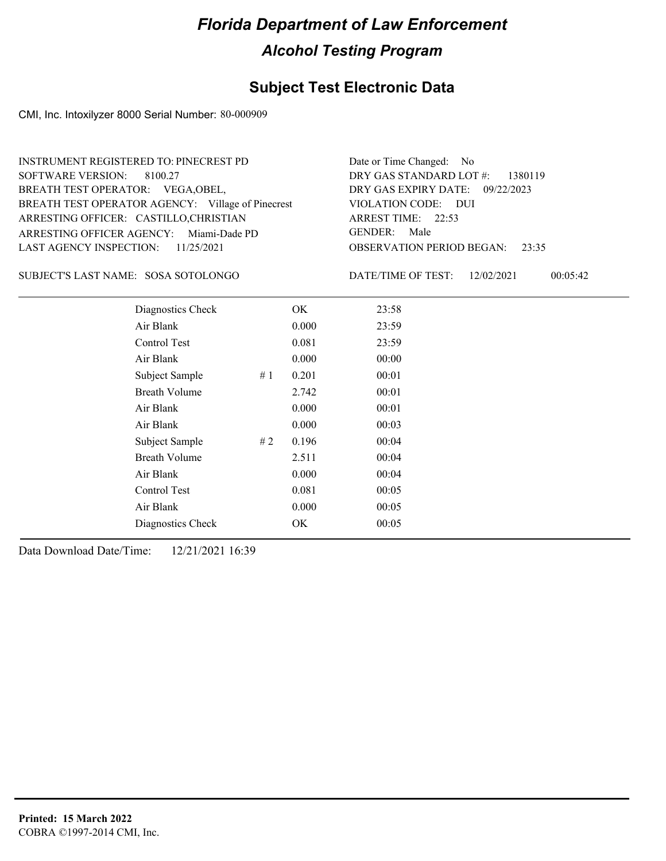### **Subject Test Electronic Data**

CMI, Inc. Intoxilyzer 8000 Serial Number: 80-000909

| <b>SOFTWARE VERSION:</b><br>BREATH TEST OPERATOR: VEGA, OBEL, | <b>INSTRUMENT REGISTERED TO: PINECREST PD</b><br>8100.27<br>BREATH TEST OPERATOR AGENCY: Village of Pinecrest |    |       | Date or Time Changed:<br>No.<br>DRY GAS STANDARD LOT #:<br>1380119<br>DRY GAS EXPIRY DATE:<br>09/22/2023<br>VIOLATION CODE: DUI |  |
|---------------------------------------------------------------|---------------------------------------------------------------------------------------------------------------|----|-------|---------------------------------------------------------------------------------------------------------------------------------|--|
|                                                               | ARRESTING OFFICER: CASTILLO, CHRISTIAN<br>ARRESTING OFFICER AGENCY: Miami-Dade PD                             |    |       | ARREST TIME: 22:53<br><b>GENDER:</b><br>Male                                                                                    |  |
| <b>LAST AGENCY INSPECTION:</b>                                | 11/25/2021                                                                                                    |    |       | <b>OBSERVATION PERIOD BEGAN:</b><br>23:35                                                                                       |  |
|                                                               | SUBJECT'S LAST NAME: SOSA SOTOLONGO                                                                           |    |       | DATE/TIME OF TEST:<br>12/02/2021<br>00:05:42                                                                                    |  |
|                                                               | Diagnostics Check                                                                                             |    | OK.   | 23:58                                                                                                                           |  |
|                                                               | Air Blank                                                                                                     |    | 0.000 | 23:59                                                                                                                           |  |
|                                                               | Control Test                                                                                                  |    | 0.081 | 23:59                                                                                                                           |  |
|                                                               | Air Blank                                                                                                     |    | 0.000 | 00:00                                                                                                                           |  |
|                                                               | Subject Sample                                                                                                | #1 | 0.201 | 00:01                                                                                                                           |  |
|                                                               | <b>Breath Volume</b>                                                                                          |    | 2.742 | 00:01                                                                                                                           |  |
|                                                               | Air Blank                                                                                                     |    | 0.000 | 00:01                                                                                                                           |  |
|                                                               | Air Blank                                                                                                     |    | 0.000 | 00:03                                                                                                                           |  |
|                                                               | Subject Sample                                                                                                | #2 | 0.196 | 00:04                                                                                                                           |  |
|                                                               | <b>Breath Volume</b>                                                                                          |    | 2.511 | 00:04                                                                                                                           |  |
|                                                               | Air Blank                                                                                                     |    | 0.000 | 00:04                                                                                                                           |  |
|                                                               | Control Test                                                                                                  |    | 0.081 | 00:05                                                                                                                           |  |
|                                                               | Air Blank                                                                                                     |    | 0.000 | 00:05                                                                                                                           |  |
|                                                               | Diagnostics Check                                                                                             |    | OK    | 00:05                                                                                                                           |  |
|                                                               |                                                                                                               |    |       |                                                                                                                                 |  |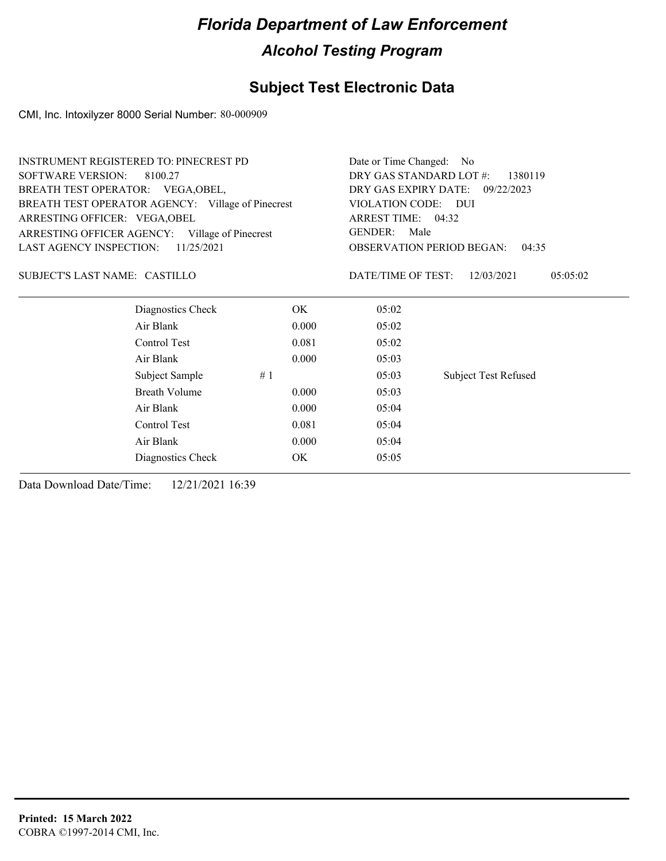### **Subject Test Electronic Data**

CMI, Inc. Intoxilyzer 8000 Serial Number: 80-000909

|                                   | <b>INSTRUMENT REGISTERED TO: PINECREST PD</b>     |                                    | Date or Time Changed: No |                                           |  |
|-----------------------------------|---------------------------------------------------|------------------------------------|--------------------------|-------------------------------------------|--|
| <b>SOFTWARE VERSION:</b>          | 8100.27                                           | DRY GAS STANDARD LOT #:<br>1380119 |                          |                                           |  |
| BREATH TEST OPERATOR: VEGA, OBEL, |                                                   | DRY GAS EXPIRY DATE:               | 09/22/2023               |                                           |  |
|                                   | BREATH TEST OPERATOR AGENCY: Village of Pinecrest |                                    | VIOLATION CODE: DUI      |                                           |  |
| ARRESTING OFFICER: VEGA, OBEL     |                                                   |                                    | ARREST TIME: 04:32       |                                           |  |
|                                   | ARRESTING OFFICER AGENCY: Village of Pinecrest    |                                    | <b>GENDER:</b><br>Male   |                                           |  |
| <b>LAST AGENCY INSPECTION:</b>    | 11/25/2021                                        |                                    |                          | <b>OBSERVATION PERIOD BEGAN:</b><br>04:35 |  |
| SUBJECT'S LAST NAME: CASTILLO     |                                                   |                                    | DATE/TIME OF TEST:       | 12/03/2021<br>05:05:02                    |  |
|                                   | Diagnostics Check                                 | OK.                                | 05:02                    |                                           |  |
|                                   | Air Blank                                         | 0.000                              | 05:02                    |                                           |  |
|                                   | Control Test                                      | 0.081                              | 05:02                    |                                           |  |
|                                   | Air Blank                                         | 0.000                              | 05:03                    |                                           |  |
|                                   | Subject Sample                                    | #1                                 | 05:03                    | <b>Subject Test Refused</b>               |  |
|                                   | Breath Volume                                     | 0.000                              | 05:03                    |                                           |  |
|                                   | Air Blank                                         | 0.000                              | 05:04                    |                                           |  |
|                                   | Control Test                                      | 0.081                              | 05:04                    |                                           |  |
|                                   | Air Blank                                         | 05:04                              |                          |                                           |  |
|                                   | Diagnostics Check                                 | OK.                                | 05:05                    |                                           |  |
|                                   |                                                   |                                    |                          |                                           |  |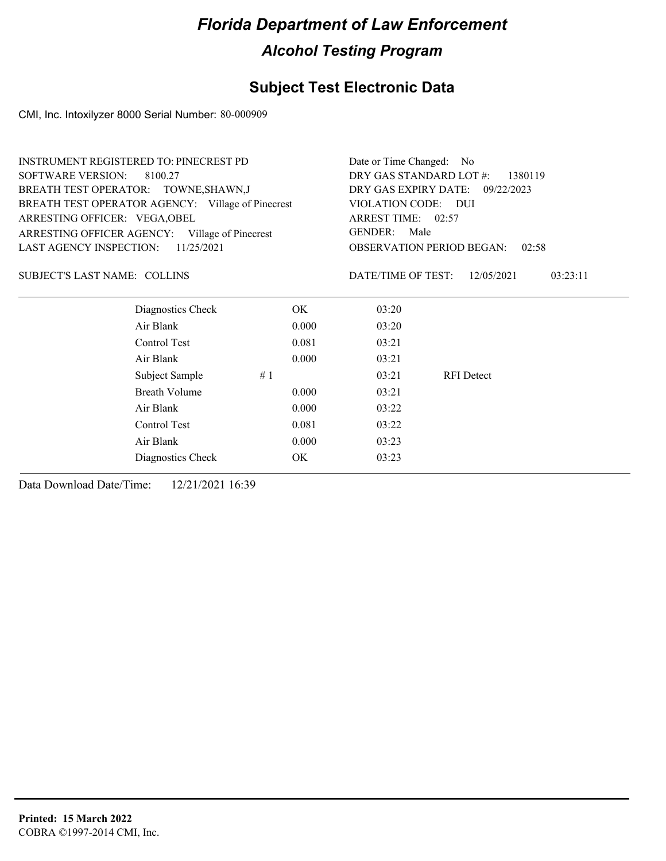### **Subject Test Electronic Data**

CMI, Inc. Intoxilyzer 8000 Serial Number: 80-000909

| <b>INSTRUMENT REGISTERED TO: PINECREST PD</b>     |       |                                    | Date or Time Changed:<br>No.              |          |  |
|---------------------------------------------------|-------|------------------------------------|-------------------------------------------|----------|--|
| <b>SOFTWARE VERSION:</b><br>8100.27               |       | DRY GAS STANDARD LOT #:<br>1380119 |                                           |          |  |
| BREATH TEST OPERATOR: TOWNE, SHAWN, J             |       | DRY GAS EXPIRY DATE:               | 09/22/2023                                |          |  |
| BREATH TEST OPERATOR AGENCY: Village of Pinecrest |       | VIOLATION CODE:                    | <b>DUI</b>                                |          |  |
| ARRESTING OFFICER: VEGA, OBEL                     |       | ARREST TIME: 02:57                 |                                           |          |  |
| ARRESTING OFFICER AGENCY: Village of Pinecrest    |       | <b>GENDER:</b><br>Male             |                                           |          |  |
| <b>LAST AGENCY INSPECTION:</b><br>11/25/2021      |       |                                    | <b>OBSERVATION PERIOD BEGAN:</b><br>02:58 |          |  |
| <b>SUBJECT'S LAST NAME: COLLINS</b>               |       | DATE/TIME OF TEST:                 | 12/05/2021                                | 03:23:11 |  |
| Diagnostics Check                                 | OK    | 03:20                              |                                           |          |  |
| Air Blank                                         | 0.000 | 03:20                              |                                           |          |  |
| Control Test                                      | 0.081 | 03:21                              |                                           |          |  |
| Air Blank                                         | 0.000 | 03:21                              |                                           |          |  |
| Subject Sample                                    | #1    | 03:21                              | <b>RFI</b> Detect                         |          |  |
| <b>Breath Volume</b>                              | 0.000 | 03:21                              |                                           |          |  |
| Air Blank                                         | 0.000 | 03:22                              |                                           |          |  |
| Control Test                                      | 0.081 | 03:22                              |                                           |          |  |
| Air Blank                                         | 03:23 |                                    |                                           |          |  |
| Diagnostics Check                                 | OK.   | 03:23                              |                                           |          |  |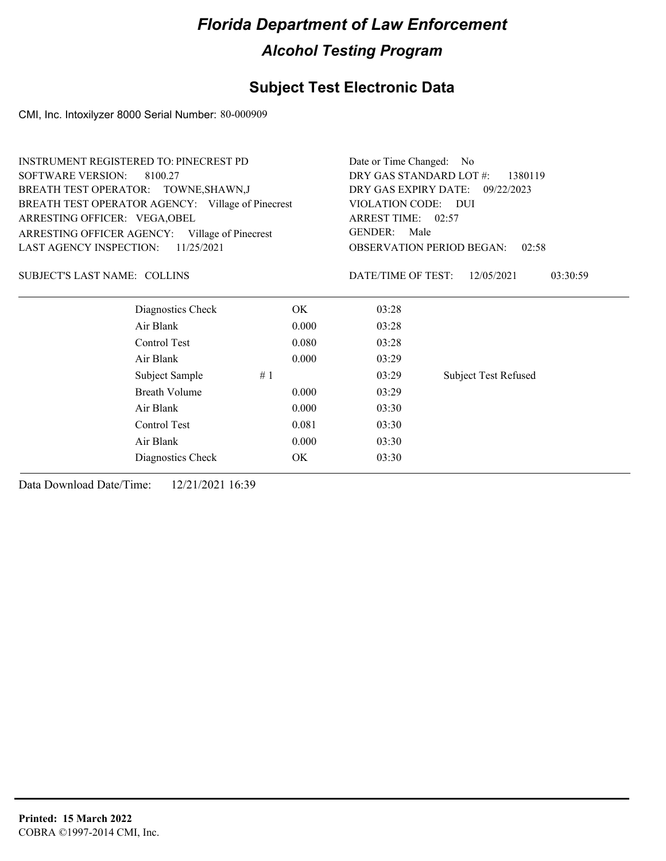### **Subject Test Electronic Data**

CMI, Inc. Intoxilyzer 8000 Serial Number: 80-000909

| <b>SOFTWARE VERSION:</b><br>DRY GAS STANDARD LOT #:<br>8100.27<br>1380119<br>DRY GAS EXPIRY DATE:<br>BREATH TEST OPERATOR: TOWNE, SHAWN, J<br>09/22/2023<br>BREATH TEST OPERATOR AGENCY: Village of Pinecrest<br>VIOLATION CODE:<br>– DUI<br>ARREST TIME: 02:57<br>ARRESTING OFFICER: VEGA, OBEL<br><b>GENDER:</b><br>Male<br>ARRESTING OFFICER AGENCY: Village of Pinecrest<br>LAST AGENCY INSPECTION:<br>11/25/2021<br><b>OBSERVATION PERIOD BEGAN:</b><br>02:58<br><b>SUBJECT'S LAST NAME: COLLINS</b><br>DATE/TIME OF TEST:<br>12/05/2021<br>03:30:59<br>Diagnostics Check<br>OK<br>03:28<br>Air Blank<br>0.000<br>03:28<br>Control Test<br>0.080<br>03:28<br>Air Blank<br>0.000<br>03:29<br><b>Subject Test Refused</b><br>Subject Sample<br>#1<br>03:29<br><b>Breath Volume</b><br>0.000<br>03:29<br>Air Blank<br>0.000<br>03:30<br>Control Test<br>0.081<br>03:30<br>Air Blank<br>0.000<br>03:30<br>Diagnostics Check<br>OK<br>03:30 | <b>INSTRUMENT REGISTERED TO: PINECREST PD</b> |  |  | Date or Time Changed:<br>- No |  |  |
|---------------------------------------------------------------------------------------------------------------------------------------------------------------------------------------------------------------------------------------------------------------------------------------------------------------------------------------------------------------------------------------------------------------------------------------------------------------------------------------------------------------------------------------------------------------------------------------------------------------------------------------------------------------------------------------------------------------------------------------------------------------------------------------------------------------------------------------------------------------------------------------------------------------------------------------------|-----------------------------------------------|--|--|-------------------------------|--|--|
|                                                                                                                                                                                                                                                                                                                                                                                                                                                                                                                                                                                                                                                                                                                                                                                                                                                                                                                                             |                                               |  |  |                               |  |  |
|                                                                                                                                                                                                                                                                                                                                                                                                                                                                                                                                                                                                                                                                                                                                                                                                                                                                                                                                             |                                               |  |  |                               |  |  |
|                                                                                                                                                                                                                                                                                                                                                                                                                                                                                                                                                                                                                                                                                                                                                                                                                                                                                                                                             |                                               |  |  |                               |  |  |
|                                                                                                                                                                                                                                                                                                                                                                                                                                                                                                                                                                                                                                                                                                                                                                                                                                                                                                                                             |                                               |  |  |                               |  |  |
|                                                                                                                                                                                                                                                                                                                                                                                                                                                                                                                                                                                                                                                                                                                                                                                                                                                                                                                                             |                                               |  |  |                               |  |  |
|                                                                                                                                                                                                                                                                                                                                                                                                                                                                                                                                                                                                                                                                                                                                                                                                                                                                                                                                             |                                               |  |  |                               |  |  |
|                                                                                                                                                                                                                                                                                                                                                                                                                                                                                                                                                                                                                                                                                                                                                                                                                                                                                                                                             |                                               |  |  |                               |  |  |
|                                                                                                                                                                                                                                                                                                                                                                                                                                                                                                                                                                                                                                                                                                                                                                                                                                                                                                                                             |                                               |  |  |                               |  |  |
|                                                                                                                                                                                                                                                                                                                                                                                                                                                                                                                                                                                                                                                                                                                                                                                                                                                                                                                                             |                                               |  |  |                               |  |  |
|                                                                                                                                                                                                                                                                                                                                                                                                                                                                                                                                                                                                                                                                                                                                                                                                                                                                                                                                             |                                               |  |  |                               |  |  |
|                                                                                                                                                                                                                                                                                                                                                                                                                                                                                                                                                                                                                                                                                                                                                                                                                                                                                                                                             |                                               |  |  |                               |  |  |
|                                                                                                                                                                                                                                                                                                                                                                                                                                                                                                                                                                                                                                                                                                                                                                                                                                                                                                                                             |                                               |  |  |                               |  |  |
|                                                                                                                                                                                                                                                                                                                                                                                                                                                                                                                                                                                                                                                                                                                                                                                                                                                                                                                                             |                                               |  |  |                               |  |  |
|                                                                                                                                                                                                                                                                                                                                                                                                                                                                                                                                                                                                                                                                                                                                                                                                                                                                                                                                             |                                               |  |  |                               |  |  |
|                                                                                                                                                                                                                                                                                                                                                                                                                                                                                                                                                                                                                                                                                                                                                                                                                                                                                                                                             |                                               |  |  |                               |  |  |
|                                                                                                                                                                                                                                                                                                                                                                                                                                                                                                                                                                                                                                                                                                                                                                                                                                                                                                                                             |                                               |  |  |                               |  |  |
|                                                                                                                                                                                                                                                                                                                                                                                                                                                                                                                                                                                                                                                                                                                                                                                                                                                                                                                                             |                                               |  |  |                               |  |  |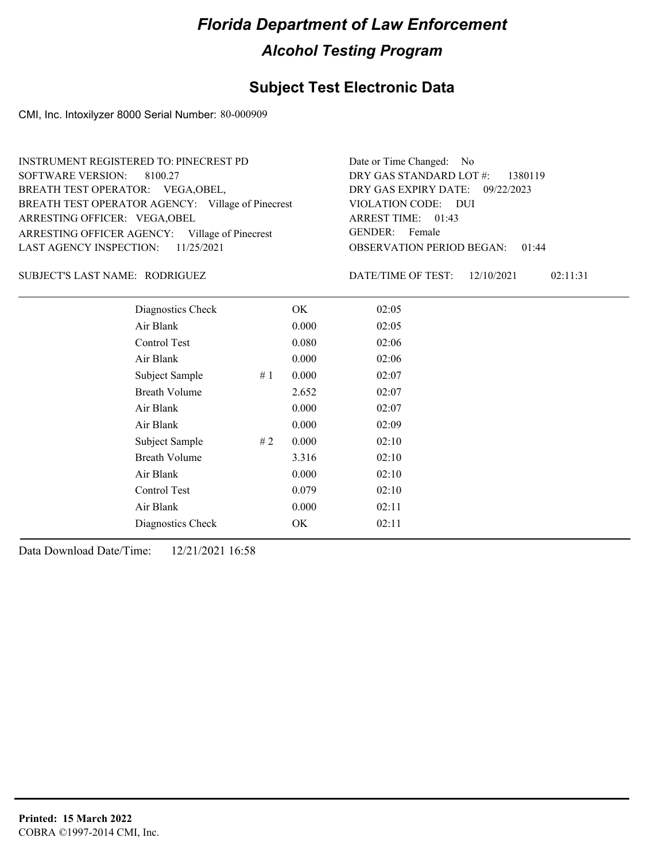### **Subject Test Electronic Data**

CMI, Inc. Intoxilyzer 8000 Serial Number: 80-000909

| INSTRUMENT REGISTERED TO: PINECREST PD            | Date or Time Changed: No               |
|---------------------------------------------------|----------------------------------------|
| SOFTWARE VERSION: 8100.27                         | DRY GAS STANDARD LOT $\#$ : 1380119    |
| BREATH TEST OPERATOR: VEGA, OBEL,                 | DRY GAS EXPIRY DATE: 09/22/2023        |
| BREATH TEST OPERATOR AGENCY: Village of Pinecrest | VIOLATION CODE: DUI                    |
| ARRESTING OFFICER: VEGA, OBEL                     | ARREST TIME: 01:43                     |
| ARRESTING OFFICER AGENCY: Village of Pinecrest    | GENDER: Female                         |
| LAST AGENCY INSPECTION: $11/25/2021$              | <b>OBSERVATION PERIOD BEGAN: 01:44</b> |

#### RODRIGUEZ SUBJECT'S LAST NAME: DATE/TIME OF TEST:

DATE/TIME OF TEST: 12/10/2021 02:11:31

| Diagnostics Check    |    | OK    | 02:05 |
|----------------------|----|-------|-------|
| Air Blank            |    | 0.000 | 02:05 |
| Control Test         |    | 0.080 | 02:06 |
| Air Blank            |    | 0.000 | 02:06 |
| Subject Sample       | #1 | 0.000 | 02:07 |
| <b>Breath Volume</b> |    | 2.652 | 02:07 |
| Air Blank            |    | 0.000 | 02:07 |
| Air Blank            |    | 0.000 | 02:09 |
| Subject Sample       | #2 | 0.000 | 02:10 |
| <b>Breath Volume</b> |    | 3.316 | 02:10 |
| Air Blank            |    | 0.000 | 02:10 |
| Control Test         |    | 0.079 | 02:10 |
| Air Blank            |    | 0.000 | 02:11 |
| Diagnostics Check    |    | OK.   | 02:11 |
|                      |    |       |       |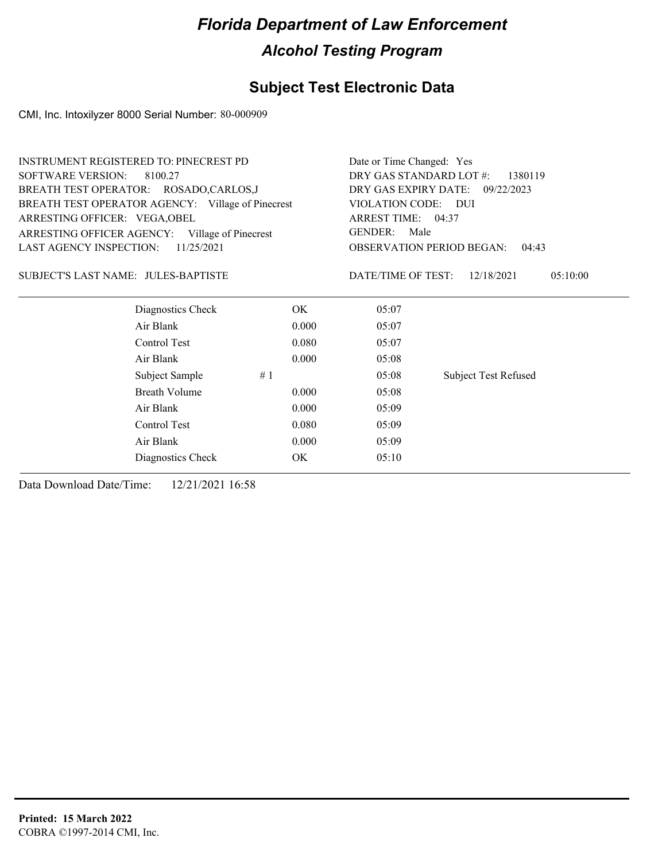### **Subject Test Electronic Data**

CMI, Inc. Intoxilyzer 8000 Serial Number: 80-000909

|                                     | <b>INSTRUMENT REGISTERED TO: PINECREST PD</b>     | Date or Time Changed: Yes          |                        |                                           |  |
|-------------------------------------|---------------------------------------------------|------------------------------------|------------------------|-------------------------------------------|--|
| <b>SOFTWARE VERSION:</b>            | 8100.27                                           | DRY GAS STANDARD LOT #:<br>1380119 |                        |                                           |  |
|                                     | BREATH TEST OPERATOR: ROSADO,CARLOS,J             | DRY GAS EXPIRY DATE:<br>09/22/2023 |                        |                                           |  |
|                                     | BREATH TEST OPERATOR AGENCY: Village of Pinecrest | VIOLATION CODE: DUI                |                        |                                           |  |
| ARRESTING OFFICER: VEGA, OBEL       |                                                   | ARREST TIME: 04:37                 |                        |                                           |  |
|                                     | ARRESTING OFFICER AGENCY: Village of Pinecrest    |                                    | <b>GENDER:</b><br>Male |                                           |  |
| LAST AGENCY INSPECTION:             | 11/25/2021                                        |                                    |                        | <b>OBSERVATION PERIOD BEGAN:</b><br>04:43 |  |
| SUBJECT'S LAST NAME: JULES-BAPTISTE |                                                   |                                    | DATE/TIME OF TEST:     | 12/18/2021<br>05:10:00                    |  |
|                                     | Diagnostics Check                                 | OK                                 | 05:07                  |                                           |  |
|                                     | Air Blank                                         | 0.000                              | 05:07                  |                                           |  |
|                                     | Control Test                                      | 0.080                              | 05:07                  |                                           |  |
|                                     | Air Blank                                         | 0.000                              | 05:08                  |                                           |  |
|                                     | Subject Sample                                    | #1                                 | 05:08                  | <b>Subject Test Refused</b>               |  |
|                                     | <b>Breath Volume</b>                              | 0.000                              | 05:08                  |                                           |  |
|                                     | Air Blank                                         | 0.000                              | 05:09                  |                                           |  |
|                                     | Control Test                                      | 0.080                              | 05:09                  |                                           |  |
|                                     | Air Blank                                         | 0.000                              | 05:09                  |                                           |  |
|                                     | Diagnostics Check                                 | OK                                 | 05:10                  |                                           |  |
|                                     |                                                   |                                    |                        |                                           |  |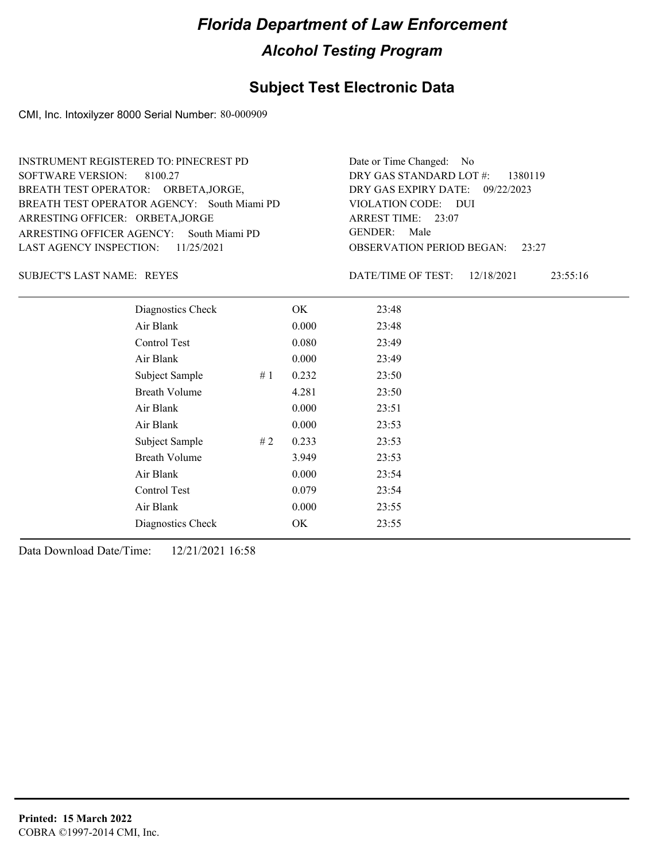#### **Subject Test Electronic Data**

CMI, Inc. Intoxilyzer 8000 Serial Number: 80-000909

OBSERVATION PERIOD BEGAN: 23:27 ARRESTING OFFICER AGENCY: GENDER: South Miami PD BREATH TEST OPERATOR AGENCY: South Miami PD VIOLATION CODE: SOFTWARE VERSION: 8100.27 VIOLATION CODE: DUI 23:07 ARREST TIME: ARRESTING OFFICER: ORBETA,JORGE 09/22/2023 DRY GAS EXPIRY DATE: DRY GAS STANDARD LOT #: 1380119 BREATH TEST OPERATOR: ORBETA,JORGE, LAST AGENCY INSPECTION: 11/25/2021 INSTRUMENT REGISTERED TO: PINECREST PD Date or Time Changed: No GENDER: Male

SUBJECT'S LAST NAME: REYES **EXECUTE:** DATE/TIME OF TEST:

DATE/TIME OF TEST: 12/18/2021 23:55:16

| Diagnostics Check    |    | OK    | 23:48 |
|----------------------|----|-------|-------|
| Air Blank            |    | 0.000 | 23:48 |
| Control Test         |    | 0.080 | 23:49 |
| Air Blank            |    | 0.000 | 23:49 |
| Subject Sample       | #1 | 0.232 | 23:50 |
| <b>Breath Volume</b> |    | 4.281 | 23:50 |
| Air Blank            |    | 0.000 | 23:51 |
| Air Blank            |    | 0.000 | 23:53 |
| Subject Sample       | #2 | 0.233 | 23:53 |
| <b>Breath Volume</b> |    | 3.949 | 23:53 |
| Air Blank            |    | 0.000 | 23:54 |
| Control Test         |    | 0.079 | 23:54 |
| Air Blank            |    | 0.000 | 23:55 |
| Diagnostics Check    |    | OK    | 23:55 |
|                      |    |       |       |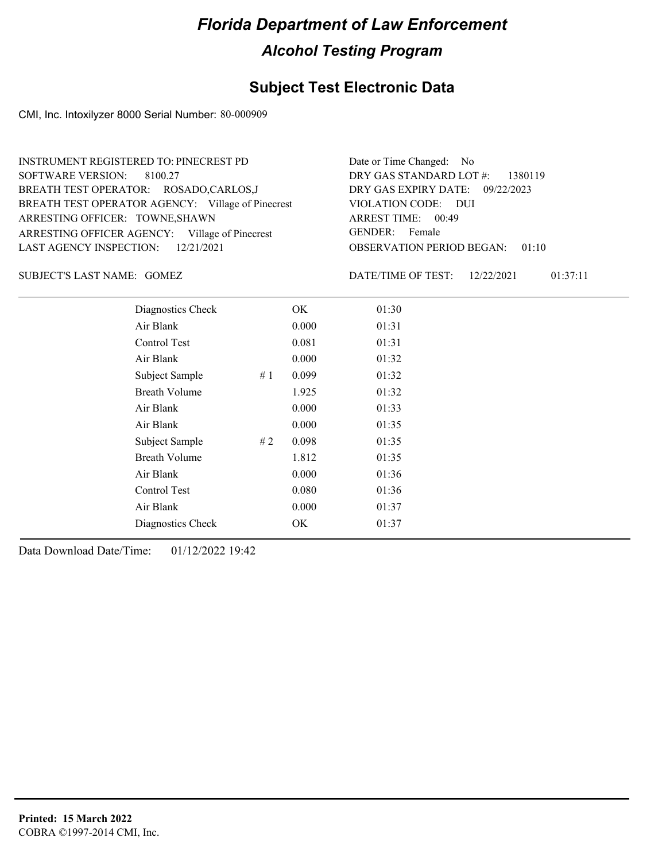### **Subject Test Electronic Data**

CMI, Inc. Intoxilyzer 8000 Serial Number: 80-000909

| <b>INSTRUMENT REGISTERED TO: PINECREST PD</b>     | Date or Time Changed: No               |
|---------------------------------------------------|----------------------------------------|
| SOFTWARE VERSION: 8100.27                         | DRY GAS STANDARD LOT $\#$ : 1380119    |
| BREATH TEST OPERATOR: ROSADO,CARLOS,J             | DRY GAS EXPIRY DATE: 09/22/2023        |
| BREATH TEST OPERATOR AGENCY: Village of Pinecrest | VIOLATION CODE: DUI                    |
| ARRESTING OFFICER: TOWNE, SHAWN                   | ARREST TIME: 00:49                     |
| ARRESTING OFFICER AGENCY: Village of Pinecrest    | GENDER: Female                         |
| LAST AGENCY INSPECTION: 12/21/2021                | <b>OBSERVATION PERIOD BEGAN: 01:10</b> |
|                                                   |                                        |

GOMEZ SUBJECT'S LAST NAME: DATE/TIME OF TEST:

DATE/TIME OF TEST: 12/22/2021 01:37:11

| Diagnostics Check    |    | OK    | 01:30 |
|----------------------|----|-------|-------|
| Air Blank            |    | 0.000 | 01:31 |
| Control Test         |    | 0.081 | 01:31 |
| Air Blank            |    | 0.000 | 01:32 |
| Subject Sample       | #1 | 0.099 | 01:32 |
| <b>Breath Volume</b> |    | 1.925 | 01:32 |
| Air Blank            |    | 0.000 | 01:33 |
| Air Blank            |    | 0.000 | 01:35 |
| Subject Sample       | #2 | 0.098 | 01:35 |
| <b>Breath Volume</b> |    | 1.812 | 01:35 |
| Air Blank            |    | 0.000 | 01:36 |
| Control Test         |    | 0.080 | 01:36 |
| Air Blank            |    | 0.000 | 01:37 |
| Diagnostics Check    |    | OK    | 01:37 |
|                      |    |       |       |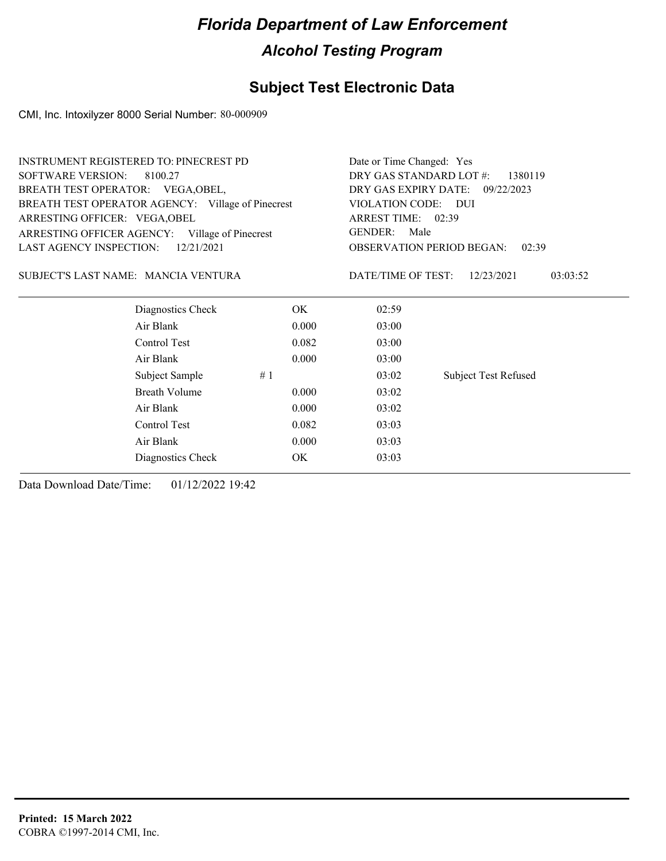### **Subject Test Electronic Data**

CMI, Inc. Intoxilyzer 8000 Serial Number: 80-000909

| <b>SOFTWARE VERSION:</b><br>DRY GAS STANDARD LOT #:<br>8100.27<br>1380119<br>BREATH TEST OPERATOR: VEGA, OBEL,<br>DRY GAS EXPIRY DATE:<br>09/22/2023<br>BREATH TEST OPERATOR AGENCY: Village of Pinecrest<br>VIOLATION CODE: DUI<br>ARREST TIME: 02:39<br>ARRESTING OFFICER: VEGA, OBEL<br><b>GENDER:</b><br>Male<br>ARRESTING OFFICER AGENCY: Village of Pinecrest<br><b>LAST AGENCY INSPECTION:</b><br>12/21/2021<br><b>OBSERVATION PERIOD BEGAN:</b><br>02:39<br>SUBJECT'S LAST NAME: MANCIA VENTURA<br>DATE/TIME OF TEST:<br>03:03:52<br>12/23/2021<br>Diagnostics Check<br>OK.<br>02:59<br>Air Blank<br>0.000<br>03:00<br>Control Test<br>0.082<br>03:00<br>Air Blank<br>0.000<br>03:00<br>Subject Sample<br>03:02<br><b>Subject Test Refused</b><br>#1<br>Breath Volume<br>0.000<br>03:02<br>Air Blank<br>0.000<br>03:02<br>Control Test<br>0.082<br>03:03<br>Air Blank<br>0.000<br>03:03<br>OK<br>03:03<br>Diagnostics Check | <b>INSTRUMENT REGISTERED TO: PINECREST PD</b> |  | Date or Time Changed: Yes |  |  |  |
|-------------------------------------------------------------------------------------------------------------------------------------------------------------------------------------------------------------------------------------------------------------------------------------------------------------------------------------------------------------------------------------------------------------------------------------------------------------------------------------------------------------------------------------------------------------------------------------------------------------------------------------------------------------------------------------------------------------------------------------------------------------------------------------------------------------------------------------------------------------------------------------------------------------------------------------|-----------------------------------------------|--|---------------------------|--|--|--|
|                                                                                                                                                                                                                                                                                                                                                                                                                                                                                                                                                                                                                                                                                                                                                                                                                                                                                                                                     |                                               |  |                           |  |  |  |
|                                                                                                                                                                                                                                                                                                                                                                                                                                                                                                                                                                                                                                                                                                                                                                                                                                                                                                                                     |                                               |  |                           |  |  |  |
|                                                                                                                                                                                                                                                                                                                                                                                                                                                                                                                                                                                                                                                                                                                                                                                                                                                                                                                                     |                                               |  |                           |  |  |  |
|                                                                                                                                                                                                                                                                                                                                                                                                                                                                                                                                                                                                                                                                                                                                                                                                                                                                                                                                     |                                               |  |                           |  |  |  |
|                                                                                                                                                                                                                                                                                                                                                                                                                                                                                                                                                                                                                                                                                                                                                                                                                                                                                                                                     |                                               |  |                           |  |  |  |
|                                                                                                                                                                                                                                                                                                                                                                                                                                                                                                                                                                                                                                                                                                                                                                                                                                                                                                                                     |                                               |  |                           |  |  |  |
|                                                                                                                                                                                                                                                                                                                                                                                                                                                                                                                                                                                                                                                                                                                                                                                                                                                                                                                                     |                                               |  |                           |  |  |  |
|                                                                                                                                                                                                                                                                                                                                                                                                                                                                                                                                                                                                                                                                                                                                                                                                                                                                                                                                     |                                               |  |                           |  |  |  |
|                                                                                                                                                                                                                                                                                                                                                                                                                                                                                                                                                                                                                                                                                                                                                                                                                                                                                                                                     |                                               |  |                           |  |  |  |
|                                                                                                                                                                                                                                                                                                                                                                                                                                                                                                                                                                                                                                                                                                                                                                                                                                                                                                                                     |                                               |  |                           |  |  |  |
|                                                                                                                                                                                                                                                                                                                                                                                                                                                                                                                                                                                                                                                                                                                                                                                                                                                                                                                                     |                                               |  |                           |  |  |  |
|                                                                                                                                                                                                                                                                                                                                                                                                                                                                                                                                                                                                                                                                                                                                                                                                                                                                                                                                     |                                               |  |                           |  |  |  |
|                                                                                                                                                                                                                                                                                                                                                                                                                                                                                                                                                                                                                                                                                                                                                                                                                                                                                                                                     |                                               |  |                           |  |  |  |
|                                                                                                                                                                                                                                                                                                                                                                                                                                                                                                                                                                                                                                                                                                                                                                                                                                                                                                                                     |                                               |  |                           |  |  |  |
|                                                                                                                                                                                                                                                                                                                                                                                                                                                                                                                                                                                                                                                                                                                                                                                                                                                                                                                                     |                                               |  |                           |  |  |  |
|                                                                                                                                                                                                                                                                                                                                                                                                                                                                                                                                                                                                                                                                                                                                                                                                                                                                                                                                     |                                               |  |                           |  |  |  |
|                                                                                                                                                                                                                                                                                                                                                                                                                                                                                                                                                                                                                                                                                                                                                                                                                                                                                                                                     |                                               |  |                           |  |  |  |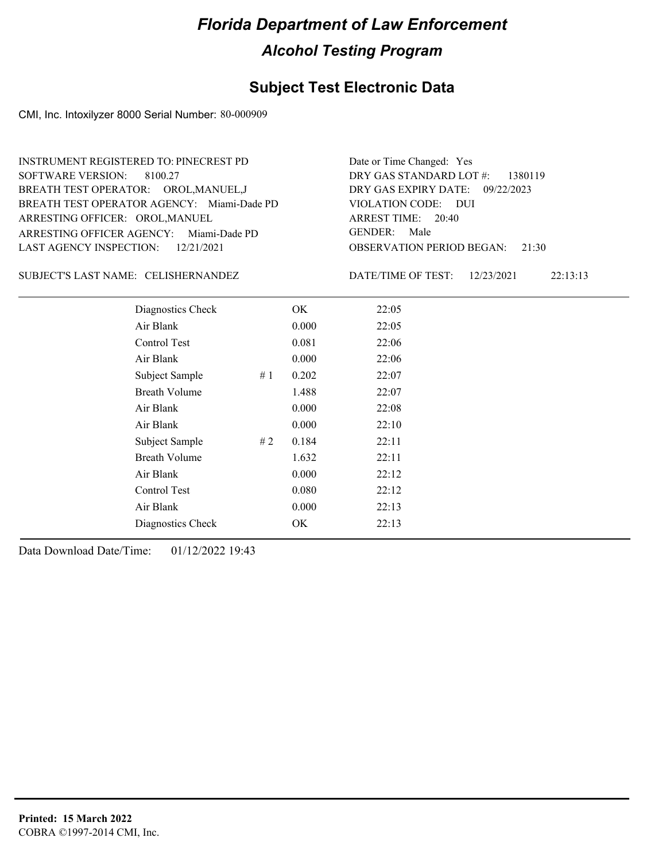### **Subject Test Electronic Data**

CMI, Inc. Intoxilyzer 8000 Serial Number: 80-000909

| <b>INSTRUMENT REGISTERED TO: PINECREST PD</b><br>SOFTWARE VERSION: 8100.27 | Date or Time Changed: Yes<br>DRY GAS STANDARD LOT $#$ : 1380119 |
|----------------------------------------------------------------------------|-----------------------------------------------------------------|
| BREATH TEST OPERATOR: OROL, MANUEL, J                                      | DRY GAS EXPIRY DATE: $09/22/2023$                               |
| BREATH TEST OPERATOR AGENCY: Miami-Dade PD                                 | VIOLATION CODE: DUI                                             |
| ARRESTING OFFICER: OROL, MANUEL                                            | ARREST TIME: 20:40                                              |
| ARRESTING OFFICER AGENCY: Miami-Dade PD                                    | GENDER: Male                                                    |
| LAST AGENCY INSPECTION: $12/21/2021$                                       | <b>OBSERVATION PERIOD BEGAN: 21:30</b>                          |

#### SUBJECT'S LAST NAME: CELISHERNANDEZ DATE/TIME OF TEST:

DATE/TIME OF TEST: 12/23/2021 22:13:13

| Diagnostics Check    |    | OK    | 22:05 |  |
|----------------------|----|-------|-------|--|
| Air Blank            |    | 0.000 | 22:05 |  |
| Control Test         |    | 0.081 | 22:06 |  |
| Air Blank            |    | 0.000 | 22:06 |  |
| Subject Sample       | #1 | 0.202 | 22:07 |  |
| <b>Breath Volume</b> |    | 1.488 | 22:07 |  |
| Air Blank            |    | 0.000 | 22:08 |  |
| Air Blank            |    | 0.000 | 22:10 |  |
| Subject Sample       | #2 | 0.184 | 22:11 |  |
| <b>Breath Volume</b> |    | 1.632 | 22:11 |  |
| Air Blank            |    | 0.000 | 22:12 |  |
| Control Test         |    | 0.080 | 22:12 |  |
| Air Blank            |    | 0.000 | 22:13 |  |
| Diagnostics Check    |    | OK    | 22:13 |  |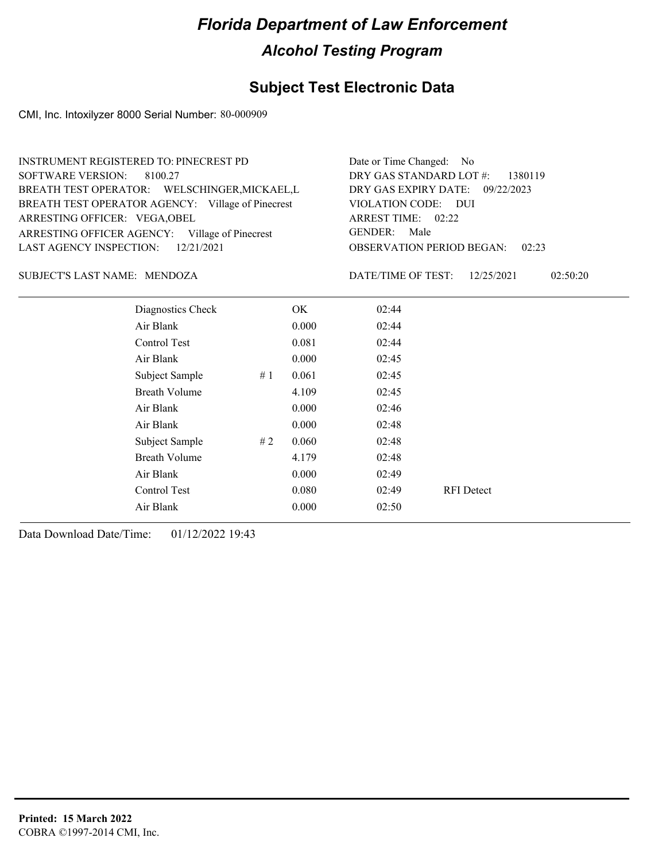### **Subject Test Electronic Data**

CMI, Inc. Intoxilyzer 8000 Serial Number: 80-000909

| <b>INSTRUMENT REGISTERED TO: PINECREST PD</b>     | Date or Time Changed: No                     |
|---------------------------------------------------|----------------------------------------------|
| SOFTWARE VERSION: 8100.27                         | DRY GAS STANDARD LOT #:<br>1380119           |
| BREATH TEST OPERATOR: WELSCHINGER, MICKAEL, L     | DRY GAS EXPIRY DATE: 09/22/2023              |
| BREATH TEST OPERATOR AGENCY: Village of Pinecrest | VIOLATION CODE: DUI                          |
| ARRESTING OFFICER: VEGA, OBEL                     | ARREST TIME: 02:22                           |
| ARRESTING OFFICER AGENCY:<br>Village of Pinecrest | <b>GENDER:</b><br>Male                       |
| LAST AGENCY INSPECTION: 12/21/2021                | <b>OBSERVATION PERIOD BEGAN:</b><br>02:23    |
| SUBJECT'S LAST NAME: MENDOZA                      | 02:50:20<br>DATE/TIME OF TEST:<br>12/25/2021 |
| Diagnostics Check<br>OК                           | 02:44                                        |

| Diagnostics Check    |    | OK.   | 02:44 |                   |
|----------------------|----|-------|-------|-------------------|
| Air Blank            |    | 0.000 | 02:44 |                   |
| Control Test         |    | 0.081 | 02:44 |                   |
| Air Blank            |    | 0.000 | 02:45 |                   |
| Subject Sample       | #1 | 0.061 | 02:45 |                   |
| <b>Breath Volume</b> |    | 4.109 | 02:45 |                   |
| Air Blank            |    | 0.000 | 02:46 |                   |
| Air Blank            |    | 0.000 | 02:48 |                   |
| Subject Sample       | #2 | 0.060 | 02:48 |                   |
| <b>Breath Volume</b> |    | 4.179 | 02:48 |                   |
| Air Blank            |    | 0.000 | 02:49 |                   |
| Control Test         |    | 0.080 | 02:49 | <b>RFI</b> Detect |
| Air Blank            |    | 0.000 | 02:50 |                   |
|                      |    |       |       |                   |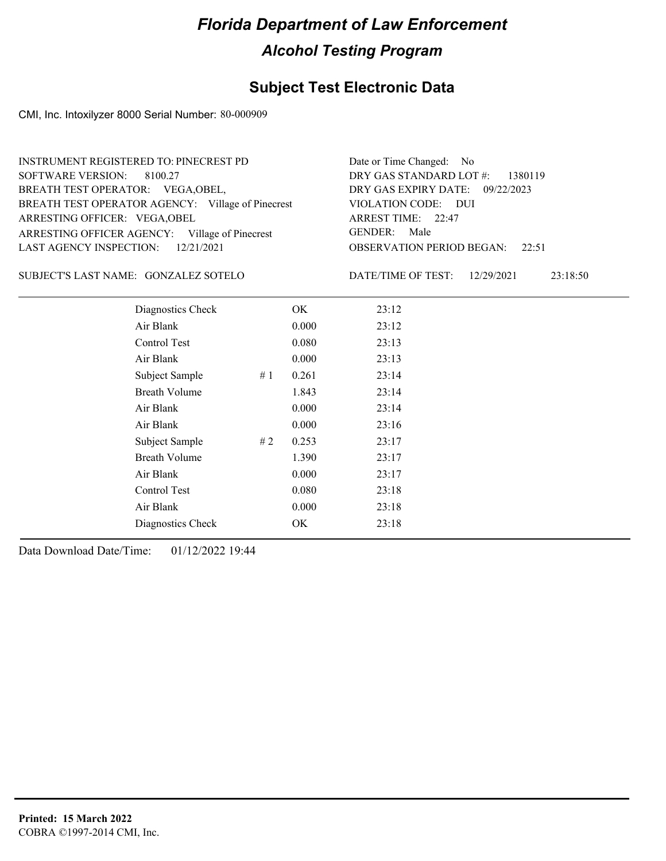### **Subject Test Electronic Data**

CMI, Inc. Intoxilyzer 8000 Serial Number: 80-000909

| INSTRUMENT REGISTERED TO: PINECREST PD            | Date or Time Changed: No               |
|---------------------------------------------------|----------------------------------------|
| SOFTWARE VERSION: 8100.27                         | DRY GAS STANDARD LOT $\#$ : 1380119    |
| BREATH TEST OPERATOR: VEGA, OBEL,                 | DRY GAS EXPIRY DATE: 09/22/2023        |
| BREATH TEST OPERATOR AGENCY: Village of Pinecrest | VIOLATION CODE: DUI                    |
| ARRESTING OFFICER: VEGA, OBEL                     | ARREST TIME: 22:47                     |
| ARRESTING OFFICER AGENCY: Village of Pinecrest    | GENDER: Male                           |
| LAST AGENCY INSPECTION: 12/21/2021                | <b>OBSERVATION PERIOD BEGAN:</b> 22:51 |
|                                                   |                                        |

#### SUBJECT'S LAST NAME: GONZALEZ SOTELO DATE/TIME OF TEST:

DATE/TIME OF TEST: 12/29/2021 23:18:50

| Diagnostics Check    |    | OK    | 23:12 |
|----------------------|----|-------|-------|
| Air Blank            |    | 0.000 | 23:12 |
| Control Test         |    | 0.080 | 23:13 |
| Air Blank            |    | 0.000 | 23:13 |
| Subject Sample       | #1 | 0.261 | 23:14 |
| <b>Breath Volume</b> |    | 1.843 | 23:14 |
| Air Blank            |    | 0.000 | 23:14 |
| Air Blank            |    | 0.000 | 23:16 |
| Subject Sample       | #2 | 0.253 | 23:17 |
| <b>Breath Volume</b> |    | 1.390 | 23:17 |
| Air Blank            |    | 0.000 | 23:17 |
| Control Test         |    | 0.080 | 23:18 |
| Air Blank            |    | 0.000 | 23:18 |
| Diagnostics Check    |    | OK    | 23:18 |
|                      |    |       |       |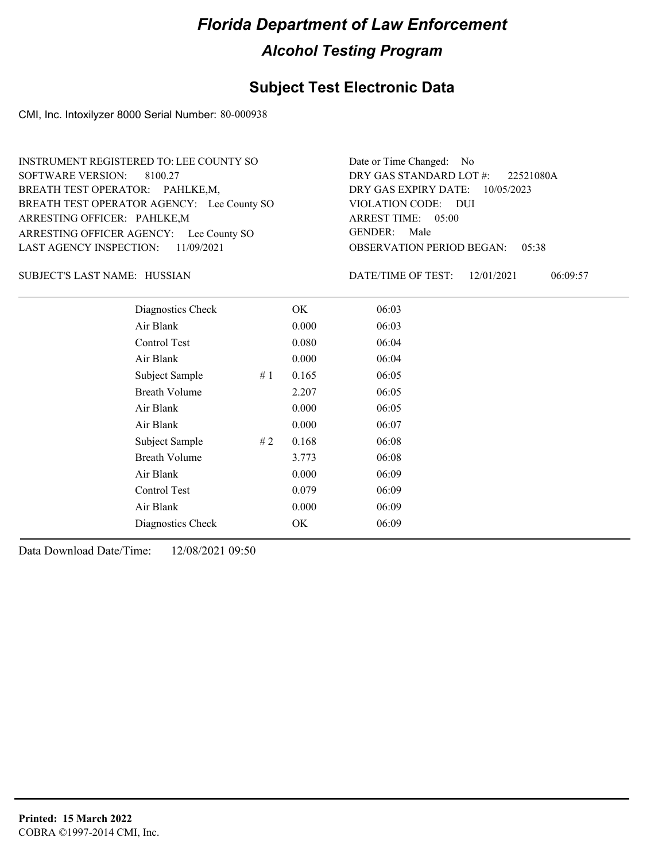#### **Subject Test Electronic Data**

CMI, Inc. Intoxilyzer 8000 Serial Number: 80-000938

ARRESTING OFFICER AGENCY: Lee County SO GENDER: BREATH TEST OPERATOR AGENCY: Lee County SO VIOLATION CODE: SOFTWARE VERSION: 8100.27 ARRESTING OFFICER: PAHLKE,M BREATH TEST OPERATOR: PAHLKE,M, LAST AGENCY INSPECTION: 11/09/2021 INSTRUMENT REGISTERED TO: LEE COUNTY SO

OBSERVATION PERIOD BEGAN: 05:38 VIOLATION CODE: DUI ARREST TIME: 05:00 DRY GAS EXPIRY DATE: 10/05/2023 22521080A DRY GAS STANDARD LOT #: Date or Time Changed: No GENDER: Male

HUSSIAN SUBJECT'S LAST NAME: DATE/TIME OF TEST:

DATE/TIME OF TEST: 12/01/2021 06:09:57

| Diagnostics Check    |     | OK    | 06:03 |  |
|----------------------|-----|-------|-------|--|
| Air Blank            |     | 0.000 | 06:03 |  |
| Control Test         |     | 0.080 | 06:04 |  |
| Air Blank            |     | 0.000 | 06:04 |  |
| Subject Sample       | #1  | 0.165 | 06:05 |  |
| <b>Breath Volume</b> |     | 2.207 | 06:05 |  |
| Air Blank            |     | 0.000 | 06:05 |  |
| Air Blank            |     | 0.000 | 06:07 |  |
| Subject Sample       | # 2 | 0.168 | 06:08 |  |
| <b>Breath Volume</b> |     | 3.773 | 06:08 |  |
| Air Blank            |     | 0.000 | 06:09 |  |
| Control Test         |     | 0.079 | 06:09 |  |
| Air Blank            |     | 0.000 | 06:09 |  |
| Diagnostics Check    |     | OK.   | 06:09 |  |
|                      |     |       |       |  |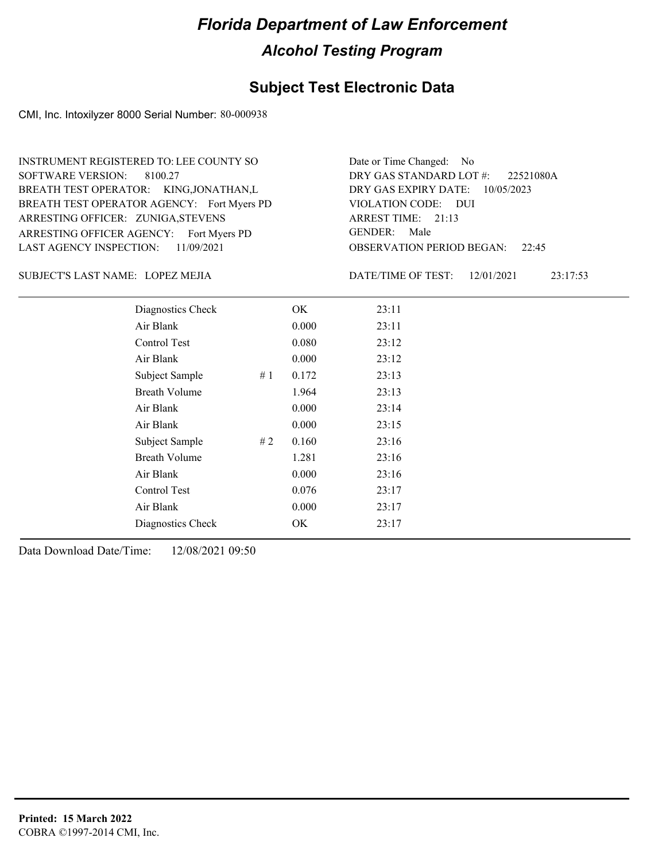#### **Subject Test Electronic Data**

CMI, Inc. Intoxilyzer 8000 Serial Number: 80-000938

ARRESTING OFFICER AGENCY: Fort Myers PD GENDER: BREATH TEST OPERATOR AGENCY: Fort Myers PD VIOLATION CODE: SOFTWARE VERSION: 8100.27 ARRESTING OFFICER: ZUNIGA, STEVENS BREATH TEST OPERATOR: KING,JONATHAN,L LAST AGENCY INSPECTION: 11/09/2021 INSTRUMENT REGISTERED TO: LEE COUNTY SO

OBSERVATION PERIOD BEGAN: 22:45 VIOLATION CODE: DUI ARREST TIME: 21:13 DRY GAS EXPIRY DATE: 10/05/2023 22521080A DRY GAS STANDARD LOT #: Date or Time Changed: No GENDER: Male

LOPEZ MEJIA SUBJECT'S LAST NAME: DATE/TIME OF TEST:

DATE/TIME OF TEST: 12/01/2021 23:17:53

| Diagnostics Check    |    | OK    | 23:11 |
|----------------------|----|-------|-------|
| Air Blank            |    | 0.000 | 23:11 |
| Control Test         |    | 0.080 | 23:12 |
| Air Blank            |    | 0.000 | 23:12 |
| Subject Sample       | #1 | 0.172 | 23:13 |
| <b>Breath Volume</b> |    | 1.964 | 23:13 |
| Air Blank            |    | 0.000 | 23:14 |
| Air Blank            |    | 0.000 | 23:15 |
| Subject Sample       | #2 | 0.160 | 23:16 |
| <b>Breath Volume</b> |    | 1.281 | 23:16 |
| Air Blank            |    | 0.000 | 23:16 |
| Control Test         |    | 0.076 | 23:17 |
| Air Blank            |    | 0.000 | 23:17 |
| Diagnostics Check    |    | OK    | 23:17 |
|                      |    |       |       |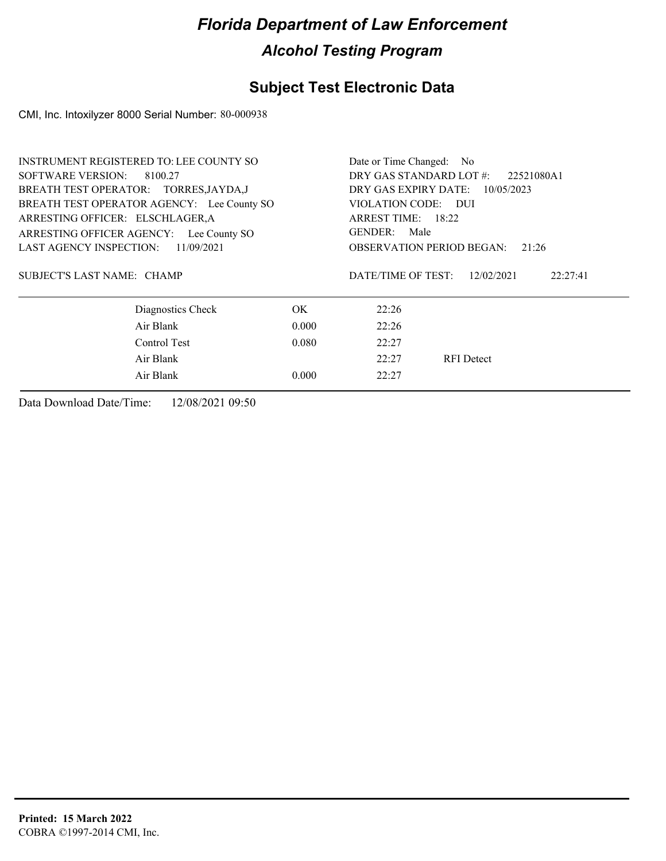### **Subject Test Electronic Data**

CMI, Inc. Intoxilyzer 8000 Serial Number: 80-000938

| <b>INSTRUMENT REGISTERED TO: LEE COUNTY SO</b> | Date or Time Changed: No              |                                              |  |  |
|------------------------------------------------|---------------------------------------|----------------------------------------------|--|--|
| SOFTWARE VERSION:<br>8100.27                   | DRY GAS STANDARD LOT #:<br>22521080A1 |                                              |  |  |
| BREATH TEST OPERATOR: TORRES, JAYDA, J         | DRY GAS EXPIRY DATE:<br>10/05/2023    |                                              |  |  |
| BREATH TEST OPERATOR AGENCY: Lee County SO     |                                       | VIOLATION CODE: DUI                          |  |  |
| ARRESTING OFFICER: ELSCHLAGER, A               |                                       | ARREST TIME: 18:22                           |  |  |
| ARRESTING OFFICER AGENCY: Lee County SO        |                                       | GENDER:<br>Male                              |  |  |
| <b>LAST AGENCY INSPECTION:</b><br>11/09/2021   |                                       | <b>OBSERVATION PERIOD BEGAN:</b><br>21:26    |  |  |
|                                                |                                       |                                              |  |  |
| SUBJECT'S LAST NAME: CHAMP                     |                                       | DATE/TIME OF TEST:<br>12/02/2021<br>22:27:41 |  |  |
|                                                |                                       |                                              |  |  |
| Diagnostics Check                              | OK.                                   | 22:26                                        |  |  |
| Air Blank                                      | 0.000                                 | 22:26                                        |  |  |
| Control Test                                   | 0.080                                 | 22:27                                        |  |  |
| Air Blank                                      |                                       | 22:27<br><b>RFI</b> Detect                   |  |  |
| Air Blank                                      | 0.000                                 | 22:27                                        |  |  |
|                                                |                                       |                                              |  |  |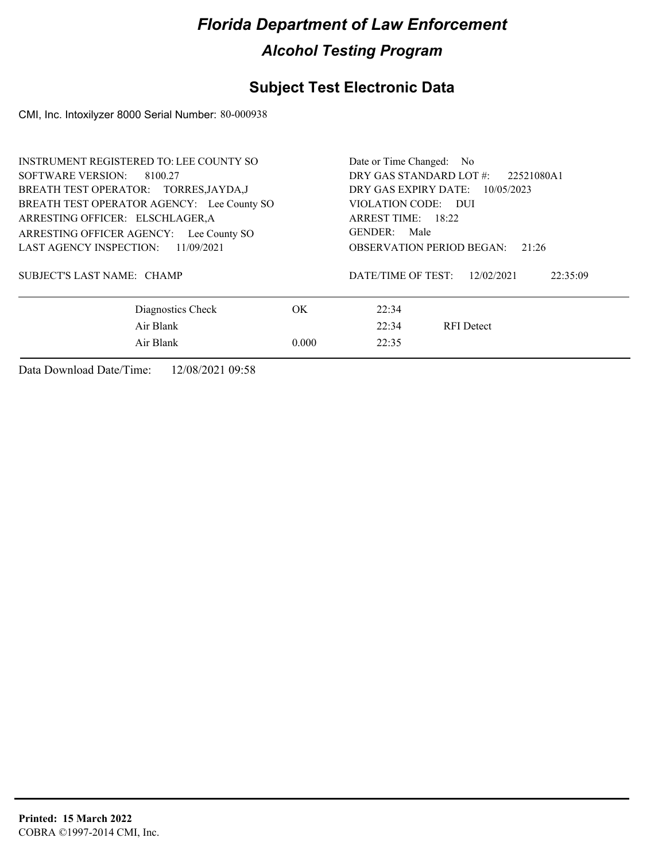### **Subject Test Electronic Data**

CMI, Inc. Intoxilyzer 8000 Serial Number: 80-000938

| <b>INSTRUMENT REGISTERED TO: LEE COUNTY SO</b><br>SOFTWARE VERSION: 8100.27<br>BREATH TEST OPERATOR: TORRES, JAYDA, J |       | Date or Time Changed: No<br>DRY GAS STANDARD LOT #:<br>22521080A1<br>DRY GAS EXPIRY DATE:<br>10/05/2023 |  |  |
|-----------------------------------------------------------------------------------------------------------------------|-------|---------------------------------------------------------------------------------------------------------|--|--|
| BREATH TEST OPERATOR AGENCY: Lee County SO<br>ARRESTING OFFICER: ELSCHLAGER, A                                        |       | VIOLATION CODE: DUI<br>ARREST TIME: 18:22                                                               |  |  |
| ARRESTING OFFICER AGENCY: Lee County SO<br>LAST AGENCY INSPECTION:<br>11/09/2021                                      |       | GENDER: Male<br><b>OBSERVATION PERIOD BEGAN:</b><br>21:26                                               |  |  |
| SUBJECT'S LAST NAME: CHAMP                                                                                            |       | DATE/TIME OF TEST:<br>12/02/2021<br>22:35:09                                                            |  |  |
| Diagnostics Check                                                                                                     | OK.   | 22:34                                                                                                   |  |  |
| Air Blank                                                                                                             |       | 22:34<br><b>RFI</b> Detect                                                                              |  |  |
| Air Blank                                                                                                             | 0.000 | 22:35                                                                                                   |  |  |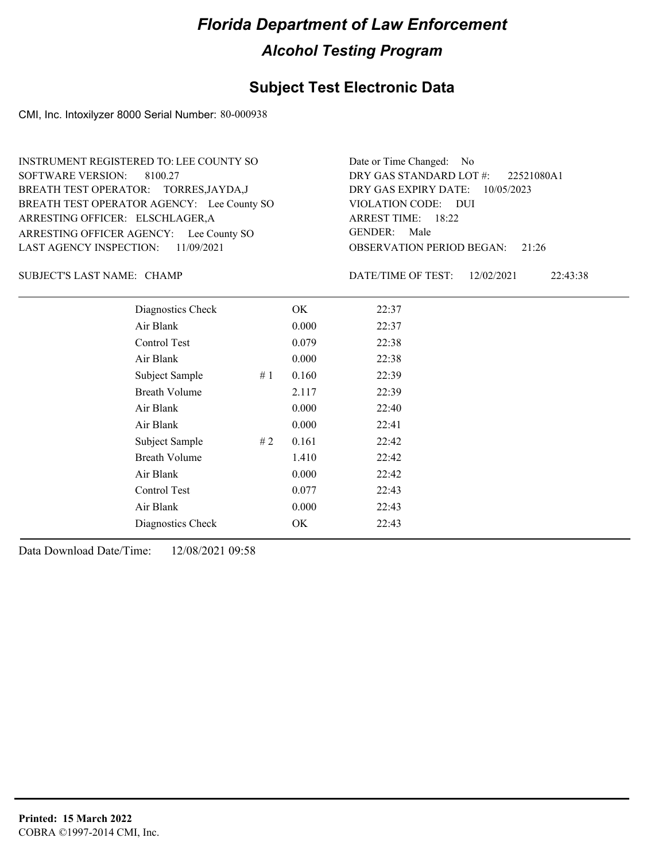#### **Subject Test Electronic Data**

CMI, Inc. Intoxilyzer 8000 Serial Number: 80-000938

ARRESTING OFFICER AGENCY: Lee County SO GENDER: BREATH TEST OPERATOR AGENCY: Lee County SO VIOLATION CODE: SOFTWARE VERSION: 8100.27 ARRESTING OFFICER: ELSCHLAGER, A BREATH TEST OPERATOR: TORRES,JAYDA,J LAST AGENCY INSPECTION: 11/09/2021 INSTRUMENT REGISTERED TO: LEE COUNTY SO

OBSERVATION PERIOD BEGAN: 21:26 VIOLATION CODE: DUI 18:22 ARREST TIME: DRY GAS EXPIRY DATE: 10/05/2023 22521080A1 DRY GAS STANDARD LOT #: Date or Time Changed: No GENDER: Male

CHAMP SUBJECT'S LAST NAME: DATE/TIME OF TEST:

DATE/TIME OF TEST: 12/02/2021 22:43:38

| Diagnostics Check    |    | OK    | 22:37 |
|----------------------|----|-------|-------|
| Air Blank            |    | 0.000 | 22:37 |
| Control Test         |    | 0.079 | 22:38 |
| Air Blank            |    | 0.000 | 22:38 |
| Subject Sample       | #1 | 0.160 | 22:39 |
| <b>Breath Volume</b> |    | 2.117 | 22:39 |
| Air Blank            |    | 0.000 | 22:40 |
| Air Blank            |    | 0.000 | 22:41 |
| Subject Sample       | #2 | 0.161 | 22:42 |
| <b>Breath Volume</b> |    | 1.410 | 22:42 |
| Air Blank            |    | 0.000 | 22:42 |
| Control Test         |    | 0.077 | 22:43 |
| Air Blank            |    | 0.000 | 22:43 |
| Diagnostics Check    |    | OK    | 22:43 |
|                      |    |       |       |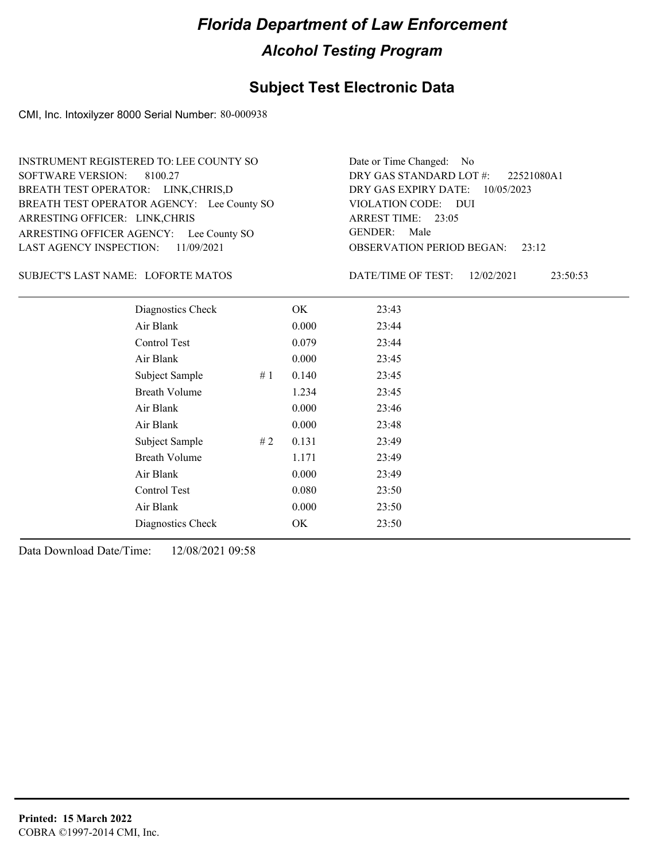#### **Subject Test Electronic Data**

CMI, Inc. Intoxilyzer 8000 Serial Number: 80-000938

ARRESTING OFFICER AGENCY: Lee County SO GENDER: BREATH TEST OPERATOR AGENCY: Lee County SO VIOLATION CODE: SOFTWARE VERSION: 8100.27 ARRESTING OFFICER: LINK,CHRIS BREATH TEST OPERATOR: LINK,CHRIS,D LAST AGENCY INSPECTION: 11/09/2021 INSTRUMENT REGISTERED TO: LEE COUNTY SO

OBSERVATION PERIOD BEGAN: 23:12 VIOLATION CODE: DUI 23:05 ARREST TIME: DRY GAS EXPIRY DATE: 10/05/2023 22521080A1 DRY GAS STANDARD LOT #: Date or Time Changed: No GENDER: Male

LOFORTE MATOS SUBJECT'S LAST NAME: DATE/TIME OF TEST:

DATE/TIME OF TEST: 12/02/2021 23:50:53

| Diagnostics Check    |    | OK    | 23:43 |
|----------------------|----|-------|-------|
| Air Blank            |    | 0.000 | 23:44 |
| Control Test         |    | 0.079 | 23:44 |
| Air Blank            |    | 0.000 | 23:45 |
| Subject Sample       | #1 | 0.140 | 23:45 |
| <b>Breath Volume</b> |    | 1.234 | 23:45 |
| Air Blank            |    | 0.000 | 23:46 |
| Air Blank            |    | 0.000 | 23:48 |
| Subject Sample       | #2 | 0.131 | 23:49 |
| <b>Breath Volume</b> |    | 1.171 | 23:49 |
| Air Blank            |    | 0.000 | 23:49 |
| Control Test         |    | 0.080 | 23:50 |
| Air Blank            |    | 0.000 | 23:50 |
| Diagnostics Check    |    | OK    | 23:50 |
|                      |    |       |       |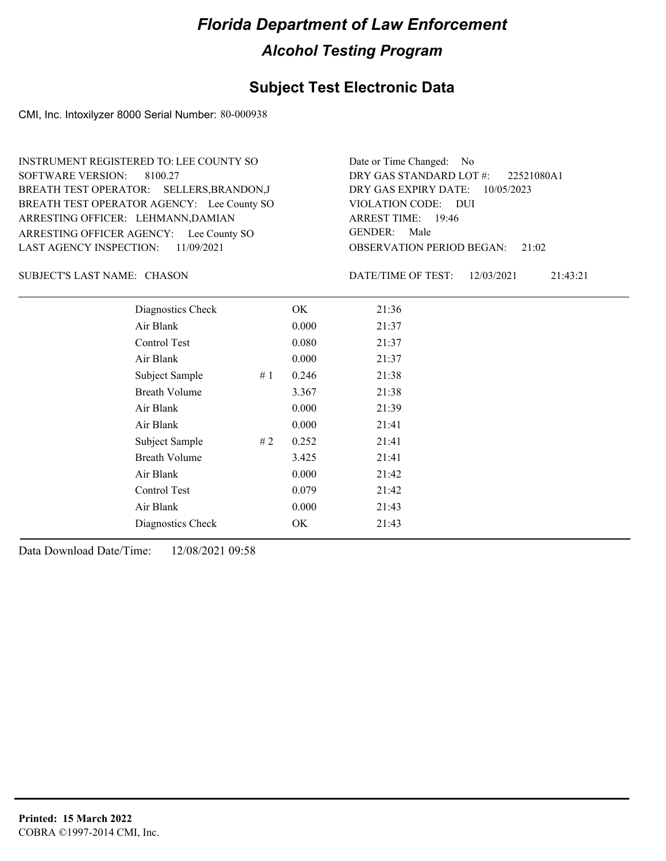#### **Subject Test Electronic Data**

CMI, Inc. Intoxilyzer 8000 Serial Number: 80-000938

ARRESTING OFFICER AGENCY: Lee County SO GENDER: BREATH TEST OPERATOR AGENCY: Lee County SO VIOLATION CODE: SOFTWARE VERSION: 8100.27 ARRESTING OFFICER: LEHMANN,DAMIAN BREATH TEST OPERATOR: SELLERS,BRANDON,J LAST AGENCY INSPECTION: 11/09/2021 INSTRUMENT REGISTERED TO: LEE COUNTY SO

OBSERVATION PERIOD BEGAN: 21:02 VIOLATION CODE: DUI 19:46 ARREST TIME: DRY GAS EXPIRY DATE: 10/05/2023 22521080A1 DRY GAS STANDARD LOT #: Date or Time Changed: No GENDER: Male

SUBJECT'S LAST NAME: CHASON DATE/TIME OF TEST:

DATE/TIME OF TEST: 12/03/2021 21:43:21

| Diagnostics Check    |    | OK    | 21:36 |
|----------------------|----|-------|-------|
| Air Blank            |    | 0.000 | 21:37 |
| Control Test         |    | 0.080 | 21:37 |
| Air Blank            |    | 0.000 | 21:37 |
| Subject Sample       | #1 | 0.246 | 21:38 |
| <b>Breath Volume</b> |    | 3.367 | 21:38 |
| Air Blank            |    | 0.000 | 21:39 |
| Air Blank            |    | 0.000 | 21:41 |
| Subject Sample       | #2 | 0.252 | 21:41 |
| <b>Breath Volume</b> |    | 3.425 | 21:41 |
| Air Blank            |    | 0.000 | 21:42 |
| Control Test         |    | 0.079 | 21:42 |
| Air Blank            |    | 0.000 | 21:43 |
| Diagnostics Check    |    | OK    | 21:43 |
|                      |    |       |       |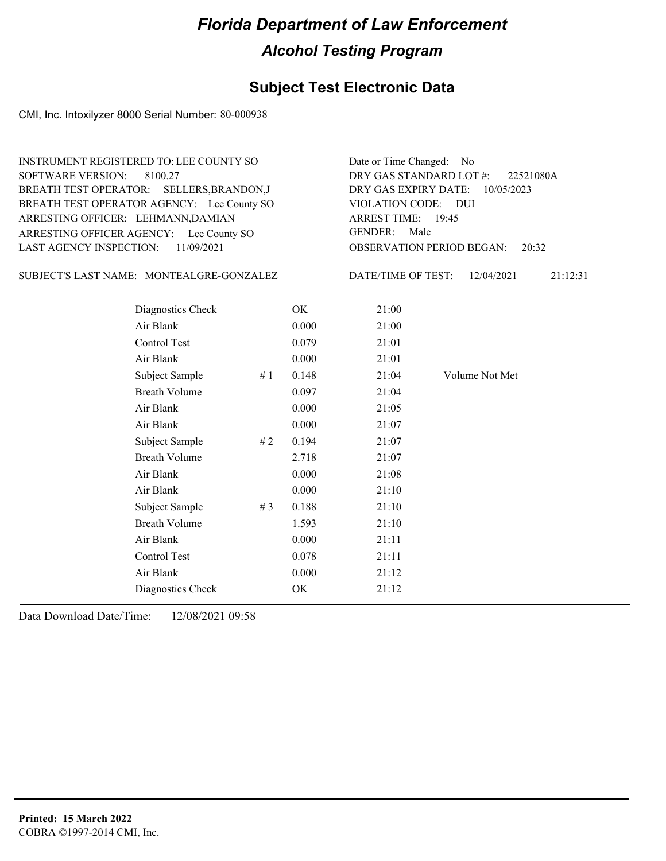#### **Subject Test Electronic Data**

CMI, Inc. Intoxilyzer 8000 Serial Number: 80-000938

ARRESTING OFFICER AGENCY: Lee County SO GENDER: BREATH TEST OPERATOR AGENCY: Lee County SO VIOLATION CODE: SOFTWARE VERSION: ARRESTING OFFICER: LEHMANN,DAMIAN BREATH TEST OPERATOR: SELLERS,BRANDON,J LAST AGENCY INSPECTION: 11/09/2021 8100.27 INSTRUMENT REGISTERED TO: LEE COUNTY SO

OBSERVATION PERIOD BEGAN: 20:32 VIOLATION CODE: DUI ARREST TIME: 19:45 DRY GAS EXPIRY DATE: 10/05/2023 22521080A DRY GAS STANDARD LOT #: GENDER: Male

Date or Time Changed: No

SUBJECT'S LAST NAME: MONTEALGRE-GONZALEZ DATE/TIME OF TEST:

DATE/TIME OF TEST: 12/04/2021 21:12:31

| Diagnostics Check    |       | OK    | 21:00 |                |
|----------------------|-------|-------|-------|----------------|
| Air Blank            |       | 0.000 | 21:00 |                |
| Control Test         |       | 0.079 | 21:01 |                |
| Air Blank            |       | 0.000 | 21:01 |                |
| Subject Sample       | #1    | 0.148 | 21:04 | Volume Not Met |
| <b>Breath Volume</b> |       | 0.097 | 21:04 |                |
| Air Blank            |       | 0.000 | 21:05 |                |
| Air Blank            |       | 0.000 | 21:07 |                |
| Subject Sample       | #2    | 0.194 | 21:07 |                |
| <b>Breath Volume</b> |       | 2.718 | 21:07 |                |
| Air Blank            |       | 0.000 | 21:08 |                |
| Air Blank            |       | 0.000 | 21:10 |                |
| Subject Sample       | # $3$ | 0.188 | 21:10 |                |
| <b>Breath Volume</b> |       | 1.593 | 21:10 |                |
| Air Blank            |       | 0.000 | 21:11 |                |
| Control Test         |       | 0.078 | 21:11 |                |
| Air Blank            |       | 0.000 | 21:12 |                |
| Diagnostics Check    |       | OK    | 21:12 |                |
|                      |       |       |       |                |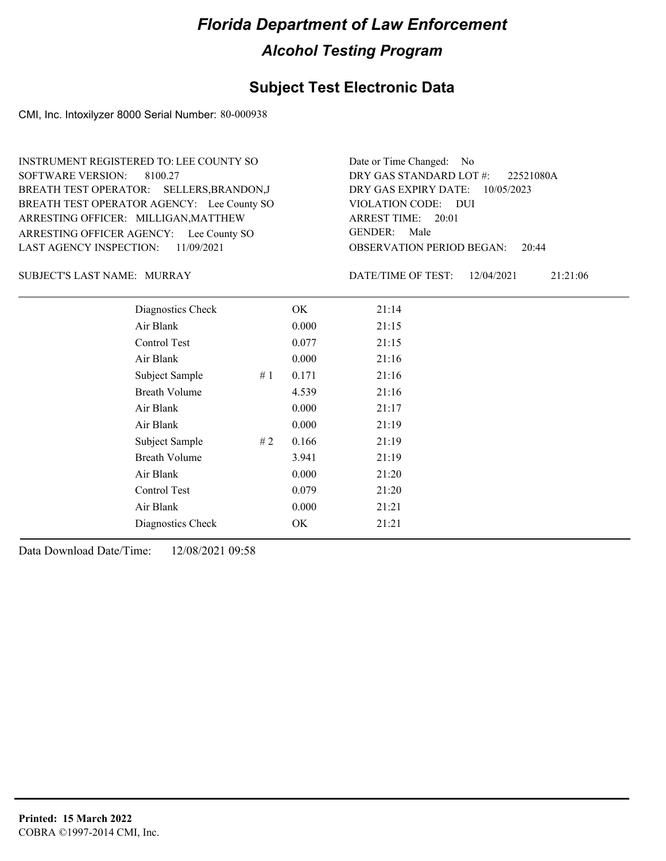#### **Subject Test Electronic Data**

CMI, Inc. Intoxilyzer 8000 Serial Number: 80-000938

ARRESTING OFFICER AGENCY: Lee County SO GENDER: BREATH TEST OPERATOR AGENCY: Lee County SO VIOLATION CODE: SOFTWARE VERSION: 8100.27 ARRESTING OFFICER: MILLIGAN, MATTHEW BREATH TEST OPERATOR: SELLERS,BRANDON,J LAST AGENCY INSPECTION: 11/09/2021 INSTRUMENT REGISTERED TO: LEE COUNTY SO

OBSERVATION PERIOD BEGAN: 20:44 VIOLATION CODE: DUI ARREST TIME: 20:01 DRY GAS EXPIRY DATE: 10/05/2023 22521080A DRY GAS STANDARD LOT #: Date or Time Changed: No GENDER: Male

SUBJECT'S LAST NAME: MURRAY DATE/TIME OF TEST:

DATE/TIME OF TEST: 12/04/2021 21:21:06

| Diagnostics Check    |    | OK    | 21:14 |
|----------------------|----|-------|-------|
| Air Blank            |    | 0.000 | 21:15 |
| Control Test         |    | 0.077 | 21:15 |
| Air Blank            |    | 0.000 | 21:16 |
| Subject Sample       | #1 | 0.171 | 21:16 |
| <b>Breath Volume</b> |    | 4.539 | 21:16 |
| Air Blank            |    | 0.000 | 21:17 |
| Air Blank            |    | 0.000 | 21:19 |
| Subject Sample       | #2 | 0.166 | 21:19 |
| <b>Breath Volume</b> |    | 3.941 | 21:19 |
| Air Blank            |    | 0.000 | 21:20 |
| Control Test         |    | 0.079 | 21:20 |
| Air Blank            |    | 0.000 | 21:21 |
| Diagnostics Check    |    | OK    | 21:21 |
|                      |    |       |       |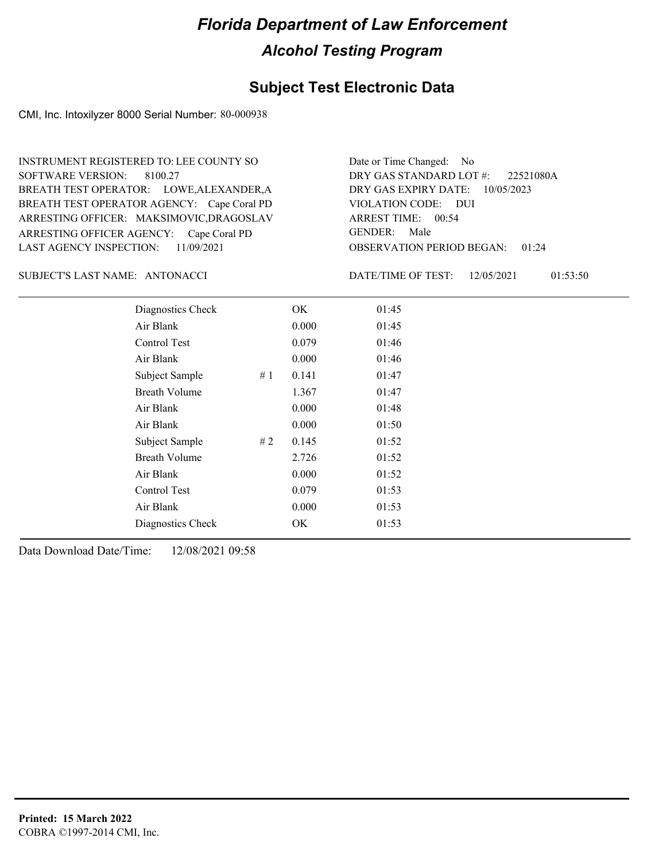#### **Subject Test Electronic Data**

CMI, Inc. Intoxilyzer 8000 Serial Number: 80-000938

ARRESTING OFFICER AGENCY: Cape Coral PD GENDER: BREATH TEST OPERATOR AGENCY: Cape Coral PD VIOLATION CODE: SOFTWARE VERSION: 8100.27 ARRESTING OFFICER: MAKSIMOVIC,DRAGOSLAV BREATH TEST OPERATOR: LOWE,ALEXANDER,A LAST AGENCY INSPECTION: 11/09/2021 INSTRUMENT REGISTERED TO: LEE COUNTY SO

OBSERVATION PERIOD BEGAN: 01:24 VIOLATION CODE: DUI ARREST TIME: 00:54 DRY GAS EXPIRY DATE: 10/05/2023 22521080A DRY GAS STANDARD LOT #: Date or Time Changed: No GENDER: Male

SUBJECT'S LAST NAME: ANTONACCI DATE/TIME OF TEST:

DATE/TIME OF TEST: 12/05/2021 01:53:50

| Diagnostics Check    |    | OK    | 01:45 |
|----------------------|----|-------|-------|
| Air Blank            |    | 0.000 | 01:45 |
| Control Test         |    | 0.079 | 01:46 |
| Air Blank            |    | 0.000 | 01:46 |
| Subject Sample       | #1 | 0.141 | 01:47 |
| <b>Breath Volume</b> |    | 1.367 | 01:47 |
| Air Blank            |    | 0.000 | 01:48 |
| Air Blank            |    | 0.000 | 01:50 |
| Subject Sample       | #2 | 0.145 | 01:52 |
| <b>Breath Volume</b> |    | 2.726 | 01:52 |
| Air Blank            |    | 0.000 | 01:52 |
| Control Test         |    | 0.079 | 01:53 |
| Air Blank            |    | 0.000 | 01:53 |
| Diagnostics Check    |    | OK    | 01:53 |
|                      |    |       |       |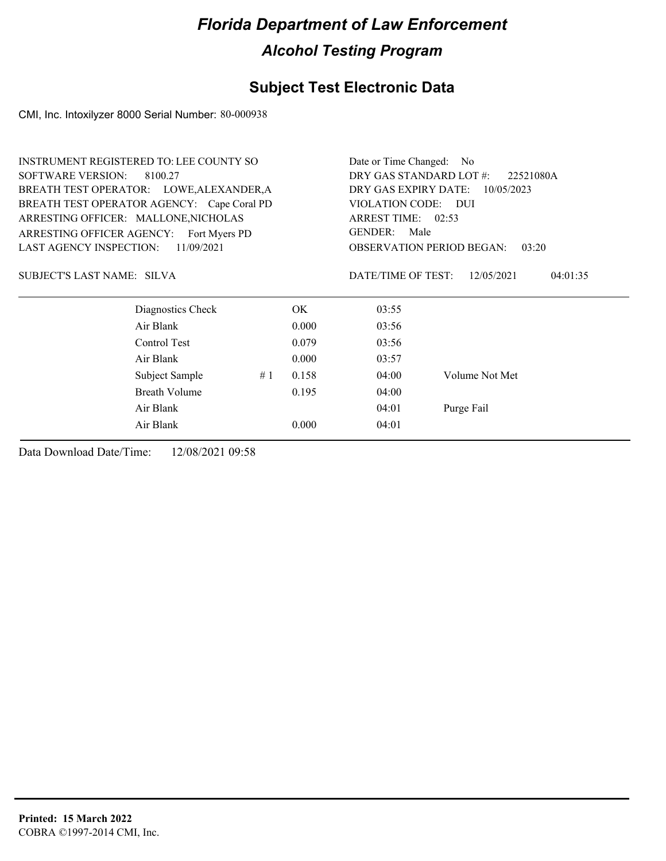### **Subject Test Electronic Data**

CMI, Inc. Intoxilyzer 8000 Serial Number: 80-000938

|                                | <b>INSTRUMENT REGISTERED TO: LEE COUNTY SO</b> |    |                                      |                                                                     | Date or Time Changed: No |  |  |
|--------------------------------|------------------------------------------------|----|--------------------------------------|---------------------------------------------------------------------|--------------------------|--|--|
| <b>SOFTWARE VERSION:</b>       | 8100.27                                        |    | DRY GAS STANDARD LOT #:<br>22521080A |                                                                     |                          |  |  |
|                                | BREATH TEST OPERATOR: LOWE, ALEXANDER, A       |    | DRY GAS EXPIRY DATE:<br>10/05/2023   |                                                                     |                          |  |  |
|                                | BREATH TEST OPERATOR AGENCY: Cape Coral PD     |    |                                      | VIOLATION CODE: DUI                                                 |                          |  |  |
|                                | ARRESTING OFFICER: MALLONE, NICHOLAS           |    |                                      | ARREST TIME: 02:53                                                  |                          |  |  |
|                                | ARRESTING OFFICER AGENCY: Fort Myers PD        |    |                                      | <b>GENDER:</b><br>Male<br><b>OBSERVATION PERIOD BEGAN:</b><br>03:20 |                          |  |  |
| <b>LAST AGENCY INSPECTION:</b> | 11/09/2021                                     |    |                                      |                                                                     |                          |  |  |
| SUBJECT'S LAST NAME: SILVA     |                                                |    |                                      | DATE/TIME OF TEST:                                                  | 12/05/2021<br>04:01:35   |  |  |
|                                | Diagnostics Check                              |    | OK.                                  | 03:55                                                               |                          |  |  |
|                                | Air Blank                                      |    | 0.000                                | 03:56                                                               |                          |  |  |
|                                | Control Test                                   |    | 0.079                                | 03:56                                                               |                          |  |  |
|                                | Air Blank                                      |    | 0.000                                | 03:57                                                               |                          |  |  |
|                                | Subject Sample                                 | #1 | 0.158                                | 04:00                                                               | Volume Not Met           |  |  |
|                                | <b>Breath Volume</b>                           |    | 0.195                                | 04:00                                                               |                          |  |  |
|                                | Air Blank                                      |    |                                      | 04:01                                                               | Purge Fail               |  |  |
|                                | Air Blank                                      |    | 0.000                                | 04:01                                                               |                          |  |  |
|                                |                                                |    |                                      |                                                                     |                          |  |  |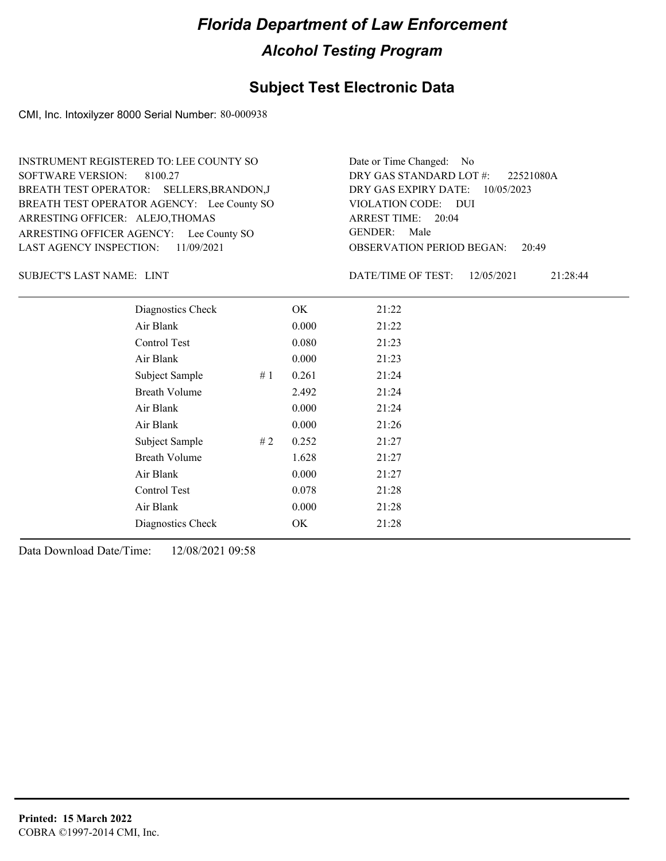#### **Subject Test Electronic Data**

CMI, Inc. Intoxilyzer 8000 Serial Number: 80-000938

ARRESTING OFFICER AGENCY: Lee County SO GENDER: BREATH TEST OPERATOR AGENCY: Lee County SO VIOLATION CODE: SOFTWARE VERSION: 8100.27 ARRESTING OFFICER: ALEJO,THOMAS BREATH TEST OPERATOR: SELLERS,BRANDON,J LAST AGENCY INSPECTION: 11/09/2021 INSTRUMENT REGISTERED TO: LEE COUNTY SO

OBSERVATION PERIOD BEGAN: 20:49 VIOLATION CODE: DUI 20:04 ARREST TIME: DRY GAS EXPIRY DATE: 10/05/2023 22521080A DRY GAS STANDARD LOT #: Date or Time Changed: No GENDER: Male

SUBJECT'S LAST NAME: LINT  $\qquad \qquad$  DATE/TIME OF TEST:

DATE/TIME OF TEST: 12/05/2021 21:28:44

| Diagnostics Check    |    | OK    | 21:22 |
|----------------------|----|-------|-------|
| Air Blank            |    | 0.000 | 21:22 |
| Control Test         |    | 0.080 | 21:23 |
| Air Blank            |    | 0.000 | 21:23 |
| Subject Sample       | #1 | 0.261 | 21:24 |
| <b>Breath Volume</b> |    | 2.492 | 21:24 |
| Air Blank            |    | 0.000 | 21:24 |
| Air Blank            |    | 0.000 | 21:26 |
| Subject Sample       | #2 | 0.252 | 21:27 |
| <b>Breath Volume</b> |    | 1.628 | 21:27 |
| Air Blank            |    | 0.000 | 21:27 |
| Control Test         |    | 0.078 | 21:28 |
| Air Blank            |    | 0.000 | 21:28 |
| Diagnostics Check    |    | OK    | 21:28 |
|                      |    |       |       |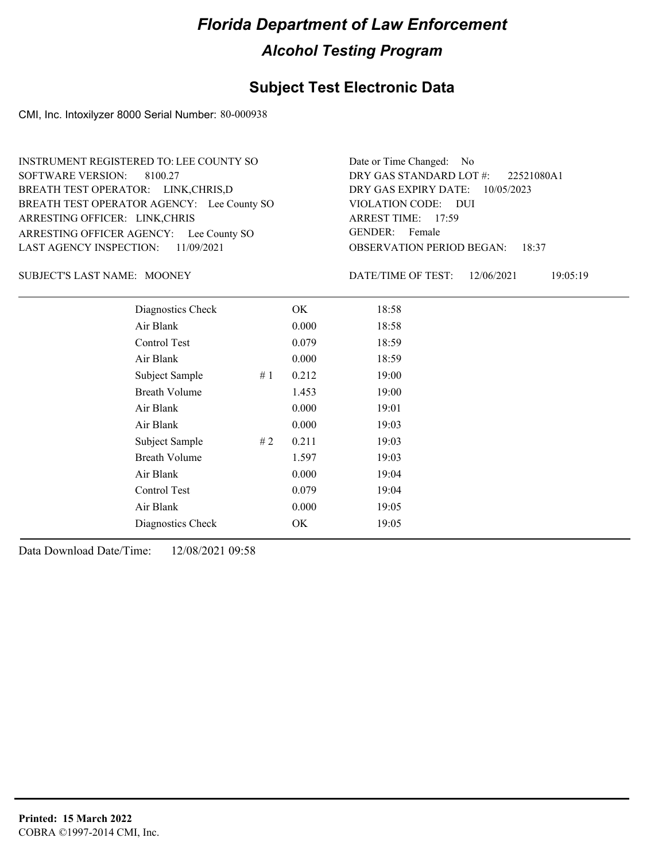#### **Subject Test Electronic Data**

CMI, Inc. Intoxilyzer 8000 Serial Number: 80-000938

ARRESTING OFFICER AGENCY: Lee County SO GENDER: BREATH TEST OPERATOR AGENCY: Lee County SO VIOLATION CODE: SOFTWARE VERSION: 8100.27 ARRESTING OFFICER: LINK,CHRIS BREATH TEST OPERATOR: LINK,CHRIS,D LAST AGENCY INSPECTION: 11/09/2021 INSTRUMENT REGISTERED TO: LEE COUNTY SO

OBSERVATION PERIOD BEGAN: 18:37 VIOLATION CODE: DUI ARREST TIME: 17:59 DRY GAS EXPIRY DATE: 10/05/2023 22521080A1 DRY GAS STANDARD LOT #: Date or Time Changed: No GENDER: Female

SUBJECT'S LAST NAME: MOONEY DATE/TIME OF TEST:

DATE/TIME OF TEST: 12/06/2021 19:05:19

| Diagnostics Check    |     | OK    | 18:58 |
|----------------------|-----|-------|-------|
| Air Blank            |     | 0.000 | 18:58 |
| Control Test         |     | 0.079 | 18:59 |
| Air Blank            |     | 0.000 | 18:59 |
| Subject Sample       | #1  | 0.212 | 19:00 |
| <b>Breath Volume</b> |     | 1.453 | 19:00 |
| Air Blank            |     | 0.000 | 19:01 |
| Air Blank            |     | 0.000 | 19:03 |
| Subject Sample       | # 2 | 0.211 | 19:03 |
| <b>Breath Volume</b> |     | 1.597 | 19:03 |
| Air Blank            |     | 0.000 | 19:04 |
| Control Test         |     | 0.079 | 19:04 |
| Air Blank            |     | 0.000 | 19:05 |
| Diagnostics Check    |     | OK    | 19:05 |
|                      |     |       |       |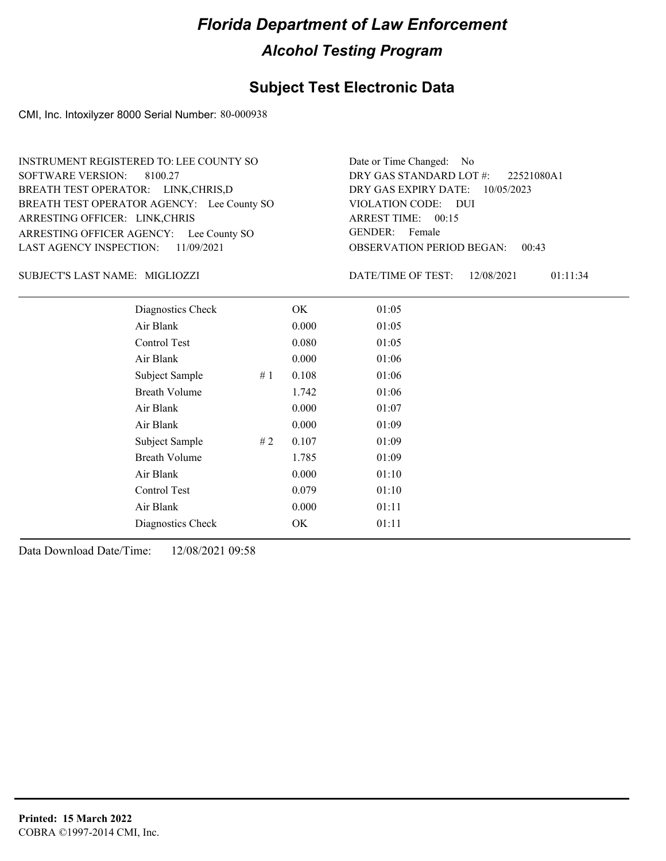#### **Subject Test Electronic Data**

CMI, Inc. Intoxilyzer 8000 Serial Number: 80-000938

ARRESTING OFFICER AGENCY: Lee County SO GENDER: BREATH TEST OPERATOR AGENCY: Lee County SO VIOLATION CODE: SOFTWARE VERSION: 8100.27 ARRESTING OFFICER: LINK,CHRIS BREATH TEST OPERATOR: LINK,CHRIS,D LAST AGENCY INSPECTION: 11/09/2021 INSTRUMENT REGISTERED TO: LEE COUNTY SO

OBSERVATION PERIOD BEGAN: 00:43 VIOLATION CODE: DUI ARREST TIME: 00:15 DRY GAS EXPIRY DATE: 10/05/2023 22521080A1 DRY GAS STANDARD LOT #: Date or Time Changed: No GENDER: Female

MIGLIOZZI SUBJECT'S LAST NAME: DATE/TIME OF TEST:

DATE/TIME OF TEST: 12/08/2021 01:11:34

| Diagnostics Check    |    | OK    | 01:05 |
|----------------------|----|-------|-------|
| Air Blank            |    | 0.000 | 01:05 |
| Control Test         |    | 0.080 | 01:05 |
| Air Blank            |    | 0.000 | 01:06 |
| Subject Sample       | #1 | 0.108 | 01:06 |
| <b>Breath Volume</b> |    | 1.742 | 01:06 |
| Air Blank            |    | 0.000 | 01:07 |
| Air Blank            |    | 0.000 | 01:09 |
| Subject Sample       | #2 | 0.107 | 01:09 |
| <b>Breath Volume</b> |    | 1.785 | 01:09 |
| Air Blank            |    | 0.000 | 01:10 |
| Control Test         |    | 0.079 | 01:10 |
| Air Blank            |    | 0.000 | 01:11 |
| Diagnostics Check    |    | OK    | 01:11 |
|                      |    |       |       |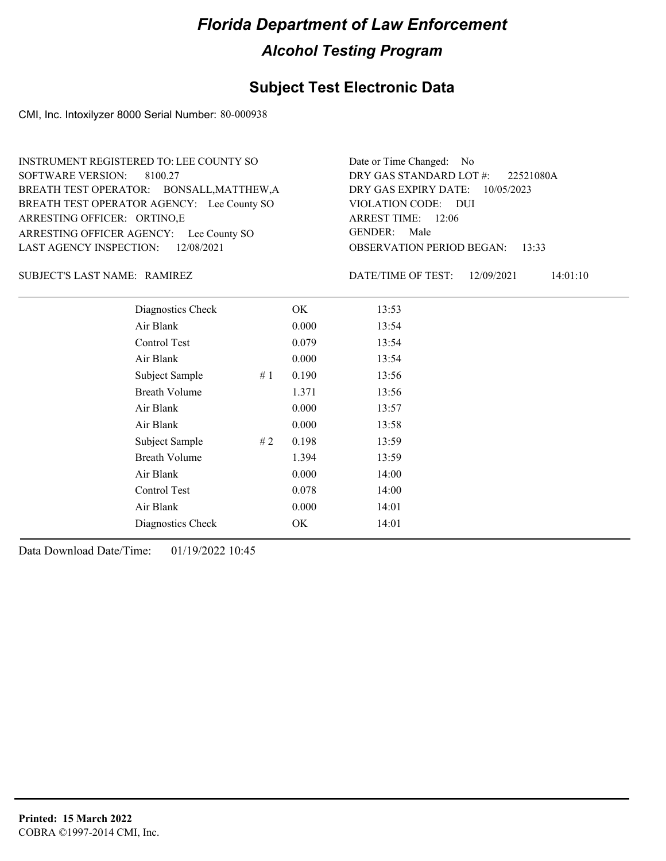#### **Subject Test Electronic Data**

CMI, Inc. Intoxilyzer 8000 Serial Number: 80-000938

OBSERVATION PERIOD BEGAN: 13:33 ARRESTING OFFICER AGENCY: Lee County SO GENDER: BREATH TEST OPERATOR AGENCY: Lee County SO VIOLATION CODE: SOFTWARE VERSION: 8100.27 VIOLATION CODE: DUI ARREST TIME: 12:06 ARRESTING OFFICER: ORTINO,E DRY GAS EXPIRY DATE: 10/05/2023 BREATH TEST OPERATOR: BONSALL,MATTHEW,A LAST AGENCY INSPECTION: 12/08/2021 INSTRUMENT REGISTERED TO: LEE COUNTY SO DRY GAS STANDARD LOT #: Date or Time Changed: No GENDER: Male

#### SUBJECT'S LAST NAME: RAMIREZ DATE/TIME OF TEST:

DATE/TIME OF TEST: 12/09/2021 14:01:10

22521080A

| Diagnostics Check    |    | OK    | 13:53 |  |
|----------------------|----|-------|-------|--|
| Air Blank            |    | 0.000 | 13:54 |  |
| Control Test         |    | 0.079 | 13:54 |  |
| Air Blank            |    | 0.000 | 13:54 |  |
| Subject Sample       | #1 | 0.190 | 13:56 |  |
| <b>Breath Volume</b> |    | 1.371 | 13:56 |  |
| Air Blank            |    | 0.000 | 13:57 |  |
| Air Blank            |    | 0.000 | 13:58 |  |
| Subject Sample       | #2 | 0.198 | 13:59 |  |
| <b>Breath Volume</b> |    | 1.394 | 13:59 |  |
| Air Blank            |    | 0.000 | 14:00 |  |
| Control Test         |    | 0.078 | 14:00 |  |
| Air Blank            |    | 0.000 | 14:01 |  |
| Diagnostics Check    |    | OK.   | 14:01 |  |
|                      |    |       |       |  |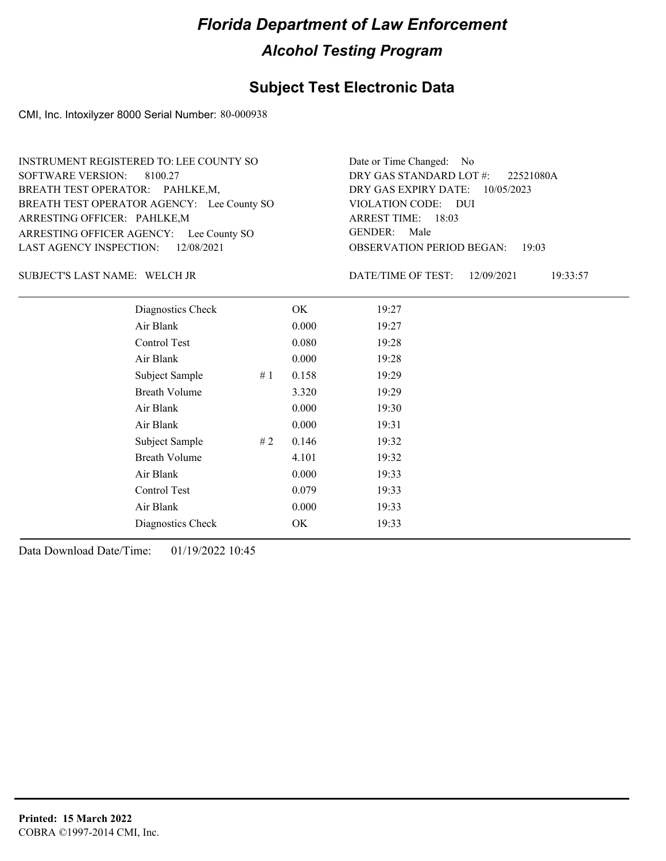#### **Subject Test Electronic Data**

CMI, Inc. Intoxilyzer 8000 Serial Number: 80-000938

ARRESTING OFFICER AGENCY: Lee County SO GENDER: BREATH TEST OPERATOR AGENCY: Lee County SO VIOLATION CODE: SOFTWARE VERSION: 8100.27 ARRESTING OFFICER: PAHLKE,M BREATH TEST OPERATOR: PAHLKE,M, LAST AGENCY INSPECTION: 12/08/2021 INSTRUMENT REGISTERED TO: LEE COUNTY SO

OBSERVATION PERIOD BEGAN: 19:03 VIOLATION CODE: DUI ARREST TIME: 18:03 DRY GAS EXPIRY DATE: 10/05/2023 22521080A DRY GAS STANDARD LOT #: Date or Time Changed: No GENDER: Male

WELCH JR SUBJECT'S LAST NAME: DATE/TIME OF TEST:

DATE/TIME OF TEST: 12/09/2021 19:33:57

| Diagnostics Check    |    | OK    | 19:27 |
|----------------------|----|-------|-------|
| Air Blank            |    | 0.000 | 19:27 |
| Control Test         |    | 0.080 | 19:28 |
| Air Blank            |    | 0.000 | 19:28 |
| Subject Sample       | #1 | 0.158 | 19:29 |
| <b>Breath Volume</b> |    | 3.320 | 19:29 |
| Air Blank            |    | 0.000 | 19:30 |
| Air Blank            |    | 0.000 | 19:31 |
| Subject Sample       | #2 | 0.146 | 19:32 |
| <b>Breath Volume</b> |    | 4.101 | 19:32 |
| Air Blank            |    | 0.000 | 19:33 |
| Control Test         |    | 0.079 | 19:33 |
| Air Blank            |    | 0.000 | 19:33 |
| Diagnostics Check    |    | OK    | 19:33 |
|                      |    |       |       |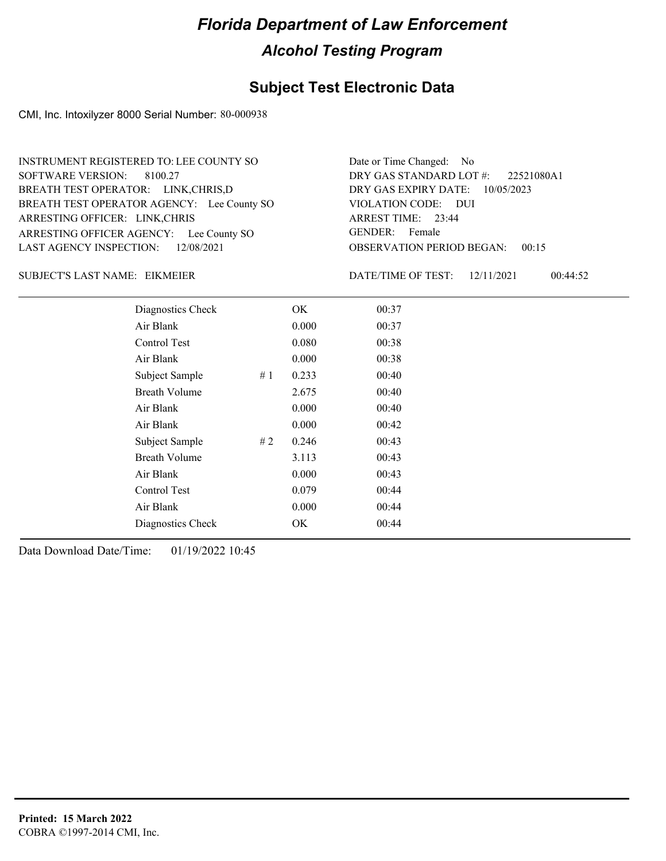#### **Subject Test Electronic Data**

CMI, Inc. Intoxilyzer 8000 Serial Number: 80-000938

ARRESTING OFFICER AGENCY: Lee County SO GENDER: BREATH TEST OPERATOR AGENCY: Lee County SO VIOLATION CODE: SOFTWARE VERSION: 8100.27 ARRESTING OFFICER: LINK,CHRIS BREATH TEST OPERATOR: LINK,CHRIS,D LAST AGENCY INSPECTION: 12/08/2021 INSTRUMENT REGISTERED TO: LEE COUNTY SO

OBSERVATION PERIOD BEGAN: 00:15 VIOLATION CODE: DUI 23:44 ARREST TIME: DRY GAS EXPIRY DATE: 10/05/2023 22521080A1 DRY GAS STANDARD LOT #: Date or Time Changed: No GENDER: Female

#### EIKMEIER SUBJECT'S LAST NAME: DATE/TIME OF TEST:

DATE/TIME OF TEST: 12/11/2021 00:44:52

| Diagnostics Check    |    | OK    | 00:37 |  |
|----------------------|----|-------|-------|--|
| Air Blank            |    | 0.000 | 00:37 |  |
| Control Test         |    | 0.080 | 00:38 |  |
| Air Blank            |    | 0.000 | 00:38 |  |
| Subject Sample       | #1 | 0.233 | 00:40 |  |
| <b>Breath Volume</b> |    | 2.675 | 00:40 |  |
| Air Blank            |    | 0.000 | 00:40 |  |
| Air Blank            |    | 0.000 | 00:42 |  |
| Subject Sample       | #2 | 0.246 | 00:43 |  |
| <b>Breath Volume</b> |    | 3.113 | 00:43 |  |
| Air Blank            |    | 0.000 | 00:43 |  |
| Control Test         |    | 0.079 | 00:44 |  |
| Air Blank            |    | 0.000 | 00:44 |  |
| Diagnostics Check    |    | OK    | 00:44 |  |
|                      |    |       |       |  |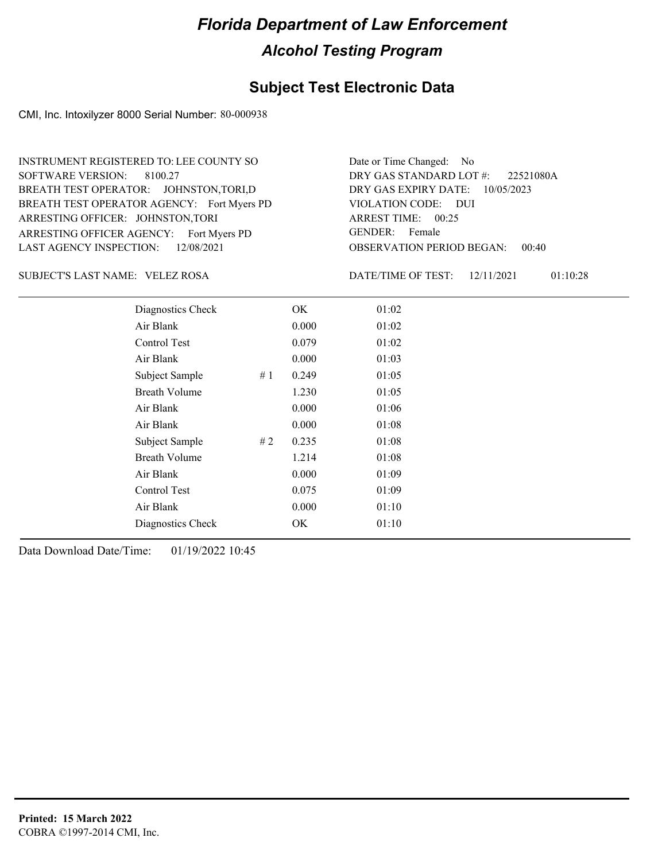#### **Subject Test Electronic Data**

CMI, Inc. Intoxilyzer 8000 Serial Number: 80-000938

ARRESTING OFFICER AGENCY: Fort Myers PD GENDER: BREATH TEST OPERATOR AGENCY: Fort Myers PD VIOLATION CODE: SOFTWARE VERSION: 8100.27 ARRESTING OFFICER: JOHNSTON,TORI BREATH TEST OPERATOR: JOHNSTON,TORI,D LAST AGENCY INSPECTION: 12/08/2021 INSTRUMENT REGISTERED TO: LEE COUNTY SO

OBSERVATION PERIOD BEGAN: 00:40 VIOLATION CODE: DUI ARREST TIME: 00:25 DRY GAS EXPIRY DATE: 10/05/2023 22521080A DRY GAS STANDARD LOT #: Date or Time Changed: No GENDER: Female

VELEZ ROSA SUBJECT'S LAST NAME: DATE/TIME OF TEST:

DATE/TIME OF TEST: 12/11/2021 01:10:28

| Diagnostics Check    |    | OK    | 01:02 |
|----------------------|----|-------|-------|
| Air Blank            |    | 0.000 | 01:02 |
| Control Test         |    | 0.079 | 01:02 |
| Air Blank            |    | 0.000 | 01:03 |
| Subject Sample       | #1 | 0.249 | 01:05 |
| <b>Breath Volume</b> |    | 1.230 | 01:05 |
| Air Blank            |    | 0.000 | 01:06 |
| Air Blank            |    | 0.000 | 01:08 |
| Subject Sample       | #2 | 0.235 | 01:08 |
| <b>Breath Volume</b> |    | 1.214 | 01:08 |
| Air Blank            |    | 0.000 | 01:09 |
| Control Test         |    | 0.075 | 01:09 |
| Air Blank            |    | 0.000 | 01:10 |
| Diagnostics Check    |    | OK    | 01:10 |
|                      |    |       |       |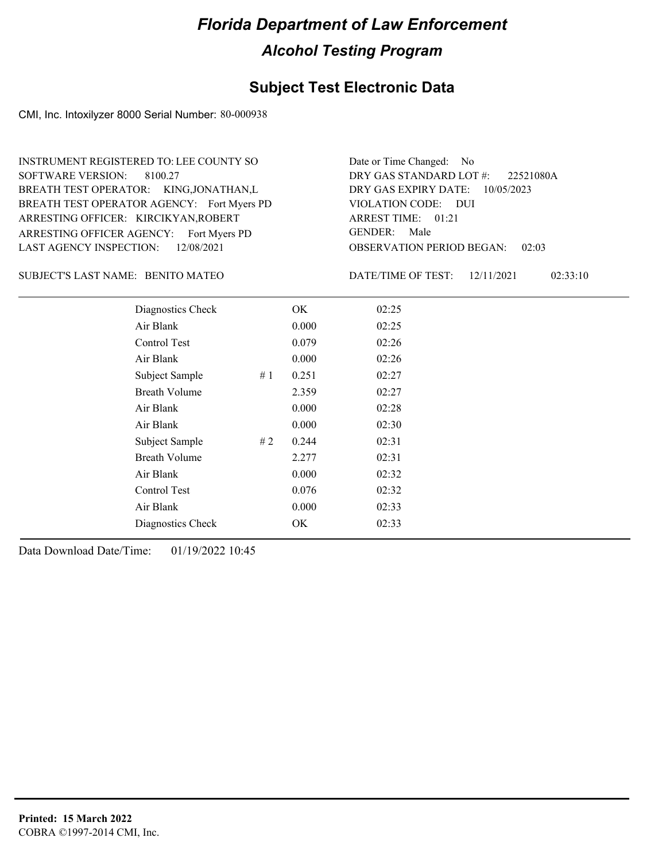#### **Subject Test Electronic Data**

CMI, Inc. Intoxilyzer 8000 Serial Number: 80-000938

ARRESTING OFFICER AGENCY: Fort Myers PD GENDER: BREATH TEST OPERATOR AGENCY: Fort Myers PD VIOLATION CODE: SOFTWARE VERSION: 8100.27 ARRESTING OFFICER: KIRCIKYAN,ROBERT BREATH TEST OPERATOR: KING,JONATHAN,L LAST AGENCY INSPECTION: 12/08/2021 INSTRUMENT REGISTERED TO: LEE COUNTY SO

OBSERVATION PERIOD BEGAN: 02:03 VIOLATION CODE: DUI ARREST TIME: 01:21 DRY GAS EXPIRY DATE: 10/05/2023 22521080A DRY GAS STANDARD LOT #: Date or Time Changed: No GENDER: Male

SUBJECT'S LAST NAME: BENITO MATEO **Example 20** DATE/TIME OF TEST:

DATE/TIME OF TEST: 12/11/2021 02:33:10

| Diagnostics Check    |    | OK    | 02:25 |
|----------------------|----|-------|-------|
| Air Blank            |    | 0.000 | 02:25 |
| Control Test         |    | 0.079 | 02:26 |
| Air Blank            |    | 0.000 | 02:26 |
| Subject Sample       | #1 | 0.251 | 02:27 |
| <b>Breath Volume</b> |    | 2.359 | 02:27 |
| Air Blank            |    | 0.000 | 02:28 |
| Air Blank            |    | 0.000 | 02:30 |
| Subject Sample       | #2 | 0.244 | 02:31 |
| <b>Breath Volume</b> |    | 2.277 | 02:31 |
| Air Blank            |    | 0.000 | 02:32 |
| Control Test         |    | 0.076 | 02:32 |
| Air Blank            |    | 0.000 | 02:33 |
| Diagnostics Check    |    | OK    | 02:33 |
|                      |    |       |       |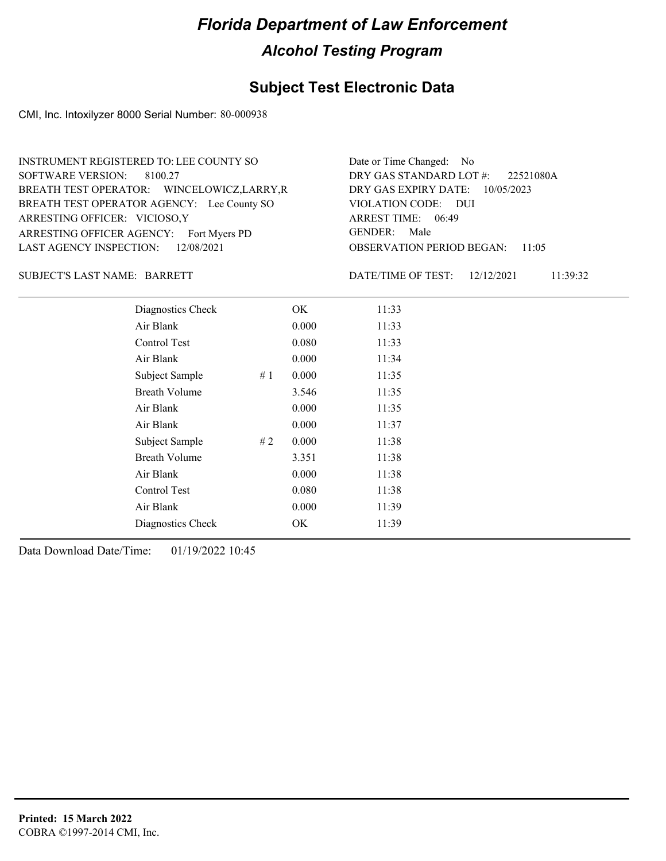### **Subject Test Electronic Data**

CMI, Inc. Intoxilyzer 8000 Serial Number: 80-000938

| INSTRUMENT REGISTERED TO: LEE COUNTY SO     | Date or Time Changed: No               |
|---------------------------------------------|----------------------------------------|
| SOFTWARE VERSION: 8100.27                   | DRY GAS STANDARD LOT #: 22521080A      |
| BREATH TEST OPERATOR: WINCELOWICZ, LARRY, R | DRY GAS EXPIRY DATE: 10/05/2023        |
| BREATH TEST OPERATOR AGENCY: Lee County SO  | VIOLATION CODE: DUI                    |
| ARRESTING OFFICER: VICIOSO, Y               | ARREST TIME: 06:49                     |
| ARRESTING OFFICER AGENCY: Fort Myers PD     | GENDER: Male                           |
| LAST AGENCY INSPECTION: 12/08/2021          | <b>OBSERVATION PERIOD BEGAN: 11:05</b> |

#### SUBJECT'S LAST NAME: BARRETT DATE/TIME OF TEST:

DATE/TIME OF TEST: 12/12/2021 11:39:32

| Diagnostics Check       | OK    | 11:33 |
|-------------------------|-------|-------|
| Air Blank               | 0.000 | 11:33 |
| Control Test            | 0.080 | 11:33 |
| Air Blank               | 0.000 | 11:34 |
| # $1$<br>Subject Sample | 0.000 | 11:35 |
| <b>Breath Volume</b>    | 3.546 | 11:35 |
| Air Blank               | 0.000 | 11:35 |
| Air Blank               | 0.000 | 11:37 |
| Subject Sample<br>#2    | 0.000 | 11:38 |
| <b>Breath Volume</b>    | 3.351 | 11:38 |
| Air Blank               | 0.000 | 11:38 |
| Control Test            | 0.080 | 11:38 |
| Air Blank               | 0.000 | 11:39 |
| Diagnostics Check       | OK    | 11:39 |
|                         |       |       |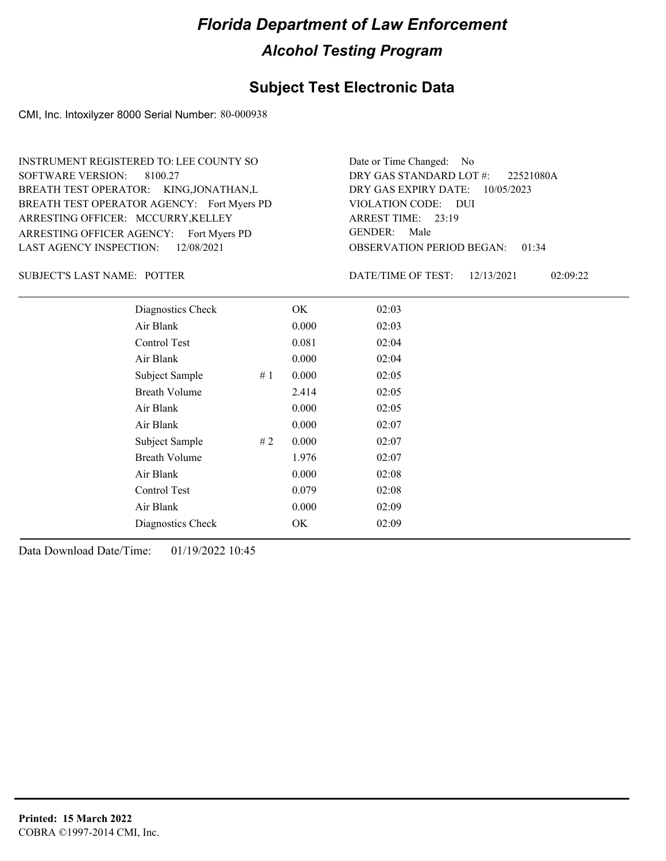#### **Subject Test Electronic Data**

CMI, Inc. Intoxilyzer 8000 Serial Number: 80-000938

ARRESTING OFFICER AGENCY: Fort Myers PD GENDER: BREATH TEST OPERATOR AGENCY: Fort Myers PD VIOLATION CODE: SOFTWARE VERSION: 8100.27 ARRESTING OFFICER: MCCURRY, KELLEY BREATH TEST OPERATOR: KING,JONATHAN,L LAST AGENCY INSPECTION: 12/08/2021 INSTRUMENT REGISTERED TO: LEE COUNTY SO

OBSERVATION PERIOD BEGAN: 01:34 VIOLATION CODE: DUI 23:19 ARREST TIME: DRY GAS EXPIRY DATE: 10/05/2023 22521080A DRY GAS STANDARD LOT #: Date or Time Changed: No GENDER: Male

SUBJECT'S LAST NAME: POTTER DATE/TIME OF TEST:

DATE/TIME OF TEST: 12/13/2021 02:09:22

| Diagnostics Check    |    | OK    | 02:03 |
|----------------------|----|-------|-------|
| Air Blank            |    | 0.000 | 02:03 |
| Control Test         |    | 0.081 | 02:04 |
| Air Blank            |    | 0.000 | 02:04 |
| Subject Sample       | #1 | 0.000 | 02:05 |
| <b>Breath Volume</b> |    | 2.414 | 02:05 |
| Air Blank            |    | 0.000 | 02:05 |
| Air Blank            |    | 0.000 | 02:07 |
| Subject Sample       | #2 | 0.000 | 02:07 |
| <b>Breath Volume</b> |    | 1.976 | 02:07 |
| Air Blank            |    | 0.000 | 02:08 |
| <b>Control Test</b>  |    | 0.079 | 02:08 |
| Air Blank            |    | 0.000 | 02:09 |
| Diagnostics Check    |    | OK    | 02:09 |
|                      |    |       |       |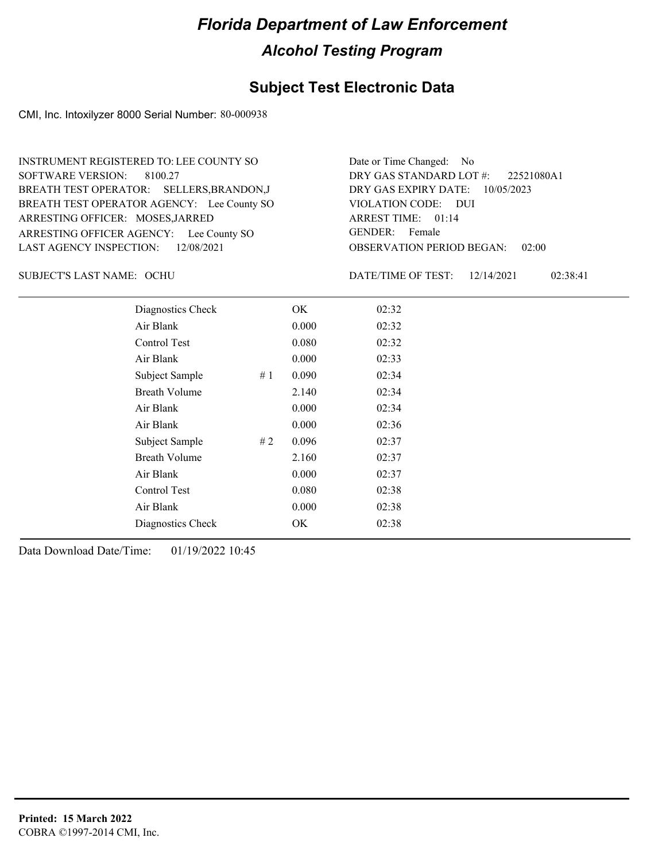#### **Subject Test Electronic Data**

CMI, Inc. Intoxilyzer 8000 Serial Number: 80-000938

ARRESTING OFFICER AGENCY: Lee County SO GENDER: BREATH TEST OPERATOR AGENCY: Lee County SO VIOLATION CODE: SOFTWARE VERSION: 8100.27 ARRESTING OFFICER: MOSES, JARRED BREATH TEST OPERATOR: SELLERS,BRANDON,J LAST AGENCY INSPECTION: 12/08/2021 INSTRUMENT REGISTERED TO: LEE COUNTY SO

OBSERVATION PERIOD BEGAN: 02:00 VIOLATION CODE: DUI ARREST TIME: 01:14 DRY GAS EXPIRY DATE: 10/05/2023 22521080A1 DRY GAS STANDARD LOT #: Date or Time Changed: No GENDER: Female

OCHU SUBJECT'S LAST NAME: DATE/TIME OF TEST:

DATE/TIME OF TEST: 12/14/2021 02:38:41

| Diagnostics Check    |    | OK    | 02:32 |
|----------------------|----|-------|-------|
| Air Blank            |    | 0.000 | 02:32 |
| Control Test         |    | 0.080 | 02:32 |
| Air Blank            |    | 0.000 | 02:33 |
| Subject Sample       | #1 | 0.090 | 02:34 |
| <b>Breath Volume</b> |    | 2.140 | 02:34 |
| Air Blank            |    | 0.000 | 02:34 |
| Air Blank            |    | 0.000 | 02:36 |
| Subject Sample       | #2 | 0.096 | 02:37 |
| <b>Breath Volume</b> |    | 2.160 | 02:37 |
| Air Blank            |    | 0.000 | 02:37 |
| Control Test         |    | 0.080 | 02:38 |
| Air Blank            |    | 0.000 | 02:38 |
| Diagnostics Check    |    | OK.   | 02:38 |
|                      |    |       |       |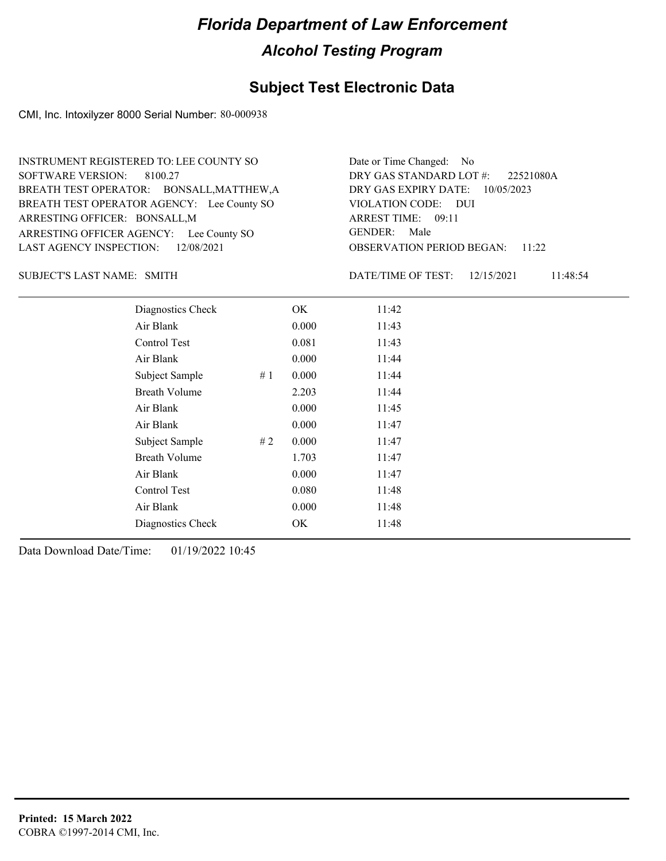#### **Subject Test Electronic Data**

CMI, Inc. Intoxilyzer 8000 Serial Number: 80-000938

ARRESTING OFFICER AGENCY: Lee County SO GENDER: BREATH TEST OPERATOR AGENCY: Lee County SO VIOLATION CODE: SOFTWARE VERSION: 8100.27 ARRESTING OFFICER: BONSALL, M BREATH TEST OPERATOR: BONSALL,MATTHEW,A LAST AGENCY INSPECTION: 12/08/2021 INSTRUMENT REGISTERED TO: LEE COUNTY SO

OBSERVATION PERIOD BEGAN: 11:22 VIOLATION CODE: DUI ARREST TIME: 09:11 DRY GAS EXPIRY DATE: 10/05/2023 22521080A DRY GAS STANDARD LOT #: Date or Time Changed: No GENDER: Male

SUBJECT'S LAST NAME: SMITH **Example 2018** DATE/TIME OF TEST:

DATE/TIME OF TEST: 12/15/2021 11:48:54

| Diagnostics Check    |    | OK    | 11:42 |
|----------------------|----|-------|-------|
| Air Blank            |    | 0.000 | 11:43 |
| Control Test         |    | 0.081 | 11:43 |
| Air Blank            |    | 0.000 | 11:44 |
| Subject Sample       | #1 | 0.000 | 11:44 |
| <b>Breath Volume</b> |    | 2.203 | 11:44 |
| Air Blank            |    | 0.000 | 11:45 |
| Air Blank            |    | 0.000 | 11:47 |
| Subject Sample       | #2 | 0.000 | 11:47 |
| <b>Breath Volume</b> |    | 1.703 | 11:47 |
| Air Blank            |    | 0.000 | 11:47 |
| Control Test         |    | 0.080 | 11:48 |
| Air Blank            |    | 0.000 | 11:48 |
| Diagnostics Check    |    | OK    | 11:48 |
|                      |    |       |       |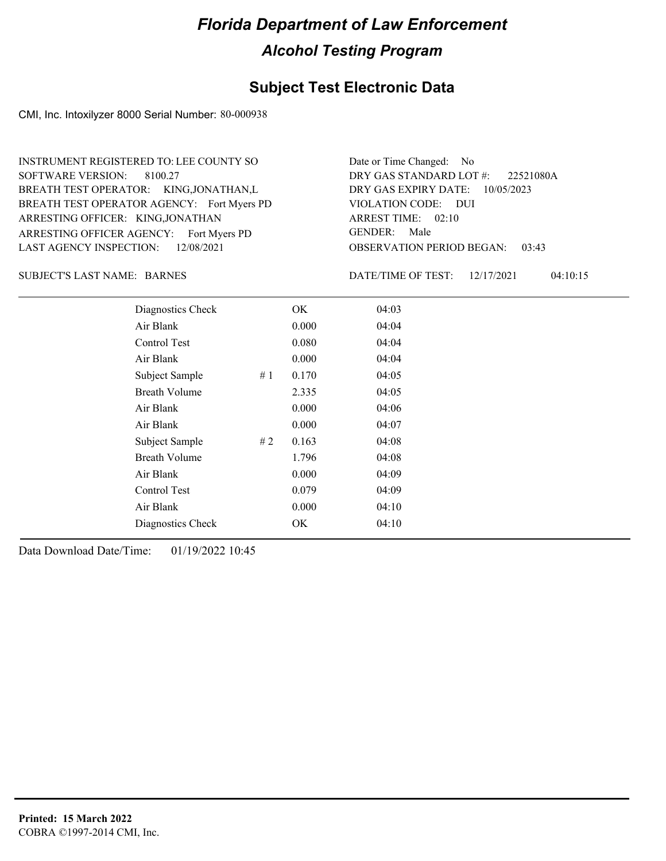#### **Subject Test Electronic Data**

CMI, Inc. Intoxilyzer 8000 Serial Number: 80-000938

ARRESTING OFFICER AGENCY: Fort Myers PD GENDER: BREATH TEST OPERATOR AGENCY: Fort Myers PD VIOLATION CODE: SOFTWARE VERSION: 8100.27 ARRESTING OFFICER: KING,JONATHAN BREATH TEST OPERATOR: KING,JONATHAN,L LAST AGENCY INSPECTION: 12/08/2021 INSTRUMENT REGISTERED TO: LEE COUNTY SO

OBSERVATION PERIOD BEGAN: 03:43 VIOLATION CODE: DUI ARREST TIME: 02:10 DRY GAS EXPIRY DATE: 10/05/2023 22521080A DRY GAS STANDARD LOT #: Date or Time Changed: No GENDER: Male

SUBJECT'S LAST NAME: BARNES DATE/TIME OF TEST:

DATE/TIME OF TEST: 12/17/2021 04:10:15

| Diagnostics Check    |    | OK    | 04:03 |
|----------------------|----|-------|-------|
| Air Blank            |    | 0.000 | 04:04 |
| Control Test         |    | 0.080 | 04:04 |
| Air Blank            |    | 0.000 | 04:04 |
| Subject Sample       | #1 | 0.170 | 04:05 |
| <b>Breath Volume</b> |    | 2.335 | 04:05 |
| Air Blank            |    | 0.000 | 04:06 |
| Air Blank            |    | 0.000 | 04:07 |
| Subject Sample       | #2 | 0.163 | 04:08 |
| <b>Breath Volume</b> |    | 1.796 | 04:08 |
| Air Blank            |    | 0.000 | 04:09 |
| Control Test         |    | 0.079 | 04:09 |
| Air Blank            |    | 0.000 | 04:10 |
| Diagnostics Check    |    | OK    | 04:10 |
|                      |    |       |       |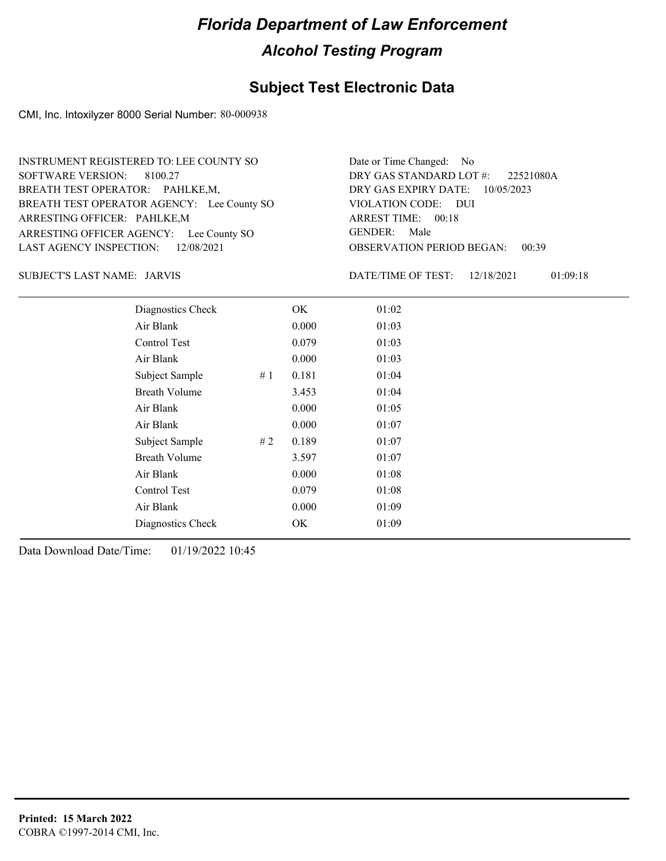#### **Subject Test Electronic Data**

CMI, Inc. Intoxilyzer 8000 Serial Number: 80-000938

ARRESTING OFFICER AGENCY: Lee County SO GENDER: BREATH TEST OPERATOR AGENCY: Lee County SO VIOLATION CODE: SOFTWARE VERSION: 8100.27 ARRESTING OFFICER: PAHLKE,M BREATH TEST OPERATOR: PAHLKE,M, LAST AGENCY INSPECTION: 12/08/2021 INSTRUMENT REGISTERED TO: LEE COUNTY SO

OBSERVATION PERIOD BEGAN: 00:39 VIOLATION CODE: DUI ARREST TIME: 00:18 DRY GAS EXPIRY DATE: 10/05/2023 22521080A DRY GAS STANDARD LOT #: Date or Time Changed: No GENDER: Male

JARVIS SUBJECT'S LAST NAME: DATE/TIME OF TEST:

DATE/TIME OF TEST: 12/18/2021 01:09:18

| Diagnostics Check    |    | OK    | 01:02 |
|----------------------|----|-------|-------|
| Air Blank            |    | 0.000 | 01:03 |
| Control Test         |    | 0.079 | 01:03 |
| Air Blank            |    | 0.000 | 01:03 |
| Subject Sample       | #1 | 0.181 | 01:04 |
| <b>Breath Volume</b> |    | 3.453 | 01:04 |
| Air Blank            |    | 0.000 | 01:05 |
| Air Blank            |    | 0.000 | 01:07 |
| Subject Sample       | #2 | 0.189 | 01:07 |
| <b>Breath Volume</b> |    | 3.597 | 01:07 |
| Air Blank            |    | 0.000 | 01:08 |
| Control Test         |    | 0.079 | 01:08 |
| Air Blank            |    | 0.000 | 01:09 |
| Diagnostics Check    |    | OK    | 01:09 |
|                      |    |       |       |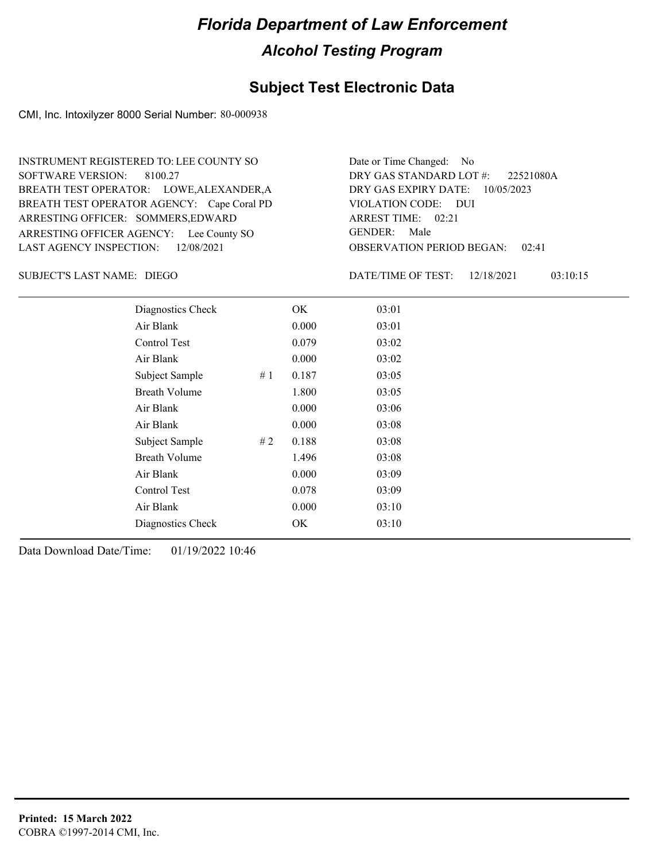#### **Subject Test Electronic Data**

CMI, Inc. Intoxilyzer 8000 Serial Number: 80-000938

ARRESTING OFFICER AGENCY: Lee County SO GENDER: BREATH TEST OPERATOR AGENCY: Cape Coral PD VIOLATION CODE: SOFTWARE VERSION: 8100.27 ARRESTING OFFICER: SOMMERS, EDWARD BREATH TEST OPERATOR: LOWE,ALEXANDER,A LAST AGENCY INSPECTION: 12/08/2021 INSTRUMENT REGISTERED TO: LEE COUNTY SO

OBSERVATION PERIOD BEGAN: 02:41 VIOLATION CODE: DUI ARREST TIME: 02:21 DRY GAS EXPIRY DATE: 10/05/2023 22521080A DRY GAS STANDARD LOT #: Date or Time Changed: No GENDER: Male

DIEGO SUBJECT'S LAST NAME: DATE/TIME OF TEST:

DATE/TIME OF TEST: 12/18/2021 03:10:15

| Diagnostics Check    | OK    | 03:01 |
|----------------------|-------|-------|
| Air Blank            | 0.000 | 03:01 |
| Control Test         | 0.079 | 03:02 |
| Air Blank            | 0.000 | 03:02 |
| Subject Sample<br>#1 | 0.187 | 03:05 |
| <b>Breath Volume</b> | 1.800 | 03:05 |
| Air Blank            | 0.000 | 03:06 |
| Air Blank            | 0.000 | 03:08 |
| Subject Sample<br>#2 | 0.188 | 03:08 |
| <b>Breath Volume</b> | 1.496 | 03:08 |
| Air Blank            | 0.000 | 03:09 |
| <b>Control Test</b>  | 0.078 | 03:09 |
| Air Blank            | 0.000 | 03:10 |
| Diagnostics Check    | OK    | 03:10 |
|                      |       |       |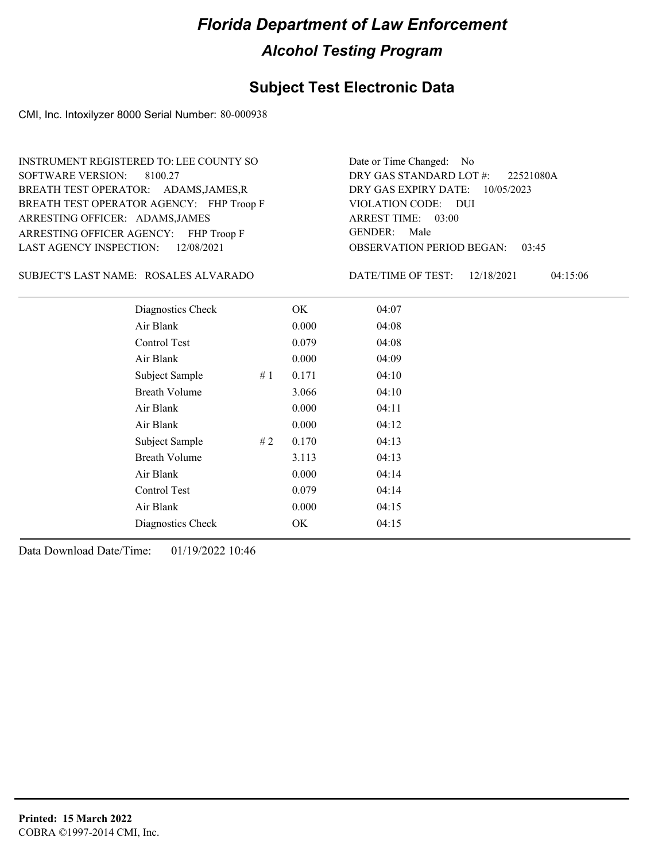#### **Subject Test Electronic Data**

CMI, Inc. Intoxilyzer 8000 Serial Number: 80-000938

ARRESTING OFFICER AGENCY: FHP Troop F GENDER: BREATH TEST OPERATOR AGENCY: FHP Troop F VIOLATION CODE: SOFTWARE VERSION: 8100.27 ARRESTING OFFICER: ADAMS, JAMES BREATH TEST OPERATOR: ADAMS,JAMES,R LAST AGENCY INSPECTION: 12/08/2021 INSTRUMENT REGISTERED TO: LEE COUNTY SO

OBSERVATION PERIOD BEGAN: 03:45 VIOLATION CODE: DUI ARREST TIME: 03:00 DRY GAS EXPIRY DATE: 10/05/2023 22521080A DRY GAS STANDARD LOT #: Date or Time Changed: No GENDER: Male

ROSALES ALVARADO SUBJECT'S LAST NAME: DATE/TIME OF TEST:

DATE/TIME OF TEST: 12/18/2021 04:15:06

| Diagnostics Check    |    | OK    | 04:07 |
|----------------------|----|-------|-------|
| Air Blank            |    | 0.000 | 04:08 |
| Control Test         |    | 0.079 | 04:08 |
| Air Blank            |    | 0.000 | 04:09 |
| Subject Sample       | #1 | 0.171 | 04:10 |
| <b>Breath Volume</b> |    | 3.066 | 04:10 |
| Air Blank            |    | 0.000 | 04:11 |
| Air Blank            |    | 0.000 | 04:12 |
| Subject Sample       | #2 | 0.170 | 04:13 |
| <b>Breath Volume</b> |    | 3.113 | 04:13 |
| Air Blank            |    | 0.000 | 04:14 |
| Control Test         |    | 0.079 | 04:14 |
| Air Blank            |    | 0.000 | 04:15 |
| Diagnostics Check    |    | OK    | 04:15 |
|                      |    |       |       |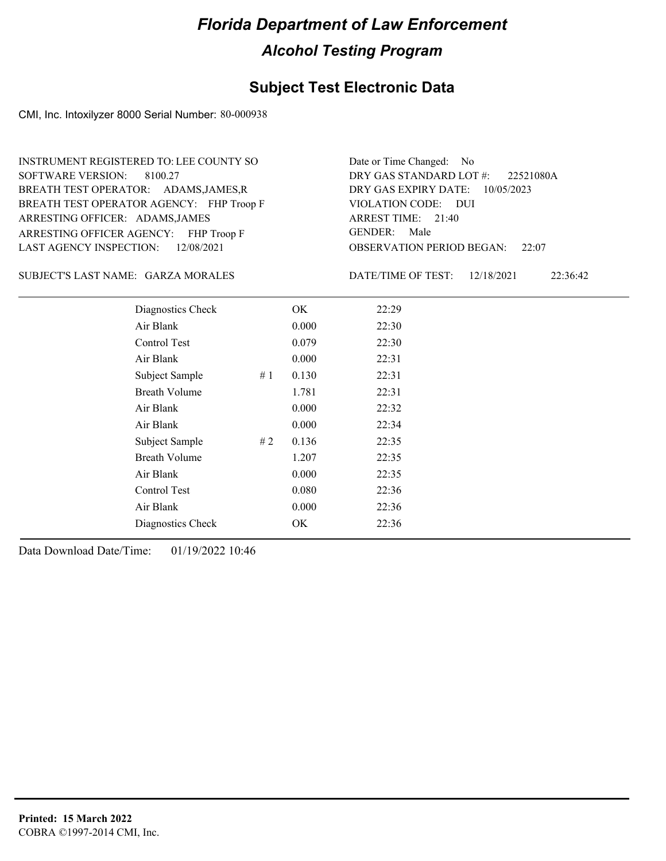#### **Subject Test Electronic Data**

CMI, Inc. Intoxilyzer 8000 Serial Number: 80-000938

ARRESTING OFFICER AGENCY: FHP Troop F GENDER: BREATH TEST OPERATOR AGENCY: FHP Troop F VIOLATION CODE: SOFTWARE VERSION: 8100.27 ARRESTING OFFICER: ADAMS, JAMES BREATH TEST OPERATOR: ADAMS,JAMES,R LAST AGENCY INSPECTION: 12/08/2021 INSTRUMENT REGISTERED TO: LEE COUNTY SO

OBSERVATION PERIOD BEGAN: 22:07 VIOLATION CODE: DUI ARREST TIME: 21:40 DRY GAS EXPIRY DATE: 10/05/2023 22521080A DRY GAS STANDARD LOT #: Date or Time Changed: No GENDER: Male

SUBJECT'S LAST NAME: GARZA MORALES DATE/TIME OF TEST:

DATE/TIME OF TEST: 12/18/2021 22:36:42

| Diagnostics Check     | OK    | 22:29 |
|-----------------------|-------|-------|
| Air Blank             | 0.000 | 22:30 |
| Control Test          | 0.079 | 22:30 |
| Air Blank             | 0.000 | 22:31 |
| Subject Sample<br>#1  | 0.130 | 22:31 |
| <b>Breath Volume</b>  | 1.781 | 22:31 |
| Air Blank             | 0.000 | 22:32 |
| Air Blank             | 0.000 | 22:34 |
| # 2<br>Subject Sample | 0.136 | 22:35 |
| <b>Breath Volume</b>  | 1.207 | 22:35 |
| Air Blank             | 0.000 | 22:35 |
| Control Test          | 0.080 | 22:36 |
| Air Blank             | 0.000 | 22:36 |
| Diagnostics Check     | OK    | 22:36 |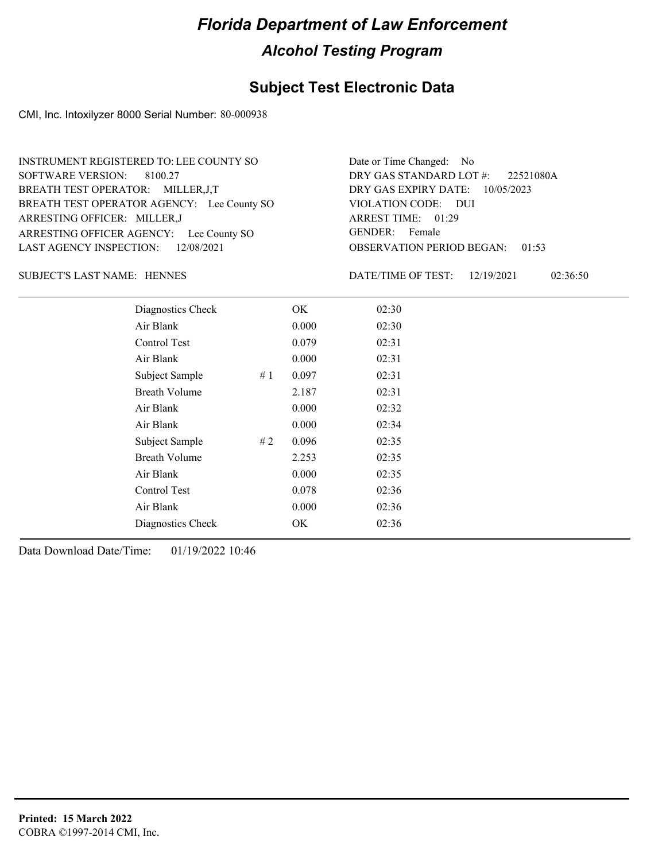#### **Subject Test Electronic Data**

CMI, Inc. Intoxilyzer 8000 Serial Number: 80-000938

ARRESTING OFFICER AGENCY: Lee County SO GENDER: BREATH TEST OPERATOR AGENCY: Lee County SO VIOLATION CODE: SOFTWARE VERSION: 8100.27 ARRESTING OFFICER: MILLER,J BREATH TEST OPERATOR: MILLER,J,T LAST AGENCY INSPECTION: 12/08/2021 INSTRUMENT REGISTERED TO: LEE COUNTY SO

OBSERVATION PERIOD BEGAN: 01:53 VIOLATION CODE: DUI ARREST TIME: 01:29 DRY GAS EXPIRY DATE: 10/05/2023 22521080A DRY GAS STANDARD LOT #: Date or Time Changed: No GENDER: Female

#### SUBJECT'S LAST NAME: HENNES DATE/TIME OF TEST:

DATE/TIME OF TEST: 12/19/2021 02:36:50

| Diagnostics Check    |    | OK    | 02:30 |  |
|----------------------|----|-------|-------|--|
| Air Blank            |    | 0.000 | 02:30 |  |
| Control Test         |    | 0.079 | 02:31 |  |
| Air Blank            |    | 0.000 | 02:31 |  |
| Subject Sample       | #1 | 0.097 | 02:31 |  |
| <b>Breath Volume</b> |    | 2.187 | 02:31 |  |
| Air Blank            |    | 0.000 | 02:32 |  |
| Air Blank            |    | 0.000 | 02:34 |  |
| Subject Sample       | #2 | 0.096 | 02:35 |  |
| <b>Breath Volume</b> |    | 2.253 | 02:35 |  |
| Air Blank            |    | 0.000 | 02:35 |  |
| Control Test         |    | 0.078 | 02:36 |  |
| Air Blank            |    | 0.000 | 02:36 |  |
| Diagnostics Check    |    | OK.   | 02:36 |  |
|                      |    |       |       |  |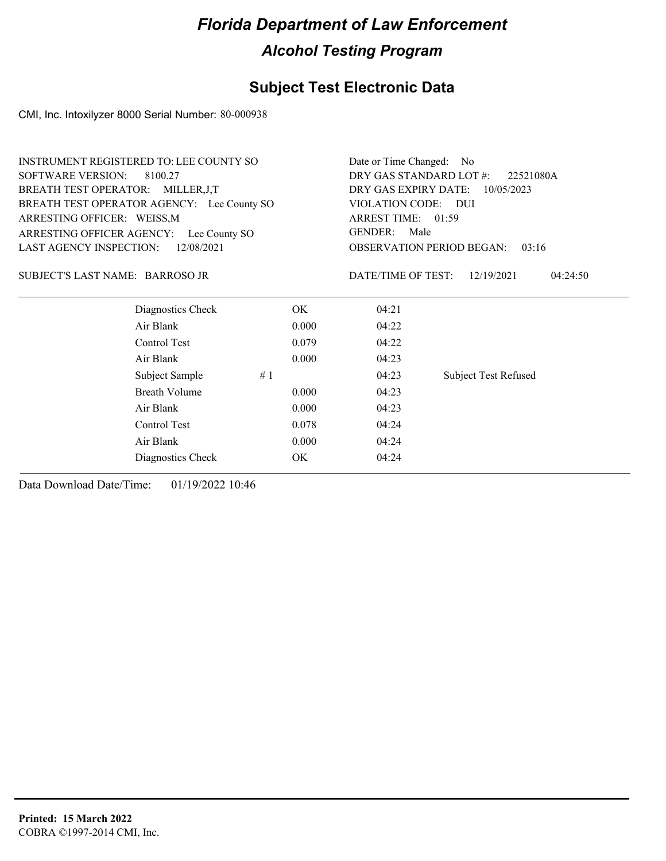### **Subject Test Electronic Data**

CMI, Inc. Intoxilyzer 8000 Serial Number: 80-000938

|                                    | <b>INSTRUMENT REGISTERED TO: LEE COUNTY SO</b> |                                      | Date or Time Changed: No                  |                             |  |  |
|------------------------------------|------------------------------------------------|--------------------------------------|-------------------------------------------|-----------------------------|--|--|
| <b>SOFTWARE VERSION:</b>           | 8100.27                                        | DRY GAS STANDARD LOT #:<br>22521080A |                                           |                             |  |  |
| BREATH TEST OPERATOR: MILLER, J, T |                                                |                                      | DRY GAS EXPIRY DATE:<br>10/05/2023        |                             |  |  |
|                                    | BREATH TEST OPERATOR AGENCY: Lee County SO     |                                      | <b>VIOLATION CODE:</b><br><b>DUI</b>      |                             |  |  |
| ARRESTING OFFICER: WEISS, M        |                                                |                                      | ARREST TIME: 01:59                        |                             |  |  |
| ARRESTING OFFICER AGENCY:          | Lee County SO                                  |                                      | GENDER:<br>Male                           |                             |  |  |
| <b>LAST AGENCY INSPECTION:</b>     | 12/08/2021                                     |                                      | <b>OBSERVATION PERIOD BEGAN:</b><br>03:16 |                             |  |  |
| SUBJECT'S LAST NAME: BARROSO JR    |                                                |                                      | DATE/TIME OF TEST:                        | 12/19/2021<br>04:24:50      |  |  |
|                                    | Diagnostics Check                              | OK.                                  | 04:21                                     |                             |  |  |
|                                    | Air Blank                                      | 0.000                                | 04:22                                     |                             |  |  |
|                                    | Control Test                                   | 0.079                                | 04:22                                     |                             |  |  |
|                                    | Air Blank                                      | 0.000                                | 04:23                                     |                             |  |  |
|                                    | Subject Sample<br>#1                           |                                      | 04:23                                     | <b>Subject Test Refused</b> |  |  |
|                                    | <b>Breath Volume</b>                           | 0.000                                | 04:23                                     |                             |  |  |
|                                    | Air Blank                                      | 0.000                                | 04:23                                     |                             |  |  |
|                                    | Control Test                                   | 0.078                                | 04:24                                     |                             |  |  |
|                                    | Air Blank                                      | 0.000                                | 04:24                                     |                             |  |  |
|                                    | Diagnostics Check                              | OK                                   | 04:24                                     |                             |  |  |
|                                    |                                                |                                      |                                           |                             |  |  |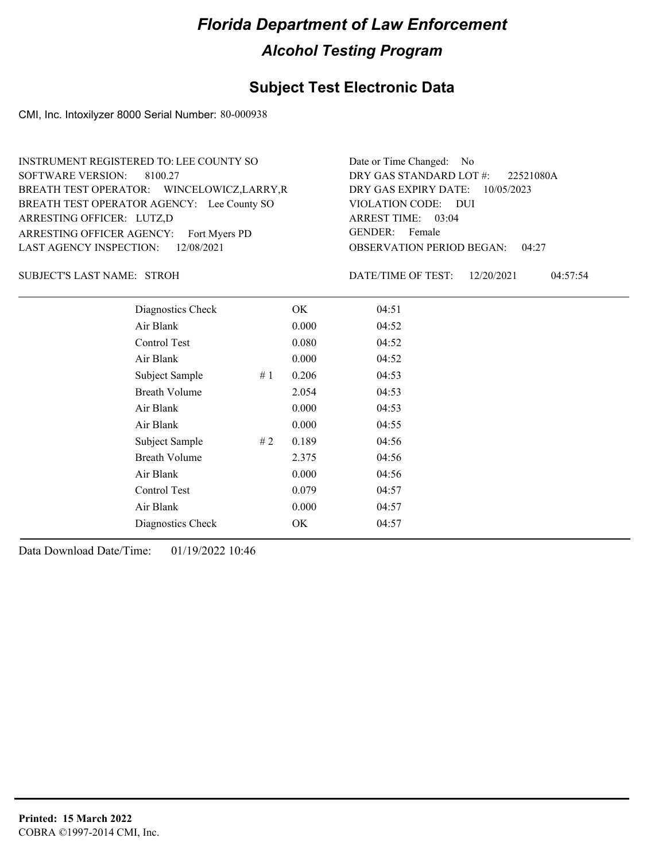### **Subject Test Electronic Data**

CMI, Inc. Intoxilyzer 8000 Serial Number: 80-000938

| INSTRUMENT REGISTERED TO: LEE COUNTY SO     | Date or Time Changed: No               |
|---------------------------------------------|----------------------------------------|
| SOFTWARE VERSION: 8100.27                   | DRY GAS STANDARD LOT #: 22521080A      |
| BREATH TEST OPERATOR: WINCELOWICZ, LARRY, R | DRY GAS EXPIRY DATE: 10/05/2023        |
| BREATH TEST OPERATOR AGENCY: Lee County SO  | VIOLATION CODE: DUI                    |
| ARRESTING OFFICER: LUTZ,D                   | ARREST TIME: 03:04                     |
| ARRESTING OFFICER AGENCY: Fort Myers PD     | GENDER: Female                         |
| LAST AGENCY INSPECTION: 12/08/2021          | <b>OBSERVATION PERIOD BEGAN: 04:27</b> |

#### STROH SUBJECT'S LAST NAME: DATE/TIME OF TEST:

DATE/TIME OF TEST: 12/20/2021 04:57:54

| Diagnostics Check    |    | OK    | 04:51 |
|----------------------|----|-------|-------|
| Air Blank            |    | 0.000 | 04:52 |
| Control Test         |    | 0.080 | 04:52 |
| Air Blank            |    | 0.000 | 04:52 |
| Subject Sample       | #1 | 0.206 | 04:53 |
| <b>Breath Volume</b> |    | 2.054 | 04:53 |
| Air Blank            |    | 0.000 | 04:53 |
| Air Blank            |    | 0.000 | 04:55 |
| Subject Sample       | #2 | 0.189 | 04:56 |
| <b>Breath Volume</b> |    | 2.375 | 04:56 |
| Air Blank            |    | 0.000 | 04:56 |
| Control Test         |    | 0.079 | 04:57 |
| Air Blank            |    | 0.000 | 04:57 |
| Diagnostics Check    |    | OK    | 04:57 |
|                      |    |       |       |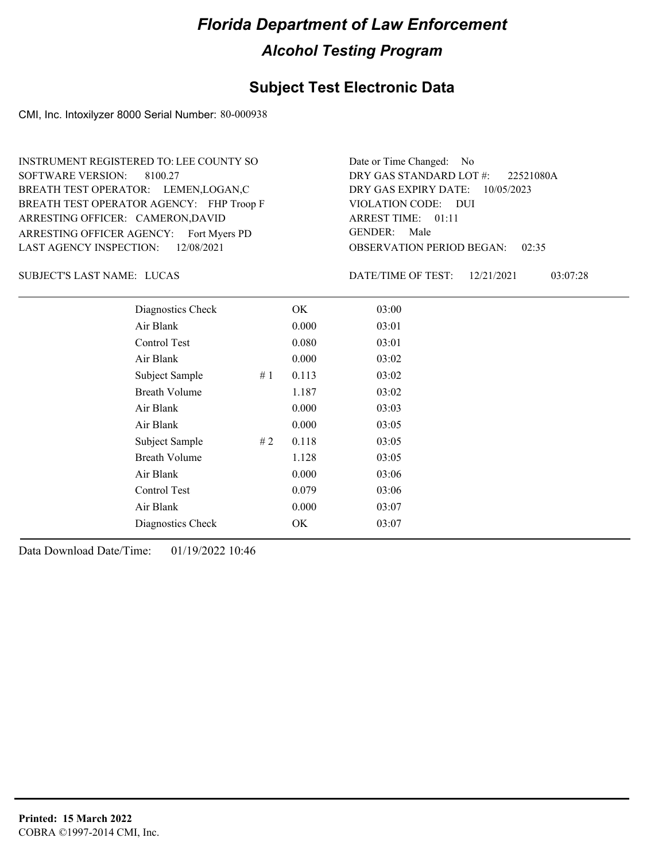#### **Subject Test Electronic Data**

CMI, Inc. Intoxilyzer 8000 Serial Number: 80-000938

ARRESTING OFFICER AGENCY: Fort Myers PD GENDER: BREATH TEST OPERATOR AGENCY: FHP Troop F VIOLATION CODE: SOFTWARE VERSION: 8100.27 ARRESTING OFFICER: CAMERON,DAVID BREATH TEST OPERATOR: LEMEN,LOGAN,C LAST AGENCY INSPECTION: 12/08/2021 INSTRUMENT REGISTERED TO: LEE COUNTY SO

OBSERVATION PERIOD BEGAN: 02:35 VIOLATION CODE: DUI ARREST TIME: 01:11 DRY GAS EXPIRY DATE: 10/05/2023 22521080A DRY GAS STANDARD LOT #: Date or Time Changed: No GENDER: Male

SUBJECT'S LAST NAME: LUCAS DATE/TIME OF TEST:

DATE/TIME OF TEST: 12/21/2021 03:07:28

| Diagnostics Check    |    | OK    | 03:00 |
|----------------------|----|-------|-------|
| Air Blank            |    | 0.000 | 03:01 |
| Control Test         |    | 0.080 | 03:01 |
| Air Blank            |    | 0.000 | 03:02 |
| Subject Sample       | #1 | 0.113 | 03:02 |
| <b>Breath Volume</b> |    | 1.187 | 03:02 |
| Air Blank            |    | 0.000 | 03:03 |
| Air Blank            |    | 0.000 | 03:05 |
| Subject Sample       | #2 | 0.118 | 03:05 |
| <b>Breath Volume</b> |    | 1.128 | 03:05 |
| Air Blank            |    | 0.000 | 03:06 |
| Control Test         |    | 0.079 | 03:06 |
| Air Blank            |    | 0.000 | 03:07 |
| Diagnostics Check    |    | OK    | 03:07 |
|                      |    |       |       |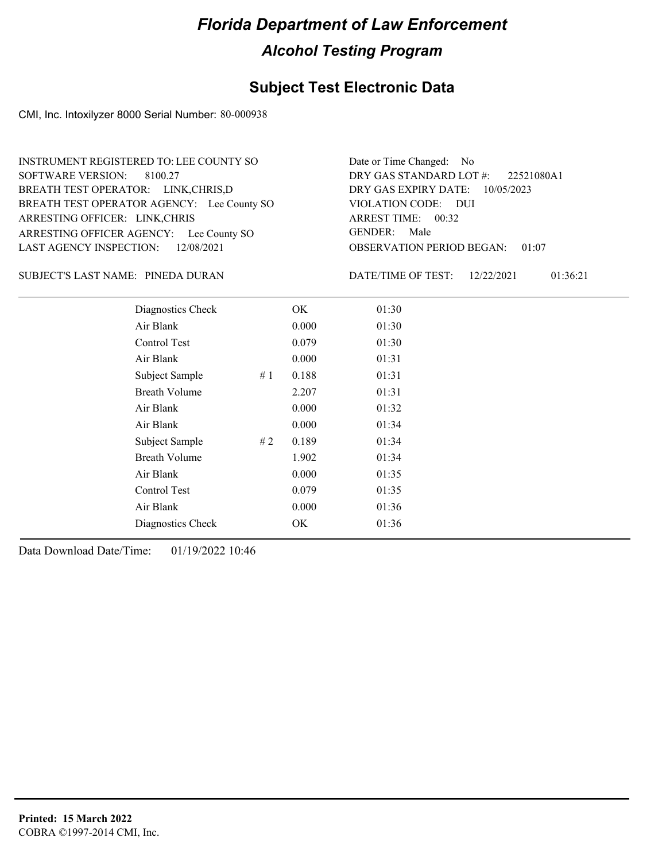#### **Subject Test Electronic Data**

CMI, Inc. Intoxilyzer 8000 Serial Number: 80-000938

ARRESTING OFFICER AGENCY: Lee County SO GENDER: BREATH TEST OPERATOR AGENCY: Lee County SO VIOLATION CODE: SOFTWARE VERSION: 8100.27 ARRESTING OFFICER: LINK,CHRIS BREATH TEST OPERATOR: LINK,CHRIS,D LAST AGENCY INSPECTION: 12/08/2021 INSTRUMENT REGISTERED TO: LEE COUNTY SO

OBSERVATION PERIOD BEGAN: 01:07 VIOLATION CODE: DUI ARREST TIME: 00:32 DRY GAS EXPIRY DATE: 10/05/2023 22521080A1 DRY GAS STANDARD LOT #: Date or Time Changed: No GENDER: Male

PINEDA DURAN SUBJECT'S LAST NAME: DATE/TIME OF TEST:

DATE/TIME OF TEST: 12/22/2021 01:36:21

| Diagnostics Check    |    | OK    | 01:30 |
|----------------------|----|-------|-------|
| Air Blank            |    | 0.000 | 01:30 |
| Control Test         |    | 0.079 | 01:30 |
| Air Blank            |    | 0.000 | 01:31 |
| Subject Sample       | #1 | 0.188 | 01:31 |
| <b>Breath Volume</b> |    | 2.207 | 01:31 |
| Air Blank            |    | 0.000 | 01:32 |
| Air Blank            |    | 0.000 | 01:34 |
| Subject Sample       | #2 | 0.189 | 01:34 |
| <b>Breath Volume</b> |    | 1.902 | 01:34 |
| Air Blank            |    | 0.000 | 01:35 |
| <b>Control Test</b>  |    | 0.079 | 01:35 |
| Air Blank            |    | 0.000 | 01:36 |
| Diagnostics Check    |    | OK    | 01:36 |
|                      |    |       |       |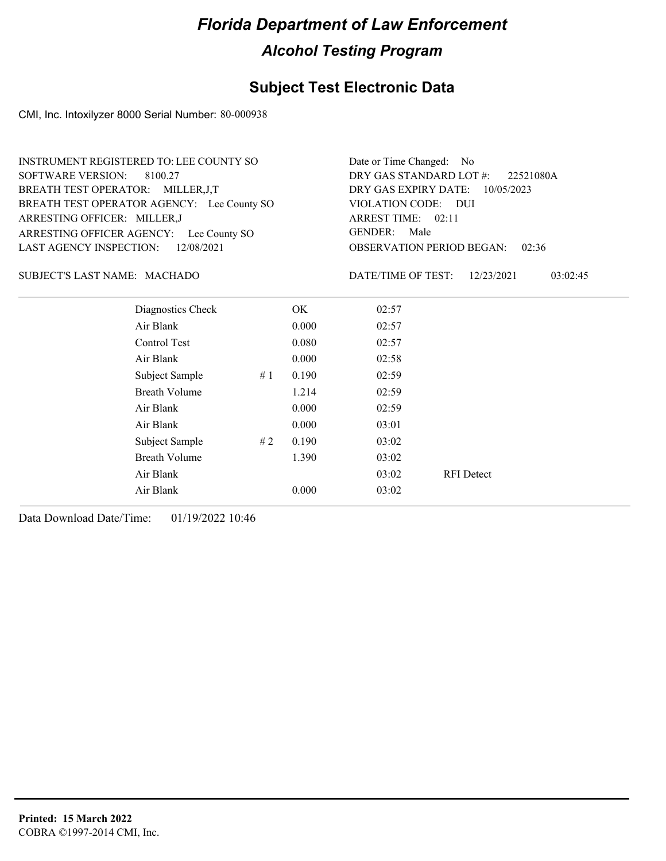#### **Subject Test Electronic Data**

CMI, Inc. Intoxilyzer 8000 Serial Number: 80-000938

| INSTRUMENT REGISTERED TO: LEE COUNTY SO    | Date or Time Changed: No    |
|--------------------------------------------|-----------------------------|
| SOFTWARE VERSION: 8100.27                  | DRY GAS STANDARD LOT        |
| BREATH TEST OPERATOR: MILLER, J, T         | DRY GAS EXPIRY DATE:        |
| BREATH TEST OPERATOR AGENCY: Lee County SO | VIOLATION CODE: DUI         |
| ARRESTING OFFICER: MILLER,J                | ARREST TIME: 02:11          |
| ARRESTING OFFICER AGENCY: Lee County SO    | GENDER: Male                |
| LAST AGENCY INSPECTION: 12/08/2021         | <b>OBSERVATION PERIOD B</b> |

OBSERVATION PERIOD BEGAN: 02:36 ARREST TIME: 02:11 DRY GAS EXPIRY DATE: 10/05/2023 22521080A DRY GAS STANDARD LOT #: Date or Time Changed: No GENDER: Male

#### MACHADO SUBJECT'S LAST NAME: DATE/TIME OF TEST:

DATE/TIME OF TEST: 12/23/2021 03:02:45

| Diagnostics Check    |    | OK    | 02:57 |                   |
|----------------------|----|-------|-------|-------------------|
| Air Blank            |    | 0.000 | 02:57 |                   |
| Control Test         |    | 0.080 | 02:57 |                   |
| Air Blank            |    | 0.000 | 02:58 |                   |
| Subject Sample       | #1 | 0.190 | 02:59 |                   |
| <b>Breath Volume</b> |    | 1.214 | 02:59 |                   |
| Air Blank            |    | 0.000 | 02:59 |                   |
| Air Blank            |    | 0.000 | 03:01 |                   |
| Subject Sample       | #2 | 0.190 | 03:02 |                   |
| <b>Breath Volume</b> |    | 1.390 | 03:02 |                   |
| Air Blank            |    |       | 03:02 | <b>RFI</b> Detect |
| Air Blank            |    | 0.000 | 03:02 |                   |
|                      |    |       |       |                   |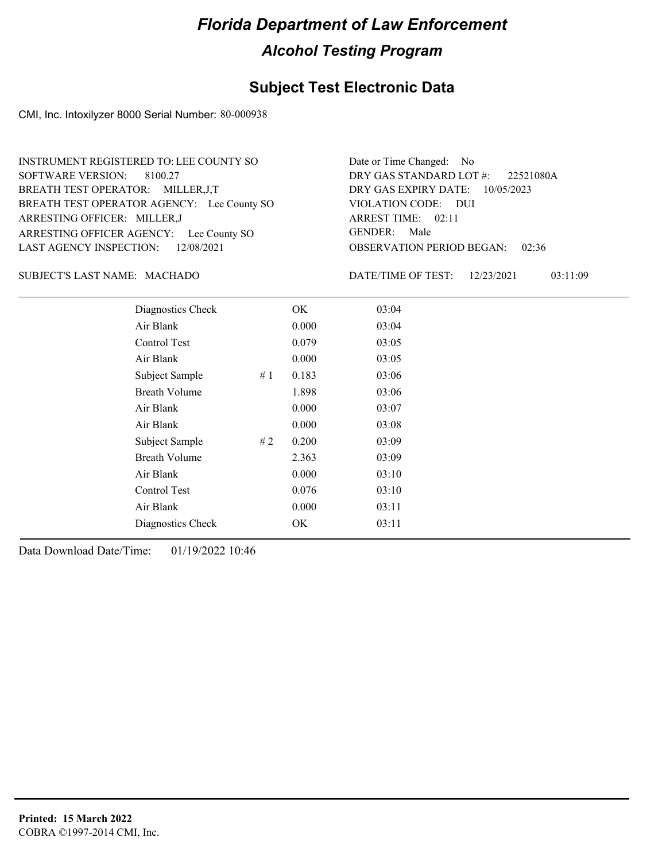#### **Subject Test Electronic Data**

CMI, Inc. Intoxilyzer 8000 Serial Number: 80-000938

ARRESTING OFFICER AGENCY: Lee County SO GENDER: BREATH TEST OPERATOR AGENCY: Lee County SO VIOLATION CODE: SOFTWARE VERSION: 8100.27 ARRESTING OFFICER: MILLER,J BREATH TEST OPERATOR: MILLER,J,T LAST AGENCY INSPECTION: 12/08/2021 INSTRUMENT REGISTERED TO: LEE COUNTY SO

OBSERVATION PERIOD BEGAN: 02:36 VIOLATION CODE: DUI ARREST TIME: 02:11 DRY GAS EXPIRY DATE: 10/05/2023 22521080A DRY GAS STANDARD LOT #: Date or Time Changed: No GENDER: Male

#### MACHADO SUBJECT'S LAST NAME: DATE/TIME OF TEST:

DATE/TIME OF TEST: 12/23/2021 03:11:09

| Diagnostics Check    |    | OK    | 03:04 |
|----------------------|----|-------|-------|
| Air Blank            |    | 0.000 | 03:04 |
| Control Test         |    | 0.079 | 03:05 |
| Air Blank            |    | 0.000 | 03:05 |
| Subject Sample       | #1 | 0.183 | 03:06 |
| <b>Breath Volume</b> |    | 1.898 | 03:06 |
| Air Blank            |    | 0.000 | 03:07 |
| Air Blank            |    | 0.000 | 03:08 |
| Subject Sample       | #2 | 0.200 | 03:09 |
| <b>Breath Volume</b> |    | 2.363 | 03:09 |
| Air Blank            |    | 0.000 | 03:10 |
| Control Test         |    | 0.076 | 03:10 |
| Air Blank            |    | 0.000 | 03:11 |
| Diagnostics Check    |    | OK    | 03:11 |
|                      |    |       |       |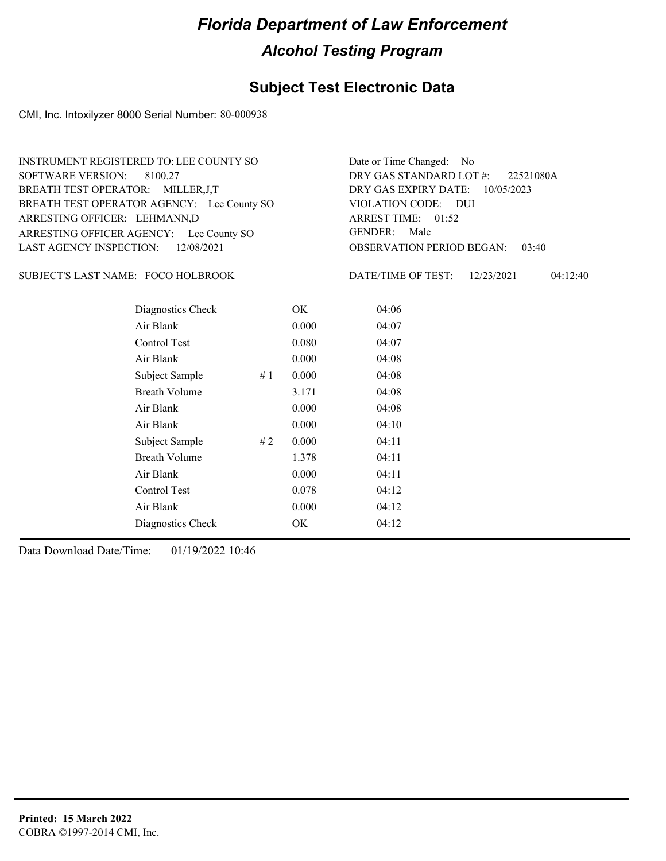#### **Subject Test Electronic Data**

CMI, Inc. Intoxilyzer 8000 Serial Number: 80-000938

ARRESTING OFFICER AGENCY: Lee County SO GENDER: BREATH TEST OPERATOR AGENCY: Lee County SO VIOLATION CODE: SOFTWARE VERSION: 8100.27 ARRESTING OFFICER: LEHMANN,D BREATH TEST OPERATOR: MILLER,J,T LAST AGENCY INSPECTION: 12/08/2021 INSTRUMENT REGISTERED TO: LEE COUNTY SO

OBSERVATION PERIOD BEGAN: 03:40 VIOLATION CODE: DUI ARREST TIME: 01:52 DRY GAS EXPIRY DATE: 10/05/2023 22521080A DRY GAS STANDARD LOT #: Date or Time Changed: No GENDER: Male

SUBJECT'S LAST NAME: FOCO HOLBROOK DATE/TIME OF TEST:

DATE/TIME OF TEST: 12/23/2021 04:12:40

| Diagnostics Check    |    | OK    | 04:06 |
|----------------------|----|-------|-------|
| Air Blank            |    | 0.000 | 04:07 |
| Control Test         |    | 0.080 | 04:07 |
| Air Blank            |    | 0.000 | 04:08 |
| Subject Sample       | #1 | 0.000 | 04:08 |
| <b>Breath Volume</b> |    | 3.171 | 04:08 |
| Air Blank            |    | 0.000 | 04:08 |
| Air Blank            |    | 0.000 | 04:10 |
| Subject Sample       | #2 | 0.000 | 04:11 |
| <b>Breath Volume</b> |    | 1.378 | 04:11 |
| Air Blank            |    | 0.000 | 04:11 |
| Control Test         |    | 0.078 | 04:12 |
| Air Blank            |    | 0.000 | 04:12 |
| Diagnostics Check    |    | OK    | 04:12 |
|                      |    |       |       |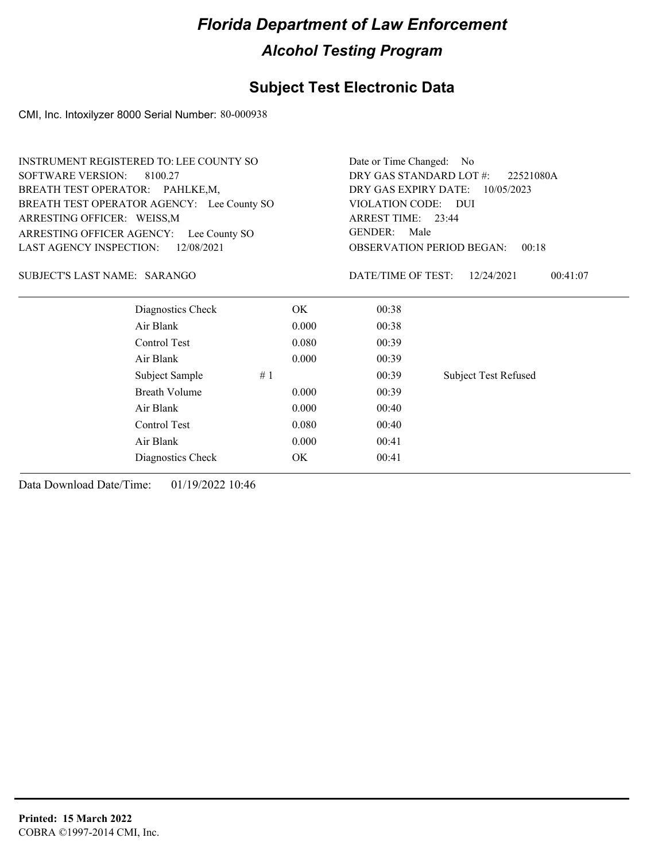### **Subject Test Electronic Data**

CMI, Inc. Intoxilyzer 8000 Serial Number: 80-000938

| DRY GAS STANDARD LOT #:<br><b>SOFTWARE VERSION:</b><br>8100.27<br>22521080A<br>BREATH TEST OPERATOR: PAHLKE,M,<br>DRY GAS EXPIRY DATE:<br>10/05/2023<br>BREATH TEST OPERATOR AGENCY: Lee County SO<br>VIOLATION CODE: DUI<br>ARREST TIME: 23:44<br>ARRESTING OFFICER: WEISS, M<br><b>GENDER:</b><br>Male<br>ARRESTING OFFICER AGENCY: Lee County SO<br>LAST AGENCY INSPECTION:<br>12/08/2021<br><b>OBSERVATION PERIOD BEGAN:</b><br>00:18<br>SUBJECT'S LAST NAME: SARANGO<br>DATE/TIME OF TEST:<br>12/24/2021<br>00:41:07<br>Diagnostics Check<br>OK.<br>00:38<br>Air Blank<br>00:38<br>0.000<br>Control Test<br>0.080<br>00:39<br>Air Blank<br>0.000<br>00:39<br>#1<br><b>Subject Test Refused</b><br>Subject Sample<br>00:39<br><b>Breath Volume</b><br>0.000<br>00:39<br>Air Blank<br>0.000<br>00:40<br>Control Test<br>0.080<br>00:40<br>Air Blank<br>0.000<br>00:41 | <b>INSTRUMENT REGISTERED TO: LEE COUNTY SO</b> | Date or Time Changed: | N <sub>0</sub> |  |  |  |
|--------------------------------------------------------------------------------------------------------------------------------------------------------------------------------------------------------------------------------------------------------------------------------------------------------------------------------------------------------------------------------------------------------------------------------------------------------------------------------------------------------------------------------------------------------------------------------------------------------------------------------------------------------------------------------------------------------------------------------------------------------------------------------------------------------------------------------------------------------------------------|------------------------------------------------|-----------------------|----------------|--|--|--|
|                                                                                                                                                                                                                                                                                                                                                                                                                                                                                                                                                                                                                                                                                                                                                                                                                                                                          |                                                |                       |                |  |  |  |
|                                                                                                                                                                                                                                                                                                                                                                                                                                                                                                                                                                                                                                                                                                                                                                                                                                                                          |                                                |                       |                |  |  |  |
|                                                                                                                                                                                                                                                                                                                                                                                                                                                                                                                                                                                                                                                                                                                                                                                                                                                                          |                                                |                       |                |  |  |  |
|                                                                                                                                                                                                                                                                                                                                                                                                                                                                                                                                                                                                                                                                                                                                                                                                                                                                          |                                                |                       |                |  |  |  |
|                                                                                                                                                                                                                                                                                                                                                                                                                                                                                                                                                                                                                                                                                                                                                                                                                                                                          |                                                |                       |                |  |  |  |
|                                                                                                                                                                                                                                                                                                                                                                                                                                                                                                                                                                                                                                                                                                                                                                                                                                                                          |                                                |                       |                |  |  |  |
|                                                                                                                                                                                                                                                                                                                                                                                                                                                                                                                                                                                                                                                                                                                                                                                                                                                                          |                                                |                       |                |  |  |  |
|                                                                                                                                                                                                                                                                                                                                                                                                                                                                                                                                                                                                                                                                                                                                                                                                                                                                          |                                                |                       |                |  |  |  |
|                                                                                                                                                                                                                                                                                                                                                                                                                                                                                                                                                                                                                                                                                                                                                                                                                                                                          |                                                |                       |                |  |  |  |
|                                                                                                                                                                                                                                                                                                                                                                                                                                                                                                                                                                                                                                                                                                                                                                                                                                                                          |                                                |                       |                |  |  |  |
|                                                                                                                                                                                                                                                                                                                                                                                                                                                                                                                                                                                                                                                                                                                                                                                                                                                                          |                                                |                       |                |  |  |  |
|                                                                                                                                                                                                                                                                                                                                                                                                                                                                                                                                                                                                                                                                                                                                                                                                                                                                          |                                                |                       |                |  |  |  |
|                                                                                                                                                                                                                                                                                                                                                                                                                                                                                                                                                                                                                                                                                                                                                                                                                                                                          |                                                |                       |                |  |  |  |
|                                                                                                                                                                                                                                                                                                                                                                                                                                                                                                                                                                                                                                                                                                                                                                                                                                                                          |                                                |                       |                |  |  |  |
|                                                                                                                                                                                                                                                                                                                                                                                                                                                                                                                                                                                                                                                                                                                                                                                                                                                                          |                                                |                       |                |  |  |  |
|                                                                                                                                                                                                                                                                                                                                                                                                                                                                                                                                                                                                                                                                                                                                                                                                                                                                          |                                                |                       |                |  |  |  |
|                                                                                                                                                                                                                                                                                                                                                                                                                                                                                                                                                                                                                                                                                                                                                                                                                                                                          | Diagnostics Check                              | OK.                   | 00:41          |  |  |  |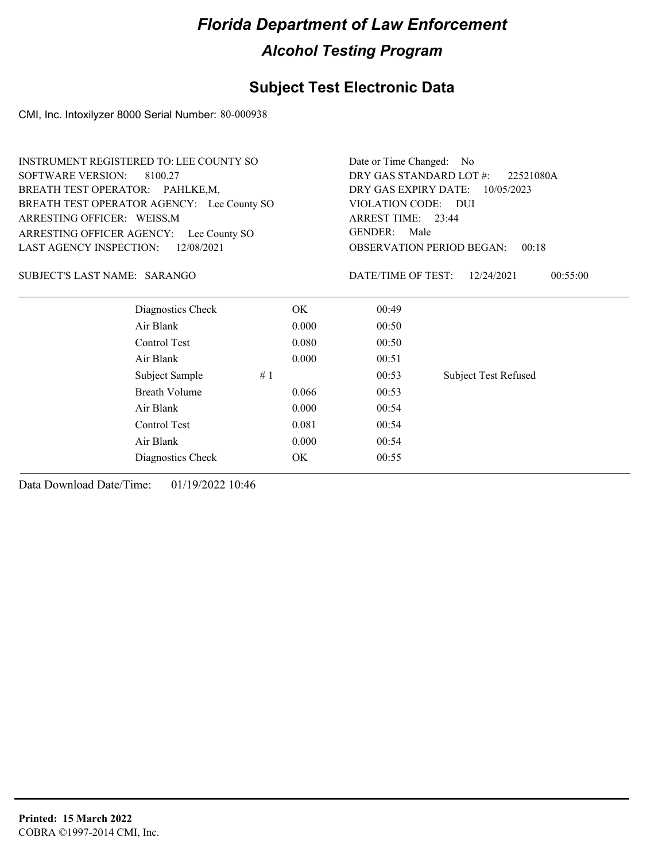### **Subject Test Electronic Data**

CMI, Inc. Intoxilyzer 8000 Serial Number: 80-000938

| INSTRUMENT REGISTERED TO: LEE COUNTY SO      | Date or Time Changed:<br>No |                                                           |                             |  |  |
|----------------------------------------------|-----------------------------|-----------------------------------------------------------|-----------------------------|--|--|
| <b>SOFTWARE VERSION:</b><br>8100.27          |                             | DRY GAS STANDARD LOT #:<br>22521080A                      |                             |  |  |
| BREATH TEST OPERATOR: PAHLKE,M,              |                             | DRY GAS EXPIRY DATE:<br>10/05/2023<br>VIOLATION CODE: DUI |                             |  |  |
| BREATH TEST OPERATOR AGENCY: Lee County SO   |                             |                                                           |                             |  |  |
| ARRESTING OFFICER: WEISS, M                  |                             | ARREST TIME: 23:44                                        |                             |  |  |
| ARRESTING OFFICER AGENCY: Lee County SO      |                             | <b>GENDER:</b><br>Male                                    |                             |  |  |
| <b>LAST AGENCY INSPECTION:</b><br>12/08/2021 |                             | <b>OBSERVATION PERIOD BEGAN:</b><br>00:18                 |                             |  |  |
| SUBJECT'S LAST NAME: SARANGO                 |                             | DATE/TIME OF TEST:                                        | 12/24/2021<br>00:55:00      |  |  |
| Diagnostics Check                            | OK.                         | 00:49                                                     |                             |  |  |
| Air Blank                                    | 0.000                       | 00:50                                                     |                             |  |  |
| Control Test                                 | 0.080                       | 00:50                                                     |                             |  |  |
| Air Blank                                    | 0.000                       | 00:51                                                     |                             |  |  |
| Subject Sample                               | #1                          | 00:53                                                     | <b>Subject Test Refused</b> |  |  |
| <b>Breath Volume</b>                         | 0.066                       | 00:53                                                     |                             |  |  |
| Air Blank                                    | 0.000                       | 00:54                                                     |                             |  |  |
| Control Test                                 | 0.081                       | 00:54                                                     |                             |  |  |
| Air Blank                                    | 0.000                       | 00:54                                                     |                             |  |  |
| Diagnostics Check                            | OK.                         | 00:55                                                     |                             |  |  |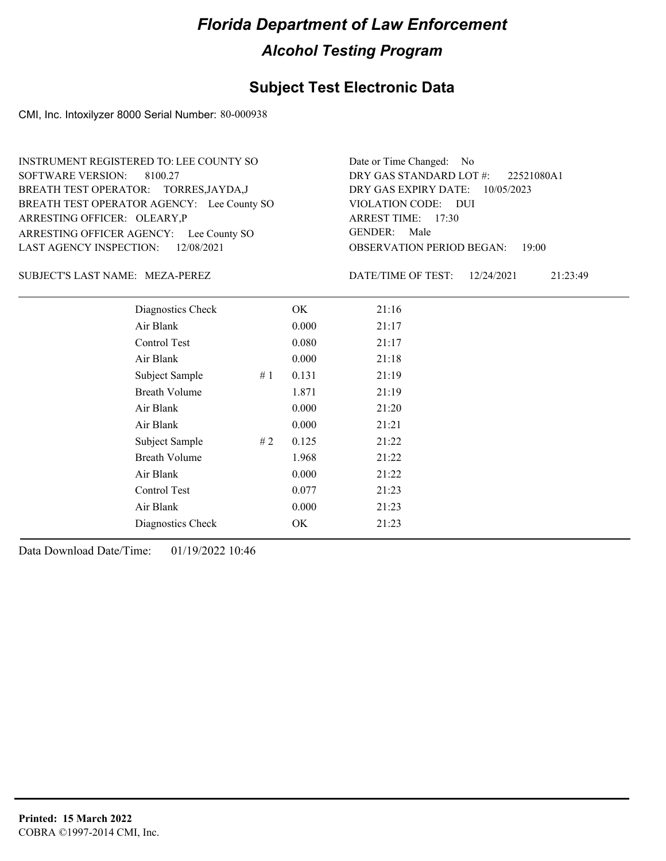#### **Subject Test Electronic Data**

CMI, Inc. Intoxilyzer 8000 Serial Number: 80-000938

ARRESTING OFFICER AGENCY: Lee County SO GENDER: BREATH TEST OPERATOR AGENCY: Lee County SO VIOLATION CODE: SOFTWARE VERSION: 8100.27 ARRESTING OFFICER: OLEARY, P BREATH TEST OPERATOR: TORRES,JAYDA,J LAST AGENCY INSPECTION: 12/08/2021 INSTRUMENT REGISTERED TO: LEE COUNTY SO

OBSERVATION PERIOD BEGAN: 19:00 VIOLATION CODE: DUI ARREST TIME: 17:30 DRY GAS EXPIRY DATE: 10/05/2023 22521080A1 DRY GAS STANDARD LOT #: Date or Time Changed: No GENDER: Male

SUBJECT'S LAST NAME: MEZA-PEREZ DATE/TIME OF TEST:

DATE/TIME OF TEST: 12/24/2021 21:23:49

| Diagnostics Check    | OK    | 21:16 |
|----------------------|-------|-------|
| Air Blank            | 0.000 | 21:17 |
| Control Test         | 0.080 | 21:17 |
| Air Blank            | 0.000 | 21:18 |
| Subject Sample<br>#1 | 0.131 | 21:19 |
| <b>Breath Volume</b> | 1.871 | 21:19 |
| Air Blank            | 0.000 | 21:20 |
| Air Blank            | 0.000 | 21:21 |
| Subject Sample<br>#2 | 0.125 | 21:22 |
| <b>Breath Volume</b> | 1.968 | 21:22 |
| Air Blank            | 0.000 | 21:22 |
| <b>Control Test</b>  | 0.077 | 21:23 |
| Air Blank            | 0.000 | 21:23 |
| Diagnostics Check    | OK    | 21:23 |
|                      |       |       |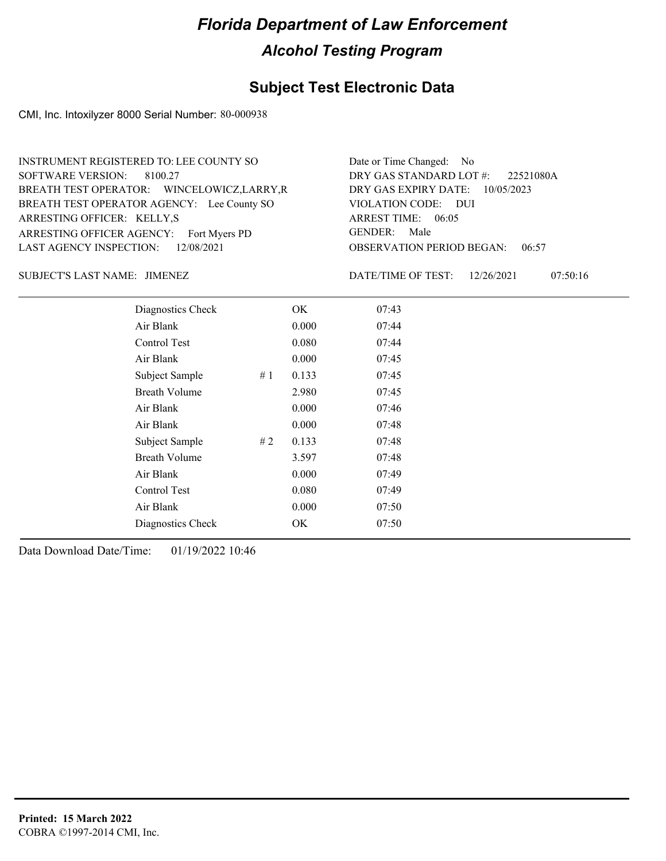### **Subject Test Electronic Data**

CMI, Inc. Intoxilyzer 8000 Serial Number: 80-000938

| INSTRUMENT REGISTERED TO: LEE COUNTY SO     | Date or Time Changed: No               |
|---------------------------------------------|----------------------------------------|
| SOFTWARE VERSION: 8100.27                   | DRY GAS STANDARD LOT #: 22521080A      |
| BREATH TEST OPERATOR: WINCELOWICZ, LARRY, R | DRY GAS EXPIRY DATE: 10/05/2023        |
| BREATH TEST OPERATOR AGENCY: Lee County SO  | VIOLATION CODE: DUI                    |
| ARRESTING OFFICER: KELLY,S                  | ARREST TIME: 06:05                     |
| ARRESTING OFFICER AGENCY: Fort Myers PD     | GENDER: Male                           |
| LAST AGENCY INSPECTION: 12/08/2021          | <b>OBSERVATION PERIOD BEGAN: 06:57</b> |

JIMENEZ SUBJECT'S LAST NAME: DATE/TIME OF TEST:

DATE/TIME OF TEST: 12/26/2021 07:50:16

| Diagnostics Check    |    | OK    | 07:43 |
|----------------------|----|-------|-------|
| Air Blank            |    | 0.000 | 07:44 |
| Control Test         |    | 0.080 | 07:44 |
| Air Blank            |    | 0.000 | 07:45 |
| Subject Sample       | #1 | 0.133 | 07:45 |
| <b>Breath Volume</b> |    | 2.980 | 07:45 |
| Air Blank            |    | 0.000 | 07:46 |
| Air Blank            |    | 0.000 | 07:48 |
| Subject Sample       | #2 | 0.133 | 07:48 |
| <b>Breath Volume</b> |    | 3.597 | 07:48 |
| Air Blank            |    | 0.000 | 07:49 |
| Control Test         |    | 0.080 | 07:49 |
| Air Blank            |    | 0.000 | 07:50 |
| Diagnostics Check    |    | OK    | 07:50 |
|                      |    |       |       |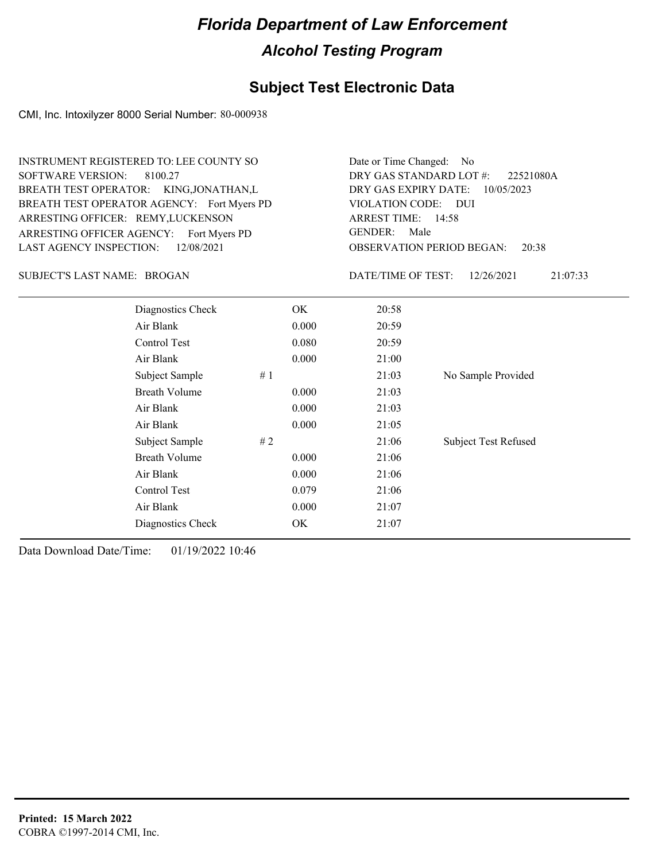#### **Subject Test Electronic Data**

CMI, Inc. Intoxilyzer 8000 Serial Number: 80-000938

ARRESTING OFFICER AGENCY: Fort Myers PD GENDER: BREATH TEST OPERATOR AGENCY: Fort Myers PD VIOLATION CODE: SOFTWARE VERSION: 8100.27 ARRESTING OFFICER: REMY, LUCKENSON BREATH TEST OPERATOR: KING,JONATHAN,L LAST AGENCY INSPECTION: 12/08/2021 INSTRUMENT REGISTERED TO: LEE COUNTY SO

OBSERVATION PERIOD BEGAN: 20:38 VIOLATION CODE: DUI ARREST TIME: 14:58 DRY GAS EXPIRY DATE: 10/05/2023 22521080A DRY GAS STANDARD LOT #: Date or Time Changed: No GENDER: Male

SUBJECT'S LAST NAME: BROGAN DATE/TIME OF TEST:

DATE/TIME OF TEST: 12/26/2021 21:07:33

| Diagnostics Check    | OK    | 20:58 |                             |
|----------------------|-------|-------|-----------------------------|
| Air Blank            | 0.000 | 20:59 |                             |
| Control Test         | 0.080 | 20:59 |                             |
| Air Blank            | 0.000 | 21:00 |                             |
| Subject Sample<br>#1 |       | 21:03 | No Sample Provided          |
| <b>Breath Volume</b> | 0.000 | 21:03 |                             |
| Air Blank            | 0.000 | 21:03 |                             |
| Air Blank            | 0.000 | 21:05 |                             |
| Subject Sample<br>#2 |       | 21:06 | <b>Subject Test Refused</b> |
| <b>Breath Volume</b> | 0.000 | 21:06 |                             |
| Air Blank            | 0.000 | 21:06 |                             |
| Control Test         | 0.079 | 21:06 |                             |
| Air Blank            | 0.000 | 21:07 |                             |
| Diagnostics Check    | OK    | 21:07 |                             |
|                      |       |       |                             |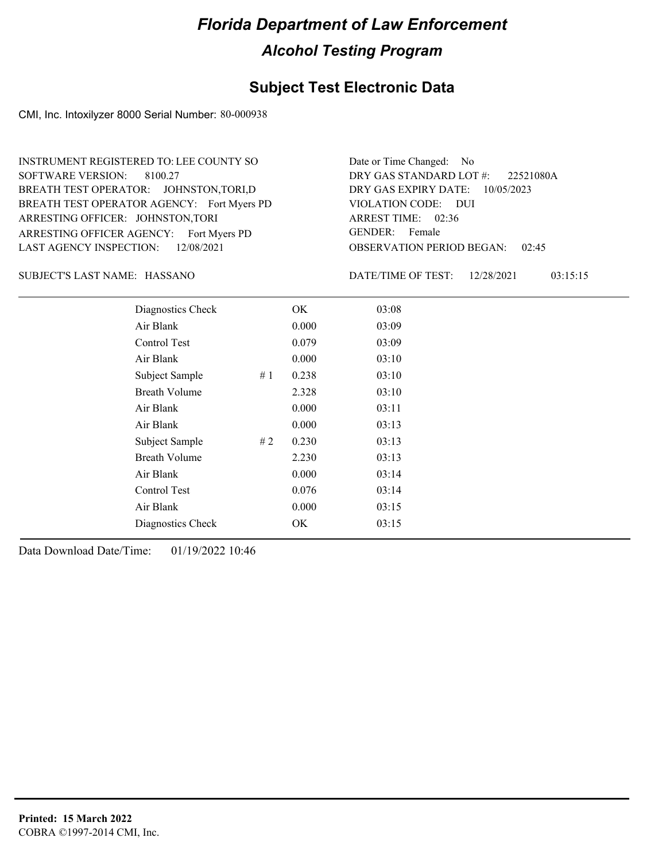#### **Subject Test Electronic Data**

CMI, Inc. Intoxilyzer 8000 Serial Number: 80-000938

ARRESTING OFFICER AGENCY: Fort Myers PD GENDER: BREATH TEST OPERATOR AGENCY: Fort Myers PD VIOLATION CODE: SOFTWARE VERSION: 8100.27 ARRESTING OFFICER: JOHNSTON,TORI BREATH TEST OPERATOR: JOHNSTON,TORI,D LAST AGENCY INSPECTION: 12/08/2021 INSTRUMENT REGISTERED TO: LEE COUNTY SO

OBSERVATION PERIOD BEGAN: 02:45 VIOLATION CODE: DUI 02:36 ARREST TIME: DRY GAS EXPIRY DATE: 10/05/2023 22521080A DRY GAS STANDARD LOT #: Date or Time Changed: No GENDER: Female

HASSANO SUBJECT'S LAST NAME: DATE/TIME OF TEST:

DATE/TIME OF TEST: 12/28/2021 03:15:15

| Diagnostics Check    |    | OK    | 03:08 |
|----------------------|----|-------|-------|
| Air Blank            |    | 0.000 | 03:09 |
| Control Test         |    | 0.079 | 03:09 |
| Air Blank            |    | 0.000 | 03:10 |
| Subject Sample       | #1 | 0.238 | 03:10 |
| <b>Breath Volume</b> |    | 2.328 | 03:10 |
| Air Blank            |    | 0.000 | 03:11 |
| Air Blank            |    | 0.000 | 03:13 |
| Subject Sample       | #2 | 0.230 | 03:13 |
| <b>Breath Volume</b> |    | 2.230 | 03:13 |
| Air Blank            |    | 0.000 | 03:14 |
| Control Test         |    | 0.076 | 03:14 |
| Air Blank            |    | 0.000 | 03:15 |
| Diagnostics Check    |    | OK    | 03:15 |
|                      |    |       |       |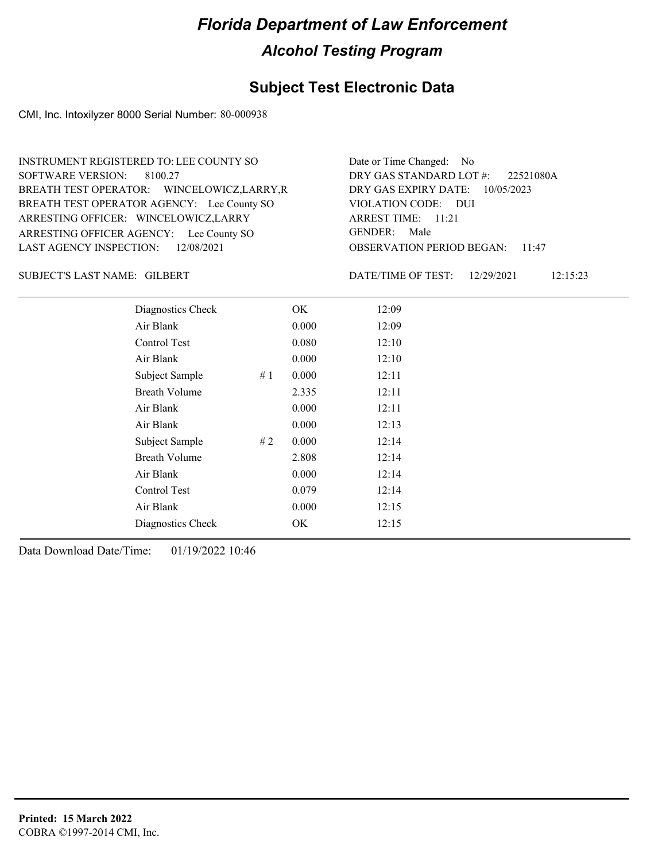#### **Subject Test Electronic Data**

CMI, Inc. Intoxilyzer 8000 Serial Number: 80-000938

ARRESTING OFFICER AGENCY: Lee County SO GENDER: BREATH TEST OPERATOR AGENCY: Lee County SO VIOLATION CODE: SOFTWARE VERSION: 8100.27 ARRESTING OFFICER: WINCELOWICZ,LARRY BREATH TEST OPERATOR: WINCELOWICZ,LARRY,R LAST AGENCY INSPECTION: 12/08/2021 INSTRUMENT REGISTERED TO: LEE COUNTY SO

OBSERVATION PERIOD BEGAN: 11:47 VIOLATION CODE: DUI ARREST TIME: 11:21 DRY GAS EXPIRY DATE: 10/05/2023 22521080A DRY GAS STANDARD LOT #: Date or Time Changed: No GENDER: Male

GILBERT SUBJECT'S LAST NAME: DATE/TIME OF TEST:

DATE/TIME OF TEST: 12/29/2021 12:15:23

| Diagnostics Check    |    | OK    | 12:09 |
|----------------------|----|-------|-------|
| Air Blank            |    | 0.000 | 12:09 |
| Control Test         |    | 0.080 | 12:10 |
| Air Blank            |    | 0.000 | 12:10 |
| Subject Sample       | #1 | 0.000 | 12:11 |
| <b>Breath Volume</b> |    | 2.335 | 12:11 |
| Air Blank            |    | 0.000 | 12:11 |
| Air Blank            |    | 0.000 | 12:13 |
| Subject Sample       | #2 | 0.000 | 12:14 |
| <b>Breath Volume</b> |    | 2.808 | 12:14 |
| Air Blank            |    | 0.000 | 12:14 |
| Control Test         |    | 0.079 | 12:14 |
| Air Blank            |    | 0.000 | 12:15 |
| Diagnostics Check    |    | OK    | 12:15 |
|                      |    |       |       |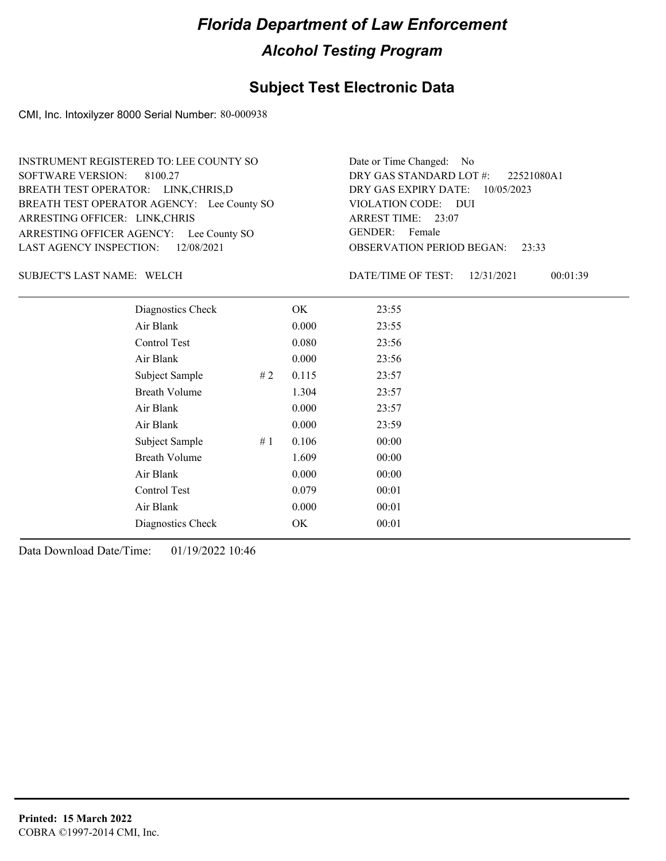#### **Subject Test Electronic Data**

CMI, Inc. Intoxilyzer 8000 Serial Number: 80-000938

ARRESTING OFFICER AGENCY: Lee County SO GENDER: BREATH TEST OPERATOR AGENCY: Lee County SO VIOLATION CODE: SOFTWARE VERSION: 8100.27 ARRESTING OFFICER: LINK,CHRIS BREATH TEST OPERATOR: LINK,CHRIS,D LAST AGENCY INSPECTION: 12/08/2021 INSTRUMENT REGISTERED TO: LEE COUNTY SO

OBSERVATION PERIOD BEGAN: 23:33 VIOLATION CODE: DUI 23:07 ARREST TIME: DRY GAS EXPIRY DATE: 10/05/2023 22521080A1 DRY GAS STANDARD LOT #: Date or Time Changed: No GENDER: Female

SUBJECT'S LAST NAME: WELCH DATE/TIME OF TEST:

DATE/TIME OF TEST: 12/31/2021 00:01:39

| Diagnostics Check    | OK    | 23:55 |
|----------------------|-------|-------|
| Air Blank            | 0.000 | 23:55 |
| Control Test         | 0.080 | 23:56 |
| Air Blank            | 0.000 | 23:56 |
| Subject Sample<br>#2 | 0.115 | 23:57 |
| <b>Breath Volume</b> | 1.304 | 23:57 |
| Air Blank            | 0.000 | 23:57 |
| Air Blank            | 0.000 | 23:59 |
| Subject Sample<br>#1 | 0.106 | 00:00 |
| <b>Breath Volume</b> | 1.609 | 00:00 |
| Air Blank            | 0.000 | 00:00 |
| Control Test         | 0.079 | 00:01 |
| Air Blank            | 0.000 | 00:01 |
| Diagnostics Check    | OK    | 00:01 |
|                      |       |       |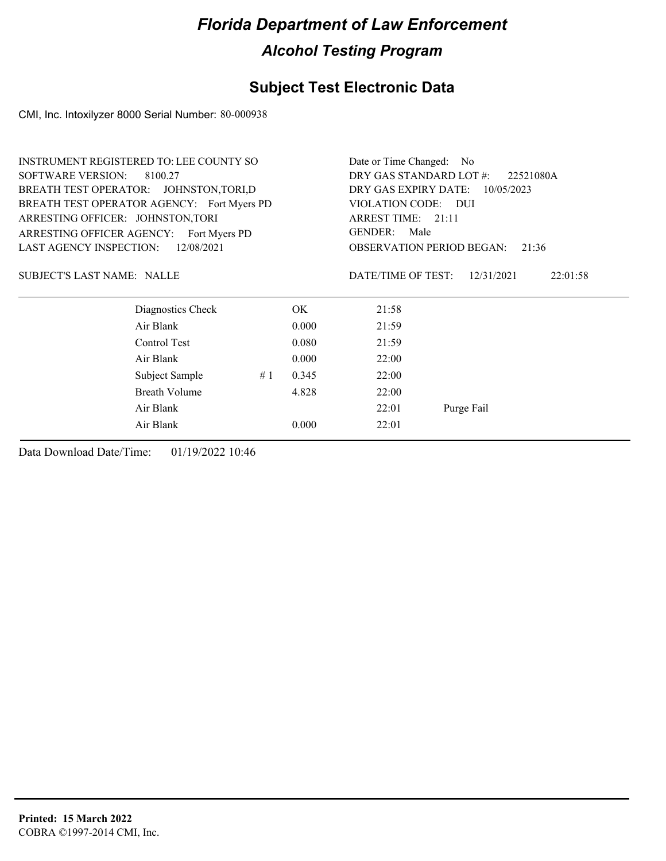### **Subject Test Electronic Data**

CMI, Inc. Intoxilyzer 8000 Serial Number: 80-000938

|                                   | <b>INSTRUMENT REGISTERED TO: LEE COUNTY SO</b> |                                      |       | Date or Time Changed: No                  |                        |  |
|-----------------------------------|------------------------------------------------|--------------------------------------|-------|-------------------------------------------|------------------------|--|
| <b>SOFTWARE VERSION:</b>          | 8100.27                                        | DRY GAS STANDARD LOT #:<br>22521080A |       |                                           |                        |  |
|                                   | BREATH TEST OPERATOR: JOHNSTON, TORI, D        | DRY GAS EXPIRY DATE:<br>10/05/2023   |       |                                           |                        |  |
|                                   | BREATH TEST OPERATOR AGENCY: Fort Myers PD     |                                      |       | VIOLATION CODE: DUI                       |                        |  |
| ARRESTING OFFICER: JOHNSTON, TORI |                                                | ARREST TIME: 21:11                   |       |                                           |                        |  |
|                                   | ARRESTING OFFICER AGENCY: Fort Myers PD        | Male<br><b>GENDER:</b>               |       |                                           |                        |  |
| <b>LAST AGENCY INSPECTION:</b>    | 12/08/2021                                     |                                      |       | <b>OBSERVATION PERIOD BEGAN:</b><br>21:36 |                        |  |
| <b>SUBJECT'S LAST NAME: NALLE</b> |                                                |                                      |       | DATE/TIME OF TEST:                        | 12/31/2021<br>22:01:58 |  |
|                                   | Diagnostics Check                              |                                      | OK.   | 21:58                                     |                        |  |
|                                   | Air Blank                                      |                                      | 0.000 | 21:59                                     |                        |  |
|                                   | Control Test                                   |                                      | 0.080 | 21:59                                     |                        |  |
|                                   | Air Blank                                      |                                      | 0.000 | 22:00                                     |                        |  |
|                                   | Subject Sample                                 | #1                                   | 0.345 | 22:00                                     |                        |  |
|                                   | Breath Volume                                  |                                      | 4.828 | 22:00                                     |                        |  |
|                                   | Air Blank                                      |                                      |       | 22:01                                     | Purge Fail             |  |
|                                   | Air Blank                                      |                                      | 0.000 | 22:01                                     |                        |  |
|                                   |                                                |                                      |       |                                           |                        |  |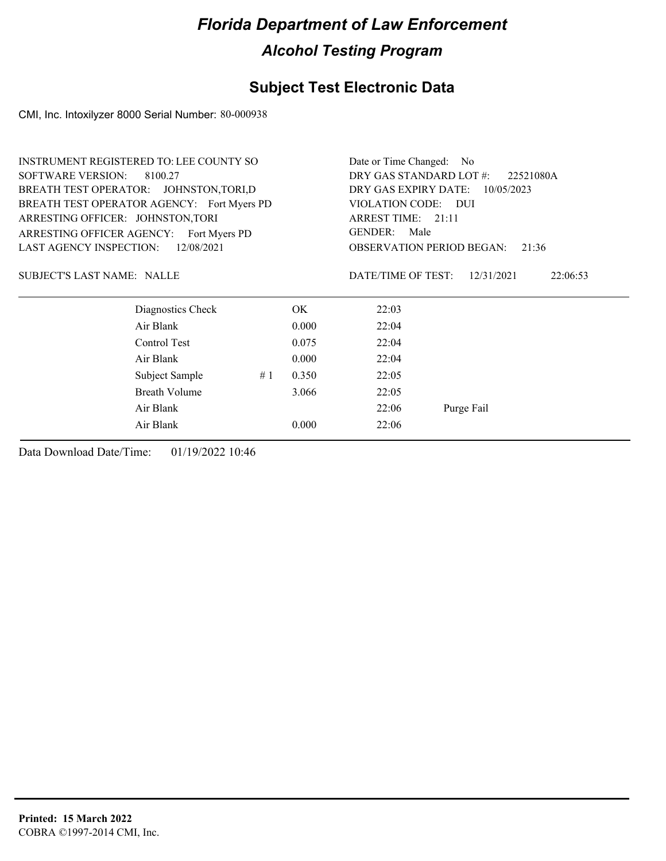### **Subject Test Electronic Data**

CMI, Inc. Intoxilyzer 8000 Serial Number: 80-000938

|                                   | <b>INSTRUMENT REGISTERED TO: LEE COUNTY SO</b> |                                      |       | Date or Time Changed: No                  |                        |  |  |
|-----------------------------------|------------------------------------------------|--------------------------------------|-------|-------------------------------------------|------------------------|--|--|
| <b>SOFTWARE VERSION:</b>          | 8100.27                                        | DRY GAS STANDARD LOT #:<br>22521080A |       |                                           |                        |  |  |
|                                   | BREATH TEST OPERATOR: JOHNSTON, TORI, D        |                                      |       | DRY GAS EXPIRY DATE:<br>10/05/2023        |                        |  |  |
|                                   | BREATH TEST OPERATOR AGENCY: Fort Myers PD     |                                      |       | VIOLATION CODE: DUI                       |                        |  |  |
| ARRESTING OFFICER: JOHNSTON, TORI |                                                | ARREST TIME: 21:11                   |       |                                           |                        |  |  |
|                                   | ARRESTING OFFICER AGENCY: Fort Myers PD        | Male<br><b>GENDER:</b>               |       |                                           |                        |  |  |
| <b>LAST AGENCY INSPECTION:</b>    | 12/08/2021                                     |                                      |       | <b>OBSERVATION PERIOD BEGAN:</b><br>21:36 |                        |  |  |
| <b>SUBJECT'S LAST NAME: NALLE</b> |                                                |                                      |       | DATE/TIME OF TEST:                        | 12/31/2021<br>22:06:53 |  |  |
|                                   | Diagnostics Check                              |                                      | OK.   | 22:03                                     |                        |  |  |
|                                   | Air Blank                                      |                                      | 0.000 | 22:04                                     |                        |  |  |
|                                   | Control Test                                   |                                      | 0.075 | 22:04                                     |                        |  |  |
|                                   | Air Blank                                      |                                      | 0.000 | 22:04                                     |                        |  |  |
|                                   | Subject Sample                                 | #1                                   | 0.350 | 22:05                                     |                        |  |  |
|                                   | Breath Volume                                  |                                      | 3.066 | 22:05                                     |                        |  |  |
|                                   | Air Blank                                      |                                      |       | 22:06                                     | Purge Fail             |  |  |
|                                   | Air Blank                                      |                                      | 0.000 | 22:06                                     |                        |  |  |
|                                   |                                                |                                      |       |                                           |                        |  |  |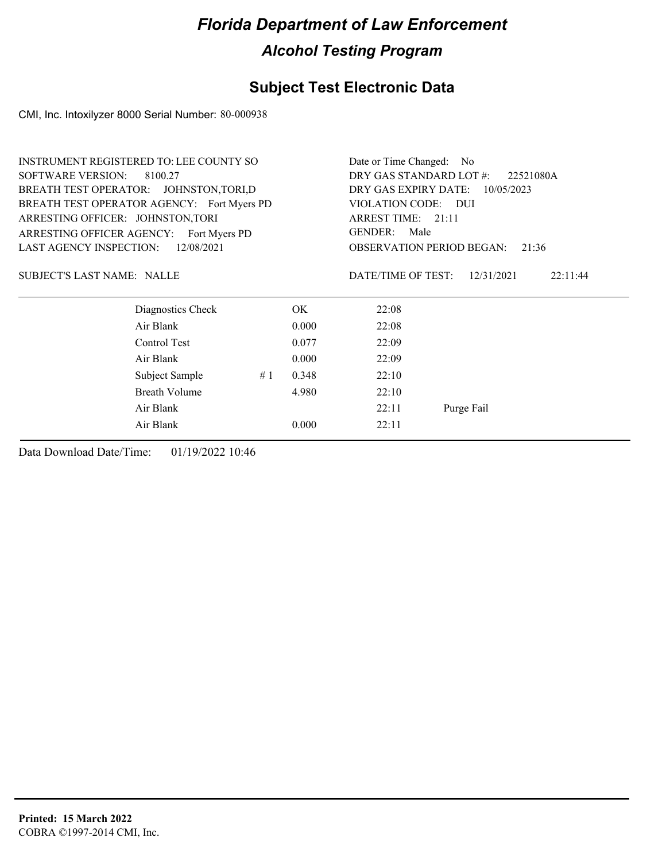### **Subject Test Electronic Data**

CMI, Inc. Intoxilyzer 8000 Serial Number: 80-000938

|                                   | <b>INSTRUMENT REGISTERED TO: LEE COUNTY SO</b> |                                           |       | Date or Time Changed: No                                  |                        |  |  |
|-----------------------------------|------------------------------------------------|-------------------------------------------|-------|-----------------------------------------------------------|------------------------|--|--|
| <b>SOFTWARE VERSION:</b>          | 8100.27                                        | DRY GAS STANDARD LOT #:<br>22521080A      |       |                                                           |                        |  |  |
|                                   | BREATH TEST OPERATOR: JOHNSTON, TORI, D        |                                           |       | DRY GAS EXPIRY DATE:<br>10/05/2023<br>VIOLATION CODE: DUI |                        |  |  |
|                                   | BREATH TEST OPERATOR AGENCY: Fort Myers PD     |                                           |       |                                                           |                        |  |  |
| ARRESTING OFFICER: JOHNSTON, TORI |                                                | ARREST TIME: 21:11                        |       |                                                           |                        |  |  |
| ARRESTING OFFICER AGENCY:         | Fort Myers PD                                  | <b>GENDER:</b><br>Male                    |       |                                                           |                        |  |  |
| <b>LAST AGENCY INSPECTION:</b>    | 12/08/2021                                     | <b>OBSERVATION PERIOD BEGAN:</b><br>21:36 |       |                                                           |                        |  |  |
| <b>SUBJECT'S LAST NAME: NALLE</b> |                                                |                                           |       | DATE/TIME OF TEST:                                        | 12/31/2021<br>22:11:44 |  |  |
|                                   | Diagnostics Check                              |                                           | OK.   | 22:08                                                     |                        |  |  |
|                                   | Air Blank                                      |                                           | 0.000 | 22:08                                                     |                        |  |  |
|                                   | Control Test                                   |                                           | 0.077 | 22:09                                                     |                        |  |  |
|                                   | Air Blank                                      |                                           | 0.000 | 22:09                                                     |                        |  |  |
|                                   | Subject Sample                                 | #1                                        | 0.348 | 22:10                                                     |                        |  |  |
|                                   | <b>Breath Volume</b>                           |                                           | 4.980 | 22:10                                                     |                        |  |  |
|                                   | Air Blank                                      |                                           |       | 22:11                                                     | Purge Fail             |  |  |
|                                   | Air Blank                                      |                                           | 0.000 | 22:11                                                     |                        |  |  |
|                                   |                                                |                                           |       |                                                           |                        |  |  |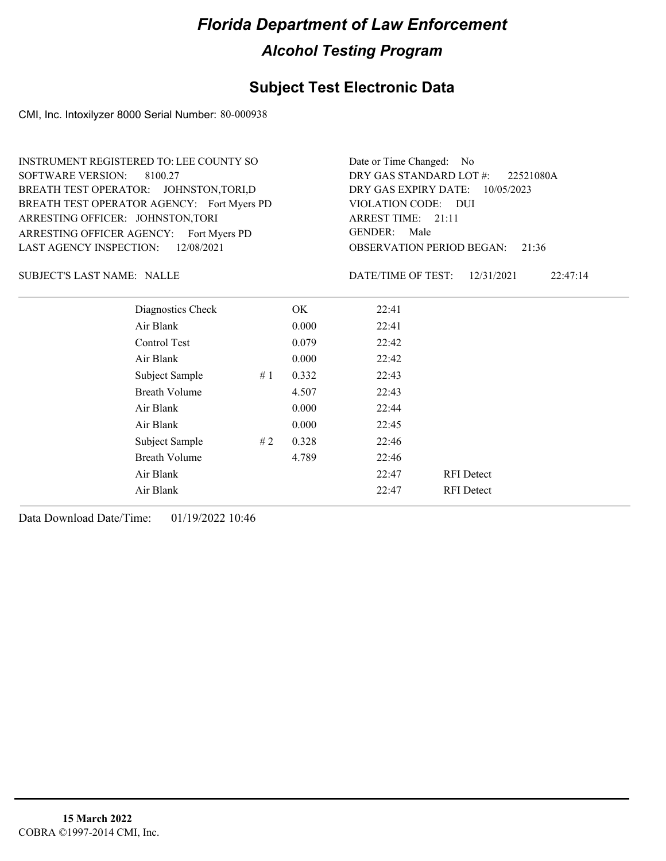#### **Subject Test Electronic Data**

CMI, Inc. Intoxilyzer 8000 Serial Number: 80-000938

ARRESTING OFFICER AGENCY: Fort Myers PD GENDER: BREATH TEST OPERATOR AGENCY: Fort Myers PD VIOLATION CODE: SOFTWARE VERSION: ARRESTING OFFICER: JOHNSTON,TORI BREATH TEST OPERATOR: JOHNSTON,TORI,D LAST AGENCY INSPECTION: 12/08/2021 8100.27 INSTRUMENT REGISTERED TO: LEE COUNTY SO

OBSERVATION PERIOD BEGAN: 21:36 VIOLATION CODE: DUI ARREST TIME: 21:11 DRY GAS EXPIRY DATE: 10/05/2023 22521080A DRY GAS STANDARD LOT #: Date or Time Changed: No GENDER: Male

SUBJECT'S LAST NAME: NALLE DATE/TIME OF TEST:

DATE/TIME OF TEST: 12/31/2021 22:47:14

| Diagnostics Check    |    | OK    | 22:41 |                   |  |
|----------------------|----|-------|-------|-------------------|--|
| Air Blank            |    | 0.000 | 22:41 |                   |  |
| Control Test         |    | 0.079 | 22:42 |                   |  |
| Air Blank            |    | 0.000 | 22:42 |                   |  |
| Subject Sample       | #1 | 0.332 | 22:43 |                   |  |
| <b>Breath Volume</b> |    | 4.507 | 22:43 |                   |  |
| Air Blank            |    | 0.000 | 22:44 |                   |  |
| Air Blank            |    | 0.000 | 22:45 |                   |  |
| Subject Sample       | #2 | 0.328 | 22:46 |                   |  |
| <b>Breath Volume</b> |    | 4.789 | 22:46 |                   |  |
| Air Blank            |    |       | 22:47 | <b>RFI</b> Detect |  |
| Air Blank            |    |       | 22:47 | <b>RFI</b> Detect |  |
|                      |    |       |       |                   |  |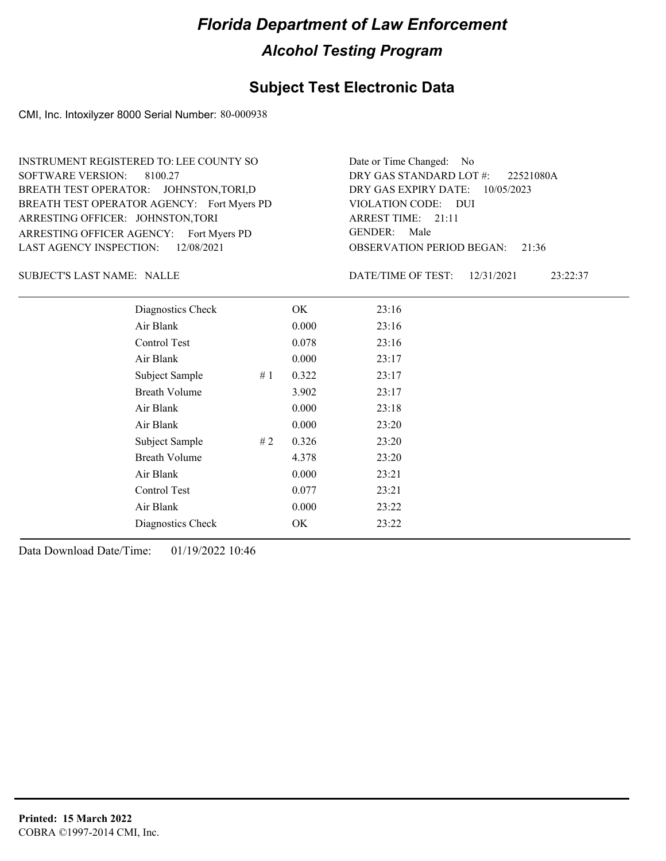#### **Subject Test Electronic Data**

CMI, Inc. Intoxilyzer 8000 Serial Number: 80-000938

ARRESTING OFFICER AGENCY: Fort Myers PD GENDER: BREATH TEST OPERATOR AGENCY: Fort Myers PD VIOLATION CODE: SOFTWARE VERSION: 8100.27 ARRESTING OFFICER: JOHNSTON,TORI BREATH TEST OPERATOR: JOHNSTON,TORI,D LAST AGENCY INSPECTION: 12/08/2021 INSTRUMENT REGISTERED TO: LEE COUNTY SO

OBSERVATION PERIOD BEGAN: 21:36 VIOLATION CODE: DUI ARREST TIME: 21:11 DRY GAS EXPIRY DATE: 10/05/2023 22521080A DRY GAS STANDARD LOT #: Date or Time Changed: No GENDER: Male

SUBJECT'S LAST NAME: NALLE DATE/TIME OF TEST:

DATE/TIME OF TEST: 12/31/2021 23:22:37

| Diagnostics Check    |    | OK    | 23:16 |
|----------------------|----|-------|-------|
| Air Blank            |    | 0.000 | 23:16 |
| Control Test         |    | 0.078 | 23:16 |
| Air Blank            |    | 0.000 | 23:17 |
| Subject Sample       | #1 | 0.322 | 23:17 |
| <b>Breath Volume</b> |    | 3.902 | 23:17 |
| Air Blank            |    | 0.000 | 23:18 |
| Air Blank            |    | 0.000 | 23:20 |
| Subject Sample       | #2 | 0.326 | 23:20 |
| <b>Breath Volume</b> |    | 4.378 | 23:20 |
| Air Blank            |    | 0.000 | 23:21 |
| Control Test         |    | 0.077 | 23:21 |
| Air Blank            |    | 0.000 | 23:22 |
| Diagnostics Check    |    | OK.   | 23:22 |
|                      |    |       |       |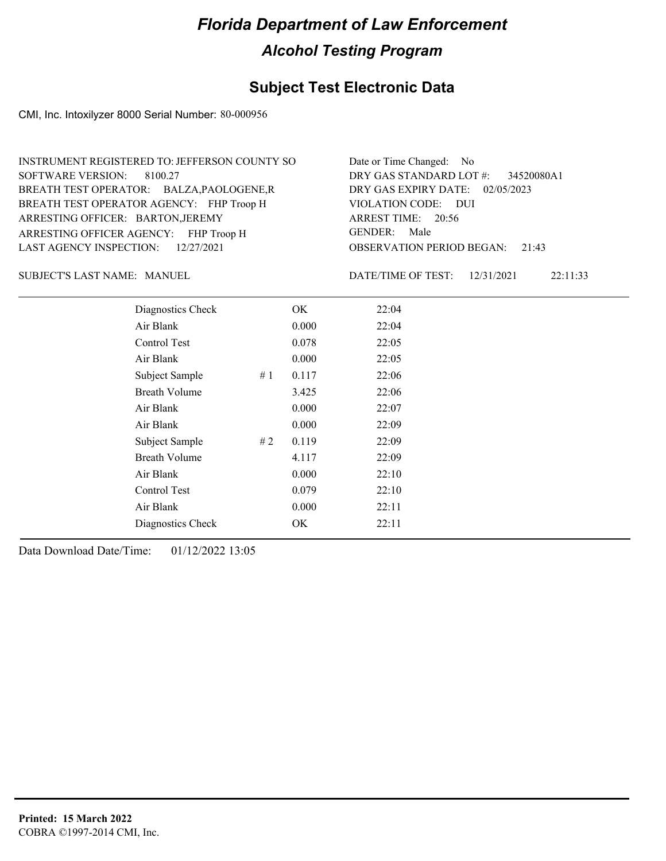### **Subject Test Electronic Data**

CMI, Inc. Intoxilyzer 8000 Serial Number: 80-000956

| INSTRUMENT REGISTERED TO: JEFFERSON COUNTY SO | Date or Time Changed: No               |
|-----------------------------------------------|----------------------------------------|
| SOFTWARE VERSION: 8100.27                     | DRY GAS STANDARD LOT $\#$ : 34520080A1 |
| BREATH TEST OPERATOR: BALZA, PAOLOGENE, R     | DRY GAS EXPIRY DATE: 02/05/2023        |
| BREATH TEST OPERATOR AGENCY: FHP Troop H      | VIOLATION CODE: DUI                    |
| ARRESTING OFFICER: BARTON, JEREMY             | ARREST TIME: 20:56                     |
| ARRESTING OFFICER AGENCY: FHP Troop H         | GENDER: Male                           |
| LAST AGENCY INSPECTION: 12/27/2021            | <b>OBSERVATION PERIOD BEGAN: 21:43</b> |

SUBJECT'S LAST NAME: MANUEL **Example 20 SUBJECT'S LAST NAME:** MANUEL

DATE/TIME OF TEST: 12/31/2021 22:11:33

| Diagnostics Check    | OK    |       | 22:04 |
|----------------------|-------|-------|-------|
| Air Blank            | 0.000 |       | 22:04 |
| Control Test         | 0.078 |       | 22:05 |
| Air Blank            |       | 0.000 | 22:05 |
| Subject Sample<br>#1 | 0.117 |       | 22:06 |
| <b>Breath Volume</b> | 3.425 |       | 22:06 |
| Air Blank            | 0.000 |       | 22:07 |
| Air Blank            |       | 0.000 | 22:09 |
| Subject Sample<br>#2 | 0.119 |       | 22:09 |
| <b>Breath Volume</b> | 4.117 |       | 22:09 |
| Air Blank            | 0.000 |       | 22:10 |
| Control Test         | 0.079 |       | 22:10 |
| Air Blank            |       | 0.000 | 22:11 |
| Diagnostics Check    | OK    |       | 22:11 |
|                      |       |       |       |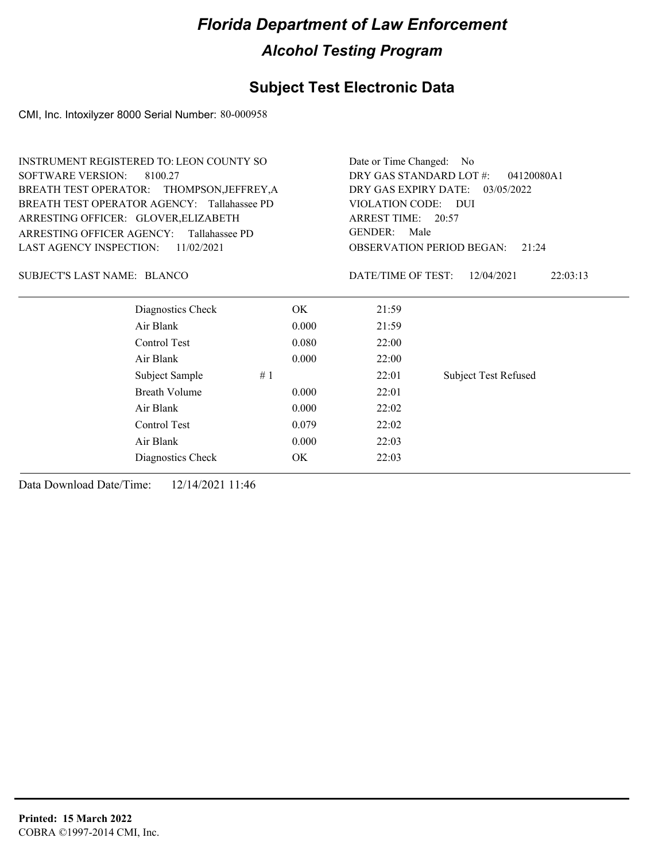### **Subject Test Electronic Data**

CMI, Inc. Intoxilyzer 8000 Serial Number: 80-000958

|                                      | <b>INSTRUMENT REGISTERED TO: LEON COUNTY SO</b> |                                       | Date or Time Changed: No                  |                             |  |  |
|--------------------------------------|-------------------------------------------------|---------------------------------------|-------------------------------------------|-----------------------------|--|--|
| <b>SOFTWARE VERSION:</b>             | 8100.27                                         | DRY GAS STANDARD LOT #:<br>04120080A1 |                                           |                             |  |  |
|                                      | BREATH TEST OPERATOR: THOMPSON, JEFFREY, A      | DRY GAS EXPIRY DATE:<br>03/05/2022    |                                           |                             |  |  |
|                                      | BREATH TEST OPERATOR AGENCY: Tallahassee PD     |                                       | VIOLATION CODE:                           | <b>DUI</b>                  |  |  |
| ARRESTING OFFICER: GLOVER, ELIZABETH |                                                 |                                       | ARREST TIME: 20:57                        |                             |  |  |
| ARRESTING OFFICER AGENCY:            | Tallahassee PD                                  | <b>GENDER:</b><br>Male                |                                           |                             |  |  |
| <b>LAST AGENCY INSPECTION:</b>       | 11/02/2021                                      |                                       | <b>OBSERVATION PERIOD BEGAN:</b><br>21:24 |                             |  |  |
| <b>SUBJECT'S LAST NAME: BLANCO</b>   |                                                 |                                       | DATE/TIME OF TEST:                        | 12/04/2021<br>22:03:13      |  |  |
|                                      | Diagnostics Check                               | OK.                                   | 21:59                                     |                             |  |  |
|                                      | Air Blank                                       | 0.000                                 | 21:59                                     |                             |  |  |
|                                      | Control Test                                    | 0.080                                 | 22:00                                     |                             |  |  |
|                                      | Air Blank                                       | 0.000                                 | 22:00                                     |                             |  |  |
|                                      | Subject Sample                                  | #1                                    | 22:01                                     | <b>Subject Test Refused</b> |  |  |
|                                      | Breath Volume                                   | 0.000                                 | 22:01                                     |                             |  |  |
|                                      | Air Blank                                       | 0.000                                 | 22:02                                     |                             |  |  |
|                                      | Control Test                                    | 0.079                                 | 22:02                                     |                             |  |  |
|                                      | Air Blank                                       | 0.000                                 | 22:03                                     |                             |  |  |
|                                      | Diagnostics Check                               | OK                                    | 22:03                                     |                             |  |  |
|                                      |                                                 |                                       |                                           |                             |  |  |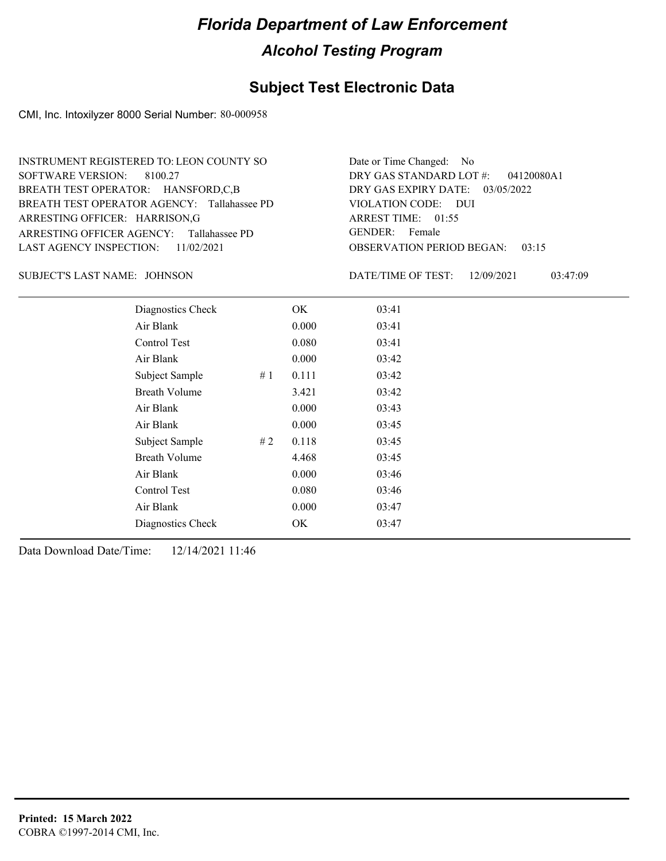### **Subject Test Electronic Data**

CMI, Inc. Intoxilyzer 8000 Serial Number: 80-000958

| INSTRUMENT REGISTERED TO: LEON COUNTY SO    | Date or Time Changed: No               |
|---------------------------------------------|----------------------------------------|
| SOFTWARE VERSION: 8100.27                   | DRY GAS STANDARD LOT $#$ : 04120080A1  |
| BREATH TEST OPERATOR: HANSFORD,C,B          | DRY GAS EXPIRY DATE: 03/05/2022        |
| BREATH TEST OPERATOR AGENCY: Tallahassee PD | VIOLATION CODE: DUI                    |
| ARRESTING OFFICER: HARRISON, G              | ARREST TIME: 01:55                     |
| ARRESTING OFFICER AGENCY: Tallahassee PD    | GENDER: Female                         |
| LAST AGENCY INSPECTION: $11/02/2021$        | <b>OBSERVATION PERIOD BEGAN: 03:15</b> |

JOHNSON SUBJECT'S LAST NAME: DATE/TIME OF TEST:

DATE/TIME OF TEST: 12/09/2021 03:47:09

| Diagnostics Check    |    | OK    | 03:41 |
|----------------------|----|-------|-------|
| Air Blank            |    | 0.000 | 03:41 |
| Control Test         |    | 0.080 | 03:41 |
| Air Blank            |    | 0.000 | 03:42 |
| Subject Sample       | #1 | 0.111 | 03:42 |
| <b>Breath Volume</b> |    | 3.421 | 03:42 |
| Air Blank            |    | 0.000 | 03:43 |
| Air Blank            |    | 0.000 | 03:45 |
| Subject Sample       | #2 | 0.118 | 03:45 |
| <b>Breath Volume</b> |    | 4.468 | 03:45 |
| Air Blank            |    | 0.000 | 03:46 |
| Control Test         |    | 0.080 | 03:46 |
| Air Blank            |    | 0.000 | 03:47 |
| Diagnostics Check    |    | OK    | 03:47 |
|                      |    |       |       |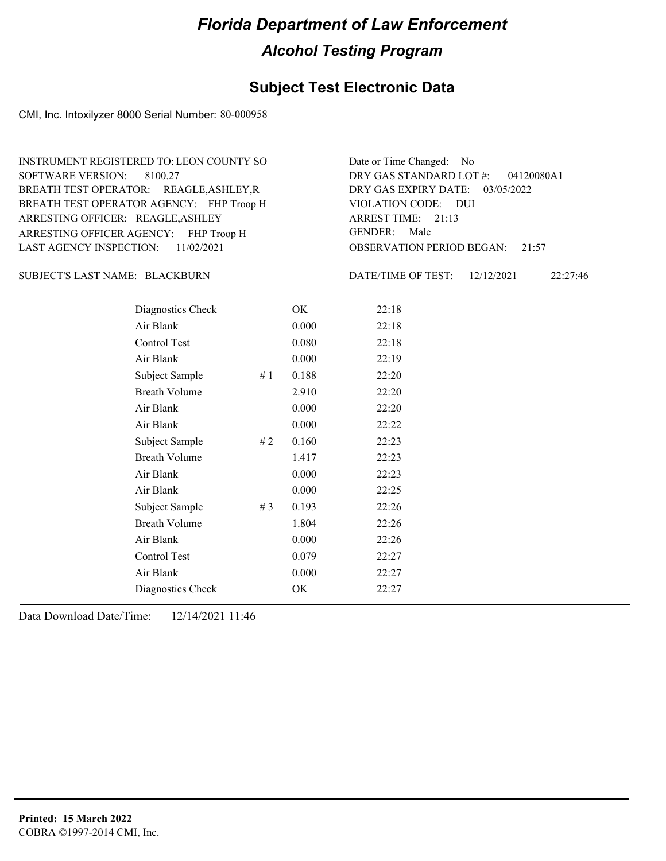#### **Subject Test Electronic Data**

CMI, Inc. Intoxilyzer 8000 Serial Number: 80-000958

ARRESTING OFFICER AGENCY: FHP Troop H GENDER: BREATH TEST OPERATOR AGENCY: FHP Troop H VIOLATION CODE: SOFTWARE VERSION: ARRESTING OFFICER: REAGLE, ASHLEY BREATH TEST OPERATOR: REAGLE,ASHLEY,R LAST AGENCY INSPECTION: 11/02/2021 8100.27 INSTRUMENT REGISTERED TO: LEON COUNTY SO

OBSERVATION PERIOD BEGAN: 21:57 VIOLATION CODE: DUI ARREST TIME: 21:13 DRY GAS EXPIRY DATE: 03/05/2022 04120080A1 DRY GAS STANDARD LOT #: Date or Time Changed: No GENDER: Male

BLACKBURN SUBJECT'S LAST NAME: DATE/TIME OF TEST:

DATE/TIME OF TEST: 12/12/2021 22:27:46

| Diagnostics Check    |    | OK    | 22:18 |
|----------------------|----|-------|-------|
| Air Blank            |    | 0.000 | 22:18 |
| Control Test         |    | 0.080 | 22:18 |
| Air Blank            |    | 0.000 | 22:19 |
| Subject Sample       | #1 | 0.188 | 22:20 |
| <b>Breath Volume</b> |    | 2.910 | 22:20 |
| Air Blank            |    | 0.000 | 22:20 |
| Air Blank            |    | 0.000 | 22:22 |
| Subject Sample       | #2 | 0.160 | 22:23 |
| <b>Breath Volume</b> |    | 1.417 | 22:23 |
| Air Blank            |    | 0.000 | 22:23 |
| Air Blank            |    | 0.000 | 22:25 |
| Subject Sample       | #3 | 0.193 | 22:26 |
| <b>Breath Volume</b> |    | 1.804 | 22:26 |
| Air Blank            |    | 0.000 | 22:26 |
| Control Test         |    | 0.079 | 22:27 |
| Air Blank            |    | 0.000 | 22:27 |
| Diagnostics Check    |    | OK    | 22:27 |
|                      |    |       |       |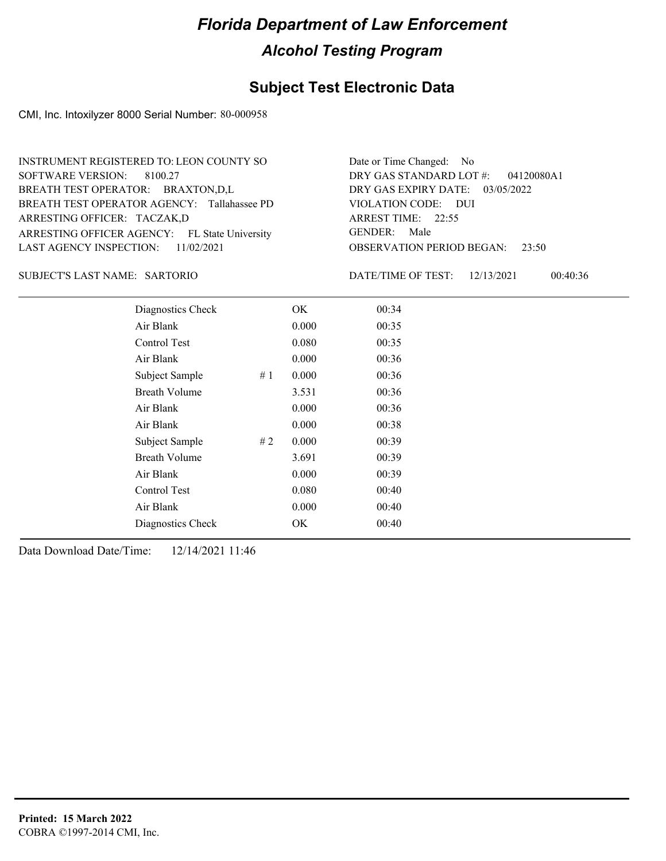### **Subject Test Electronic Data**

CMI, Inc. Intoxilyzer 8000 Serial Number: 80-000958

| INSTRUMENT REGISTERED TO: LEON COUNTY SO      | Date or Time Changed: No               |
|-----------------------------------------------|----------------------------------------|
| SOFTWARE VERSION: 8100.27                     | DRY GAS STANDARD LOT $\#$ : 04120080A1 |
| BREATH TEST OPERATOR: BRAXTON,D,L             | DRY GAS EXPIRY DATE: 03/05/2022        |
| BREATH TEST OPERATOR AGENCY: Tallahassee PD   | VIOLATION CODE: DUI                    |
| ARRESTING OFFICER: TACZAK,D                   | ARREST TIME: $22:55$                   |
| ARRESTING OFFICER AGENCY: FL State University | GENDER: Male                           |
| LAST AGENCY INSPECTION: $11/02/2021$          | <b>OBSERVATION PERIOD BEGAN: 23:50</b> |

#### SARTORIO SUBJECT'S LAST NAME: DATE/TIME OF TEST:

DATE/TIME OF TEST: 12/13/2021 00:40:36

| Diagnostics Check    |    | OK    | 00:34 |
|----------------------|----|-------|-------|
| Air Blank            |    | 0.000 | 00:35 |
| Control Test         |    | 0.080 | 00:35 |
| Air Blank            |    | 0.000 | 00:36 |
| Subject Sample       | #1 | 0.000 | 00:36 |
| <b>Breath Volume</b> |    | 3.531 | 00:36 |
| Air Blank            |    | 0.000 | 00:36 |
| Air Blank            |    | 0.000 | 00:38 |
| Subject Sample       | #2 | 0.000 | 00:39 |
| <b>Breath Volume</b> |    | 3.691 | 00:39 |
| Air Blank            |    | 0.000 | 00:39 |
| Control Test         |    | 0.080 | 00:40 |
| Air Blank            |    | 0.000 | 00:40 |
| Diagnostics Check    |    | OK    | 00:40 |
|                      |    |       |       |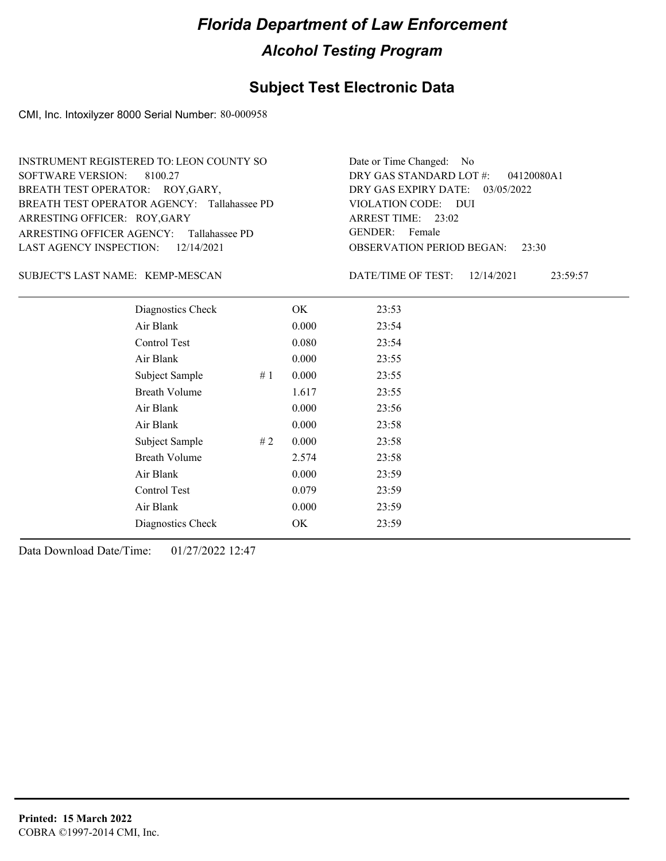### **Subject Test Electronic Data**

CMI, Inc. Intoxilyzer 8000 Serial Number: 80-000958

| INSTRUMENT REGISTERED TO: LEON COUNTY SO    | Date or Time Changed: No               |
|---------------------------------------------|----------------------------------------|
| SOFTWARE VERSION: 8100.27                   | DRY GAS STANDARD LOT $\#$ : 04120080A1 |
| BREATH TEST OPERATOR: ROY, GARY,            | DRY GAS EXPIRY DATE: $03/05/2022$      |
| BREATH TEST OPERATOR AGENCY: Tallahassee PD | VIOLATION CODE: DUI                    |
| ARRESTING OFFICER: ROY, GARY                | ARREST TIME: $23:02$                   |
| ARRESTING OFFICER AGENCY: Tallahassee PD    | GENDER: Female                         |
| LAST AGENCY INSPECTION: $12/14/2021$        | <b>OBSERVATION PERIOD BEGAN: 23:30</b> |

#### SUBJECT'S LAST NAME: KEMP-MESCAN DATE/TIME OF TEST:

DATE/TIME OF TEST: 12/14/2021 23:59:57

| Diagnostics Check    |    | OK.   | 23:53 |
|----------------------|----|-------|-------|
| Air Blank            |    | 0.000 | 23:54 |
| Control Test         |    | 0.080 | 23:54 |
| Air Blank            |    | 0.000 | 23:55 |
| Subject Sample       | #1 | 0.000 | 23:55 |
| <b>Breath Volume</b> |    | 1.617 | 23:55 |
| Air Blank            |    | 0.000 | 23:56 |
| Air Blank            |    | 0.000 | 23:58 |
| Subject Sample       | #2 | 0.000 | 23:58 |
| Breath Volume        |    | 2.574 | 23:58 |
| Air Blank            |    | 0.000 | 23:59 |
| Control Test         |    | 0.079 | 23:59 |
| Air Blank            |    | 0.000 | 23:59 |
| Diagnostics Check    |    | OK    | 23:59 |
|                      |    |       |       |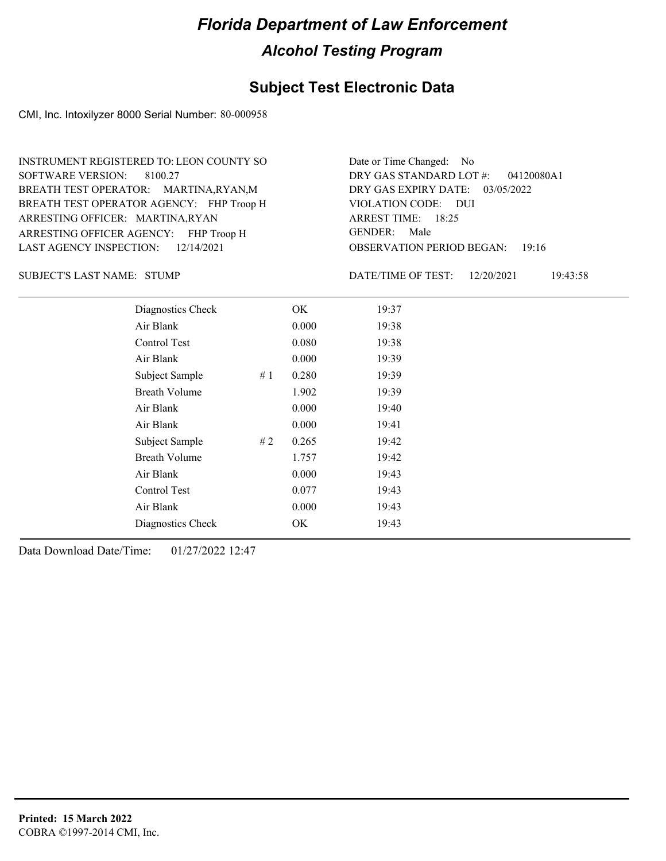#### **Subject Test Electronic Data**

CMI, Inc. Intoxilyzer 8000 Serial Number: 80-000958

ARRESTING OFFICER AGENCY: FHP Troop H GENDER: BREATH TEST OPERATOR AGENCY: FHP Troop H VIOLATION CODE: SOFTWARE VERSION: 8100.27 ARRESTING OFFICER: MARTINA,RYAN BREATH TEST OPERATOR: MARTINA,RYAN,M LAST AGENCY INSPECTION: 12/14/2021 INSTRUMENT REGISTERED TO: LEON COUNTY SO

OBSERVATION PERIOD BEGAN: 19:16 VIOLATION CODE: DUI ARREST TIME: 18:25 DRY GAS EXPIRY DATE: 03/05/2022 04120080A1 DRY GAS STANDARD LOT #: Date or Time Changed: No GENDER: Male

STUMP SUBJECT'S LAST NAME: DATE/TIME OF TEST:

DATE/TIME OF TEST: 12/20/2021 19:43:58

| Diagnostics Check    |    | OK    | 19:37 |
|----------------------|----|-------|-------|
| Air Blank            |    | 0.000 | 19:38 |
| Control Test         |    | 0.080 | 19:38 |
| Air Blank            |    | 0.000 | 19:39 |
| Subject Sample       | #1 | 0.280 | 19:39 |
| <b>Breath Volume</b> |    | 1.902 | 19:39 |
| Air Blank            |    | 0.000 | 19:40 |
| Air Blank            |    | 0.000 | 19:41 |
| Subject Sample       | #2 | 0.265 | 19:42 |
| <b>Breath Volume</b> |    | 1.757 | 19:42 |
| Air Blank            |    | 0.000 | 19:43 |
| Control Test         |    | 0.077 | 19:43 |
| Air Blank            |    | 0.000 | 19:43 |
| Diagnostics Check    |    | OK    | 19:43 |
|                      |    |       |       |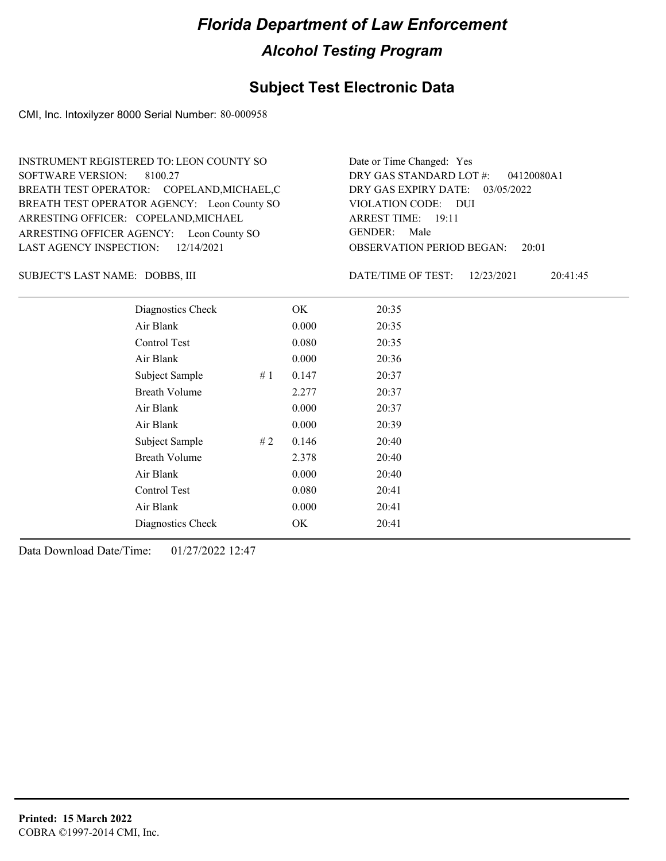#### **Subject Test Electronic Data**

CMI, Inc. Intoxilyzer 8000 Serial Number: 80-000958

ARRESTING OFFICER AGENCY: Leon County SO GENDER: BREATH TEST OPERATOR AGENCY: Leon County SO VIOLATION CODE: SOFTWARE VERSION: ARRESTING OFFICER: COPELAND, MICHAEL BREATH TEST OPERATOR: COPELAND,MICHAEL,C LAST AGENCY INSPECTION: 12/14/2021 8100.27 INSTRUMENT REGISTERED TO: LEON COUNTY SO

OBSERVATION PERIOD BEGAN: 20:01 VIOLATION CODE: DUI ARREST TIME: 19:11 DRY GAS EXPIRY DATE: 03/05/2022 04120080A1 DRY GAS STANDARD LOT #: Date or Time Changed: Yes GENDER: Male

DOBBS, III SUBJECT'S LAST NAME: DATE/TIME OF TEST:

DATE/TIME OF TEST: 12/23/2021 20:41:45

| Diagnostics Check    |     | OK    | 20:35 |
|----------------------|-----|-------|-------|
| Air Blank            |     | 0.000 | 20:35 |
| Control Test         |     | 0.080 | 20:35 |
| Air Blank            |     | 0.000 | 20:36 |
| Subject Sample       | #1  | 0.147 | 20:37 |
| <b>Breath Volume</b> |     | 2.277 | 20:37 |
| Air Blank            |     | 0.000 | 20:37 |
| Air Blank            |     | 0.000 | 20:39 |
| Subject Sample       | # 2 | 0.146 | 20:40 |
| <b>Breath Volume</b> |     | 2.378 | 20:40 |
| Air Blank            |     | 0.000 | 20:40 |
| <b>Control Test</b>  |     | 0.080 | 20:41 |
| Air Blank            |     | 0.000 | 20:41 |
| Diagnostics Check    |     | OK    | 20:41 |
|                      |     |       |       |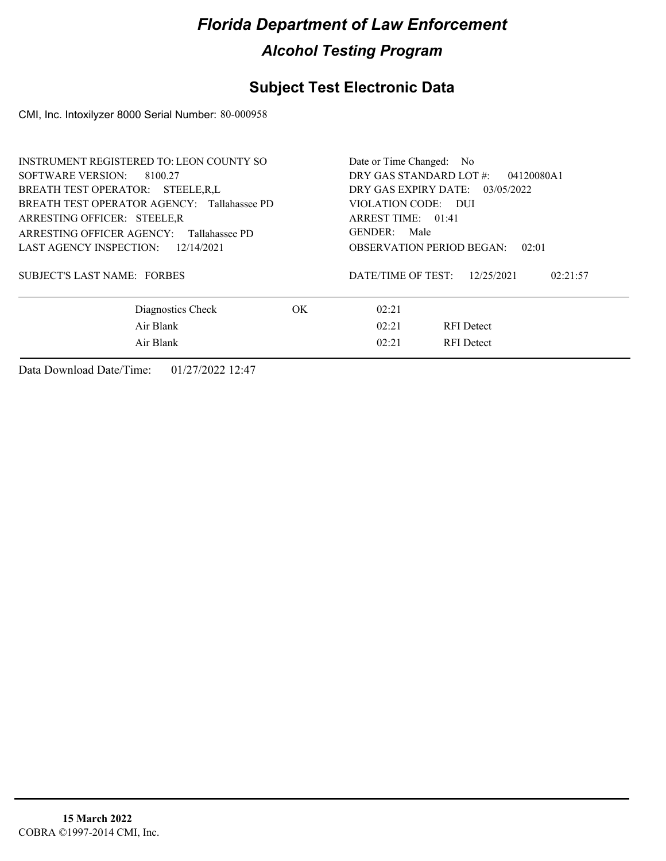## **Subject Test Electronic Data**

CMI, Inc. Intoxilyzer 8000 Serial Number: 80-000958

| <b>INSTRUMENT REGISTERED TO: LEON COUNTY SO</b><br>SOFTWARE VERSION: 8100.27<br>BREATH TEST OPERATOR: STEELE.R.L        |     | Date or Time Changed: No<br>DRY GAS STANDARD LOT #:<br>04120080A1<br>DRY GAS EXPIRY DATE: 03/05/2022 |  |  |
|-------------------------------------------------------------------------------------------------------------------------|-----|------------------------------------------------------------------------------------------------------|--|--|
| BREATH TEST OPERATOR AGENCY: Tallahassee PD<br>ARRESTING OFFICER: STEELE, R<br>ARRESTING OFFICER AGENCY: Tallahassee PD |     | VIOLATION CODE: DUI<br>ARREST TIME: 01:41<br>GENDER: Male                                            |  |  |
| LAST AGENCY INSPECTION: 12/14/2021<br><b>SUBJECT'S LAST NAME: FORBES</b>                                                |     | <b>OBSERVATION PERIOD BEGAN:</b><br>02:01<br>DATE/TIME OF TEST:<br>12/25/2021<br>02:21:57            |  |  |
| Diagnostics Check                                                                                                       | OK. | 02:21                                                                                                |  |  |
| Air Blank<br>Air Blank                                                                                                  |     | 02:21<br><b>RFI</b> Detect<br>02:21<br><b>RFI</b> Detect                                             |  |  |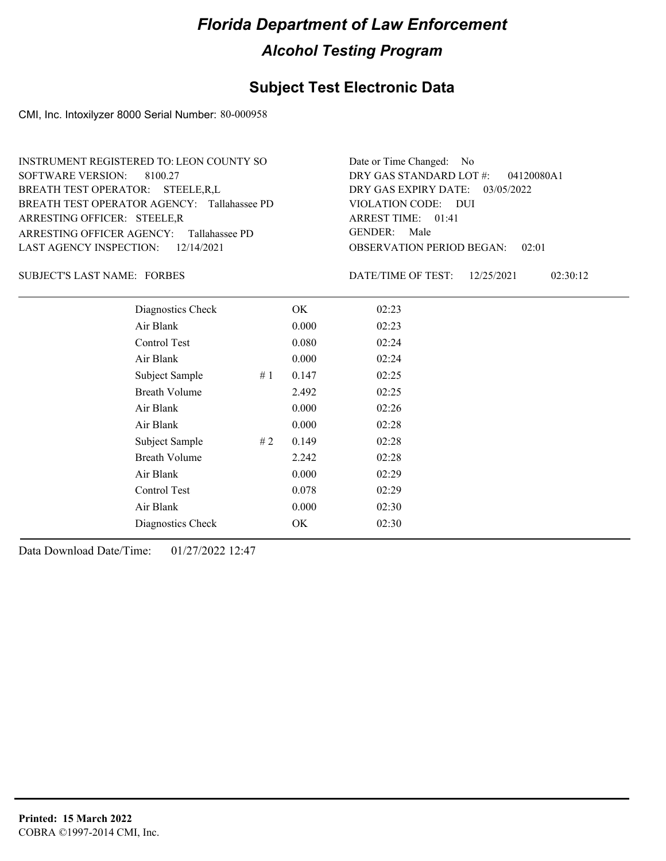## **Subject Test Electronic Data**

CMI, Inc. Intoxilyzer 8000 Serial Number: 80-000958

| <b>INSTRUMENT REGISTERED TO: LEON COUNTY SO</b> | Date or Time Changed: No               |
|-------------------------------------------------|----------------------------------------|
| SOFTWARE VERSION: 8100.27                       | DRY GAS STANDARD LOT $\#$ : 04120080A1 |
| BREATH TEST OPERATOR: STEELE, R, L              | DRY GAS EXPIRY DATE: $03/05/2022$      |
| BREATH TEST OPERATOR AGENCY: Tallahassee PD     | VIOLATION CODE: DUI                    |
| ARRESTING OFFICER: STEELE, R                    | ARREST TIME: 01:41                     |
| ARRESTING OFFICER AGENCY: Tallahassee PD        | GENDER: Male                           |
| LAST AGENCY INSPECTION: $12/14/2021$            | <b>OBSERVATION PERIOD BEGAN: 02:01</b> |

#### SUBJECT'S LAST NAME: FORBES DATE/TIME OF TEST:

DATE/TIME OF TEST: 12/25/2021 02:30:12

| Diagnostics Check    |    | OK    | 02:23 |
|----------------------|----|-------|-------|
| Air Blank            |    | 0.000 | 02:23 |
| Control Test         |    | 0.080 | 02:24 |
| Air Blank            |    | 0.000 | 02:24 |
| Subject Sample       | #1 | 0.147 | 02:25 |
| <b>Breath Volume</b> |    | 2.492 | 02:25 |
| Air Blank            |    | 0.000 | 02:26 |
| Air Blank            |    | 0.000 | 02:28 |
| Subject Sample       | #2 | 0.149 | 02:28 |
| <b>Breath Volume</b> |    | 2.242 | 02:28 |
| Air Blank            |    | 0.000 | 02:29 |
| Control Test         |    | 0.078 | 02:29 |
| Air Blank            |    | 0.000 | 02:30 |
| Diagnostics Check    |    | OK    | 02:30 |
|                      |    |       |       |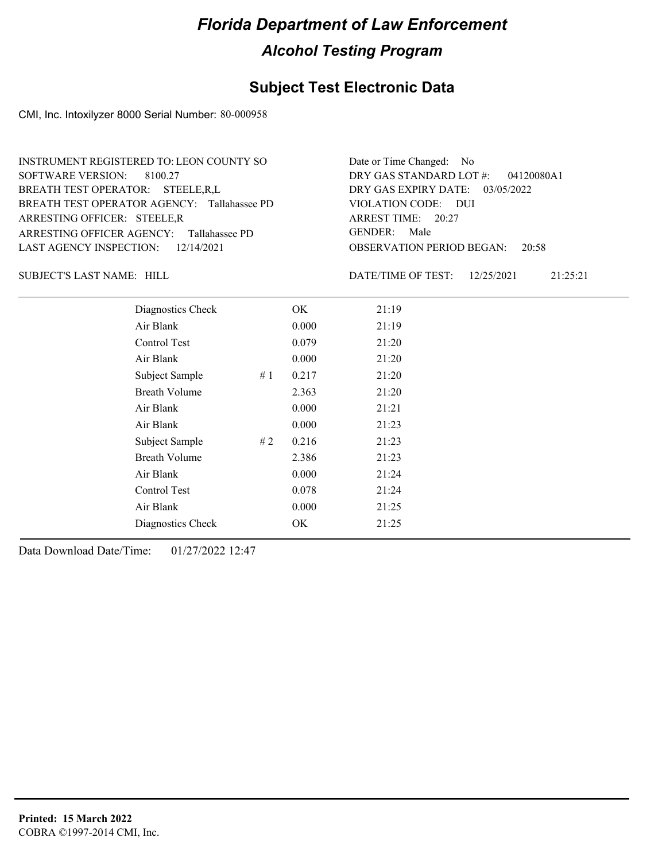## **Subject Test Electronic Data**

CMI, Inc. Intoxilyzer 8000 Serial Number: 80-000958

| INSTRUMENT REGISTERED TO: LEON COUNTY SO    | Date or Time Changed: No               |
|---------------------------------------------|----------------------------------------|
| SOFTWARE VERSION: 8100.27                   | DRY GAS STANDARD LOT $#$ : 04120080A1  |
| BREATH TEST OPERATOR: STEELE, R, L          | DRY GAS EXPIRY DATE: $03/05/2022$      |
| BREATH TEST OPERATOR AGENCY: Tallahassee PD | VIOLATION CODE: DUI                    |
| ARRESTING OFFICER: STEELE, R                | ARREST TIME: 20:27                     |
| ARRESTING OFFICER AGENCY: Tallahassee PD    | GENDER: Male                           |
| LAST AGENCY INSPECTION: $12/14/2021$        | <b>OBSERVATION PERIOD BEGAN:</b> 20:58 |

SUBJECT'S LAST NAME: HILL SUBJECT'S LAST NAME: HILL

DATE/TIME OF TEST: 12/25/2021 21:25:21

| Diagnostics Check    |    | OK    | 21:19 |
|----------------------|----|-------|-------|
| Air Blank            |    | 0.000 | 21:19 |
| Control Test         |    | 0.079 | 21:20 |
| Air Blank            |    | 0.000 | 21:20 |
| Subject Sample       | #1 | 0.217 | 21:20 |
| <b>Breath Volume</b> |    | 2.363 | 21:20 |
| Air Blank            |    | 0.000 | 21:21 |
| Air Blank            |    | 0.000 | 21:23 |
| Subject Sample       | #2 | 0.216 | 21:23 |
| <b>Breath Volume</b> |    | 2.386 | 21:23 |
| Air Blank            |    | 0.000 | 21:24 |
| Control Test         |    | 0.078 | 21:24 |
| Air Blank            |    | 0.000 | 21:25 |
| Diagnostics Check    |    | OK    | 21:25 |
|                      |    |       |       |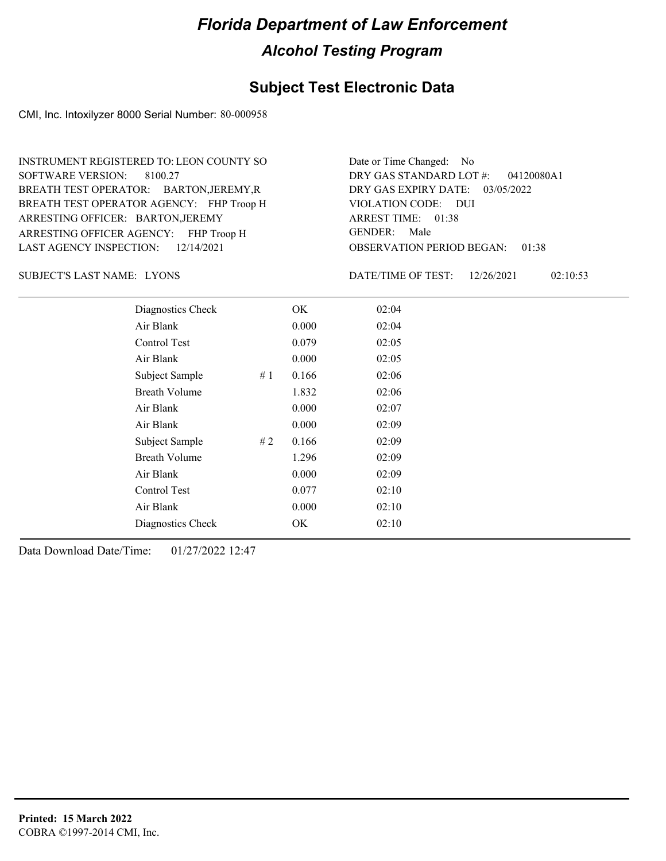#### **Subject Test Electronic Data**

CMI, Inc. Intoxilyzer 8000 Serial Number: 80-000958

ARRESTING OFFICER AGENCY: FHP Troop H GENDER: BREATH TEST OPERATOR AGENCY: FHP Troop H VIOLATION CODE: SOFTWARE VERSION: 8100.27 ARRESTING OFFICER: BARTON, JEREMY BREATH TEST OPERATOR: BARTON,JEREMY,R LAST AGENCY INSPECTION: 12/14/2021 INSTRUMENT REGISTERED TO: LEON COUNTY SO

OBSERVATION PERIOD BEGAN: 01:38 VIOLATION CODE: DUI ARREST TIME: 01:38 DRY GAS EXPIRY DATE: 03/05/2022 04120080A1 DRY GAS STANDARD LOT #: Date or Time Changed: No GENDER: Male

SUBJECT'S LAST NAME: LYONS DATE/TIME OF TEST:

DATE/TIME OF TEST: 12/26/2021 02:10:53

| Diagnostics Check    |    | OK    | 02:04 |  |
|----------------------|----|-------|-------|--|
| Air Blank            |    | 0.000 | 02:04 |  |
| Control Test         |    | 0.079 | 02:05 |  |
| Air Blank            |    | 0.000 | 02:05 |  |
| Subject Sample       | #1 | 0.166 | 02:06 |  |
| <b>Breath Volume</b> |    | 1.832 | 02:06 |  |
| Air Blank            |    | 0.000 | 02:07 |  |
| Air Blank            |    | 0.000 | 02:09 |  |
| Subject Sample       | #2 | 0.166 | 02:09 |  |
| <b>Breath Volume</b> |    | 1.296 | 02:09 |  |
| Air Blank            |    | 0.000 | 02:09 |  |
| Control Test         |    | 0.077 | 02:10 |  |
| Air Blank            |    | 0.000 | 02:10 |  |
| Diagnostics Check    |    | OK    | 02:10 |  |
|                      |    |       |       |  |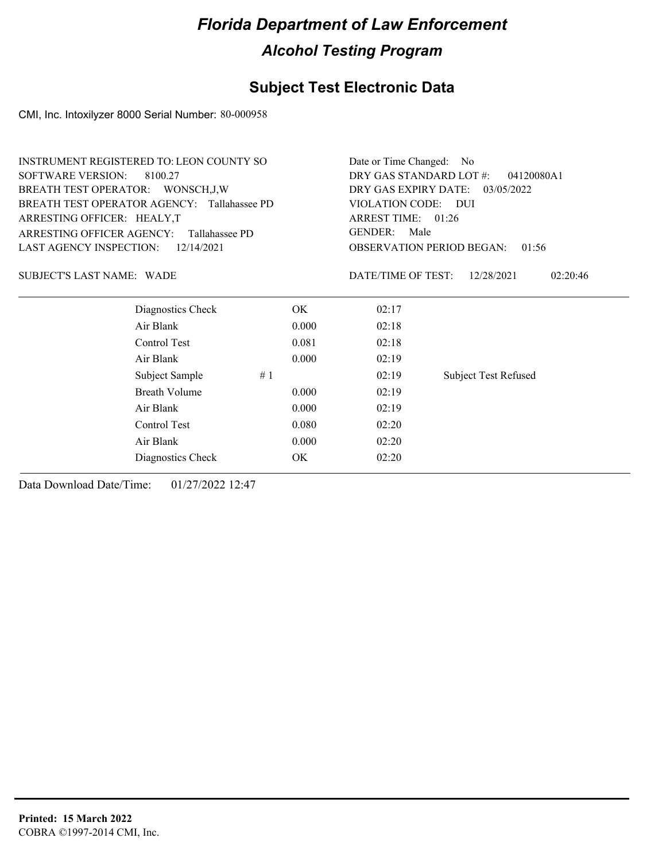## **Subject Test Electronic Data**

CMI, Inc. Intoxilyzer 8000 Serial Number: 80-000958

| <b>INSTRUMENT REGISTERED TO: LEON COUNTY SO</b> |                      |                                       | Date or Time Changed: No                                                                                  |                             |  |  |
|-------------------------------------------------|----------------------|---------------------------------------|-----------------------------------------------------------------------------------------------------------|-----------------------------|--|--|
| <b>SOFTWARE VERSION:</b>                        | 8100.27              | DRY GAS STANDARD LOT #:<br>04120080A1 |                                                                                                           |                             |  |  |
| BREATH TEST OPERATOR: WONSCH, J, W              |                      |                                       | DRY GAS EXPIRY DATE: 03/05/2022                                                                           |                             |  |  |
| BREATH TEST OPERATOR AGENCY: Tallahassee PD     |                      |                                       | VIOLATION CODE: DUI<br>ARREST TIME: 01:26<br>GENDER:<br>Male<br><b>OBSERVATION PERIOD BEGAN:</b><br>01:56 |                             |  |  |
| ARRESTING OFFICER: HEALY,T                      |                      |                                       |                                                                                                           |                             |  |  |
| <b>ARRESTING OFFICER AGENCY:</b>                | Tallahassee PD       |                                       |                                                                                                           |                             |  |  |
| <b>LAST AGENCY INSPECTION:</b>                  | 12/14/2021           |                                       |                                                                                                           |                             |  |  |
| <b>SUBJECT'S LAST NAME: WADE</b>                |                      |                                       | DATE/TIME OF TEST:                                                                                        | 12/28/2021<br>02:20:46      |  |  |
|                                                 | Diagnostics Check    | OK.                                   | 02:17                                                                                                     |                             |  |  |
|                                                 | Air Blank            | 0.000                                 | 02:18                                                                                                     |                             |  |  |
|                                                 | Control Test         | 0.081                                 | 02:18                                                                                                     |                             |  |  |
|                                                 | Air Blank            | 0.000                                 | 02:19                                                                                                     |                             |  |  |
|                                                 | Subject Sample<br>#1 |                                       | 02:19                                                                                                     | <b>Subject Test Refused</b> |  |  |
|                                                 | <b>Breath Volume</b> | 0.000                                 | 02:19                                                                                                     |                             |  |  |
|                                                 | Air Blank            | 0.000                                 | 02:19                                                                                                     |                             |  |  |
|                                                 | Control Test         | 0.080                                 | 02:20                                                                                                     |                             |  |  |
|                                                 | Air Blank            | 0.000                                 | 02:20                                                                                                     |                             |  |  |
|                                                 | Diagnostics Check    | OK                                    | 02:20                                                                                                     |                             |  |  |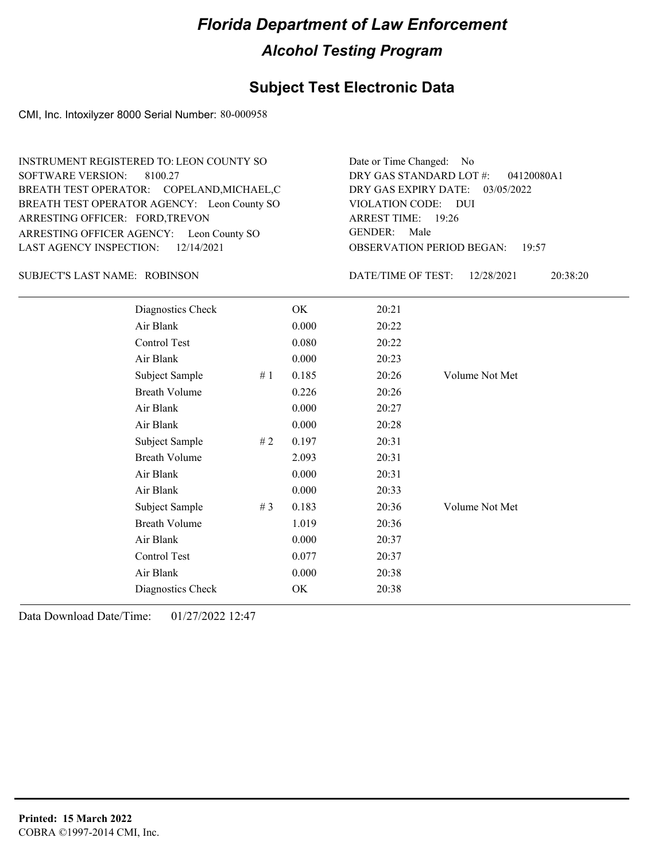## **Subject Test Electronic Data**

CMI, Inc. Intoxilyzer 8000 Serial Number: 80-000958

| INSTRUMENT REGISTERED TO: LEON COUNTY SO    | Date or Time Changed: No               |
|---------------------------------------------|----------------------------------------|
| SOFTWARE VERSION: 8100.27                   | DRY GAS STANDARD LOT #: 04120080A1     |
| BREATH TEST OPERATOR: COPELAND, MICHAEL, C  | DRY GAS EXPIRY DATE: 03/05/2022        |
| BREATH TEST OPERATOR AGENCY: Leon County SO | VIOLATION CODE: DUI                    |
| ARRESTING OFFICER: FORD, TREVON             | ARREST TIME: 19:26                     |
|                                             |                                        |
| ARRESTING OFFICER AGENCY: Leon County SO    | GENDER: Male                           |
| LAST AGENCY INSPECTION: 12/14/2021          | <b>OBSERVATION PERIOD BEGAN: 19:57</b> |

#### ROBINSON SUBJECT'S LAST NAME: DATE/TIME OF TEST:

DATE/TIME OF TEST: 12/28/2021 20:38:20

| Diagnostics Check    |        | OK    | 20:21 |                |
|----------------------|--------|-------|-------|----------------|
| Air Blank            |        | 0.000 | 20:22 |                |
| Control Test         |        | 0.080 | 20:22 |                |
| Air Blank            |        | 0.000 | 20:23 |                |
| Subject Sample       | # $1$  | 0.185 | 20:26 | Volume Not Met |
| <b>Breath Volume</b> |        | 0.226 | 20:26 |                |
| Air Blank            |        | 0.000 | 20:27 |                |
| Air Blank            |        | 0.000 | 20:28 |                |
| Subject Sample       | $\#$ 2 | 0.197 | 20:31 |                |
| <b>Breath Volume</b> |        | 2.093 | 20:31 |                |
| Air Blank            |        | 0.000 | 20:31 |                |
| Air Blank            |        | 0.000 | 20:33 |                |
| Subject Sample       | # $3$  | 0.183 | 20:36 | Volume Not Met |
| <b>Breath Volume</b> |        | 1.019 | 20:36 |                |
| Air Blank            |        | 0.000 | 20:37 |                |
| Control Test         |        | 0.077 | 20:37 |                |
| Air Blank            |        | 0.000 | 20:38 |                |
| Diagnostics Check    |        | OK    | 20:38 |                |
|                      |        |       |       |                |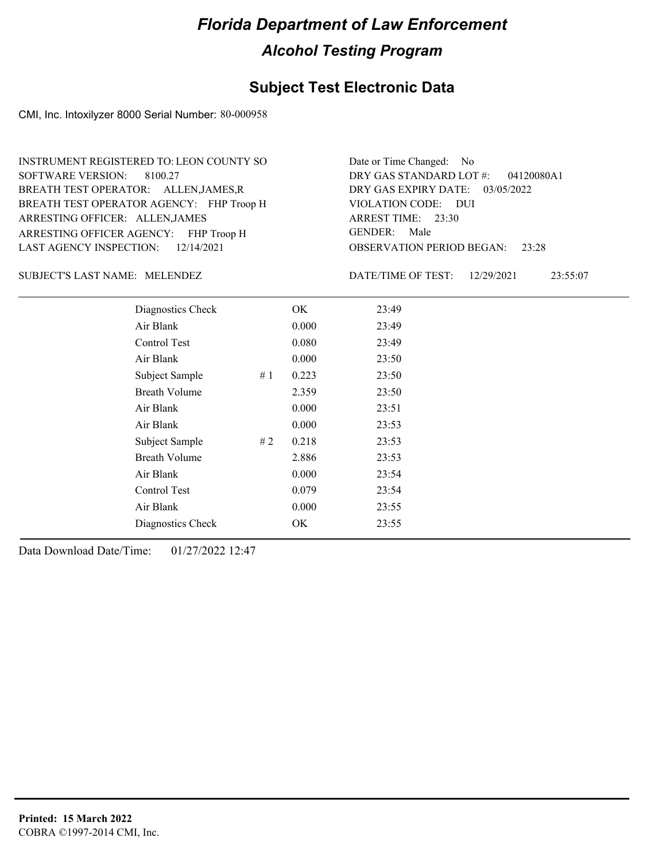#### **Subject Test Electronic Data**

CMI, Inc. Intoxilyzer 8000 Serial Number: 80-000958

ARRESTING OFFICER AGENCY: FHP Troop H GENDER: BREATH TEST OPERATOR AGENCY: FHP Troop H VIOLATION CODE: SOFTWARE VERSION: 8100.27 ARRESTING OFFICER: ALLEN,JAMES BREATH TEST OPERATOR: ALLEN,JAMES,R LAST AGENCY INSPECTION: 12/14/2021 INSTRUMENT REGISTERED TO: LEON COUNTY SO

OBSERVATION PERIOD BEGAN: 23:28 VIOLATION CODE: DUI ARREST TIME: 23:30 DRY GAS EXPIRY DATE: 03/05/2022 04120080A1 DRY GAS STANDARD LOT #: Date or Time Changed: No GENDER: Male

MELENDEZ SUBJECT'S LAST NAME: DATE/TIME OF TEST:

DATE/TIME OF TEST: 12/29/2021 23:55:07

| Diagnostics Check    |    | OK    | 23:49 |
|----------------------|----|-------|-------|
| Air Blank            |    | 0.000 | 23:49 |
| Control Test         |    | 0.080 | 23:49 |
| Air Blank            |    | 0.000 | 23:50 |
| Subject Sample       | #1 | 0.223 | 23:50 |
| <b>Breath Volume</b> |    | 2.359 | 23:50 |
| Air Blank            |    | 0.000 | 23:51 |
| Air Blank            |    | 0.000 | 23:53 |
| Subject Sample       | #2 | 0.218 | 23:53 |
| <b>Breath Volume</b> |    | 2.886 | 23:53 |
| Air Blank            |    | 0.000 | 23:54 |
| Control Test         |    | 0.079 | 23:54 |
| Air Blank            |    | 0.000 | 23:55 |
| Diagnostics Check    |    | OK    | 23:55 |
|                      |    |       |       |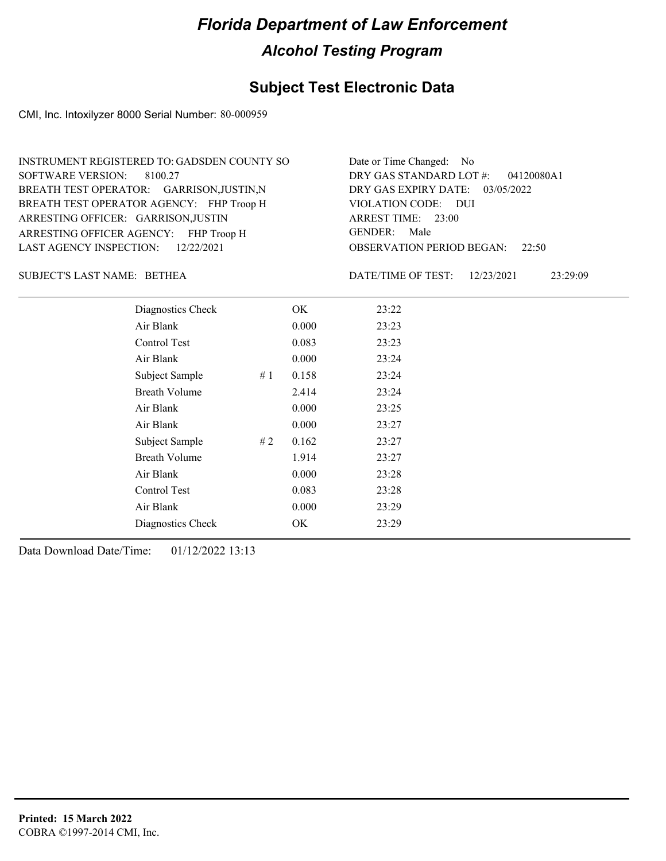## **Subject Test Electronic Data**

CMI, Inc. Intoxilyzer 8000 Serial Number: 80-000959

| INSTRUMENT REGISTERED TO: GADSDEN COUNTY SO | Date or Time Changed: No               |
|---------------------------------------------|----------------------------------------|
| SOFTWARE VERSION: 8100.27                   | DRY GAS STANDARD LOT #: 04120080A1     |
| BREATH TEST OPERATOR: GARRISON, JUSTIN, N   | DRY GAS EXPIRY DATE: 03/05/2022        |
| BREATH TEST OPERATOR AGENCY: FHP Troop H    | VIOLATION CODE: DUI                    |
| ARRESTING OFFICER: GARRISON, JUSTIN         | ARREST TIME: 23:00                     |
| ARRESTING OFFICER AGENCY: FHP Troop H       | GENDER: Male                           |
| LAST AGENCY INSPECTION: 12/22/2021          | <b>OBSERVATION PERIOD BEGAN:</b> 22:50 |

BETHEA SUBJECT'S LAST NAME: DATE/TIME OF TEST:

DATE/TIME OF TEST: 12/23/2021 23:29:09

| Diagnostics Check    |    | OK.   | 23:22 |
|----------------------|----|-------|-------|
| Air Blank            |    | 0.000 | 23:23 |
| Control Test         |    | 0.083 | 23:23 |
| Air Blank            |    | 0.000 | 23:24 |
| Subject Sample       | #1 | 0.158 | 23:24 |
| <b>Breath Volume</b> |    | 2.414 | 23:24 |
| Air Blank            |    | 0.000 | 23:25 |
| Air Blank            |    | 0.000 | 23:27 |
| Subject Sample       | #2 | 0.162 | 23:27 |
| <b>Breath Volume</b> |    | 1.914 | 23:27 |
| Air Blank            |    | 0.000 | 23:28 |
| Control Test         |    | 0.083 | 23:28 |
| Air Blank            |    | 0.000 | 23:29 |
| Diagnostics Check    |    | OK    | 23:29 |
|                      |    |       |       |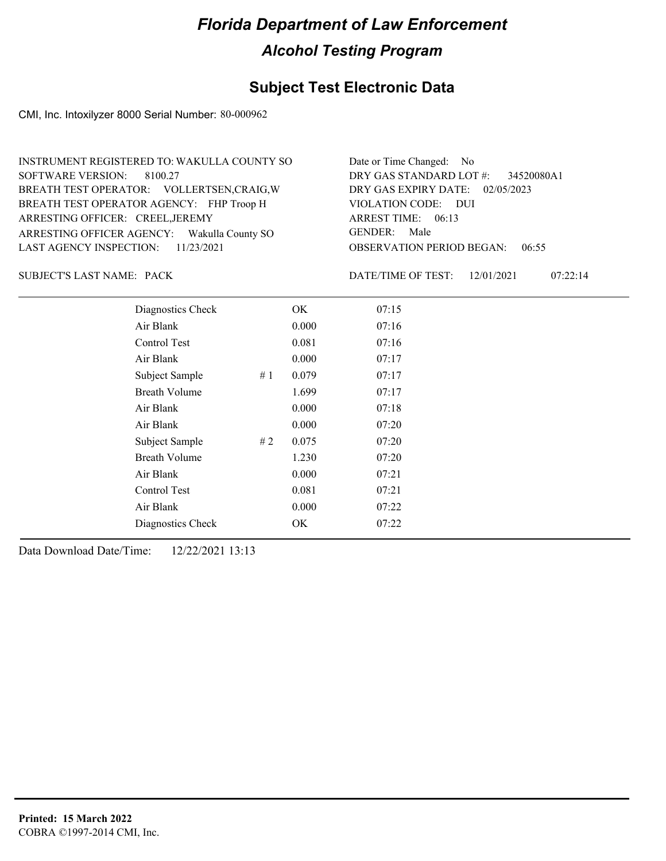## **Subject Test Electronic Data**

CMI, Inc. Intoxilyzer 8000 Serial Number: 80-000962

| INSTRUMENT REGISTERED TO: WAKULLA COUNTY SO | Date or Time Changed: No               |
|---------------------------------------------|----------------------------------------|
| SOFTWARE VERSION: 8100.27                   | DRY GAS STANDARD LOT #: 34520080A1     |
| BREATH TEST OPERATOR: VOLLERTSEN, CRAIG, W  | DRY GAS EXPIRY DATE: 02/05/2023        |
| BREATH TEST OPERATOR AGENCY: FHP Troop H    | VIOLATION CODE: DUI                    |
| ARRESTING OFFICER: CREEL, JEREMY            | ARREST TIME: 06:13                     |
| ARRESTING OFFICER AGENCY: Wakulla County SO | GENDER: Male                           |
| LAST AGENCY INSPECTION: $11/23/2021$        | <b>OBSERVATION PERIOD BEGAN: 06:55</b> |

SUBJECT'S LAST NAME: PACK DATE/TIME OF TEST:

DATE/TIME OF TEST: 12/01/2021 07:22:14

| Diagnostics Check    |    | OK    | 07:15 |
|----------------------|----|-------|-------|
| Air Blank            |    | 0.000 | 07:16 |
| <b>Control Test</b>  |    | 0.081 | 07:16 |
| Air Blank            |    | 0.000 | 07:17 |
| Subject Sample       | #1 | 0.079 | 07:17 |
| <b>Breath Volume</b> |    | 1.699 | 07:17 |
| Air Blank            |    | 0.000 | 07:18 |
| Air Blank            |    | 0.000 | 07:20 |
| Subject Sample       | #2 | 0.075 | 07:20 |
| <b>Breath Volume</b> |    | 1.230 | 07:20 |
| Air Blank            |    | 0.000 | 07:21 |
| Control Test         |    | 0.081 | 07:21 |
| Air Blank            |    | 0.000 | 07:22 |
| Diagnostics Check    |    | OK    | 07:22 |
|                      |    |       |       |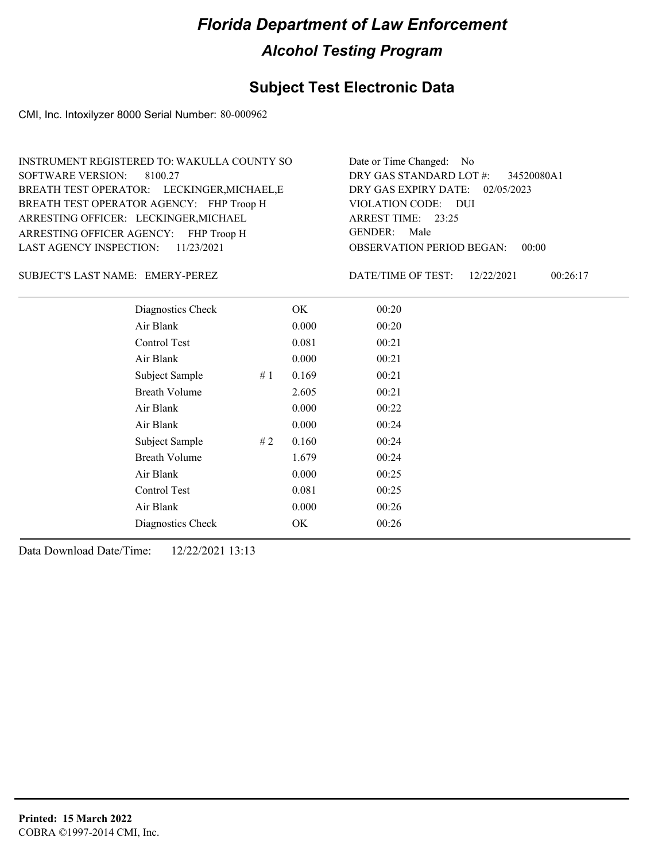## **Subject Test Electronic Data**

CMI, Inc. Intoxilyzer 8000 Serial Number: 80-000962

| Date or Time Changed: No               |
|----------------------------------------|
| DRY GAS STANDARD LOT $\#$ : 34520080A1 |
| DRY GAS EXPIRY DATE: 02/05/2023        |
| VIOLATION CODE: DUI                    |
| ARREST TIME: 23:25                     |
| GENDER: Male                           |
| <b>OBSERVATION PERIOD BEGAN: 00:00</b> |
|                                        |

#### SUBJECT'S LAST NAME: EMERY-PEREZ DATE/TIME OF TEST:

DATE/TIME OF TEST: 12/22/2021 00:26:17

| Diagnostics Check    |    | OK    | 00:20 |
|----------------------|----|-------|-------|
| Air Blank            |    | 0.000 | 00:20 |
| Control Test         |    | 0.081 | 00:21 |
| Air Blank            |    | 0.000 | 00:21 |
| Subject Sample       | #1 | 0.169 | 00:21 |
| <b>Breath Volume</b> |    | 2.605 | 00:21 |
| Air Blank            |    | 0.000 | 00:22 |
| Air Blank            |    | 0.000 | 00:24 |
| Subject Sample       | #2 | 0.160 | 00:24 |
| <b>Breath Volume</b> |    | 1.679 | 00:24 |
| Air Blank            |    | 0.000 | 00:25 |
| Control Test         |    | 0.081 | 00:25 |
| Air Blank            |    | 0.000 | 00:26 |
| Diagnostics Check    |    | OK    | 00:26 |
|                      |    |       |       |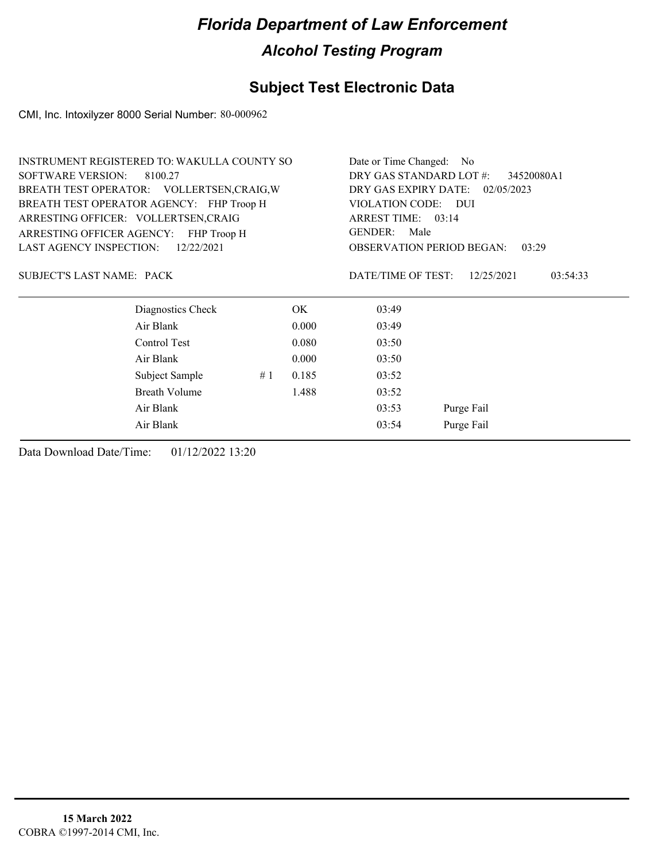## **Subject Test Electronic Data**

CMI, Inc. Intoxilyzer 8000 Serial Number: 80-000962

| INSTRUMENT REGISTERED TO: WAKULLA COUNTY SO  |    | Date or Time Changed: No                                                                               |                                           |                        |  |
|----------------------------------------------|----|--------------------------------------------------------------------------------------------------------|-------------------------------------------|------------------------|--|
| <b>SOFTWARE VERSION:</b><br>8100.27          |    | DRY GAS STANDARD LOT #:<br>34520080A1                                                                  |                                           |                        |  |
| BREATH TEST OPERATOR: VOLLERTSEN, CRAIG, W   |    | DRY GAS EXPIRY DATE: 02/05/2023<br>VIOLATION CODE: DUI<br>ARREST TIME: 03:14<br><b>GENDER:</b><br>Male |                                           |                        |  |
| BREATH TEST OPERATOR AGENCY: FHP Troop H     |    |                                                                                                        |                                           |                        |  |
| ARRESTING OFFICER: VOLLERTSEN, CRAIG         |    |                                                                                                        |                                           |                        |  |
| ARRESTING OFFICER AGENCY: FHP Troop H        |    |                                                                                                        |                                           |                        |  |
| <b>LAST AGENCY INSPECTION:</b><br>12/22/2021 |    |                                                                                                        | <b>OBSERVATION PERIOD BEGAN:</b><br>03:29 |                        |  |
| <b>SUBJECT'S LAST NAME: PACK</b>             |    |                                                                                                        | DATE/TIME OF TEST:                        | 12/25/2021<br>03:54:33 |  |
| Diagnostics Check                            |    | OK.                                                                                                    | 03:49                                     |                        |  |
| Air Blank                                    |    | 0.000                                                                                                  | 03:49                                     |                        |  |
| Control Test                                 |    | 0.080                                                                                                  | 03:50                                     |                        |  |
| Air Blank                                    |    | 0.000                                                                                                  | 03:50                                     |                        |  |
| Subject Sample                               | #1 | 0.185                                                                                                  | 03:52                                     |                        |  |
| <b>Breath Volume</b>                         |    | 1.488                                                                                                  | 03:52                                     |                        |  |
| Air Blank                                    |    | 03:53                                                                                                  | Purge Fail                                |                        |  |
| Air Blank                                    |    |                                                                                                        | 03:54                                     | Purge Fail             |  |
|                                              |    |                                                                                                        |                                           |                        |  |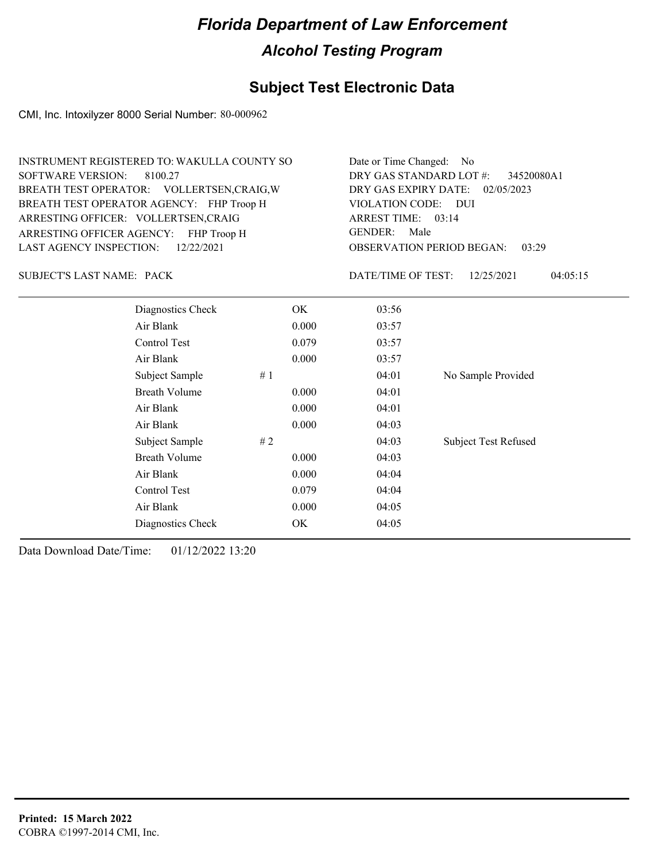## **Subject Test Electronic Data**

CMI, Inc. Intoxilyzer 8000 Serial Number: 80-000962

| INSTRUMENT REGISTERED TO: WAKULLA COUNTY SO | Date or Time Changed: No               |
|---------------------------------------------|----------------------------------------|
| SOFTWARE VERSION: 8100.27                   | DRY GAS STANDARD LOT #: 34520080A1     |
| BREATH TEST OPERATOR: VOLLERTSEN, CRAIG, W  | DRY GAS EXPIRY DATE: 02/05/2023        |
| BREATH TEST OPERATOR AGENCY: FHP Troop H    | VIOLATION CODE: DUI                    |
| ARRESTING OFFICER: VOLLERTSEN, CRAIG        | ARREST TIME: 03:14                     |
| ARRESTING OFFICER AGENCY: FHP Troop H       | GENDER: Male                           |
| LAST AGENCY INSPECTION: 12/22/2021          | <b>OBSERVATION PERIOD BEGAN: 03:29</b> |

SUBJECT'S LAST NAME: PACK DATE/TIME OF TEST:

DATE/TIME OF TEST: 12/25/2021 04:05:15

| Diagnostics Check    | OK    | 03:56 |                             |
|----------------------|-------|-------|-----------------------------|
| Air Blank            | 0.000 | 03:57 |                             |
| Control Test         | 0.079 | 03:57 |                             |
| Air Blank            | 0.000 | 03:57 |                             |
| #1<br>Subject Sample |       | 04:01 | No Sample Provided          |
| <b>Breath Volume</b> | 0.000 | 04:01 |                             |
| Air Blank            | 0.000 | 04:01 |                             |
| Air Blank            | 0.000 | 04:03 |                             |
| Subject Sample<br>#2 |       | 04:03 | <b>Subject Test Refused</b> |
| <b>Breath Volume</b> | 0.000 | 04:03 |                             |
| Air Blank            | 0.000 | 04:04 |                             |
| Control Test         | 0.079 | 04:04 |                             |
| Air Blank            | 0.000 | 04:05 |                             |
| Diagnostics Check    | OK    | 04:05 |                             |
|                      |       |       |                             |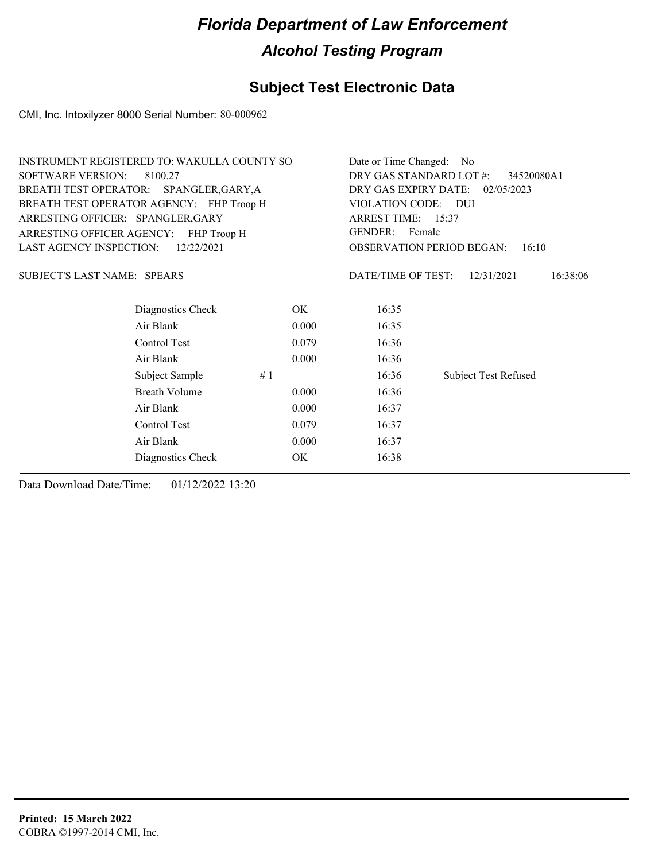## **Subject Test Electronic Data**

CMI, Inc. Intoxilyzer 8000 Serial Number: 80-000962

| <b>INSTRUMENT REGISTERED TO: WAKULLA COUNTY SO</b> | Date or Time Changed: No              |                                           |                             |  |
|----------------------------------------------------|---------------------------------------|-------------------------------------------|-----------------------------|--|
| <b>SOFTWARE VERSION:</b><br>8100.27                | DRY GAS STANDARD LOT #:<br>34520080A1 |                                           |                             |  |
| BREATH TEST OPERATOR: SPANGLER, GARY, A            | DRY GAS EXPIRY DATE: 02/05/2023       |                                           |                             |  |
| BREATH TEST OPERATOR AGENCY: FHP Troop H           |                                       | VIOLATION CODE: DUI<br>ARREST TIME: 15:37 |                             |  |
| ARRESTING OFFICER: SPANGLER, GARY                  |                                       |                                           |                             |  |
| ARRESTING OFFICER AGENCY: FHP Troop H              | GENDER: Female                        |                                           |                             |  |
| <b>LAST AGENCY INSPECTION:</b><br>12/22/2021       |                                       | <b>OBSERVATION PERIOD BEGAN:</b><br>16:10 |                             |  |
| SUBJECT'S LAST NAME: SPEARS                        |                                       | DATE/TIME OF TEST:                        | 16:38:06<br>12/31/2021      |  |
| Diagnostics Check                                  | OK.                                   | 16:35                                     |                             |  |
| Air Blank                                          | 0.000                                 | 16:35                                     |                             |  |
| Control Test                                       | 0.079                                 | 16:36                                     |                             |  |
| Air Blank                                          | 0.000                                 | 16:36                                     |                             |  |
| Subject Sample                                     | #1                                    | 16:36                                     | <b>Subject Test Refused</b> |  |
| <b>Breath Volume</b>                               | 0.000                                 | 16:36                                     |                             |  |
| Air Blank                                          | 0.000                                 | 16:37                                     |                             |  |
| Control Test                                       | 0.079                                 | 16:37                                     |                             |  |
| Air Blank                                          | 0.000                                 | 16:37                                     |                             |  |
| Diagnostics Check                                  | ОK                                    | 16:38                                     |                             |  |
|                                                    |                                       |                                           |                             |  |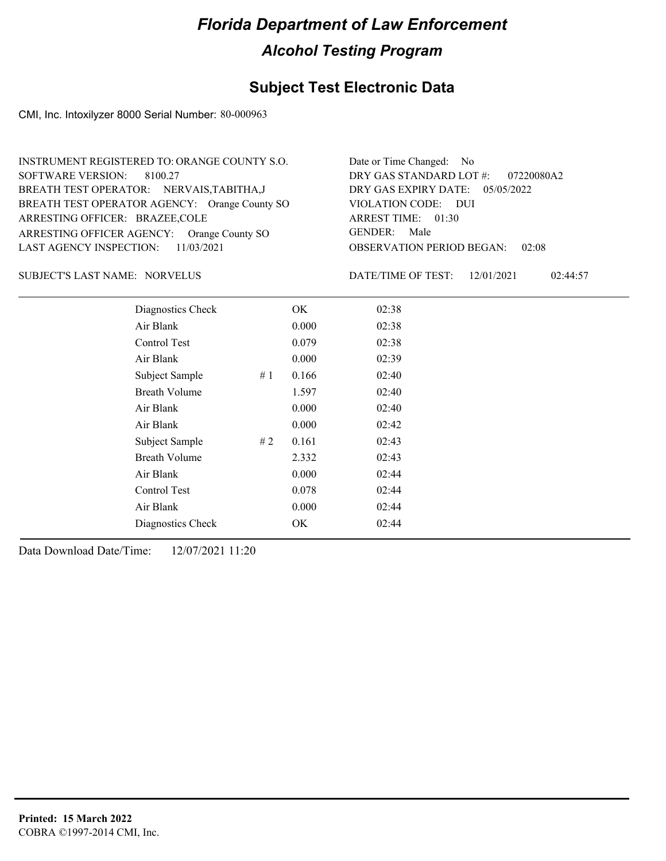## **Subject Test Electronic Data**

CMI, Inc. Intoxilyzer 8000 Serial Number: 80-000963

| INSTRUMENT REGISTERED TO: ORANGE COUNTY S.O.  | Date or Time Changed: No               |
|-----------------------------------------------|----------------------------------------|
| SOFTWARE VERSION: 8100.27                     | DRY GAS STANDARD LOT $\#$ : 07220080A2 |
| BREATH TEST OPERATOR: NERVAIS, TABITHA, J     | DRY GAS EXPIRY DATE: $05/05/2022$      |
| BREATH TEST OPERATOR AGENCY: Orange County SO | VIOLATION CODE: DUI                    |
| ARRESTING OFFICER: BRAZEE, COLE               | ARREST TIME: 01:30                     |
| ARRESTING OFFICER AGENCY: Orange County SO    | GENDER: Male                           |
| LAST AGENCY INSPECTION: $11/03/2021$          | <b>OBSERVATION PERIOD BEGAN: 02:08</b> |

#### NORVELUS SUBJECT'S LAST NAME: DATE/TIME OF TEST:

DATE/TIME OF TEST: 12/01/2021 02:44:57

| Diagnostics Check    |    | OK    | 02:38 |
|----------------------|----|-------|-------|
| Air Blank            |    | 0.000 | 02:38 |
| Control Test         |    | 0.079 | 02:38 |
| Air Blank            |    | 0.000 | 02:39 |
| Subject Sample       | #1 | 0.166 | 02:40 |
| <b>Breath Volume</b> |    | 1.597 | 02:40 |
| Air Blank            |    | 0.000 | 02:40 |
| Air Blank            |    | 0.000 | 02:42 |
| Subject Sample       | #2 | 0.161 | 02:43 |
| <b>Breath Volume</b> |    | 2.332 | 02:43 |
| Air Blank            |    | 0.000 | 02:44 |
| Control Test         |    | 0.078 | 02:44 |
| Air Blank            |    | 0.000 | 02:44 |
| Diagnostics Check    |    | OK    | 02:44 |
|                      |    |       |       |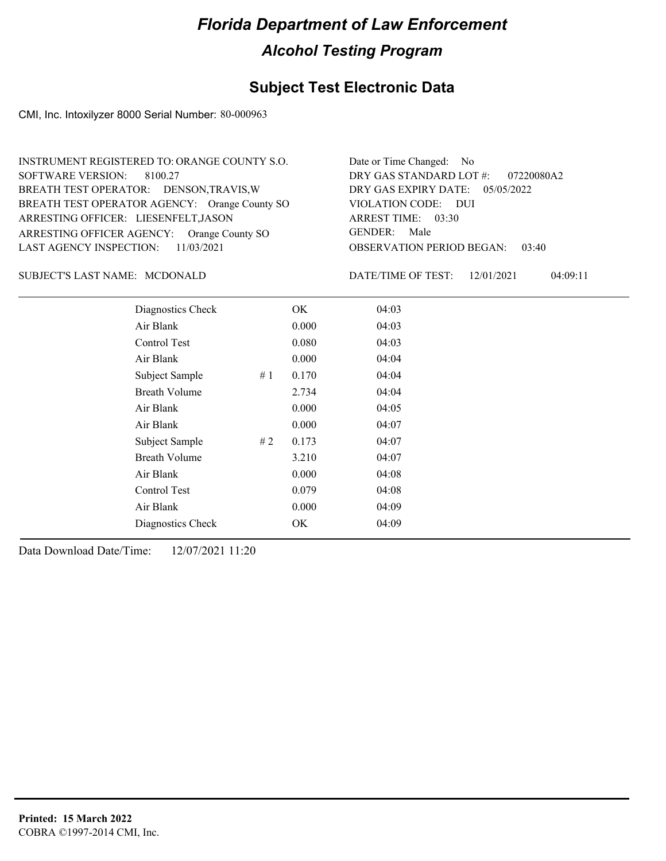## **Subject Test Electronic Data**

CMI, Inc. Intoxilyzer 8000 Serial Number: 80-000963

| INSTRUMENT REGISTERED TO: ORANGE COUNTY S.O.  | Date or Time Changed: No               |
|-----------------------------------------------|----------------------------------------|
| SOFTWARE VERSION: 8100.27                     | DRY GAS STANDARD LOT $\#$ : 07220080A2 |
| BREATH TEST OPERATOR: DENSON, TRAVIS, W       | DRY GAS EXPIRY DATE: 05/05/2022        |
| BREATH TEST OPERATOR AGENCY: Orange County SO | VIOLATION CODE: DUI                    |
| ARRESTING OFFICER: LIESENFELT, JASON          | ARREST TIME: 03:30                     |
| ARRESTING OFFICER AGENCY: Orange County SO    | GENDER: Male                           |
| LAST AGENCY INSPECTION: $11/03/2021$          | OBSERVATION PERIOD BEGAN:<br>03:40     |

#### SUBJECT'S LAST NAME: MCDONALD DATE/TIME OF TEST:

DATE/TIME OF TEST: 12/01/2021 04:09:11

| Diagnostics Check    |    | OK    | 04:03 |
|----------------------|----|-------|-------|
| Air Blank            |    | 0.000 | 04:03 |
| Control Test         |    | 0.080 | 04:03 |
| Air Blank            |    | 0.000 | 04:04 |
| Subject Sample       | #1 | 0.170 | 04:04 |
| <b>Breath Volume</b> |    | 2.734 | 04:04 |
| Air Blank            |    | 0.000 | 04:05 |
| Air Blank            |    | 0.000 | 04:07 |
| Subject Sample       | #2 | 0.173 | 04:07 |
| <b>Breath Volume</b> |    | 3.210 | 04:07 |
| Air Blank            |    | 0.000 | 04:08 |
| <b>Control Test</b>  |    | 0.079 | 04:08 |
| Air Blank            |    | 0.000 | 04:09 |
| Diagnostics Check    |    | OK    | 04:09 |
|                      |    |       |       |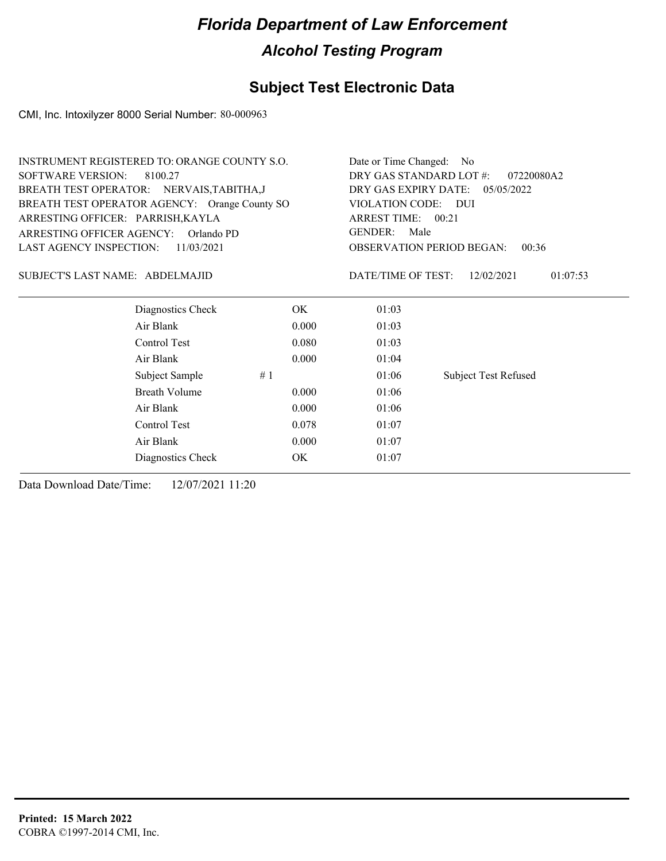## **Subject Test Electronic Data**

CMI, Inc. Intoxilyzer 8000 Serial Number: 80-000963

| <b>INSTRUMENT REGISTERED TO: ORANGE COUNTY S.O.</b> | Date or Time Changed: No              |                                           |                             |  |
|-----------------------------------------------------|---------------------------------------|-------------------------------------------|-----------------------------|--|
| <b>SOFTWARE VERSION:</b><br>8100.27                 | DRY GAS STANDARD LOT #:<br>07220080A2 |                                           |                             |  |
| BREATH TEST OPERATOR: NERVAIS, TABITHA, J           |                                       | DRY GAS EXPIRY DATE: 05/05/2022           |                             |  |
| BREATH TEST OPERATOR AGENCY: Orange County SO       |                                       | VIOLATION CODE: DUI                       |                             |  |
| ARRESTING OFFICER: PARRISH, KAYLA                   |                                       | ARREST TIME: 00:21<br>GENDER:<br>Male     |                             |  |
| ARRESTING OFFICER AGENCY:<br>Orlando PD             |                                       |                                           |                             |  |
| <b>LAST AGENCY INSPECTION:</b><br>11/03/2021        |                                       | <b>OBSERVATION PERIOD BEGAN:</b><br>00:36 |                             |  |
| SUBJECT'S LAST NAME: ABDELMAJID                     |                                       | DATE/TIME OF TEST:                        | 12/02/2021<br>01:07:53      |  |
| Diagnostics Check                                   | OK.                                   | 01:03                                     |                             |  |
| Air Blank                                           | 0.000                                 | 01:03                                     |                             |  |
| Control Test                                        | 0.080                                 | 01:03                                     |                             |  |
| Air Blank                                           | 0.000                                 | 01:04                                     |                             |  |
| Subject Sample                                      | #1                                    | 01:06                                     | <b>Subject Test Refused</b> |  |
| Breath Volume                                       | 0.000                                 | 01:06                                     |                             |  |
| Air Blank                                           | 01:06                                 |                                           |                             |  |
| Control Test                                        | 0.078                                 | 01:07                                     |                             |  |
| Air Blank                                           | 0.000                                 | 01:07                                     |                             |  |
| Diagnostics Check                                   | OK                                    | 01:07                                     |                             |  |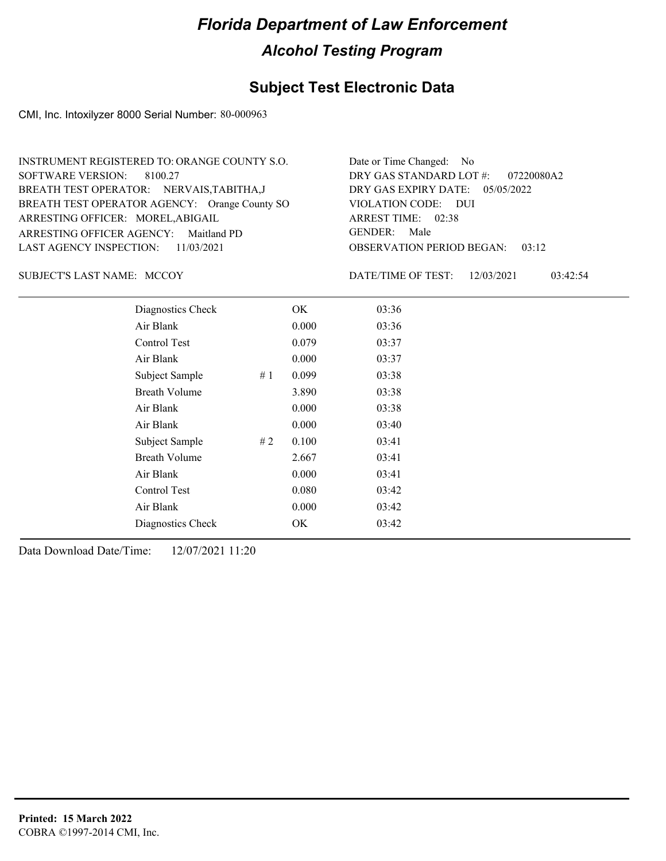## **Subject Test Electronic Data**

CMI, Inc. Intoxilyzer 8000 Serial Number: 80-000963

| INSTRUMENT REGISTERED TO: ORANGE COUNTY S.O.  | Date or Time Changed: No               |
|-----------------------------------------------|----------------------------------------|
| SOFTWARE VERSION: 8100.27                     | DRY GAS STANDARD LOT $\#$ : 07220080A2 |
| BREATH TEST OPERATOR: NERVAIS, TABITHA, J     | DRY GAS EXPIRY DATE: $05/05/2022$      |
| BREATH TEST OPERATOR AGENCY: Orange County SO | VIOLATION CODE: DUI                    |
| ARRESTING OFFICER: MOREL, ABIGAIL             | ARREST TIME: 02:38                     |
| ARRESTING OFFICER AGENCY: Maitland PD         | GENDER: Male                           |
| LAST AGENCY INSPECTION: 11/03/2021            | <b>OBSERVATION PERIOD BEGAN: 03:12</b> |

SUBJECT'S LAST NAME: MCCOY DATE/TIME OF TEST:

DATE/TIME OF TEST: 12/03/2021 03:42:54

| Diagnostics Check    |    | OK    | 03:36 |
|----------------------|----|-------|-------|
| Air Blank            |    | 0.000 | 03:36 |
| Control Test         |    | 0.079 | 03:37 |
| Air Blank            |    | 0.000 | 03:37 |
| Subject Sample       | #1 | 0.099 | 03:38 |
| <b>Breath Volume</b> |    | 3.890 | 03:38 |
| Air Blank            |    | 0.000 | 03:38 |
| Air Blank            |    | 0.000 | 03:40 |
| Subject Sample       | #2 | 0.100 | 03:41 |
| <b>Breath Volume</b> |    | 2.667 | 03:41 |
| Air Blank            |    | 0.000 | 03:41 |
| Control Test         |    | 0.080 | 03:42 |
| Air Blank            |    | 0.000 | 03:42 |
| Diagnostics Check    |    | OK    | 03:42 |
|                      |    |       |       |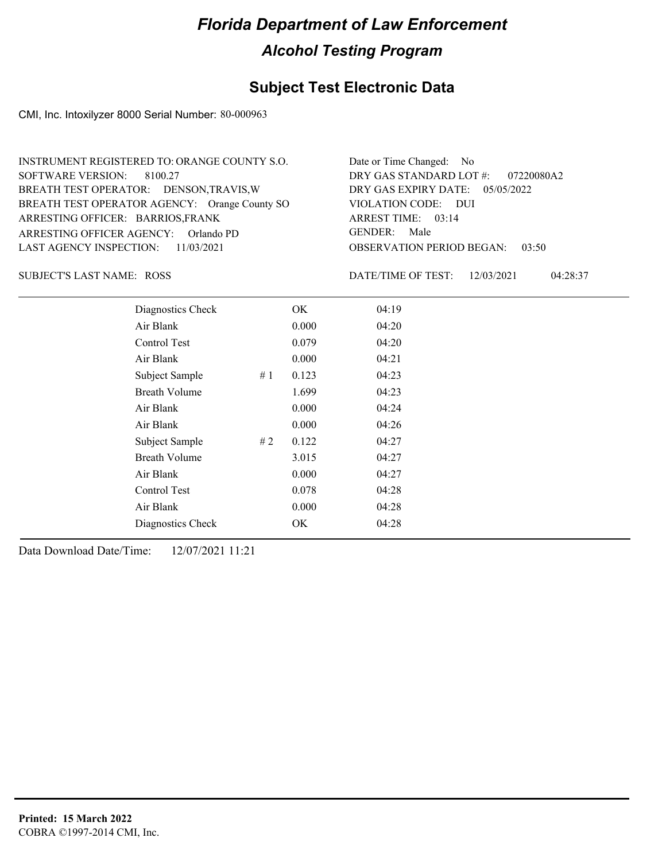## **Subject Test Electronic Data**

CMI, Inc. Intoxilyzer 8000 Serial Number: 80-000963

| INSTRUMENT REGISTERED TO: ORANGE COUNTY S.O.  | Date or Time Changed: No               |
|-----------------------------------------------|----------------------------------------|
| SOFTWARE VERSION: 8100.27                     | DRY GAS STANDARD LOT $\#$ : 07220080A2 |
| BREATH TEST OPERATOR: DENSON, TRAVIS, W       | DRY GAS EXPIRY DATE: $05/05/2022$      |
| BREATH TEST OPERATOR AGENCY: Orange County SO | VIOLATION CODE: DUI                    |
| ARRESTING OFFICER: BARRIOS, FRANK             | ARREST TIME: 03:14                     |
| ARRESTING OFFICER AGENCY: Orlando PD          | GENDER: Male                           |
| LAST AGENCY INSPECTION: 11/03/2021            | <b>OBSERVATION PERIOD BEGAN: 03:50</b> |

ROSS SUBJECT'S LAST NAME: DATE/TIME OF TEST:

DATE/TIME OF TEST: 12/03/2021 04:28:37

| Diagnostics Check    |    | OK    | 04:19 |
|----------------------|----|-------|-------|
| Air Blank            |    | 0.000 | 04:20 |
| Control Test         |    | 0.079 | 04:20 |
| Air Blank            |    | 0.000 | 04:21 |
| Subject Sample       | #1 | 0.123 | 04:23 |
| <b>Breath Volume</b> |    | 1.699 | 04:23 |
| Air Blank            |    | 0.000 | 04:24 |
| Air Blank            |    | 0.000 | 04:26 |
| Subject Sample       | #2 | 0.122 | 04:27 |
| <b>Breath Volume</b> |    | 3.015 | 04:27 |
| Air Blank            |    | 0.000 | 04:27 |
| Control Test         |    | 0.078 | 04:28 |
| Air Blank            |    | 0.000 | 04:28 |
| Diagnostics Check    |    | OK    | 04:28 |
|                      |    |       |       |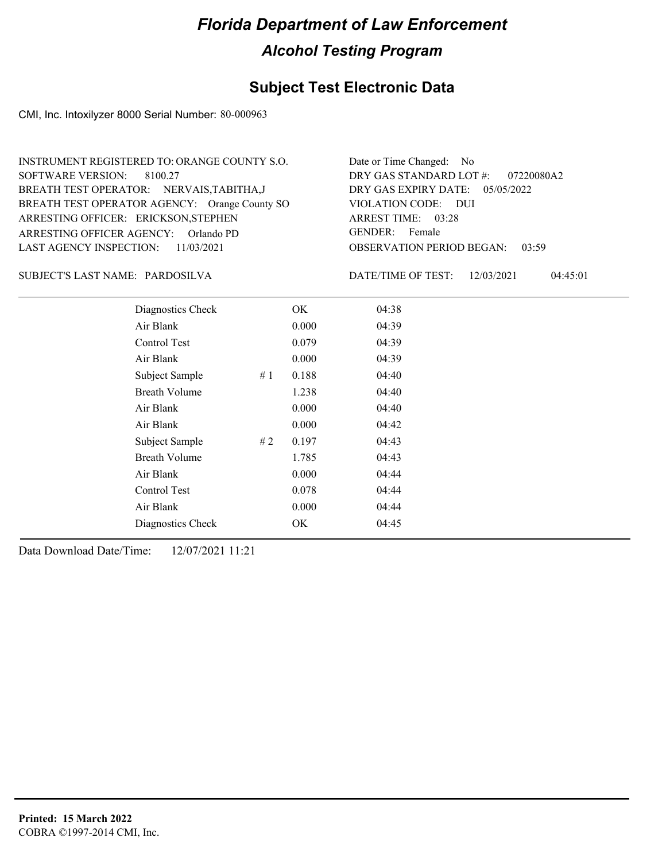## **Subject Test Electronic Data**

CMI, Inc. Intoxilyzer 8000 Serial Number: 80-000963

| Date or Time Changed: No               |
|----------------------------------------|
| DRY GAS STANDARD LOT #: 07220080A2     |
| DRY GAS EXPIRY DATE: $05/05/2022$      |
| VIOLATION CODE: DUI                    |
| ARREST TIME: 03:28                     |
| GENDER: Female                         |
| <b>OBSERVATION PERIOD BEGAN: 03:59</b> |
|                                        |

PARDOSILVA SUBJECT'S LAST NAME: DATE/TIME OF TEST:

DATE/TIME OF TEST: 12/03/2021 04:45:01

| Diagnostics Check    |    | OK.   | 04:38 |
|----------------------|----|-------|-------|
| Air Blank            |    | 0.000 | 04:39 |
| Control Test         |    | 0.079 | 04:39 |
| Air Blank            |    | 0.000 | 04:39 |
| Subject Sample       | #1 | 0.188 | 04:40 |
| <b>Breath Volume</b> |    | 1.238 | 04:40 |
| Air Blank            |    | 0.000 | 04:40 |
| Air Blank            |    | 0.000 | 04:42 |
| Subject Sample       | #2 | 0.197 | 04:43 |
| <b>Breath Volume</b> |    | 1.785 | 04:43 |
| Air Blank            |    | 0.000 | 04:44 |
| Control Test         |    | 0.078 | 04:44 |
| Air Blank            |    | 0.000 | 04:44 |
| Diagnostics Check    |    | OK    | 04:45 |
|                      |    |       |       |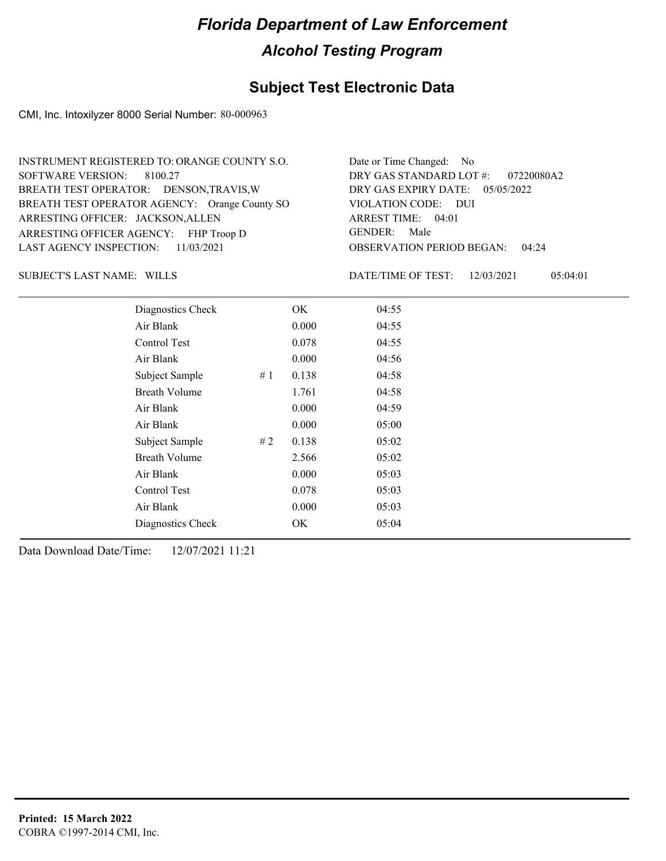## **Subject Test Electronic Data**

CMI, Inc. Intoxilyzer 8000 Serial Number: 80-000963

| INSTRUMENT REGISTERED TO: ORANGE COUNTY S.O.  | Date or Time Changed: No               |
|-----------------------------------------------|----------------------------------------|
| SOFTWARE VERSION: 8100.27                     | DRY GAS STANDARD LOT $\#$ : 07220080A2 |
| BREATH TEST OPERATOR: DENSON, TRAVIS, W       | DRY GAS EXPIRY DATE: 05/05/2022        |
| BREATH TEST OPERATOR AGENCY: Orange County SO | VIOLATION CODE: DUI                    |
| ARRESTING OFFICER: JACKSON, ALLEN             | ARREST TIME: 04:01                     |
| ARRESTING OFFICER AGENCY: FHP Troop D         | GENDER: Male                           |
| LAST AGENCY INSPECTION: $11/03/2021$          | <b>OBSERVATION PERIOD BEGAN: 04:24</b> |

SUBJECT'S LAST NAME: WILLS DATE/TIME OF TEST:

DATE/TIME OF TEST: 12/03/2021 05:04:01

| Diagnostics Check    |    | OK    | 04:55 |  |
|----------------------|----|-------|-------|--|
| Air Blank            |    | 0.000 | 04:55 |  |
| Control Test         |    | 0.078 | 04:55 |  |
| Air Blank            |    | 0.000 | 04:56 |  |
| Subject Sample       | #1 | 0.138 | 04:58 |  |
| <b>Breath Volume</b> |    | 1.761 | 04:58 |  |
| Air Blank            |    | 0.000 | 04:59 |  |
| Air Blank            |    | 0.000 | 05:00 |  |
| Subject Sample       | #2 | 0.138 | 05:02 |  |
| <b>Breath Volume</b> |    | 2.566 | 05:02 |  |
| Air Blank            |    | 0.000 | 05:03 |  |
| Control Test         |    | 0.078 | 05:03 |  |
| Air Blank            |    | 0.000 | 05:03 |  |
| Diagnostics Check    |    | OK    | 05:04 |  |
|                      |    |       |       |  |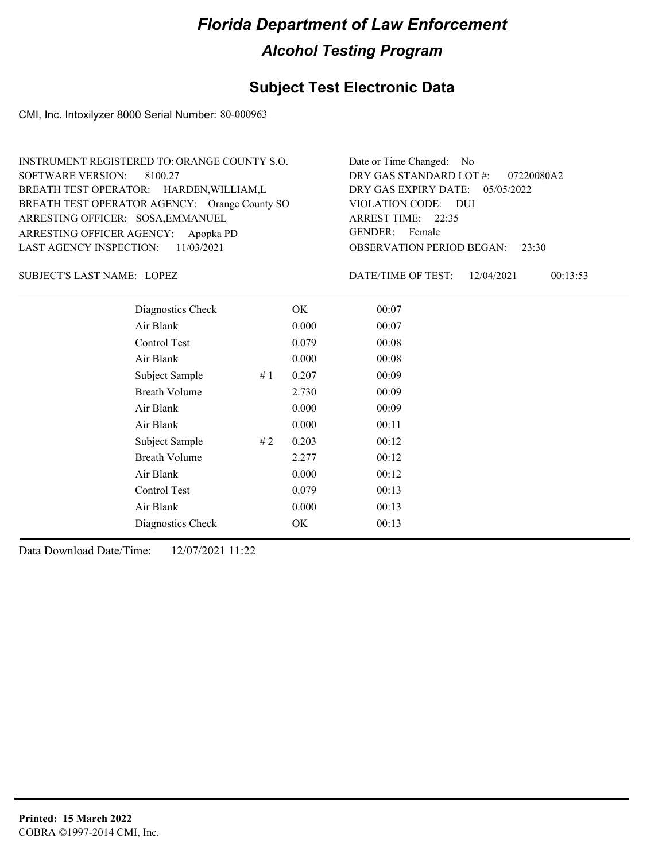## **Subject Test Electronic Data**

CMI, Inc. Intoxilyzer 8000 Serial Number: 80-000963

| INSTRUMENT REGISTERED TO: ORANGE COUNTY S.O.  | Date or Time Changed: No               |
|-----------------------------------------------|----------------------------------------|
| SOFTWARE VERSION: 8100.27                     | DRY GAS STANDARD LOT #: 07220080A2     |
| BREATH TEST OPERATOR: HARDEN, WILLIAM, L      | DRY GAS EXPIRY DATE: $05/05/2022$      |
| BREATH TEST OPERATOR AGENCY: Orange County SO | VIOLATION CODE: DUI                    |
| ARRESTING OFFICER: SOSA, EMMANUEL             | ARREST TIME: 22:35                     |
| ARRESTING OFFICER AGENCY: Apopka PD           | GENDER: Female                         |
| LAST AGENCY INSPECTION: 11/03/2021            | <b>OBSERVATION PERIOD BEGAN: 23:30</b> |

LOPEZ SUBJECT'S LAST NAME: DATE/TIME OF TEST:

DATE/TIME OF TEST: 12/04/2021 00:13:53

| Diagnostics Check    |    | OK    | 00:07 |
|----------------------|----|-------|-------|
| Air Blank            |    | 0.000 | 00:07 |
| Control Test         |    | 0.079 | 00:08 |
| Air Blank            |    | 0.000 | 00:08 |
| Subject Sample       | #1 | 0.207 | 00:09 |
| <b>Breath Volume</b> |    | 2.730 | 00:09 |
| Air Blank            |    | 0.000 | 00:09 |
| Air Blank            |    | 0.000 | 00:11 |
| Subject Sample       | #2 | 0.203 | 00:12 |
| <b>Breath Volume</b> |    | 2.277 | 00:12 |
| Air Blank            |    | 0.000 | 00:12 |
| Control Test         |    | 0.079 | 00:13 |
| Air Blank            |    | 0.000 | 00:13 |
| Diagnostics Check    |    | OK    | 00:13 |
|                      |    |       |       |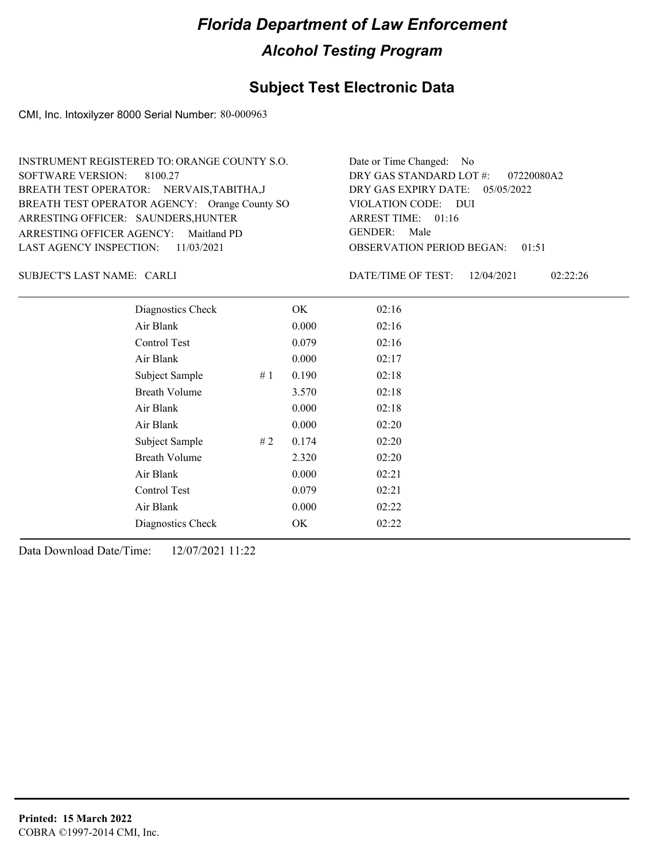## **Subject Test Electronic Data**

CMI, Inc. Intoxilyzer 8000 Serial Number: 80-000963

| INSTRUMENT REGISTERED TO: ORANGE COUNTY S.O.  | Date or Time Changed: No               |
|-----------------------------------------------|----------------------------------------|
| SOFTWARE VERSION: 8100.27                     | DRY GAS STANDARD LOT $\#$ : 07220080A2 |
| BREATH TEST OPERATOR: NERVAIS, TABITHA, J     | DRY GAS EXPIRY DATE: 05/05/2022        |
| BREATH TEST OPERATOR AGENCY: Orange County SO | VIOLATION CODE: DUI                    |
| ARRESTING OFFICER: SAUNDERS, HUNTER           | ARREST TIME: 01:16                     |
| ARRESTING OFFICER AGENCY: Maitland PD         | GENDER: Male                           |
| LAST AGENCY INSPECTION: 11/03/2021            | <b>OBSERVATION PERIOD BEGAN: 01:51</b> |

CARLI SUBJECT'S LAST NAME: DATE/TIME OF TEST:

DATE/TIME OF TEST: 12/04/2021 02:22:26

| Diagnostics Check    |    | OK    | 02:16 |
|----------------------|----|-------|-------|
| Air Blank            |    | 0.000 | 02:16 |
| Control Test         |    | 0.079 | 02:16 |
| Air Blank            |    | 0.000 | 02:17 |
| Subject Sample       | #1 | 0.190 | 02:18 |
| <b>Breath Volume</b> |    | 3.570 | 02:18 |
| Air Blank            |    | 0.000 | 02:18 |
| Air Blank            |    | 0.000 | 02:20 |
| Subject Sample       | #2 | 0.174 | 02:20 |
| <b>Breath Volume</b> |    | 2.320 | 02:20 |
| Air Blank            |    | 0.000 | 02:21 |
| Control Test         |    | 0.079 | 02:21 |
| Air Blank            |    | 0.000 | 02:22 |
| Diagnostics Check    |    | OK    | 02:22 |
|                      |    |       |       |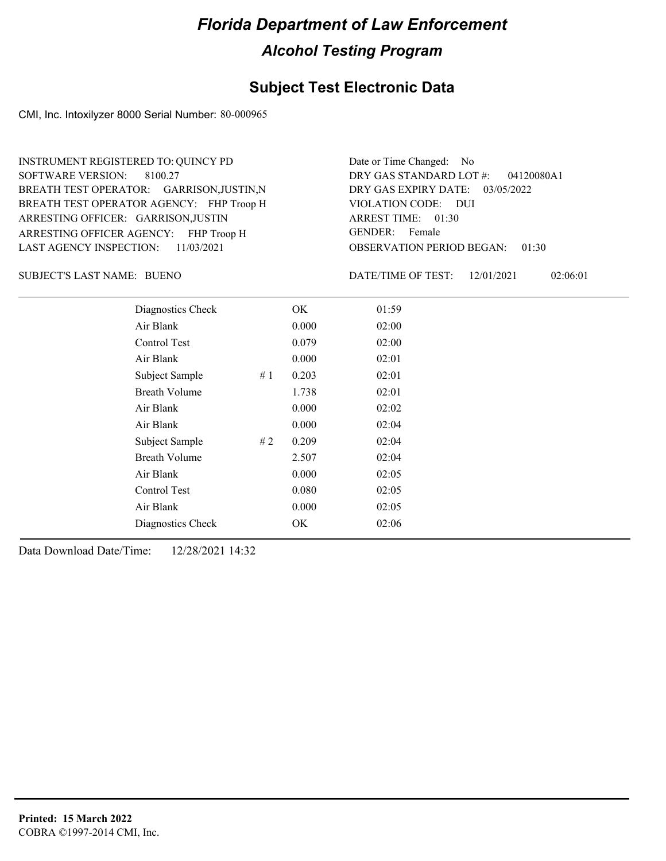#### **Subject Test Electronic Data**

CMI, Inc. Intoxilyzer 8000 Serial Number: 80-000965

ARRESTING OFFICER AGENCY: FHP Troop H GENDER: BREATH TEST OPERATOR AGENCY: FHP Troop H VIOLATION CODE: SOFTWARE VERSION: ARRESTING OFFICER: GARRISON,JUSTIN BREATH TEST OPERATOR: GARRISON,JUSTIN,N LAST AGENCY INSPECTION: 11/03/2021 8100.27 INSTRUMENT REGISTERED TO: QUINCY PD

OBSERVATION PERIOD BEGAN: 01:30 VIOLATION CODE: DUI ARREST TIME: 01:30 DRY GAS EXPIRY DATE: 03/05/2022 04120080A1 DRY GAS STANDARD LOT #: Date or Time Changed: No GENDER: Female

BUENO SUBJECT'S LAST NAME: DATE/TIME OF TEST:

DATE/TIME OF TEST: 12/01/2021 02:06:01

| Diagnostics Check    |    | OK    | 01:59 |
|----------------------|----|-------|-------|
| Air Blank            |    | 0.000 | 02:00 |
| <b>Control Test</b>  |    | 0.079 | 02:00 |
| Air Blank            |    | 0.000 | 02:01 |
| Subject Sample       | #1 | 0.203 | 02:01 |
| <b>Breath Volume</b> |    | 1.738 | 02:01 |
| Air Blank            |    | 0.000 | 02:02 |
| Air Blank            |    | 0.000 | 02:04 |
| Subject Sample       | #2 | 0.209 | 02:04 |
| <b>Breath Volume</b> |    | 2.507 | 02:04 |
| Air Blank            |    | 0.000 | 02:05 |
| Control Test         |    | 0.080 | 02:05 |
| Air Blank            |    | 0.000 | 02:05 |
| Diagnostics Check    |    | OK    | 02:06 |
|                      |    |       |       |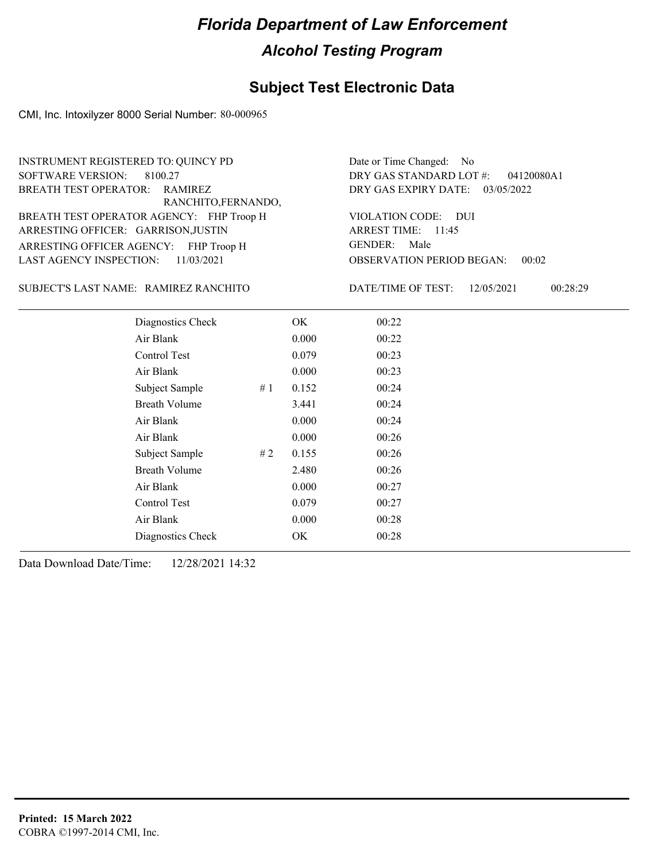#### **Subject Test Electronic Data**

CMI, Inc. Intoxilyzer 8000 Serial Number: 80-000965

12/05/2021 00:28:29 OBSERVATION PERIOD BEGAN: ARRESTING OFFICER AGENCY: FHP Troop H GENDER: BREATH TEST OPERATOR AGENCY: FHP Troop H VIOLATION CODE: SOFTWARE VERSION: VIOLATION CODE: DUI 00:02 ARREST TIME: 11:45 ARRESTING OFFICER: GARRISON,JUSTIN DRY GAS EXPIRY DATE: 03/05/2022 04120080A1 RAMIREZ RANCHITO,FERNANDO, RAMIREZ RANCHITO SUBJECT'S LAST NAME: DATE/TIME OF TEST: 11/03/2021 8100.27 INSTRUMENT REGISTERED TO: QUINCY PD LAST AGENCY INSPECTION: DRY GAS STANDARD LOT #: BREATH TEST OPERATOR: Date or Time Changed: No GENDER: Male Diagnostics Check OK 00:22 Air Blank 0.000 00:22 Control Test 0.079 00:23 Air Blank 0.000 00:23 Subject Sample # 1 0.152 00:24 Breath Volume 3.441 00:24

> Air Blank 0.000 00:24 Air Blank 0.000 00:26 Subject Sample # 2 0.155 00:26 Breath Volume 2.480 00:26 Air Blank 0.000 00:27 Control Test 0.079 00:27 Air Blank 0.000 00:28 Diagnostics Check OK 00:28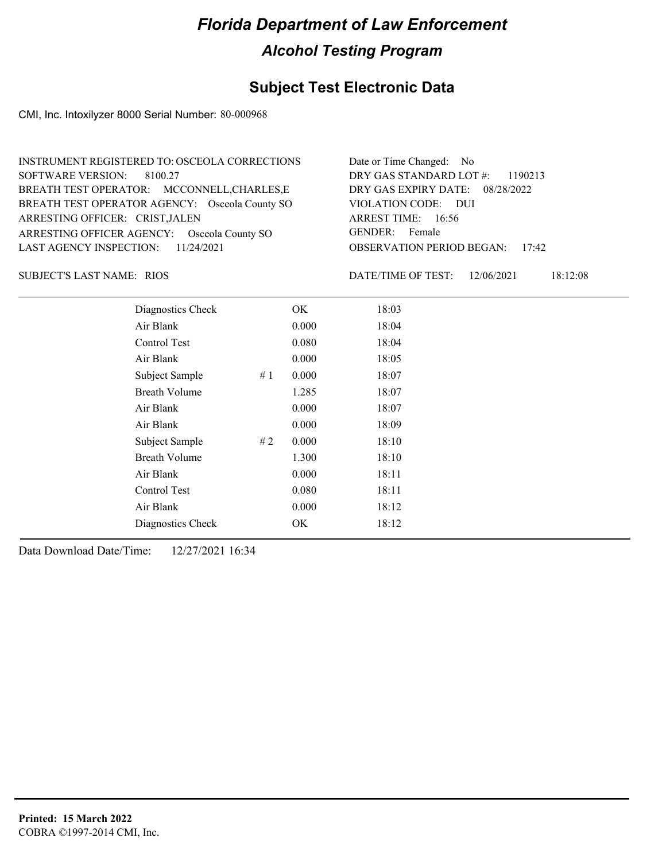## **Subject Test Electronic Data**

CMI, Inc. Intoxilyzer 8000 Serial Number: 80-000968

| INSTRUMENT REGISTERED TO: OSCEOLA CORRECTIONS  | Date or Time Changed: No               |
|------------------------------------------------|----------------------------------------|
| SOFTWARE VERSION: 8100.27                      | DRY GAS STANDARD LOT #: 1190213        |
| BREATH TEST OPERATOR: MCCONNELL, CHARLES, E    | DRY GAS EXPIRY DATE: 08/28/2022        |
| BREATH TEST OPERATOR AGENCY: Osceola County SO | VIOLATION CODE: DUI                    |
| ARRESTING OFFICER: CRIST, JALEN                | ARREST TIME: 16:56                     |
| ARRESTING OFFICER AGENCY: Osceola County SO    | GENDER: Female                         |
| LAST AGENCY INSPECTION: $11/24/2021$           | <b>OBSERVATION PERIOD BEGAN: 17:42</b> |

RIOS SUBJECT'S LAST NAME: DATE/TIME OF TEST:

DATE/TIME OF TEST: 12/06/2021 18:12:08

| Diagnostics Check    | OK    | 18:03 |
|----------------------|-------|-------|
| Air Blank            | 0.000 | 18:04 |
| Control Test         | 0.080 | 18:04 |
| Air Blank            | 0.000 | 18:05 |
| Subject Sample<br>#1 | 0.000 | 18:07 |
| <b>Breath Volume</b> | 1.285 | 18:07 |
| Air Blank            | 0.000 | 18:07 |
| Air Blank            | 0.000 | 18:09 |
| Subject Sample<br>#2 | 0.000 | 18:10 |
| <b>Breath Volume</b> | 1.300 | 18:10 |
| Air Blank            | 0.000 | 18:11 |
| <b>Control Test</b>  | 0.080 | 18:11 |
| Air Blank            | 0.000 | 18:12 |
| Diagnostics Check    | OK    | 18:12 |
|                      |       |       |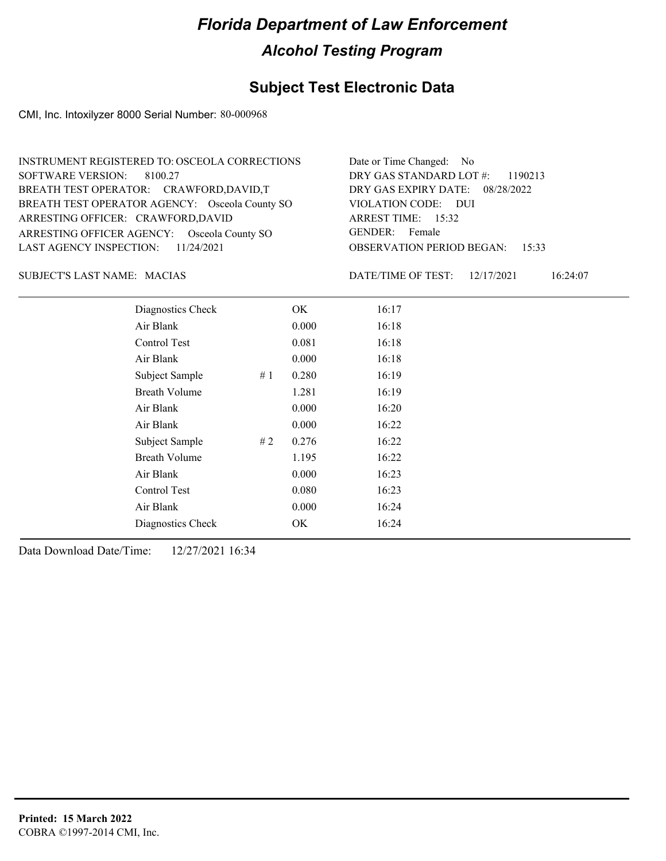## **Subject Test Electronic Data**

CMI, Inc. Intoxilyzer 8000 Serial Number: 80-000968

| INSTRUMENT REGISTERED TO: OSCEOLA CORRECTIONS  | Date or Time Changed: No               |
|------------------------------------------------|----------------------------------------|
| SOFTWARE VERSION: 8100.27                      | DRY GAS STANDARD LOT $\#$ : 1190213    |
| BREATH TEST OPERATOR: CRAWFORD, DAVID, T       | DRY GAS EXPIRY DATE: 08/28/2022        |
| BREATH TEST OPERATOR AGENCY: Osceola County SO | VIOLATION CODE: DUI                    |
| ARRESTING OFFICER: CRAWFORD, DAVID             | ARREST TIME: 15:32                     |
| ARRESTING OFFICER AGENCY: Osceola County SO    | GENDER: Female                         |
| LAST AGENCY INSPECTION: $11/24/2021$           | <b>OBSERVATION PERIOD BEGAN: 15:33</b> |

#### MACIAS SUBJECT'S LAST NAME: DATE/TIME OF TEST:

DATE/TIME OF TEST: 12/17/2021 16:24:07

| Diagnostics Check    |    | OK    | 16:17 |
|----------------------|----|-------|-------|
| Air Blank            |    | 0.000 | 16:18 |
| Control Test         |    | 0.081 | 16:18 |
| Air Blank            |    | 0.000 | 16:18 |
| Subject Sample       | #1 | 0.280 | 16:19 |
| <b>Breath Volume</b> |    | 1.281 | 16:19 |
| Air Blank            |    | 0.000 | 16:20 |
| Air Blank            |    | 0.000 | 16:22 |
| Subject Sample       | #2 | 0.276 | 16:22 |
| <b>Breath Volume</b> |    | 1.195 | 16:22 |
| Air Blank            |    | 0.000 | 16:23 |
| Control Test         |    | 0.080 | 16:23 |
| Air Blank            |    | 0.000 | 16:24 |
| Diagnostics Check    |    | OK    | 16:24 |
|                      |    |       |       |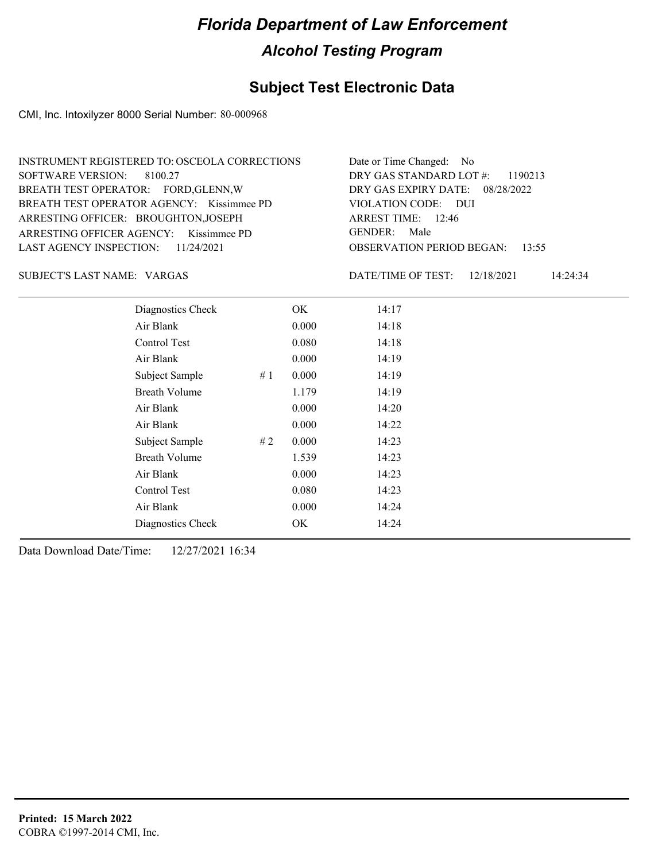## **Subject Test Electronic Data**

CMI, Inc. Intoxilyzer 8000 Serial Number: 80-000968

| INSTRUMENT REGISTERED TO: OSCEOLA CORRECTIONS | Date or Time Changed: No               |
|-----------------------------------------------|----------------------------------------|
| SOFTWARE VERSION: 8100.27                     | DRY GAS STANDARD LOT $\#$ : 1190213    |
| BREATH TEST OPERATOR: FORD, GLENN, W          | DRY GAS EXPIRY DATE: 08/28/2022        |
| BREATH TEST OPERATOR AGENCY: Kissimmee PD     | VIOLATION CODE: DUI                    |
| ARRESTING OFFICER: BROUGHTON, JOSEPH          | ARREST TIME: $12:46$                   |
| ARRESTING OFFICER AGENCY: Kissimmee PD        | GENDER: Male                           |
| LAST AGENCY INSPECTION: $11/24/2021$          | <b>OBSERVATION PERIOD BEGAN: 13:55</b> |

VARGAS SUBJECT'S LAST NAME: DATE/TIME OF TEST:

DATE/TIME OF TEST: 12/18/2021 14:24:34

| Diagnostics Check    |    | OK    | 14:17 |  |
|----------------------|----|-------|-------|--|
| Air Blank            |    | 0.000 | 14:18 |  |
| Control Test         |    | 0.080 | 14:18 |  |
| Air Blank            |    | 0.000 | 14:19 |  |
| Subject Sample       | #1 | 0.000 | 14:19 |  |
| <b>Breath Volume</b> |    | 1.179 | 14:19 |  |
| Air Blank            |    | 0.000 | 14:20 |  |
| Air Blank            |    | 0.000 | 14:22 |  |
| Subject Sample       | #2 | 0.000 | 14:23 |  |
| <b>Breath Volume</b> |    | 1.539 | 14:23 |  |
| Air Blank            |    | 0.000 | 14:23 |  |
| Control Test         |    | 0.080 | 14:23 |  |
| Air Blank            |    | 0.000 | 14:24 |  |
| Diagnostics Check    |    | OK    | 14:24 |  |
|                      |    |       |       |  |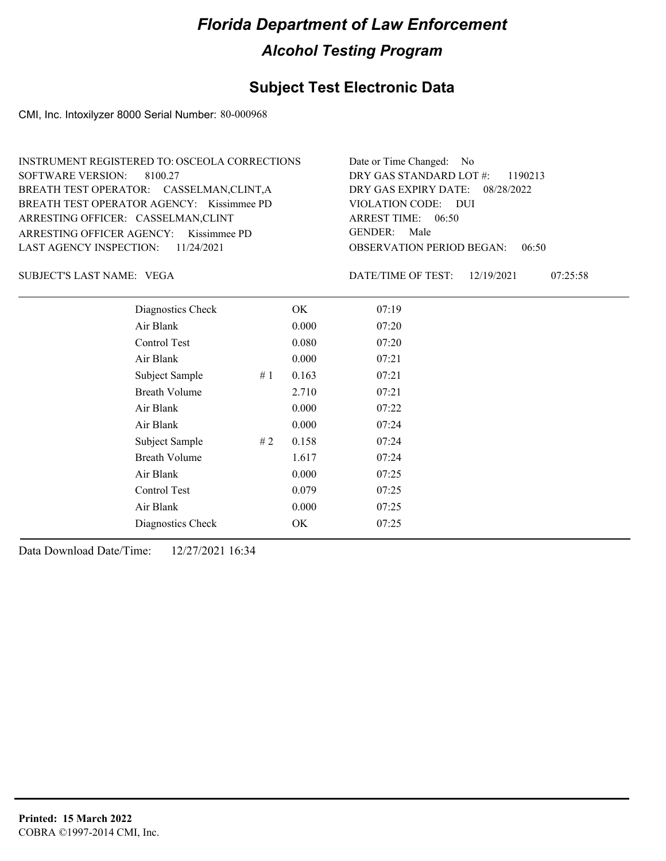## **Subject Test Electronic Data**

CMI, Inc. Intoxilyzer 8000 Serial Number: 80-000968

| INSTRUMENT REGISTERED TO: OSCEOLA CORRECTIONS | Date or Time Changed: No               |
|-----------------------------------------------|----------------------------------------|
| SOFTWARE VERSION: 8100.27                     | DRY GAS STANDARD LOT $\#$ : 1190213    |
| BREATH TEST OPERATOR: CASSELMAN,CLINT,A       | DRY GAS EXPIRY DATE: 08/28/2022        |
| BREATH TEST OPERATOR AGENCY: Kissimmee PD     | VIOLATION CODE: DUI                    |
| ARRESTING OFFICER: CASSELMAN,CLINT            | ARREST TIME: $06:50$                   |
| ARRESTING OFFICER AGENCY: Kissimmee PD        | GENDER: Male                           |
| LAST AGENCY INSPECTION: $11/24/2021$          | <b>OBSERVATION PERIOD BEGAN: 06:50</b> |

VEGA SUBJECT'S LAST NAME: DATE/TIME OF TEST:

DATE/TIME OF TEST: 12/19/2021 07:25:58

| Diagnostics Check    |    | OK    | 07:19 |  |
|----------------------|----|-------|-------|--|
| Air Blank            |    | 0.000 | 07:20 |  |
| Control Test         |    | 0.080 | 07:20 |  |
| Air Blank            |    | 0.000 | 07:21 |  |
| Subject Sample       | #1 | 0.163 | 07:21 |  |
| <b>Breath Volume</b> |    | 2.710 | 07:21 |  |
| Air Blank            |    | 0.000 | 07:22 |  |
| Air Blank            |    | 0.000 | 07:24 |  |
| Subject Sample       | #2 | 0.158 | 07:24 |  |
| <b>Breath Volume</b> |    | 1.617 | 07:24 |  |
| Air Blank            |    | 0.000 | 07:25 |  |
| Control Test         |    | 0.079 | 07:25 |  |
| Air Blank            |    | 0.000 | 07:25 |  |
| Diagnostics Check    |    | OK    | 07:25 |  |
|                      |    |       |       |  |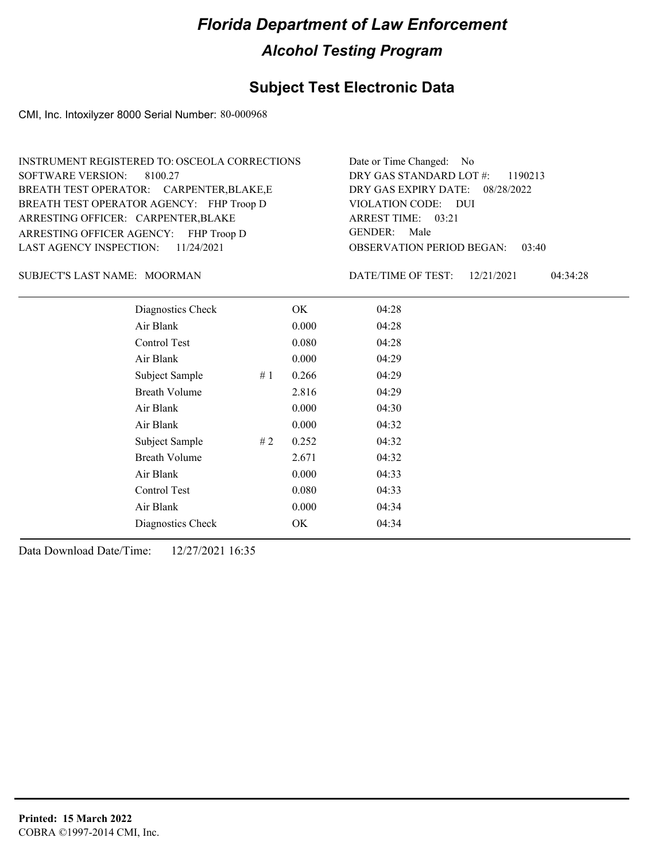## **Subject Test Electronic Data**

CMI, Inc. Intoxilyzer 8000 Serial Number: 80-000968

| INSTRUMENT REGISTERED TO: OSCEOLA CORRECTIONS | Date or Time Changed: No               |
|-----------------------------------------------|----------------------------------------|
| SOFTWARE VERSION: 8100.27                     | DRY GAS STANDARD LOT #: 1190213        |
| BREATH TEST OPERATOR: CARPENTER, BLAKE, E     | DRY GAS EXPIRY DATE: 08/28/2022        |
| BREATH TEST OPERATOR AGENCY: FHP Troop D      | VIOLATION CODE: DUI                    |
| ARRESTING OFFICER: CARPENTER, BLAKE           | ARREST TIME: 03:21                     |
| ARRESTING OFFICER AGENCY: FHP Troop D         | GENDER: Male                           |
| LAST AGENCY INSPECTION: $11/24/2021$          | <b>OBSERVATION PERIOD BEGAN: 03:40</b> |

#### MOORMAN SUBJECT'S LAST NAME: DATE/TIME OF TEST:

DATE/TIME OF TEST: 12/21/2021 04:34:28

| Diagnostics Check    |    | OK    | 04:28 |  |
|----------------------|----|-------|-------|--|
| Air Blank            |    | 0.000 | 04:28 |  |
| Control Test         |    | 0.080 | 04:28 |  |
| Air Blank            |    | 0.000 | 04:29 |  |
| Subject Sample       | #1 | 0.266 | 04:29 |  |
| <b>Breath Volume</b> |    | 2.816 | 04:29 |  |
| Air Blank            |    | 0.000 | 04:30 |  |
| Air Blank            |    | 0.000 | 04:32 |  |
| Subject Sample       | #2 | 0.252 | 04:32 |  |
| <b>Breath Volume</b> |    | 2.671 | 04:32 |  |
| Air Blank            |    | 0.000 | 04:33 |  |
| Control Test         |    | 0.080 | 04:33 |  |
| Air Blank            |    | 0.000 | 04:34 |  |
| Diagnostics Check    |    | OK    | 04:34 |  |
|                      |    |       |       |  |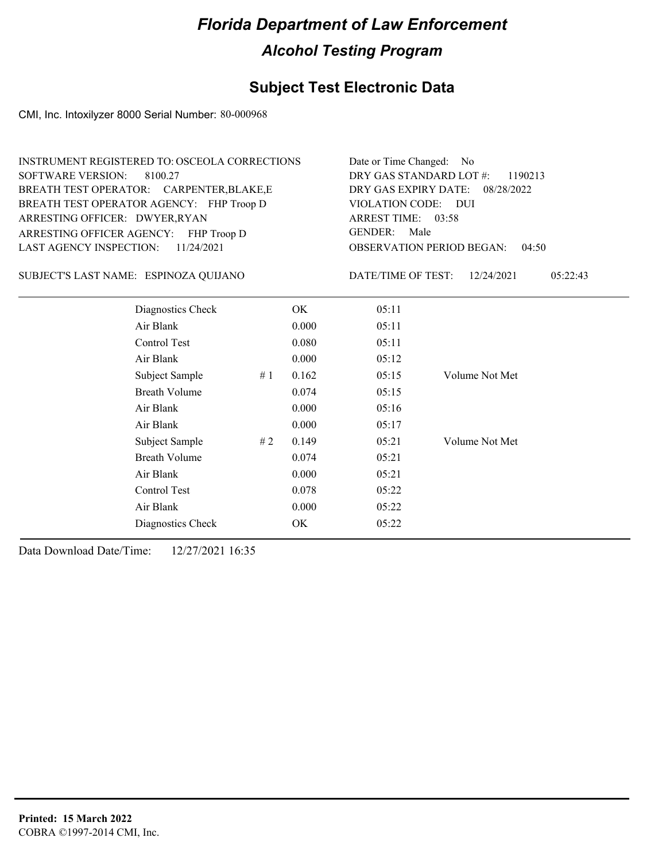## **Subject Test Electronic Data**

CMI, Inc. Intoxilyzer 8000 Serial Number: 80-000968

| <b>INSTRUMENT REGISTERED TO: OSCEOLA CORRECTIONS</b><br><b>SOFTWARE VERSION:</b><br>8100.27<br>BREATH TEST OPERATOR: CARPENTER, BLAKE, E<br>BREATH TEST OPERATOR AGENCY: FHP Troop D<br>ARRESTING OFFICER: DWYER, RYAN |    |       | Date or Time Changed:<br>No.<br>DRY GAS STANDARD LOT #:<br>1190213<br>DRY GAS EXPIRY DATE:<br>08/28/2022<br>VIOLATION CODE: DUI<br>ARREST TIME: 03:58<br><b>GENDER:</b><br>Male |                                           |  |
|------------------------------------------------------------------------------------------------------------------------------------------------------------------------------------------------------------------------|----|-------|---------------------------------------------------------------------------------------------------------------------------------------------------------------------------------|-------------------------------------------|--|
| ARRESTING OFFICER AGENCY: FHP Troop D<br><b>LAST AGENCY INSPECTION:</b><br>11/24/2021                                                                                                                                  |    |       |                                                                                                                                                                                 | <b>OBSERVATION PERIOD BEGAN:</b><br>04:50 |  |
| SUBJECT'S LAST NAME: ESPINOZA QUIJANO                                                                                                                                                                                  |    |       | DATE/TIME OF TEST:                                                                                                                                                              | 12/24/2021<br>05:22:43                    |  |
| Diagnostics Check                                                                                                                                                                                                      |    | OK    | 05:11                                                                                                                                                                           |                                           |  |
| Air Blank                                                                                                                                                                                                              |    | 0.000 | 05:11                                                                                                                                                                           |                                           |  |
| Control Test                                                                                                                                                                                                           |    | 0.080 | 05:11                                                                                                                                                                           |                                           |  |
| Air Blank                                                                                                                                                                                                              |    | 0.000 | 05:12                                                                                                                                                                           |                                           |  |
| Subject Sample                                                                                                                                                                                                         | #1 | 0.162 | 05:15                                                                                                                                                                           | Volume Not Met                            |  |
| <b>Breath Volume</b>                                                                                                                                                                                                   |    | 0.074 | 05:15                                                                                                                                                                           |                                           |  |
| Air Blank                                                                                                                                                                                                              |    | 0.000 | 05:16                                                                                                                                                                           |                                           |  |
| Air Blank                                                                                                                                                                                                              |    | 0.000 | 05:17                                                                                                                                                                           |                                           |  |
| Subject Sample                                                                                                                                                                                                         | #2 | 0.149 | 05:21                                                                                                                                                                           | Volume Not Met                            |  |
| <b>Breath Volume</b>                                                                                                                                                                                                   |    | 0.074 | 05:21                                                                                                                                                                           |                                           |  |
| Air Blank                                                                                                                                                                                                              |    | 0.000 | 05:21                                                                                                                                                                           |                                           |  |
| Control Test                                                                                                                                                                                                           |    | 0.078 | 05:22                                                                                                                                                                           |                                           |  |
| Air Blank                                                                                                                                                                                                              |    | 0.000 | 05:22                                                                                                                                                                           |                                           |  |
| Diagnostics Check                                                                                                                                                                                                      |    | OK    | 05:22                                                                                                                                                                           |                                           |  |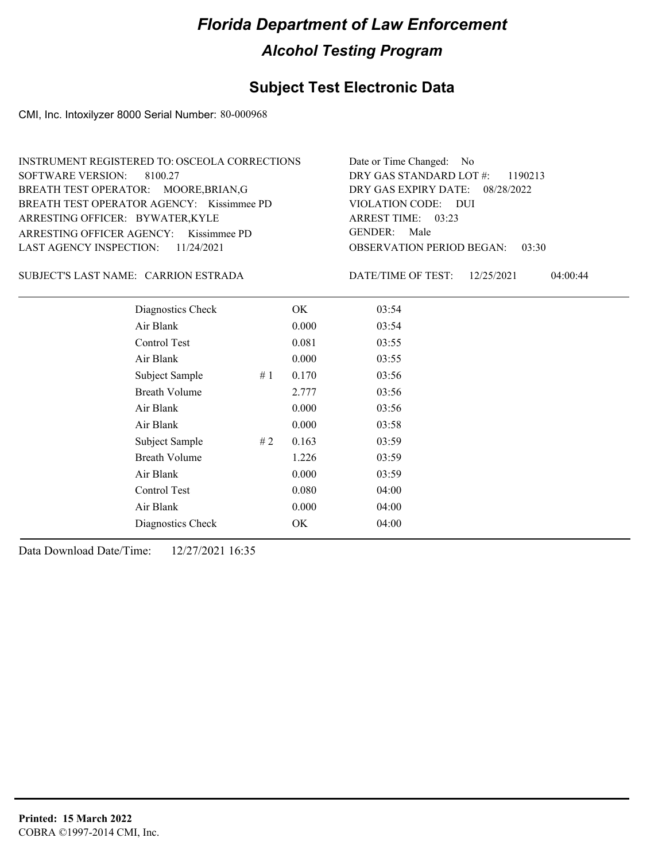## **Subject Test Electronic Data**

CMI, Inc. Intoxilyzer 8000 Serial Number: 80-000968

| INSTRUMENT REGISTERED TO: OSCEOLA CORRECTIONS | Date or Time Changed: No               |
|-----------------------------------------------|----------------------------------------|
| SOFTWARE VERSION: 8100.27                     | DRY GAS STANDARD LOT $\#$ : 1190213    |
| BREATH TEST OPERATOR: MOORE, BRIAN, G         | DRY GAS EXPIRY DATE: 08/28/2022        |
| BREATH TEST OPERATOR AGENCY: Kissimmee PD     | VIOLATION CODE: DUI                    |
| ARRESTING OFFICER: BYWATER,KYLE               | ARREST TIME: 03:23                     |
| ARRESTING OFFICER AGENCY: Kissimmee PD        | GENDER: Male                           |
| LAST AGENCY INSPECTION: $11/24/2021$          | <b>OBSERVATION PERIOD BEGAN: 03:30</b> |

#### CARRION ESTRADA SUBJECT'S LAST NAME: DATE/TIME OF TEST:

DATE/TIME OF TEST: 12/25/2021 04:00:44

| Diagnostics Check    | OK    | 03:54 |
|----------------------|-------|-------|
| Air Blank            | 0.000 | 03:54 |
| <b>Control Test</b>  | 0.081 | 03:55 |
| Air Blank            | 0.000 | 03:55 |
| Subject Sample<br>#1 | 0.170 | 03:56 |
| <b>Breath Volume</b> | 2.777 | 03:56 |
| Air Blank            | 0.000 | 03:56 |
| Air Blank            | 0.000 | 03:58 |
| Subject Sample<br>#2 | 0.163 | 03:59 |
| <b>Breath Volume</b> | 1.226 | 03:59 |
| Air Blank            | 0.000 | 03:59 |
| Control Test         | 0.080 | 04:00 |
| Air Blank            | 0.000 | 04:00 |
| Diagnostics Check    | OK    | 04:00 |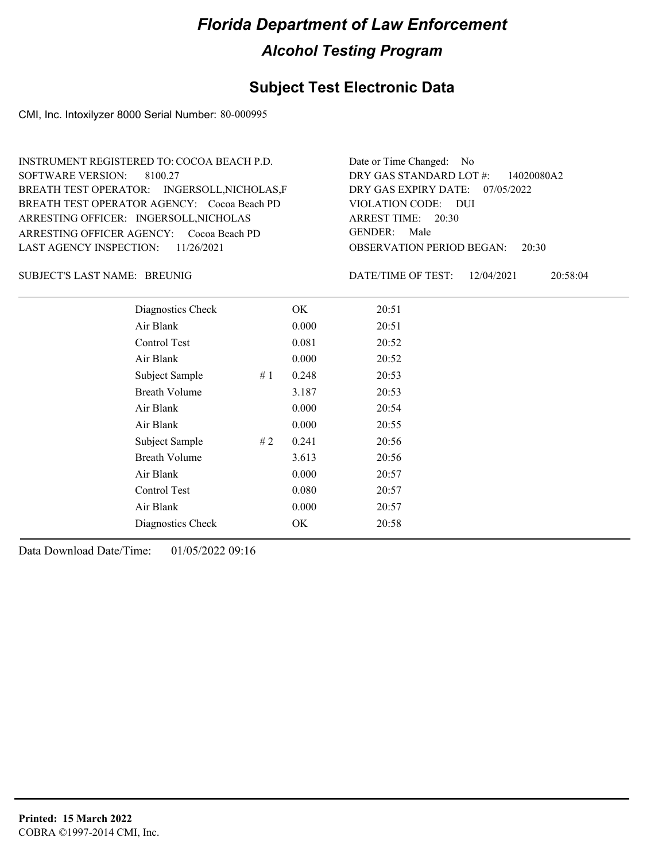#### **Subject Test Electronic Data**

CMI, Inc. Intoxilyzer 8000 Serial Number: 80-000995

ARRESTING OFFICER AGENCY: Cocoa Beach PD GENDER: BREATH TEST OPERATOR AGENCY: Cocoa Beach PD VIOLATION CODE: SOFTWARE VERSION: ARRESTING OFFICER: INGERSOLL, NICHOLAS BREATH TEST OPERATOR: INGERSOLL,NICHOLAS,F LAST AGENCY INSPECTION: 11/26/2021 8100.27 INSTRUMENT REGISTERED TO: COCOA BEACH P.D.

OBSERVATION PERIOD BEGAN: 20:30 VIOLATION CODE: DUI ARREST TIME: 20:30 DRY GAS EXPIRY DATE: 07/05/2022 DRY GAS STANDARD LOT #: 14020080A2 Date or Time Changed: No GENDER: Male

BREUNIG SUBJECT'S LAST NAME: DATE/TIME OF TEST:

DATE/TIME OF TEST: 12/04/2021 20:58:04

| Diagnostics Check    | OK    | 20:51 |
|----------------------|-------|-------|
| Air Blank            | 0.000 | 20:51 |
| Control Test         | 0.081 | 20:52 |
| Air Blank            | 0.000 | 20:52 |
| Subject Sample<br>#1 | 0.248 | 20:53 |
| <b>Breath Volume</b> | 3.187 | 20:53 |
| Air Blank            | 0.000 | 20:54 |
| Air Blank            | 0.000 | 20:55 |
| Subject Sample<br>#2 | 0.241 | 20:56 |
| <b>Breath Volume</b> | 3.613 | 20:56 |
| Air Blank            | 0.000 | 20:57 |
| Control Test         | 0.080 | 20:57 |
| Air Blank            | 0.000 | 20:57 |
| Diagnostics Check    | OK    | 20:58 |
|                      |       |       |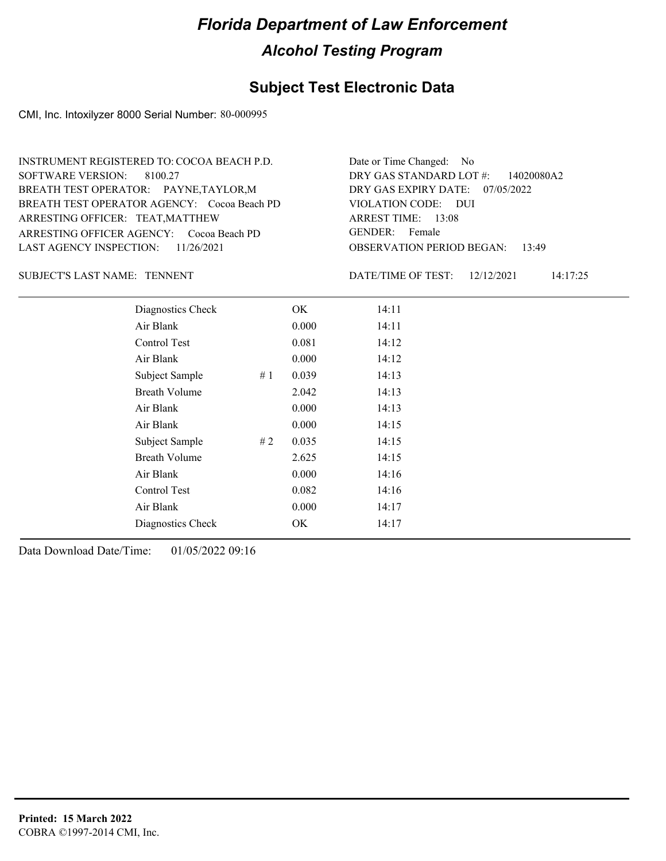#### **Subject Test Electronic Data**

CMI, Inc. Intoxilyzer 8000 Serial Number: 80-000995

OBSERVATION PERIOD BEGAN: 13:49 ARRESTING OFFICER AGENCY: Cocoa Beach PD GENDER: BREATH TEST OPERATOR AGENCY: Cocoa Beach PD VIOLATION CODE: SOFTWARE VERSION: 8100.27 VIOLATION CODE: DUI ARREST TIME: 13:08 ARRESTING OFFICER: TEAT,MATTHEW DRY GAS EXPIRY DATE: 07/05/2022 DRY GAS STANDARD LOT #: 14020080A2 BREATH TEST OPERATOR: PAYNE,TAYLOR,M LAST AGENCY INSPECTION: 11/26/2021 INSTRUMENT REGISTERED TO: COCOA BEACH P.D. Date or Time Changed: No GENDER: Female

#### SUBJECT'S LAST NAME: TENNENT **EXECUTE:** DATE/TIME OF TEST:

DATE/TIME OF TEST: 12/12/2021 14:17:25

| Diagnostics Check    |    | OK    | 14:11 |
|----------------------|----|-------|-------|
| Air Blank            |    | 0.000 | 14:11 |
| Control Test         |    | 0.081 | 14:12 |
| Air Blank            |    | 0.000 | 14:12 |
| Subject Sample       | #1 | 0.039 | 14:13 |
| <b>Breath Volume</b> |    | 2.042 | 14:13 |
| Air Blank            |    | 0.000 | 14:13 |
| Air Blank            |    | 0.000 | 14:15 |
| Subject Sample       | #2 | 0.035 | 14:15 |
| <b>Breath Volume</b> |    | 2.625 | 14:15 |
| Air Blank            |    | 0.000 | 14:16 |
| Control Test         |    | 0.082 | 14:16 |
| Air Blank            |    | 0.000 | 14:17 |
| Diagnostics Check    |    | OK    | 14:17 |
|                      |    |       |       |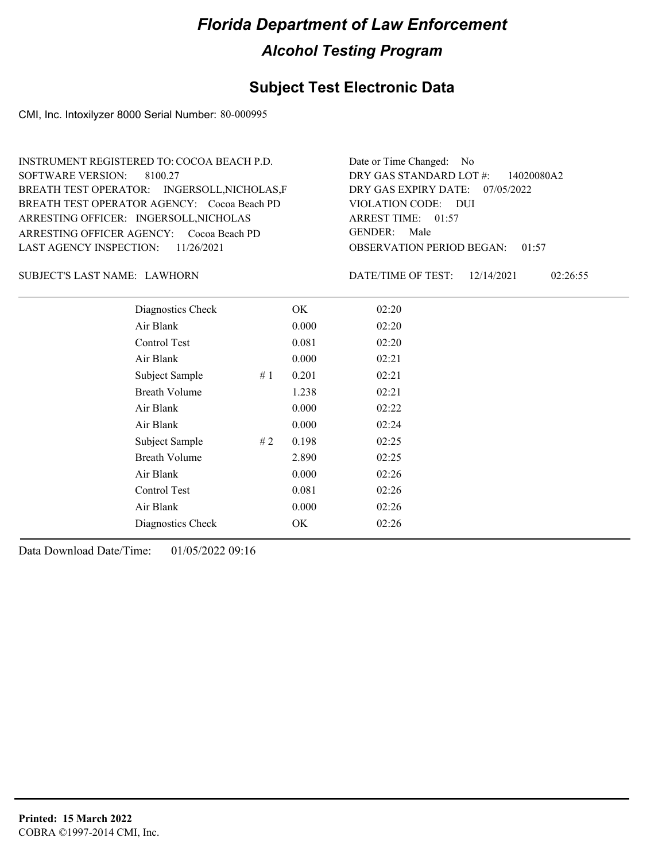#### **Subject Test Electronic Data**

CMI, Inc. Intoxilyzer 8000 Serial Number: 80-000995

OBSERVATION PERIOD BEGAN: 01:57 ARRESTING OFFICER AGENCY: Cocoa Beach PD GENDER: BREATH TEST OPERATOR AGENCY: Cocoa Beach PD VIOLATION CODE: SOFTWARE VERSION: VIOLATION CODE: DUI ARREST TIME: 01:57 ARRESTING OFFICER: INGERSOLL, NICHOLAS DRY GAS EXPIRY DATE: 07/05/2022 DRY GAS STANDARD LOT #: 14020080A2 BREATH TEST OPERATOR: INGERSOLL,NICHOLAS,F LAST AGENCY INSPECTION: 11/26/2021 8100.27 INSTRUMENT REGISTERED TO: COCOA BEACH P.D. Date or Time Changed: No GENDER: Male

LAWHORN SUBJECT'S LAST NAME: DATE/TIME OF TEST:

DATE/TIME OF TEST: 12/14/2021 02:26:55

| Diagnostics Check    |    | OK    | 02:20 |
|----------------------|----|-------|-------|
| Air Blank            |    | 0.000 | 02:20 |
| Control Test         |    | 0.081 | 02:20 |
| Air Blank            |    | 0.000 | 02:21 |
| Subject Sample       | #1 | 0.201 | 02:21 |
| <b>Breath Volume</b> |    | 1.238 | 02:21 |
| Air Blank            |    | 0.000 | 02:22 |
| Air Blank            |    | 0.000 | 02:24 |
| Subject Sample       | #2 | 0.198 | 02:25 |
| <b>Breath Volume</b> |    | 2.890 | 02:25 |
| Air Blank            |    | 0.000 | 02:26 |
| <b>Control Test</b>  |    | 0.081 | 02:26 |
| Air Blank            |    | 0.000 | 02:26 |
| Diagnostics Check    |    | OK    | 02:26 |
|                      |    |       |       |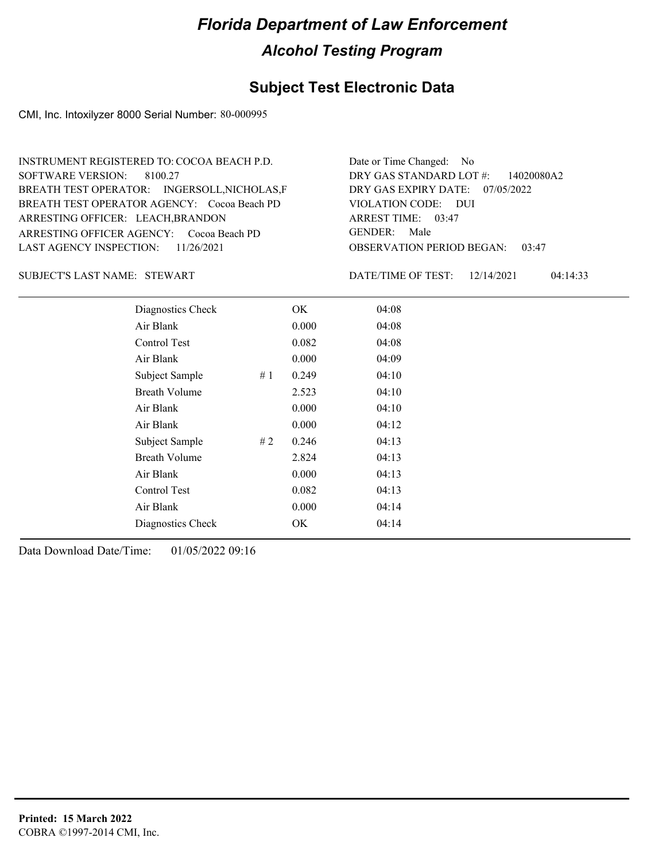#### **Subject Test Electronic Data**

CMI, Inc. Intoxilyzer 8000 Serial Number: 80-000995

ARRESTING OFFICER AGENCY: Cocoa Beach PD GENDER: BREATH TEST OPERATOR AGENCY: Cocoa Beach PD VIOLATION CODE: SOFTWARE VERSION: 8100.27 VIOLATION CODE: DUI ARRESTING OFFICER: LEACH,BRANDON DRY GAS EXPIRY DATE: 07/05/2022 DRY GAS STANDARD LOT #: 14020080A2 BREATH TEST OPERATOR: INGERSOLL,NICHOLAS,F LAST AGENCY INSPECTION: 11/26/2021 INSTRUMENT REGISTERED TO: COCOA BEACH P.D. Date or Time Changed: No GENDER: Male

SUBJECT'S LAST NAME: STEWART DATE/TIME OF TEST:

OBSERVATION PERIOD BEGAN: 03:47 03:47 ARREST TIME:

DATE/TIME OF TEST: 12/14/2021 04:14:33

| Diagnostics Check    |    | OK    | 04:08 |  |
|----------------------|----|-------|-------|--|
| Air Blank            |    | 0.000 | 04:08 |  |
| Control Test         |    | 0.082 | 04:08 |  |
| Air Blank            |    | 0.000 | 04:09 |  |
| Subject Sample       | #1 | 0.249 | 04:10 |  |
| <b>Breath Volume</b> |    | 2.523 | 04:10 |  |
| Air Blank            |    | 0.000 | 04:10 |  |
| Air Blank            |    | 0.000 | 04:12 |  |
| Subject Sample       | #2 | 0.246 | 04:13 |  |
| <b>Breath Volume</b> |    | 2.824 | 04:13 |  |
| Air Blank            |    | 0.000 | 04:13 |  |
| Control Test         |    | 0.082 | 04:13 |  |
| Air Blank            |    | 0.000 | 04:14 |  |
| Diagnostics Check    |    | OK    | 04:14 |  |
|                      |    |       |       |  |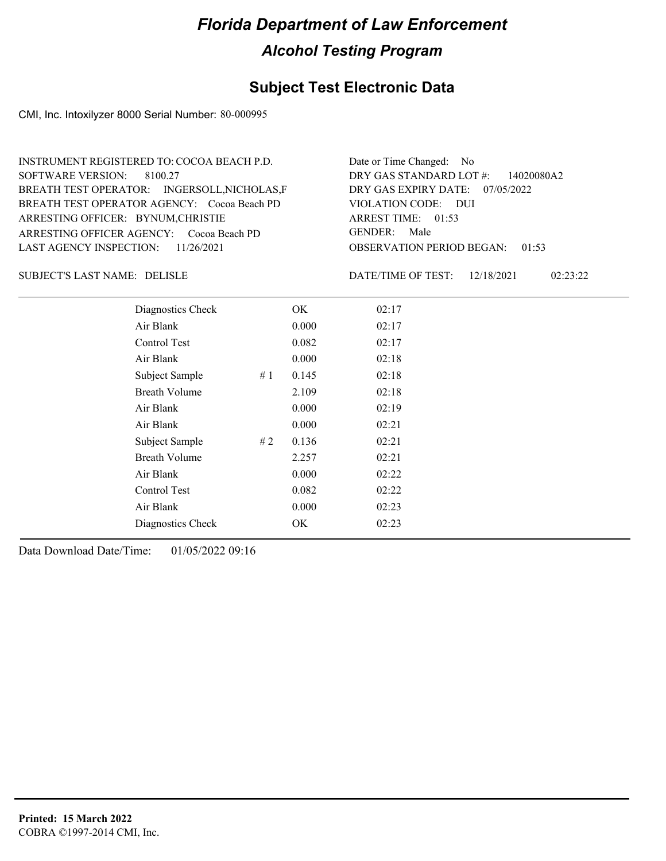### **Subject Test Electronic Data**

CMI, Inc. Intoxilyzer 8000 Serial Number: 80-000995

| INSTRUMENT REGISTERED TO: COCOA BEACH P.D.   | Date or Time Changed: No               |
|----------------------------------------------|----------------------------------------|
| SOFTWARE VERSION: 8100.27                    | DRY GAS STANDARD LOT $\#$ : 14020080A2 |
| BREATH TEST OPERATOR: INGERSOLL, NICHOLAS, F | DRY GAS EXPIRY DATE: $07/05/2022$      |
| BREATH TEST OPERATOR AGENCY: Cocoa Beach PD  | VIOLATION CODE: DUI                    |
| ARRESTING OFFICER: BYNUM, CHRISTIE           | ARREST TIME: $01:53$                   |
| ARRESTING OFFICER AGENCY: Cocoa Beach PD     | GENDER: Male                           |
| LAST AGENCY INSPECTION: 11/26/2021           | <b>OBSERVATION PERIOD BEGAN: 01:53</b> |

DELISLE SUBJECT'S LAST NAME: DATE/TIME OF TEST:

DATE/TIME OF TEST: 12/18/2021 02:23:22

| Diagnostics Check    | OK    | 02:17 |
|----------------------|-------|-------|
| Air Blank            | 0.000 | 02:17 |
| Control Test         | 0.082 | 02:17 |
| Air Blank            | 0.000 | 02:18 |
| Subject Sample<br>#1 | 0.145 | 02:18 |
| <b>Breath Volume</b> | 2.109 | 02:18 |
| Air Blank            | 0.000 | 02:19 |
| Air Blank            | 0.000 | 02:21 |
| Subject Sample<br>#2 | 0.136 | 02:21 |
| <b>Breath Volume</b> | 2.257 | 02:21 |
| Air Blank            | 0.000 | 02:22 |
| Control Test         | 0.082 | 02:22 |
| Air Blank            | 0.000 | 02:23 |
| Diagnostics Check    | OK    | 02:23 |
|                      |       |       |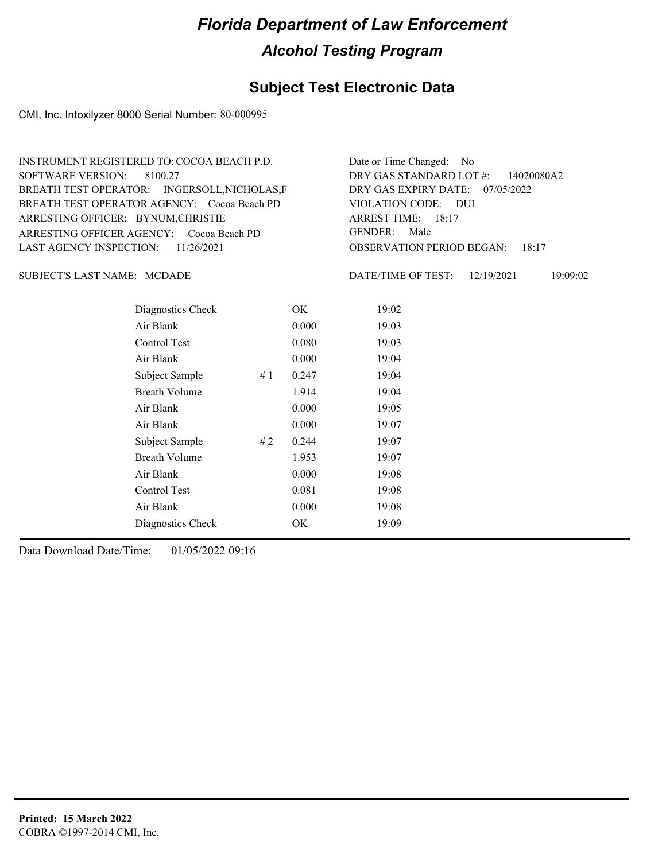### **Subject Test Electronic Data**

CMI, Inc. Intoxilyzer 8000 Serial Number: 80-000995

| INSTRUMENT REGISTERED TO: COCOA BEACH P.D.   | Date or Time Changed: No               |
|----------------------------------------------|----------------------------------------|
| SOFTWARE VERSION: 8100.27                    | DRY GAS STANDARD LOT $\#$ : 14020080A2 |
| BREATH TEST OPERATOR: INGERSOLL, NICHOLAS, F | DRY GAS EXPIRY DATE: $07/05/2022$      |
| BREATH TEST OPERATOR AGENCY: Cocoa Beach PD  | VIOLATION CODE: DUI                    |
| ARRESTING OFFICER: BYNUM, CHRISTIE           | ARREST TIME: 18:17                     |
| ARRESTING OFFICER AGENCY: Cocoa Beach PD     | GENDER: Male                           |
| LAST AGENCY INSPECTION: $11/26/2021$         | <b>OBSERVATION PERIOD BEGAN: 18:17</b> |

SUBJECT'S LAST NAME: MCDADE **Example 19 Set 10** DATE/TIME OF TEST:

DATE/TIME OF TEST: 12/19/2021 19:09:02

| Diagnostics Check    |    | OK    | 19:02 |
|----------------------|----|-------|-------|
| Air Blank            |    | 0.000 | 19:03 |
| Control Test         |    | 0.080 | 19:03 |
| Air Blank            |    | 0.000 | 19:04 |
| Subject Sample       | #1 | 0.247 | 19:04 |
| <b>Breath Volume</b> |    | 1.914 | 19:04 |
| Air Blank            |    | 0.000 | 19:05 |
| Air Blank            |    | 0.000 | 19:07 |
| Subject Sample       | #2 | 0.244 | 19:07 |
| <b>Breath Volume</b> |    | 1.953 | 19:07 |
| Air Blank            |    | 0.000 | 19:08 |
| Control Test         |    | 0.081 | 19:08 |
| Air Blank            |    | 0.000 | 19:08 |
| Diagnostics Check    |    | OK    | 19:09 |
|                      |    |       |       |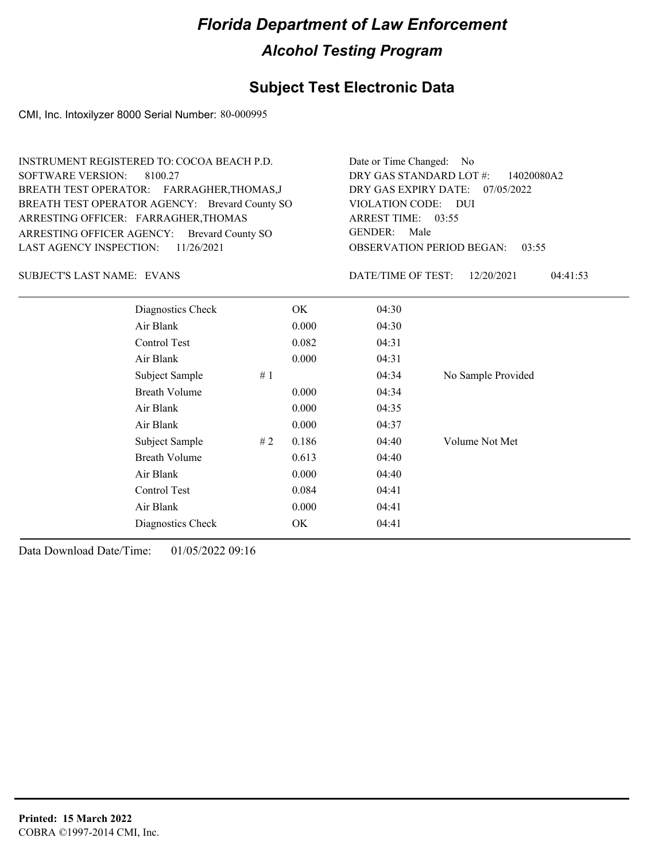## **Subject Test Electronic Data**

CMI, Inc. Intoxilyzer 8000 Serial Number: 80-000995

| INSTRUMENT REGISTERED TO: COCOA BEACH P.D.<br>SOFTWARE VERSION:<br>8100.27<br>BREATH TEST OPERATOR: FARRAGHER, THOMAS, J<br>BREATH TEST OPERATOR AGENCY: Brevard County SO<br>ARRESTING OFFICER: FARRAGHER, THOMAS<br>ARRESTING OFFICER AGENCY: Brevard County SO<br>LAST AGENCY INSPECTION:<br>11/26/2021 | Date or Time Changed: No<br>DRY GAS STANDARD LOT #:<br>14020080A2<br>DRY GAS EXPIRY DATE: $07/05/2022$<br>VIOLATION CODE: DUI<br>ARREST TIME: 03:55<br>Male<br>GENDER:<br><b>OBSERVATION PERIOD BEGAN:</b><br>03:55 |
|------------------------------------------------------------------------------------------------------------------------------------------------------------------------------------------------------------------------------------------------------------------------------------------------------------|---------------------------------------------------------------------------------------------------------------------------------------------------------------------------------------------------------------------|
| SUBJECT'S LAST NAME: EVANS                                                                                                                                                                                                                                                                                 | 04:41:53<br>DATE/TIME OF TEST:<br>12/20/2021                                                                                                                                                                        |

| Diagnostics Check    |    | OK    | 04:30 |                    |
|----------------------|----|-------|-------|--------------------|
| Air Blank            |    | 0.000 | 04:30 |                    |
| Control Test         |    | 0.082 | 04:31 |                    |
| Air Blank            |    | 0.000 | 04:31 |                    |
| Subject Sample       | #1 |       | 04:34 | No Sample Provided |
| <b>Breath Volume</b> |    | 0.000 | 04:34 |                    |
| Air Blank            |    | 0.000 | 04:35 |                    |
| Air Blank            |    | 0.000 | 04:37 |                    |
| Subject Sample       | #2 | 0.186 | 04:40 | Volume Not Met     |
| <b>Breath Volume</b> |    | 0.613 | 04:40 |                    |
| Air Blank            |    | 0.000 | 04:40 |                    |
| Control Test         |    | 0.084 | 04:41 |                    |
| Air Blank            |    | 0.000 | 04:41 |                    |
| Diagnostics Check    |    | OK    | 04:41 |                    |
|                      |    |       |       |                    |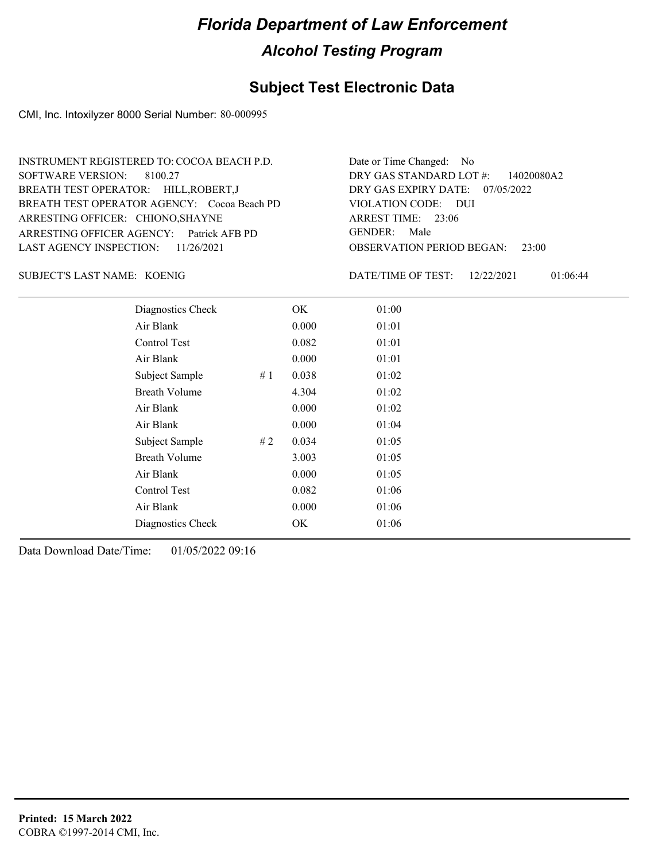### **Subject Test Electronic Data**

CMI, Inc. Intoxilyzer 8000 Serial Number: 80-000995

| INSTRUMENT REGISTERED TO: COCOA BEACH P.D.  | Date or Time Changed: No               |
|---------------------------------------------|----------------------------------------|
| SOFTWARE VERSION: 8100.27                   | DRY GAS STANDARD LOT $\#$ : 14020080A2 |
| BREATH TEST OPERATOR: HILL, ROBERT, J       | DRY GAS EXPIRY DATE: $07/05/2022$      |
| BREATH TEST OPERATOR AGENCY: Cocoa Beach PD | VIOLATION CODE: DUI                    |
| ARRESTING OFFICER: CHIONO, SHAYNE           | ARREST TIME: 23:06                     |
| ARRESTING OFFICER AGENCY: Patrick AFB PD    | GENDER: Male                           |
| LAST AGENCY INSPECTION: $11/26/2021$        | <b>OBSERVATION PERIOD BEGAN:</b> 23:00 |

KOENIG SUBJECT'S LAST NAME: DATE/TIME OF TEST:

DATE/TIME OF TEST: 12/22/2021 01:06:44

| Diagnostics Check    |    | OK    | 01:00 |
|----------------------|----|-------|-------|
| Air Blank            |    | 0.000 | 01:01 |
| Control Test         |    | 0.082 | 01:01 |
| Air Blank            |    | 0.000 | 01:01 |
| Subject Sample       | #1 | 0.038 | 01:02 |
| <b>Breath Volume</b> |    | 4.304 | 01:02 |
| Air Blank            |    | 0.000 | 01:02 |
| Air Blank            |    | 0.000 | 01:04 |
| Subject Sample       | #2 | 0.034 | 01:05 |
| <b>Breath Volume</b> |    | 3.003 | 01:05 |
| Air Blank            |    | 0.000 | 01:05 |
| Control Test         |    | 0.082 | 01:06 |
| Air Blank            |    | 0.000 | 01:06 |
| Diagnostics Check    |    | OK    | 01:06 |
|                      |    |       |       |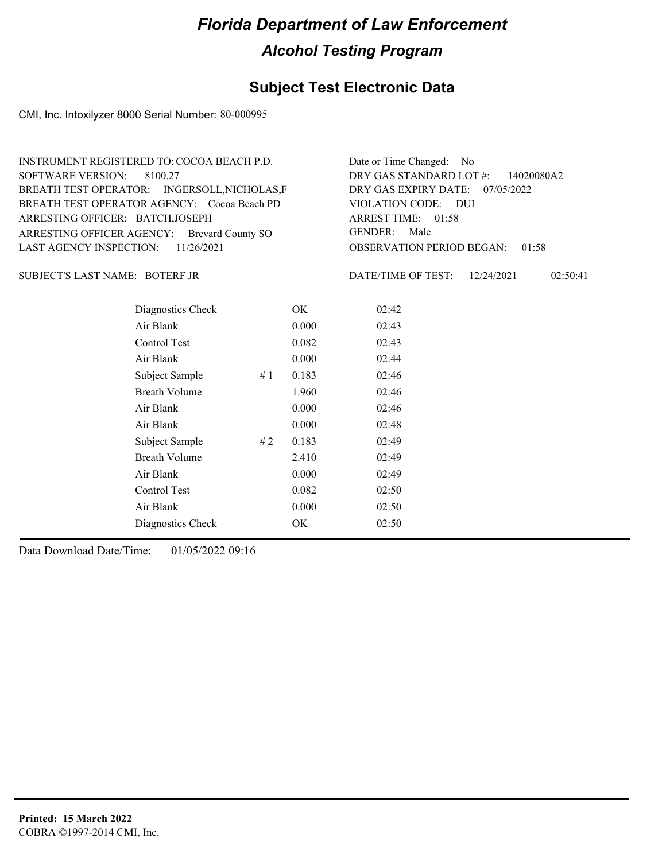### **Subject Test Electronic Data**

CMI, Inc. Intoxilyzer 8000 Serial Number: 80-000995

| INSTRUMENT REGISTERED TO: COCOA BEACH P.D.   | Date or Time Changed: No               |
|----------------------------------------------|----------------------------------------|
| SOFTWARE VERSION: 8100.27                    | DRY GAS STANDARD LOT #: 14020080A2     |
| BREATH TEST OPERATOR: INGERSOLL, NICHOLAS, F | DRY GAS EXPIRY DATE: 07/05/2022        |
| BREATH TEST OPERATOR AGENCY: Cocoa Beach PD  | VIOLATION CODE: DUI                    |
| ARRESTING OFFICER: BATCH, JOSEPH             | ARREST TIME: 01:58                     |
| ARRESTING OFFICER AGENCY: Brevard County SO  | GENDER: Male                           |
| LAST AGENCY INSPECTION: $11/26/2021$         | <b>OBSERVATION PERIOD BEGAN: 01:58</b> |

#### BOTERF JR SUBJECT'S LAST NAME: DATE/TIME OF TEST:

DATE/TIME OF TEST: 12/24/2021 02:50:41

| Diagnostics Check    |    | OK    | 02:42 |  |
|----------------------|----|-------|-------|--|
| Air Blank            |    | 0.000 | 02:43 |  |
| Control Test         |    | 0.082 | 02:43 |  |
| Air Blank            |    | 0.000 | 02:44 |  |
| Subject Sample       | #1 | 0.183 | 02:46 |  |
| <b>Breath Volume</b> |    | 1.960 | 02:46 |  |
| Air Blank            |    | 0.000 | 02:46 |  |
| Air Blank            |    | 0.000 | 02:48 |  |
| Subject Sample       | #2 | 0.183 | 02:49 |  |
| <b>Breath Volume</b> |    | 2.410 | 02:49 |  |
| Air Blank            |    | 0.000 | 02:49 |  |
| Control Test         |    | 0.082 | 02:50 |  |
| Air Blank            |    | 0.000 | 02:50 |  |
| Diagnostics Check    |    | OK    | 02:50 |  |
|                      |    |       |       |  |